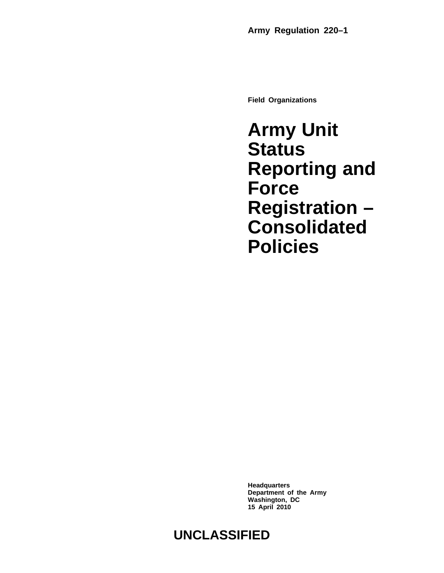**Field Organizations**

**Army Unit Status Reporting and Force Registration – Consolidated Policies**

**Headquarters Department of the Army Washington, DC 15 April 2010**

# **UNCLASSIFIED**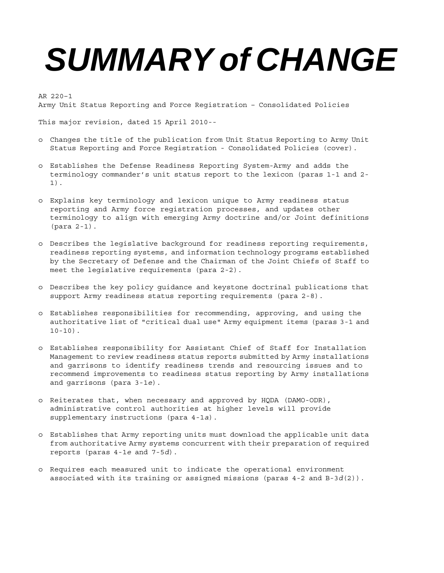# *SUMMARY of CHANGE*

AR 220–1 Army Unit Status Reporting and Force Registration – Consolidated Policies

This major revision, dated 15 April 2010--

- o Changes the title of the publication from Unit Status Reporting to Army Unit Status Reporting and Force Registration - Consolidated Policies (cover).
- o Establishes the Defense Readiness Reporting System-Army and adds the terminology commander's unit status report to the lexicon (paras 1-1 and 2- 1).
- o Explains key terminology and lexicon unique to Army readiness status reporting and Army force registration processes, and updates other terminology to align with emerging Army doctrine and/or Joint definitions (para 2-1).
- o Describes the legislative background for readiness reporting requirements, readiness reporting systems, and information technology programs established by the Secretary of Defense and the Chairman of the Joint Chiefs of Staff to meet the legislative requirements (para 2-2).
- o Describes the key policy guidance and keystone doctrinal publications that support Army readiness status reporting requirements (para 2-8).
- o Establishes responsibilities for recommending, approving, and using the authoritative list of "critical dual use" Army equipment items (paras 3-1 and  $10-10$ ).
- o Establishes responsibility for Assistant Chief of Staff for Installation Management to review readiness status reports submitted by Army installations and garrisons to identify readiness trends and resourcing issues and to recommend improvements to readiness status reporting by Army installations and garrisons (para 3-1*e*).
- o Reiterates that, when necessary and approved by HQDA (DAMO-ODR), administrative control authorities at higher levels will provide supplementary instructions (para 4-1*a*).
- o Establishes that Army reporting units must download the applicable unit data from authoritative Army systems concurrent with their preparation of required reports (paras 4-1*e* and 7-5*d*).
- o Requires each measured unit to indicate the operational environment associated with its training or assigned missions (paras 4-2 and B-3*d*(2)).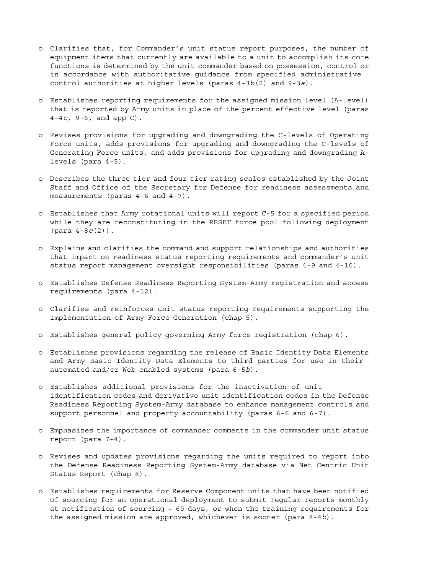- o Clarifies that, for Commander's unit status report purposes, the number of equipment items that currently are available to a unit to accomplish its core functions is determined by the unit commander based on possession, control or in accordance with authoritative guidance from specified administrative control authorities at higher levels (paras 4-3*b*(2) and 9-3*a*).
- o Establishes reporting requirements for the assigned mission level (A-level) that is reported by Army units in place of the percent effective level (paras 4-4*c*, 9-6, and app C).
- o Revises provisions for upgrading and downgrading the C-levels of Operating Force units, adds provisions for upgrading and downgrading the C-levels of Generating Force units, and adds provisions for upgrading and downgrading Alevels (para 4-5).
- o Describes the three tier and four tier rating scales established by the Joint Staff and Office of the Secretary for Defense for readiness assessments and measurements (paras 4-6 and 4-7).
- o Establishes that Army rotational units will report C-5 for a specified period while they are reconstituting in the RESET force pool following deployment (para 4-8*c*(2)).
- o Explains and clarifies the command and support relationships and authorities that impact on readiness status reporting requirements and commander's unit status report management oversight responsibilities (paras 4-9 and 4-10).
- o Establishes Defense Readiness Reporting System-Army registration and access requirements (para 4-12).
- o Clarifies and reinforces unit status reporting requirements supporting the implementation of Army Force Generation (chap 5).
- o Establishes general policy governing Army force registration (chap 6).
- o Establishes provisions regarding the release of Basic Identity Data Elements and Army Basic Identity Data Elements to third parties for use in their automated and/or Web enabled systems (para 6-5*b*).
- o Establishes additional provisions for the inactivation of unit identification codes and derivative unit identification codes in the Defense Readiness Reporting System-Army database to enhance management controls and support personnel and property accountability (paras 6-6 and 6-7).
- o Emphasizes the importance of commander comments in the commander unit status report (para 7-4).
- o Revises and updates provisions regarding the units required to report into the Defense Readiness Reporting System-Army database via Net Centric Unit Status Report (chap 8).
- o Establishes requirements for Reserve Component units that have been notified of sourcing for an operational deployment to submit regular reports monthly at notification of sourcing + 60 days, or when the training requirements for the assigned mission are approved, whichever is sooner (para 8-4*b*).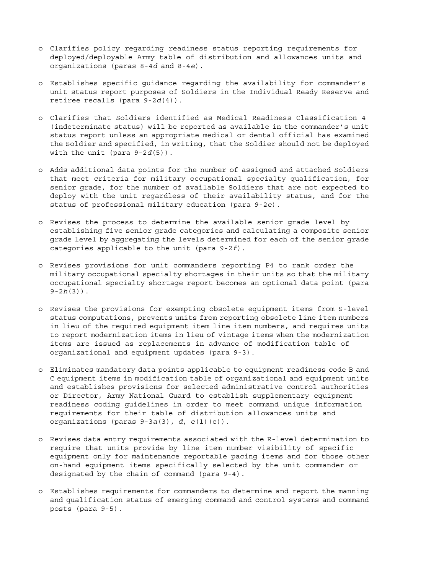- o Clarifies policy regarding readiness status reporting requirements for deployed/deployable Army table of distribution and allowances units and organizations (paras 8-4*d* and 8-4*e*).
- o Establishes specific guidance regarding the availability for commander's unit status report purposes of Soldiers in the Individual Ready Reserve and retiree recalls (para 9-2*d*(4)).
- o Clarifies that Soldiers identified as Medical Readiness Classification 4 (indeterminate status) will be reported as available in the commander's unit status report unless an appropriate medical or dental official has examined the Soldier and specified, in writing, that the Soldier should not be deployed with the unit (para  $9-2d(5)$ ).
- o Adds additional data points for the number of assigned and attached Soldiers that meet criteria for military occupational specialty qualification, for senior grade, for the number of available Soldiers that are not expected to deploy with the unit regardless of their availability status, and for the status of professional military education (para 9-2*e*).
- o Revises the process to determine the available senior grade level by establishing five senior grade categories and calculating a composite senior grade level by aggregating the levels determined for each of the senior grade categories applicable to the unit (para 9-2*f*).
- o Revises provisions for unit commanders reporting P4 to rank order the military occupational specialty shortages in their units so that the military occupational specialty shortage report becomes an optional data point (para 9-2*h*(3)).
- o Revises the provisions for exempting obsolete equipment items from S-level status computations, prevents units from reporting obsolete line item numbers in lieu of the required equipment item line item numbers, and requires units to report modernization items in lieu of vintage items when the modernization items are issued as replacements in advance of modification table of organizational and equipment updates (para 9-3).
- o Eliminates mandatory data points applicable to equipment readiness code B and C equipment items in modification table of organizational and equipment units and establishes provisions for selected administrative control authorities or Director, Army National Guard to establish supplementary equipment readiness coding guidelines in order to meet command unique information requirements for their table of distribution allowances units and organizations (paras 9-3*a*(3), *d*, *e*(1)(c)).
- o Revises data entry requirements associated with the R-level determination to require that units provide by line item number visibility of specific equipment only for maintenance reportable pacing items and for those other on-hand equipment items specifically selected by the unit commander or designated by the chain of command (para 9-4).
- o Establishes requirements for commanders to determine and report the manning and qualification status of emerging command and control systems and command posts (para 9-5).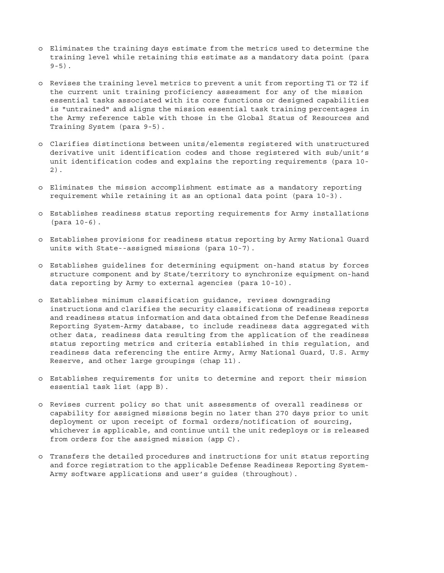- o Eliminates the training days estimate from the metrics used to determine the training level while retaining this estimate as a mandatory data point (para  $9 - 5$ ).
- o Revises the training level metrics to prevent a unit from reporting T1 or T2 if the current unit training proficiency assessment for any of the mission essential tasks associated with its core functions or designed capabilities is "untrained" and aligns the mission essential task training percentages in the Army reference table with those in the Global Status of Resources and Training System (para 9-5).
- o Clarifies distinctions between units/elements registered with unstructured derivative unit identification codes and those registered with sub/unit's unit identification codes and explains the reporting requirements (para 10- 2).
- o Eliminates the mission accomplishment estimate as a mandatory reporting requirement while retaining it as an optional data point (para 10-3).
- o Establishes readiness status reporting requirements for Army installations (para 10-6).
- o Establishes provisions for readiness status reporting by Army National Guard units with State--assigned missions (para 10-7).
- o Establishes guidelines for determining equipment on-hand status by forces structure component and by State/territory to synchronize equipment on-hand data reporting by Army to external agencies (para 10-10).
- o Establishes minimum classification guidance, revises downgrading instructions and clarifies the security classifications of readiness reports and readiness status information and data obtained from the Defense Readiness Reporting System-Army database, to include readiness data aggregated with other data, readiness data resulting from the application of the readiness status reporting metrics and criteria established in this regulation, and readiness data referencing the entire Army, Army National Guard, U.S. Army Reserve, and other large groupings (chap 11).
- o Establishes requirements for units to determine and report their mission essential task list (app B).
- o Revises current policy so that unit assessments of overall readiness or capability for assigned missions begin no later than 270 days prior to unit deployment or upon receipt of formal orders/notification of sourcing, whichever is applicable, and continue until the unit redeploys or is released from orders for the assigned mission (app C).
- o Transfers the detailed procedures and instructions for unit status reporting and force registration to the applicable Defense Readiness Reporting System-Army software applications and user's guides (throughout).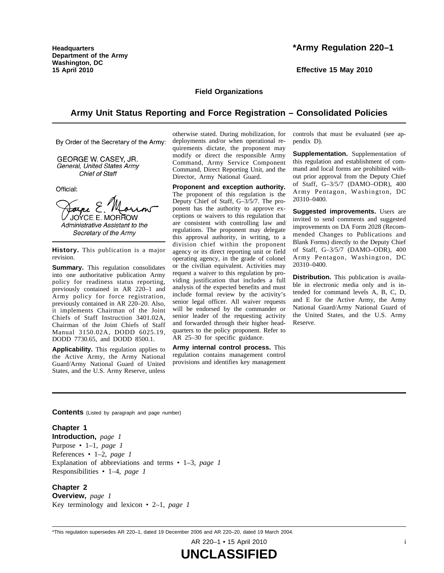**Headquarters Department of the Army Washington, DC 15 April 2010**

# **\*Army Regulation 220–1**

**Effective 15 May 2010**

#### **Field Organizations**

# **Army Unit Status Reporting and Force Registration – Consolidated Policies**

By Order of the Secretary of the Army:

GEORGE W. CASEY, JR. General, United States Army Chief of Staff

Official:

Forne E. JOYCE E. MORROW Administrative Assistant to the Secretary of the Army

**History.** This publication is a major revision.

**Summary.** This regulation consolidates into one authoritative publication Army policy for readiness status reporting, previously contained in AR 220-1 and Army policy for force registration, previously contained in AR 220–20. Also, it implements Chairman of the Joint Chiefs of Staff Instruction 3401.02A, Chairman of the Joint Chiefs of Staff Manual 3150.02A, DODD 6025.19, DODD 7730.65, and DODD 8500.1.

**Applicability.** This regulation applies to the Active Army, the Army National Guard/Army National Guard of United States, and the U.S. Army Reserve, unless

otherwise stated. During mobilization, for deployments and/or when operational requirements dictate, the proponent may modify or direct the responsible Army Command, Army Service Component Command, Direct Reporting Unit, and the Director, Army National Guard.

**Proponent and exception authority.** The proponent of this regulation is the Deputy Chief of Staff, G–3/5/7. The proponent has the authority to approve exceptions or waivers to this regulation that are consistent with controlling law and regulations. The proponent may delegate this approval authority, in writing, to a division chief within the proponent agency or its direct reporting unit or field operating agency, in the grade of colonel or the civilian equivalent. Activities may request a waiver to this regulation by providing justification that includes a full analysis of the expected benefits and must include formal review by the activity's senior legal officer. All waiver requests will be endorsed by the commander or senior leader of the requesting activity and forwarded through their higher headquarters to the policy proponent. Refer to AR 25–30 for specific guidance.

**Army internal control process.** This r egulation contains management control provisions and identifies key management controls that must be evaluated (see appendix D).

**Supplementation.** Supplementation of this regulation and establishment of command and local forms are prohibited without prior approval from the Deputy Chief of Staff, G-3/5/7 (DAMO-ODR), 400 Army Pentagon, Washington, DC 20310–0400.

**Suggested improvements.** Users are invited to send comments and suggested improvements on DA Form 2028 (Recommended Changes to Publications and Blank Forms) directly to the Deputy Chief of Staff, G-3/5/7 (DAMO-ODR), 400 Army Pentagon, Washington, DC 20310–0400.

**Distribution.** This publication is available in electronic media only and is intended for command levels A, B, C, D, and E for the Active Army, the Army National Guard/Army National Guard of the United States, and the U.S. Army Reserve.

**Contents** (Listed by paragraph and page number)

#### **Chapter 1**

**Introduction,** *page 1* Purpose • 1–1, *page 1* References • 1–2, *page 1* Explanation of abbreviations and terms • 1–3, *page 1* Responsibilities • 1–4, *page 1*

#### **Chapter 2**

**Overview,** *page 1* Key terminology and lexicon • 2–1, *page 1*

\*This regulation supersedes AR 220–1, dated 19 December 2006 and AR 220–20, dated 19 March 2004.

AR 220–1 • 15 April 2010 i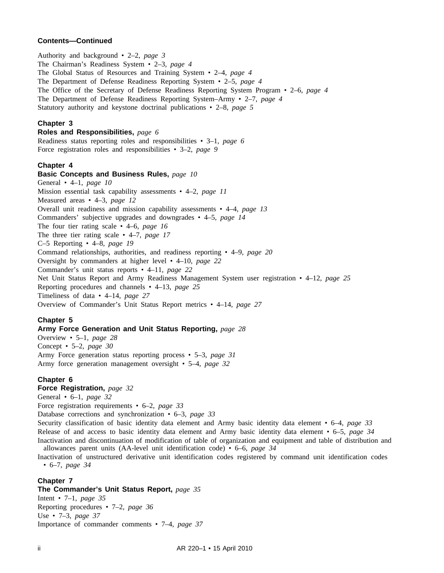#### **Contents—Continued**

Authority and background • 2–2, *page 3* The Chairman's Readiness System • 2–3, *page 4* The Global Status of Resources and Training System • 2–4, *page 4* The Department of Defense Readiness Reporting System • 2–5, *page 4* The Office of the Secretary of Defense Readiness Reporting System Program • 2–6, *page 4* The Department of Defense Readiness Reporting System–Army • 2–7, *page 4* Statutory authority and keystone doctrinal publications • 2–8, *page 5*

#### **Chapter 3**

#### **Roles and Responsibilities,** *page 6*

Readiness status reporting roles and responsibilities • 3–1, *page 6* Force registration roles and responsibilities • 3–2, *page 9*

#### **Chapter 4**

#### **Basic Concepts and Business Rules,** *page 10*

General • 4–1, *page 10* Mission essential task capability assessments • 4–2, *page 11* Measured areas • 4–3, *page 12* Overall unit readiness and mission capability assessments • 4–4, *page 13* Commanders' subjective upgrades and downgrades • 4–5, *page 14* The four tier rating scale • 4–6, *page 16* The three tier rating scale • 4–7, *page 17* C–5 Reporting • 4–8, *page 19* Command relationships, authorities, and readiness reporting • 4–9, *page 20* Oversight by commanders at higher level • 4–10, *page 22* Commander's unit status reports • 4–11, *page 22* Net Unit Status Report and Army Readiness Management System user registration • 4–12, *page 25* Reporting procedures and channels • 4–13, *page 25* Timeliness of data • 4–14, *page 27* Overview of Commander's Unit Status Report metrics • 4–14, *page 27*

#### **Chapter 5**

#### **Army Force Generation and Unit Status Reporting,** *page 28*

Overview • 5–1, *page 28* Concept • 5–2, *page 30* Army Force generation status reporting process • 5–3, *page 31* Army force generation management oversight • 5–4, *page 32*

#### **Chapter 6**

# **Force Registration,** *page 32*

General • 6–1, *page 32*

Force registration requirements • 6–2, *page 33*

Database corrections and synchronization • 6–3, *page 33*

Security classification of basic identity data element and Army basic identity data element • 6–4, *page 33* Release of and access to basic identity data element and Army basic identity data element • 6–5, *page 34* Inactivation and discontinuation of modification of table of organization and equipment and table of distribution and allowances parent units (AA-level unit identification code) • 6–6, *page 34*

Inactivation of unstructured derivative unit identification codes registered by command unit identification codes • 6–7, *page 34*

# **Chapter 7**

# **The Commander's Unit Status Report,** *page 35*

Intent • 7–1, *page 35* Reporting procedures • 7–2, *page 36* Use • 7–3, *page 37* Importance of commander comments • 7–4, *page 37*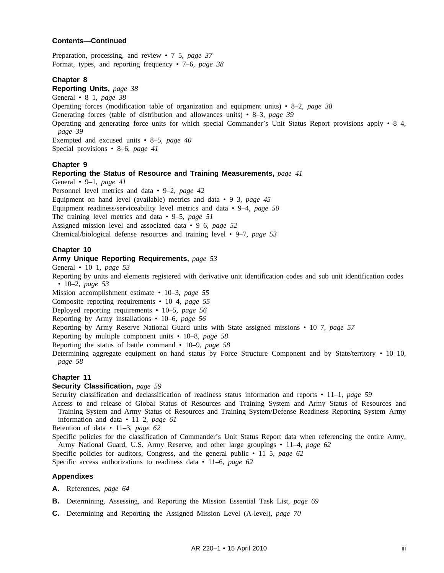#### **Contents—Continued**

Preparation, processing, and review • 7–5, *page 37* Format, types, and reporting frequency • 7–6, *page 38*

#### **Chapter 8**

**Reporting Units,** *page 38*

General • 8–1, *page 38*

Operating forces (modification table of organization and equipment units) • 8–2, *page 38*

Generating forces (table of distribution and allowances units) • 8–3, *page 39*

Operating and generating force units for which special Commander's Unit Status Report provisions apply • 8–4, *page 39*

Exempted and excused units • 8–5, *page 40* Special provisions • 8–6, *page 41*

#### **Chapter 9**

#### **Reporting the Status of Resource and Training Measurements,** *page 41*

General • 9–1, *page 41*

Personnel level metrics and data • 9–2, *page 42*

Equipment on–hand level (available) metrics and data • 9–3, *page 45*

Equipment readiness/serviceability level metrics and data • 9–4, *page 50*

The training level metrics and data • 9–5, *page 51*

Assigned mission level and associated data • 9–6, *page 52*

Chemical/biological defense resources and training level • 9–7, *page 53*

#### **Chapter 10**

# **Army Unique Reporting Requirements,** *page 53*

General • 10–1, *page 53*

Reporting by units and elements registered with derivative unit identification codes and sub unit identification codes • 10–2, *page 53*

Mission accomplishment estimate • 10–3, *page 55*

Composite reporting requirements • 10–4, *page 55*

Deployed reporting requirements • 10–5, *page 56*

Reporting by Army installations • 10–6, *page 56*

Reporting by Army Reserve National Guard units with State assigned missions • 10–7, *page 57*

Reporting by multiple component units • 10–8, *page 58*

Reporting the status of battle command • 10–9, *page 58*

Determining aggregate equipment on–hand status by Force Structure Component and by State/territory • 10–10, *page 58*

#### **Chapter 11**

# **Security Classification,** *page 59*

Security classification and declassification of readiness status information and reports • 11–1, *page 59*

Access to and release of Global Status of Resources and Training System and Army Status of Resources and Training System and Army Status of Resources and Training System/Defense Readiness Reporting System–Army information and data • 11–2, *page 61*

Retention of data • 11–3, *page 62*

Specific policies for the classification of Commander's Unit Status Report data when referencing the entire Army, Army National Guard, U.S. Army Reserve, and other large groupings • 11–4, *page 62* Specific policies for auditors, Congress, and the general public • 11–5, *page 62*

Specific access authorizations to readiness data • 11–6, *page 62*

#### **Appendixes**

- **A.** References, *page 64*
- **B.** Determining, Assessing, and Reporting the Mission Essential Task List, *page 69*
- **C.** Determining and Reporting the Assigned Mission Level (A-level), *page 70*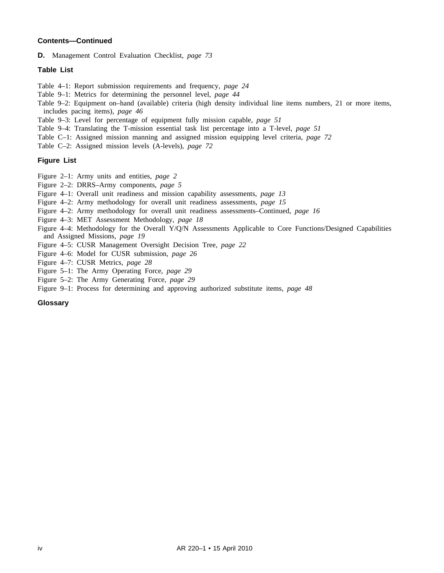#### **Contents—Continued**

**D.** Management Control Evaluation Checklist, *page 73*

#### **Table List**

Table 4–1: Report submission requirements and frequency, *page 24*

- Table 9–1: Metrics for determining the personnel level, *page 44*
- Table 9–2: Equipment on–hand (available) criteria (high density individual line items numbers, 21 or more items, includes pacing items), *page 46*
- Table 9–3: Level for percentage of equipment fully mission capable, *page 51*
- Table 9–4: Translating the T-mission essential task list percentage into a T-level, *page 51*
- Table C–1: Assigned mission manning and assigned mission equipping level criteria, *page 72*

Table C–2: Assigned mission levels (A-levels), *page 72*

#### **Figure List**

- Figure 2–1: Army units and entities, *page 2*
- Figure 2–2: DRRS–Army components, *page 5*
- Figure 4–1: Overall unit readiness and mission capability assessments, *page 13*
- Figure 4–2: Army methodology for overall unit readiness assessments, *page 15*
- Figure 4–2: Army methodology for overall unit readiness assessments–Continued, *page 16*
- Figure 4–3: MET Assessment Methodology, *page 18*
- Figure 4–4: Methodology for the Overall Y/Q/N Assessments Applicable to Core Functions/Designed Capabilities and Assigned Missions, *page 19*
- Figure 4–5: CUSR Management Oversight Decision Tree, *page 22*
- Figure 4–6: Model for CUSR submission, *page 26*
- Figure 4–7: CUSR Metrics, *page 28*
- Figure 5–1: The Army Operating Force, *page 29*
- Figure 5–2: The Army Generating Force, *page 29*
- Figure 9–1: Process for determining and approving authorized substitute items, *page 48*

#### **Glossary**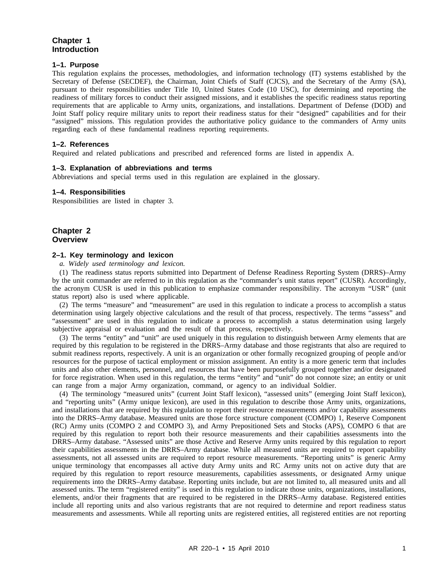# **Chapter 1 Introduction**

#### **1–1. Purpose**

This regulation explains the processes, methodologies, and information technology (IT) systems established by the Secretary of Defense (SECDEF), the Chairman, Joint Chiefs of Staff (CJCS), and the Secretary of the Army (SA), pursuant to their responsibilities under Title 10, United States Code (10 USC), for determining and reporting the readiness of military forces to conduct their assigned missions, and it establishes the specific readiness status reporting requirements that are applicable to Army units, organizations, and installations. Department of Defense (DOD) and Joint Staff policy require military units to report their readiness status for their "designed" capabilities and for their "assigned" missions. This regulation provides the authoritative policy guidance to the commanders of Army units regarding each of these fundamental readiness reporting requirements.

#### **1–2. References**

Required and related publications and prescribed and referenced forms are listed in appendix A.

#### **1–3. Explanation of abbreviations and terms**

Abbreviations and special terms used in this regulation are explained in the glossary.

#### **1–4. Responsibilities**

Responsibilities are listed in chapter 3.

## **Chapter 2 Overview**

#### **2–1. Key terminology and lexicon**

*a. Widely used terminology and lexicon.*

(1) The readiness status reports submitted into Department of Defense Readiness Reporting System (DRRS)–Army by the unit commander are referred to in this regulation as the "commander's unit status report" (CUSR). Accordingly, the acronym CUSR is used in this publication to emphasize commander responsibility. The acronym "USR" (unit status report) also is used where applicable.

(2) The terms "measure" and "measurement" are used in this regulation to indicate a process to accomplish a status determination using largely objective calculations and the result of that process, respectively. The terms "assess" and "assessment" are used in this regulation to indicate a process to accomplish a status determination using largely subjective appraisal or evaluation and the result of that process, respectively.

(3) The terms "entity" and "unit" are used uniquely in this regulation to distinguish between Army elements that are required by this regulation to be registered in the DRRS–Army database and those registrants that also are required to submit readiness reports, respectively. A unit is an organization or other formally recognized grouping of people and/or resources for the purpose of tactical employment or mission assignment. An entity is a more generic term that includes units and also other elements, personnel, and resources that have been purposefully grouped together and/or designated for force registration. When used in this regulation, the terms "entity" and "unit" do not connote size; an entity or unit can range from a major Army organization, command, or agency to an individual Soldier.

(4) The terminology "measured units" (current Joint Staff lexicon), "assessed units" (emerging Joint Staff lexicon), and "reporting units" (Army unique lexicon), are used in this regulation to describe those Army units, organizations, and installations that are required by this regulation to report their resource measurements and/or capability assessments into the DRRS–Army database. Measured units are those force structure component (COMPO) 1, Reserve Component (RC) Army units (COMPO 2 and COMPO 3), and Army Prepositioned Sets and Stocks (APS), COMPO 6 that are required by this regulation to report both their resource measurements and their capabilities assessments into the DRRS–Army database. "Assessed units" are those Active and Reserve Army units required by this regulation to report their capabilities assessments in the DRRS–Army database. While all measured units are required to report capability assessments, not all assessed units are required to report resource measurements. "Reporting units" is generic Army unique terminology that encompasses all active duty Army units and RC Army units not on active duty that are required by this regulation to report resource measurements, capabilities assessments, or designated Army unique requirements into the DRRS–Army database. Reporting units include, but are not limited to, all measured units and all assessed units. The term "registered entity" is used in this regulation to indicate those units, organizations, installations, elements, and/or their fragments that are required to be registered in the DRRS–Army database. Registered entities include all reporting units and also various registrants that are not required to determine and report readiness status measurements and assessments. While all reporting units are registered entities, all registered entities are not reporting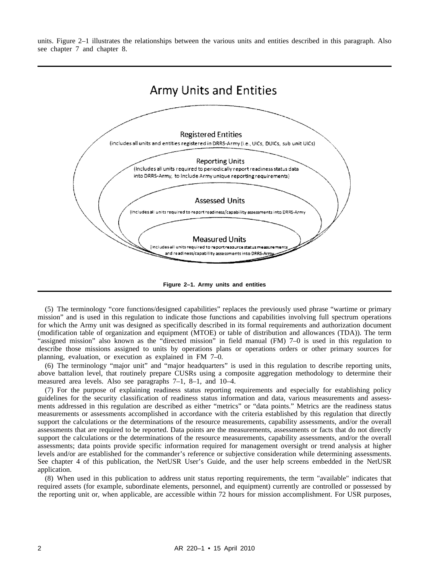units. Figure 2–1 illustrates the relationships between the various units and entities described in this paragraph. Also see chapter 7 and chapter 8.



**Figure 2–1. Army units and entities**

(5) The terminology "core functions/designed capabilities" replaces the previously used phrase "wartime or primary mission" and is used in this regulation to indicate those functions and capabilities involving full spectrum operations for which the Army unit was designed as specifically described in its formal requirements and authorization document (modification table of organization and equipment (MTOE) or table of distribution and allowances (TDA)). The term "assigned mission" also known as the "directed mission" in field manual (FM) 7–0 is used in this regulation to describe those missions assigned to units by operations plans or operations orders or other primary sources for planning, evaluation, or execution as explained in FM 7–0.

(6) The terminology "major unit" and "major headquarters" is used in this regulation to describe reporting units, above battalion level, that routinely prepare CUSRs using a composite aggregation methodology to determine their measured area levels. Also see paragraphs 7–1, 8–1, and 10–4.

(7) For the purpose of explaining readiness status reporting requirements and especially for establishing policy guidelines for the security classification of readiness status information and data, various measurements and assessments addressed in this regulation are described as either "metrics" or "data points." Metrics are the readiness status measurements or assessments accomplished in accordance with the criteria established by this regulation that directly support the calculations or the determinations of the resource measurements, capability assessments, and/or the overall assessments that are required to be reported. Data points are the measurements, assessments or facts that do not directly support the calculations or the determinations of the resource measurements, capability assessments, and/or the overall assessments; data points provide specific information required for management oversight or trend analysis at higher levels and/or are established for the commander's reference or subjective consideration while determining assessments. See chapter 4 of this publication, the NetUSR User's Guide, and the user help screens embedded in the NetUSR application.

(8) When used in this publication to address unit status reporting requirements, the term "available" indicates that required assets (for example, subordinate elements, personnel, and equipment) currently are controlled or possessed by the reporting unit or, when applicable, are accessible within 72 hours for mission accomplishment. For USR purposes,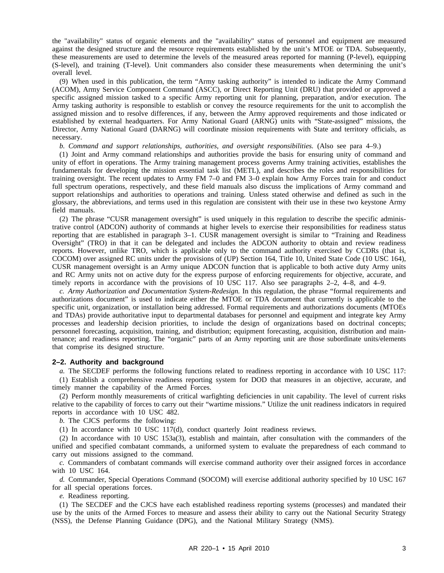the "availability" status of organic elements and the "availability" status of personnel and equipment are measured against the designed structure and the resource requirements established by the unit's MTOE or TDA. Subsequently, these measurements are used to determine the levels of the measured areas reported for manning (P-level), equipping (S-level), and training (T-level). Unit commanders also consider these measurements when determining the unit's overall level.

(9) When used in this publication, the term "Army tasking authority" is intended to indicate the Army Command (ACOM), Army Service Component Command (ASCC), or Direct Reporting Unit (DRU) that provided or approved a specific assigned mission tasked to a specific Army reporting unit for planning, preparation, and/or execution. The Army tasking authority is responsible to establish or convey the resource requirements for the unit to accomplish the assigned mission and to resolve differences, if any, between the Army approved requirements and those indicated or established by external headquarters. For Army National Guard (ARNG) units with "State-assigned" missions, the Director, Army National Guard (DARNG) will coordinate mission requirements with State and territory officials, as necessary.

*b. Command and support relationships, authorities, and oversight responsibilities.* (Also see para 4–9.)

(1) Joint and Army command relationships and authorities provide the basis for ensuring unity of command and unity of effort in operations. The Army training management process governs Army training activities, establishes the fundamentals for developing the mission essential task list (METL), and describes the roles and responsibilities for training oversight. The recent updates to Army FM 7–0 and FM 3–0 explain how Army Forces train for and conduct full spectrum operations, respectively, and these field manuals also discuss the implications of Army command and support relationships and authorities to operations and training. Unless stated otherwise and defined as such in the glossary, the abbreviations, and terms used in this regulation are consistent with their use in these two keystone Army field manuals.

(2) The phrase "CUSR management oversight" is used uniquely in this regulation to describe the specific administrative control (ADCON) authority of commands at higher levels to exercise their responsibilities for readiness status reporting that are established in paragraph 3–1. CUSR management oversight is similar to "Training and Readiness Oversight" (TRO) in that it can be delegated and includes the ADCON authority to obtain and review readiness reports. However, unlike TRO, which is applicable only to the command authority exercised by CCDRs (that is, COCOM) over assigned RC units under the provisions of (UP) Section 164, Title 10, United State Code (10 USC 164), CUSR management oversight is an Army unique ADCON function that is applicable to both active duty Army units and RC Army units not on active duty for the express purpose of enforcing requirements for objective, accurate, and timely reports in accordance with the provisions of 10 USC 117. Also see paragraphs 2–2, 4–8, and 4–9.

*c. Army Authorization and Documentation System-Redesign.* In this regulation, the phrase "formal requirements and authorizations document" is used to indicate either the MTOE or TDA document that currently is applicable to the specific unit, organization, or installation being addressed. Formal requirements and authorizations documents (MTOEs and TDAs) provide authoritative input to departmental databases for personnel and equipment and integrate key Army processes and leadership decision priorities, to include the design of organizations based on doctrinal concepts; personnel forecasting, acquisition, training, and distribution; equipment forecasting, acquisition, distribution and maintenance; and readiness reporting. The "organic" parts of an Army reporting unit are those subordinate units/elements that comprise its designed structure.

#### **2–2. Authority and background**

*a.* The SECDEF performs the following functions related to readiness reporting in accordance with 10 USC 117: (1) Establish a comprehensive readiness reporting system for DOD that measures in an objective, accurate, and timely manner the capability of the Armed Forces.

(2) Perform monthly measurements of critical warfighting deficiencies in unit capability. The level of current risks relative to the capability of forces to carry out their "wartime missions." Utilize the unit readiness indicators in required reports in accordance with 10 USC 482.

*b.* The CJCS performs the following:

(1) In accordance with 10 USC 117(d), conduct quarterly Joint readiness reviews.

(2) In accordance with 10 USC 153a(3), establish and maintain, after consultation with the commanders of the unified and specified combatant commands, a uniformed system to evaluate the preparedness of each command to carry out missions assigned to the command.

*c.* Commanders of combatant commands will exercise command authority over their assigned forces in accordance with 10 USC 164.

*d.* Commander, Special Operations Command (SOCOM) will exercise additional authority specified by 10 USC 167 for all special operations forces.

*e.* Readiness reporting.

(1) The SECDEF and the CJCS have each established readiness reporting systems (processes) and mandated their use by the units of the Armed Forces to measure and assess their ability to carry out the National Security Strategy (NSS), the Defense Planning Guidance (DPG), and the National Military Strategy (NMS).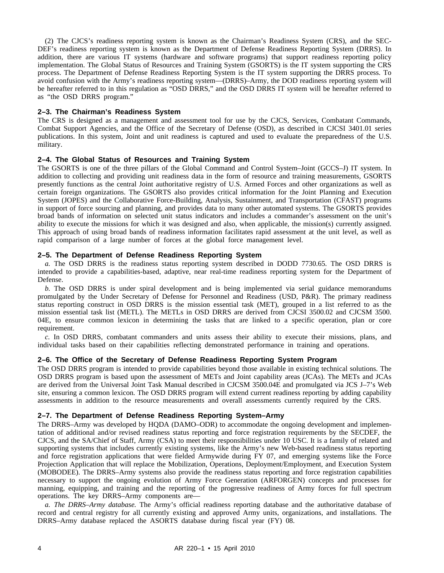(2) The CJCS's readiness reporting system is known as the Chairman's Readiness System (CRS), and the SEC-DEF's readiness reporting system is known as the Department of Defense Readiness Reporting System (DRRS). In addition, there are various IT systems (hardware and software programs) that support readiness reporting policy implementation. The Global Status of Resources and Training System (GSORTS) is the IT system supporting the CRS process. The Department of Defense Readiness Reporting System is the IT system supporting the DRRS process. To avoid confusion with the Army's readiness reporting system—(DRRS)–Army, the DOD readiness reporting system will be hereafter referred to in this regulation as "OSD DRRS," and the OSD DRRS IT system will be hereafter referred to as "the OSD DRRS program."

#### **2–3. The Chairman's Readiness System**

The CRS is designed as a management and assessment tool for use by the CJCS, Services, Combatant Commands, Combat Support Agencies, and the Office of the Secretary of Defense (OSD), as described in CJCSI 3401.01 series publications. In this system, Joint and unit readiness is captured and used to evaluate the preparedness of the U.S. military.

#### **2–4. The Global Status of Resources and Training System**

The GSORTS is one of the three pillars of the Global Command and Control System–Joint (GCCS–J) IT system. In addition to collecting and providing unit readiness data in the form of resource and training measurements, GSORTS presently functions as the central Joint authoritative registry of U.S. Armed Forces and other organizations as well as certain foreign organizations. The GSORTS also provides critical information for the Joint Planning and Execution System (JOPES) and the Collaborative Force-Building, Analysis, Sustainment, and Transportation (CFAST) programs in support of force sourcing and planning, and provides data to many other automated systems. The GSORTS provides broad bands of information on selected unit status indicators and includes a commander's assessment on the unit's ability to execute the missions for which it was designed and also, when applicable, the mission(s) currently assigned. This approach of using broad bands of readiness information facilitates rapid assessment at the unit level, as well as rapid comparison of a large number of forces at the global force management level.

#### **2–5. The Department of Defense Readiness Reporting System**

*a.* The OSD DRRS is the readiness status reporting system described in DODD 7730.65. The OSD DRRS is intended to provide a capabilities-based, adaptive, near real-time readiness reporting system for the Department of Defense.

*b.* The OSD DRRS is under spiral development and is being implemented via serial guidance memorandums promulgated by the Under Secretary of Defense for Personnel and Readiness (USD, P&R). The primary readiness status reporting construct in OSD DRRS is the mission essential task (MET), grouped in a list referred to as the mission essential task list (METL). The METLs in OSD DRRS are derived from CJCSI 3500.02 and CJCSM 3500. 04E, to ensure common lexicon in determining the tasks that are linked to a specific operation, plan or core requirement.

*c.* In OSD DRRS, combatant commanders and units assess their ability to execute their missions, plans, and individual tasks based on their capabilities reflecting demonstrated performance in training and operations.

#### **2–6. The Office of the Secretary of Defense Readiness Reporting System Program**

The OSD DRRS program is intended to provide capabilities beyond those available in existing technical solutions. The OSD DRRS program is based upon the assessment of METs and Joint capability areas (JCAs). The METs and JCAs are derived from the Universal Joint Task Manual described in CJCSM 3500.04E and promulgated via JCS J–7's Web site, ensuring a common lexicon. The OSD DRRS program will extend current readiness reporting by adding capability assessments in addition to the resource measurements and overall assessments currently required by the CRS.

#### **2–7. The Department of Defense Readiness Reporting System–Army**

The DRRS–Army was developed by HQDA (DAMO–ODR) to accommodate the ongoing development and implementation of additional and/or revised readiness status reporting and force registration requirements by the SECDEF, the CJCS, and the SA/Chief of Staff, Army (CSA) to meet their responsibilities under 10 USC. It is a family of related and supporting systems that includes currently existing systems, like the Army's new Web-based readiness status reporting and force registration applications that were fielded Armywide during FY 07, and emerging systems like the Force Projection Application that will replace the Mobilization, Operations, Deployment/Employment, and Execution System (MOBODEE). The DRRS–Army systems also provide the readiness status reporting and force registration capabilities necessary to support the ongoing evolution of Army Force Generation (ARFORGEN) concepts and processes for manning, equipping, and training and the reporting of the progressive readiness of Army forces for full spectrum operations. The key DRRS–Army components are—

*a. The DRRS–Army database.* The Army's official readiness reporting database and the authoritative database of record and central registry for all currently existing and approved Army units, organizations, and installations. The DRRS–Army database replaced the ASORTS database during fiscal year (FY) 08.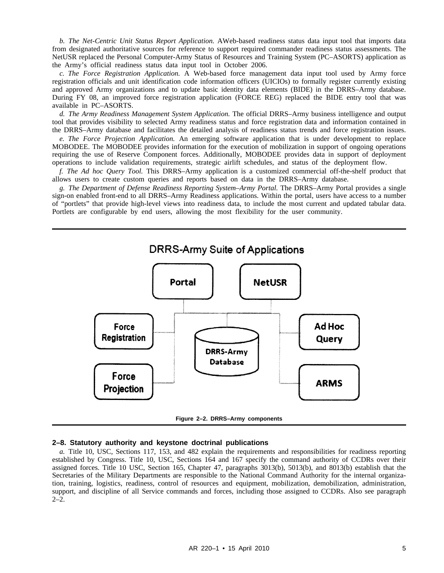*b. The Net-Centric Unit Status Report Application.* AWeb-based readiness status data input tool that imports data from designated authoritative sources for reference to support required commander readiness status assessments. The NetUSR replaced the Personal Computer-Army Status of Resources and Training System (PC–ASORTS) application as the Army's official readiness status data input tool in October 2006.

*c. The Force Registration Application.* A Web-based force management data input tool used by Army force registration officials and unit identification code information officers (UICIOs) to formally register currently existing and approved Army organizations and to update basic identity data elements (BIDE) in the DRRS–Army database. During FY 08, an improved force registration application (FORCE REG) replaced the BIDE entry tool that was available in PC–ASORTS.

*d. The Army Readiness Management System Application.* The official DRRS–Army business intelligence and output tool that provides visibility to selected Army readiness status and force registration data and information contained in the DRRS–Army database and facilitates the detailed analysis of readiness status trends and force registration issues.

*e. The Force Projection Application.* An emerging software application that is under development to replace MOBODEE. The MOBODEE provides information for the execution of mobilization in support of ongoing operations requiring the use of Reserve Component forces. Additionally, MOBODEE provides data in support of deployment operations to include validation requirements, strategic airlift schedules, and status of the deployment flow.

*f. The Ad hoc Query Tool.* This DRRS–Army application is a customized commercial off-the-shelf product that allows users to create custom queries and reports based on data in the DRRS–Army database.

*g. The Department of Defense Readiness Reporting System–Army Portal.* The DRRS–Army Portal provides a single sign-on enabled front-end to all DRRS–Army Readiness applications. Within the portal, users have access to a number of "portlets" that provide high-level views into readiness data, to include the most current and updated tabular data. Portlets are configurable by end users, allowing the most flexibility for the user community.





#### **2–8. Statutory authority and keystone doctrinal publications**

*a.* Title 10, USC, Sections 117, 153, and 482 explain the requirements and responsibilities for readiness reporting established by Congress. Title 10, USC, Sections 164 and 167 specify the command authority of CCDRs over their assigned forces. Title 10 USC, Section 165, Chapter 47, paragraphs 3013(b), 5013(b), and 8013(b) establish that the Secretaries of the Military Departments are responsible to the National Command Authority for the internal organization, training, logistics, readiness, control of resources and equipment, mobilization, demobilization, administration, support, and discipline of all Service commands and forces, including those assigned to CCDRs. Also see paragraph 2–2.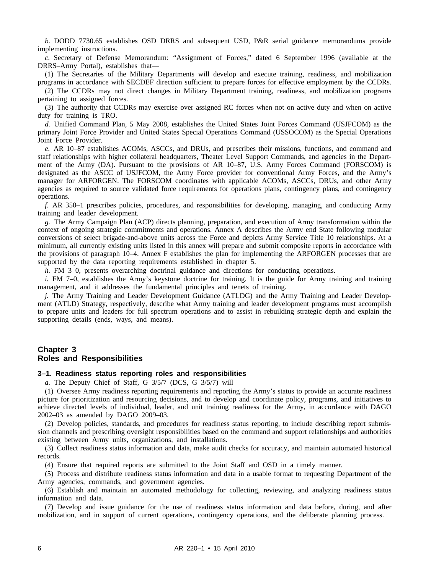*b.* DODD 7730.65 establishes OSD DRRS and subsequent USD, P&R serial guidance memorandums provide implementing instructions.

*c*. Secretary of Defense Memorandum: "Assignment of Forces," dated 6 September 1996 (available at the DRRS–Army Portal), establishes that—

(1) The Secretaries of the Military Departments will develop and execute training, readiness, and mobilization programs in accordance with SECDEF direction sufficient to prepare forces for effective employment by the CCDRs.

(2) The CCDRs may not direct changes in Military Department training, readiness, and mobilization programs pertaining to assigned forces.

(3) The authority that CCDRs may exercise over assigned RC forces when not on active duty and when on active duty for training is TRO.

*d.* Unified Command Plan, 5 May 2008, establishes the United States Joint Forces Command (USJFCOM) as the primary Joint Force Provider and United States Special Operations Command (USSOCOM) as the Special Operations Joint Force Provider.

*e.* AR 10–87 establishes ACOMs, ASCCs, and DRUs, and prescribes their missions, functions, and command and staff relationships with higher collateral headquarters, Theater Level Support Commands, and agencies in the Department of the Army (DA). Pursuant to the provisions of AR 10–87, U.S. Army Forces Command (FORSCOM) is designated as the ASCC of USJFCOM, the Army Force provider for conventional Army Forces, and the Army's manager for ARFORGEN. The FORSCOM coordinates with applicable ACOMs, ASCCs, DRUs, and other Army agencies as required to source validated force requirements for operations plans, contingency plans, and contingency operations.

*f.* AR 350–1 prescribes policies, procedures, and responsibilities for developing, managing, and conducting Army training and leader development.

*g.* The Army Campaign Plan (ACP) directs planning, preparation, and execution of Army transformation within the context of ongoing strategic commitments and operations. Annex A describes the Army end State following modular conversions of select brigade-and-above units across the Force and depicts Army Service Title 10 relationships. At a minimum, all currently existing units listed in this annex will prepare and submit composite reports in accordance with the provisions of paragraph 10–4. Annex F establishes the plan for implementing the ARFORGEN processes that are supported by the data reporting requirements established in chapter 5.

*h.* FM 3–0, presents overarching doctrinal guidance and directions for conducting operations.

*i.* FM 7–0, establishes the Army's keystone doctrine for training. It is the guide for Army training and training management, and it addresses the fundamental principles and tenets of training.

*j.* The Army Training and Leader Development Guidance (ATLDG) and the Army Training and Leader Development (ATLD) Strategy, respectively, describe what Army training and leader development programs must accomplish to prepare units and leaders for full spectrum operations and to assist in rebuilding strategic depth and explain the supporting details (ends, ways, and means).

#### **Chapter 3 Roles and Responsibilities**

#### **3–1. Readiness status reporting roles and responsibilities**

*a.* The Deputy Chief of Staff, G–3/5/7 (DCS, G–3/5/7) will—

(1) Oversee Army readiness reporting requirements and reporting the Army's status to provide an accurate readiness picture for prioritization and resourcing decisions, and to develop and coordinate policy, programs, and initiatives to achieve directed levels of individual, leader, and unit training readiness for the Army, in accordance with DAGO 2002–03 as amended by DAGO 2009–03.

(2) Develop policies, standards, and procedures for readiness status reporting, to include describing report submission channels and prescribing oversight responsibilities based on the command and support relationships and authorities existing between Army units, organizations, and installations.

(3) Collect readiness status information and data, make audit checks for accuracy, and maintain automated historical records.

(4) Ensure that required reports are submitted to the Joint Staff and OSD in a timely manner.

(5) Process and distribute readiness status information and data in a usable format to requesting Department of the Army agencies, commands, and government agencies.

(6) Establish and maintain an automated methodology for collecting, reviewing, and analyzing readiness status information and data.

(7) Develop and issue guidance for the use of readiness status information and data before, during, and after mobilization, and in support of current operations, contingency operations, and the deliberate planning process.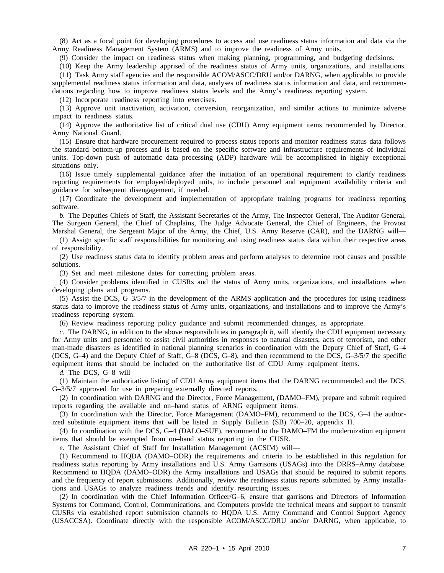(8) Act as a focal point for developing procedures to access and use readiness status information and data via the Army Readiness Management System (ARMS) and to improve the readiness of Army units.

(9) Consider the impact on readiness status when making planning, programming, and budgeting decisions.

(10) Keep the Army leadership apprised of the readiness status of Army units, organizations, and installations.

(11) Task Army staff agencies and the responsible ACOM/ASCC/DRU and/or DARNG, when applicable, to provide supplemental readiness status information and data, analyses of readiness status information and data, and recommendations regarding how to improve readiness status levels and the Army's readiness reporting system.

(12) Incorporate readiness reporting into exercises.

(13) Approve unit inactivation, activation, conversion, reorganization, and similar actions to minimize adverse impact to readiness status.

(14) Approve the authoritative list of critical dual use (CDU) Army equipment items recommended by Director, Army National Guard.

(15) Ensure that hardware procurement required to process status reports and monitor readiness status data follows the standard bottom-up process and is based on the specific software and infrastructure requirements of individual units. Top-down push of automatic data processing (ADP) hardware will be accomplished in highly exceptional situations only.

(16) Issue timely supplemental guidance after the initiation of an operational requirement to clarify readiness reporting requirements for employed/deployed units, to include personnel and equipment availability criteria and guidance for subsequent disengagement, if needed.

(17) Coordinate the development and implementation of appropriate training programs for readiness reporting software.

*b.* The Deputies Chiefs of Staff, the Assistant Secretaries of the Army, The Inspector General, The Auditor General, The Surgeon General, the Chief of Chaplains, The Judge Advocate General, the Chief of Engineers, the Provost Marshal General, the Sergeant Major of the Army, the Chief, U.S. Army Reserve (CAR), and the DARNG will—

(1) Assign specific staff responsibilities for monitoring and using readiness status data within their respective areas of responsibility.

(2) Use readiness status data to identify problem areas and perform analyses to determine root causes and possible solutions.

(3) Set and meet milestone dates for correcting problem areas.

(4) Consider problems identified in CUSRs and the status of Army units, organizations, and installations when developing plans and programs.

(5) Assist the DCS, G–3/5/7 in the development of the ARMS application and the procedures for using readiness status data to improve the readiness status of Army units, organizations, and installations and to improve the Army's readiness reporting system.

(6) Review readiness reporting policy guidance and submit recommended changes, as appropriate.

 $c$ . The DARNG, in addition to the above responsibilities in paragraph  $b$ , will identify the CDU equipment necessary for Army units and personnel to assist civil authorities in responses to natural disasters, acts of terrorism, and other man-made disasters as identified in national planning scenarios in coordination with the Deputy Chief of Staff, G–4 (DCS, G–4) and the Deputy Chief of Staff, G–8 (DCS, G–8), and then recommend to the DCS, G–3/5/7 the specific equipment items that should be included on the authoritative list of CDU Army equipment items.

*d.* The DCS, G–8 will—

(1) Maintain the authoritative listing of CDU Army equipment items that the DARNG recommended and the DCS, G–3/5/7 approved for use in preparing externally directed reports.

(2) In coordination with DARNG and the Director, Force Management, (DAMO–FM), prepare and submit required reports regarding the available and on–hand status of ARNG equipment items.

(3) In coordination with the Director, Force Management (DAMO–FM), recommend to the DCS, G–4 the authorized substitute equipment items that will be listed in Supply Bulletin (SB) 700–20, appendix H.

(4) In coordination with the DCS, G–4 (DALO–SUE), recommend to the DAMO–FM the modernization equipment items that should be exempted from on–hand status reporting in the CUSR.

*e.* The Assistant Chief of Staff for Installation Management (ACSIM) will—

(1) Recommend to HQDA (DAMO–ODR) the requirements and criteria to be established in this regulation for readiness status reporting by Army installations and U.S. Army Garrisons (USAGs) into the DRRS–Army database. Recommend to HQDA (DAMO–ODR) the Army installations and USAGs that should be required to submit reports and the frequency of report submissions. Additionally, review the readiness status reports submitted by Army installations and USAGs to analyze readiness trends and identify resourcing issues.

(2) In coordination with the Chief Information Officer/G–6, ensure that garrisons and Directors of Information Systems for Command, Control, Communications, and Computers provide the technical means and support to transmit CUSRs via established report submission channels to HQDA U.S. Army Command and Control Support Agency (USACCSA). Coordinate directly with the responsible ACOM/ASCC/DRU and/or DARNG, when applicable, to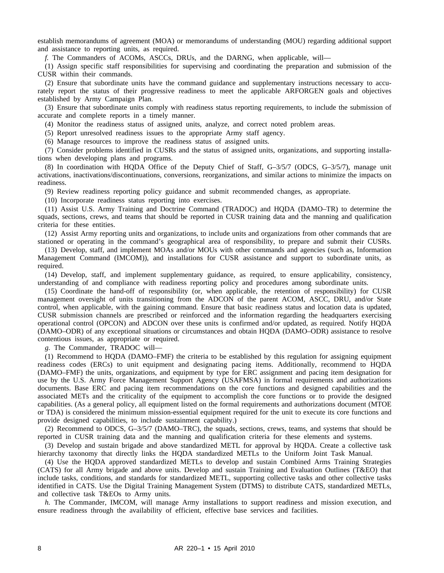establish memorandums of agreement (MOA) or memorandums of understanding (MOU) regarding additional support and assistance to reporting units, as required.

*f.* The Commanders of ACOMs, ASCCs, DRUs, and the DARNG, when applicable, will—

(1) Assign specific staff responsibilities for supervising and coordinating the preparation and submission of the CUSR within their commands.

(2) Ensure that subordinate units have the command guidance and supplementary instructions necessary to accurately report the status of their progressive readiness to meet the applicable ARFORGEN goals and objectives established by Army Campaign Plan.

(3) Ensure that subordinate units comply with readiness status reporting requirements, to include the submission of accurate and complete reports in a timely manner.

(4) Monitor the readiness status of assigned units, analyze, and correct noted problem areas.

(5) Report unresolved readiness issues to the appropriate Army staff agency.

(6) Manage resources to improve the readiness status of assigned units.

(7) Consider problems identified in CUSRs and the status of assigned units, organizations, and supporting installations when developing plans and programs.

(8) In coordination with HQDA Office of the Deputy Chief of Staff, G–3/5/7 (ODCS, G–3/5/7), manage unit activations, inactivations/discontinuations, conversions, reorganizations, and similar actions to minimize the impacts on readiness.

(9) Review readiness reporting policy guidance and submit recommended changes, as appropriate.

(10) Incorporate readiness status reporting into exercises.

(11) Assist U.S. Army Training and Doctrine Command (TRADOC) and HQDA (DAMO–TR) to determine the squads, sections, crews, and teams that should be reported in CUSR training data and the manning and qualification criteria for these entities.

(12) Assist Army reporting units and organizations, to include units and organizations from other commands that are stationed or operating in the command's geographical area of responsibility, to prepare and submit their CUSRs.

(13) Develop, staff, and implement MOAs and/or MOUs with other commands and agencies (such as, Information Management Command (IMCOM)), and installations for CUSR assistance and support to subordinate units, as required.

(14) Develop, staff, and implement supplementary guidance, as required, to ensure applicability, consistency, understanding of and compliance with readiness reporting policy and procedures among subordinate units.

(15) Coordinate the hand-off of responsibility (or, when applicable, the retention of responsibility) for CUSR management oversight of units transitioning from the ADCON of the parent ACOM, ASCC, DRU, and/or State control, when applicable, with the gaining command. Ensure that basic readiness status and location data is updated, CUSR submission channels are prescribed or reinforced and the information regarding the headquarters exercising operational control (OPCON) and ADCON over these units is confirmed and/or updated, as required. Notify HQDA (DAMO–ODR) of any exceptional situations or circumstances and obtain HQDA (DAMO–ODR) assistance to resolve contentious issues, as appropriate or required.

*g.* The Commander, TRADOC will—

(1) Recommend to HQDA (DAMO–FMF) the criteria to be established by this regulation for assigning equipment readiness codes (ERCs) to unit equipment and designating pacing items. Additionally, recommend to HQDA (DAMO–FMF) the units, organizations, and equipment by type for ERC assignment and pacing item designation for use by the U.S. Army Force Management Support Agency (USAFMSA) in formal requirements and authorizations documents. Base ERC and pacing item recommendations on the core functions and designed capabilities and the associated METs and the criticality of the equipment to accomplish the core functions or to provide the designed capabilities. (As a general policy, all equipment listed on the formal requirements and authorizations document (MTOE or TDA) is considered the minimum mission-essential equipment required for the unit to execute its core functions and provide designed capabilities, to include sustainment capability.)

(2) Recommend to ODCS, G–3/5/7 (DAMO–TRC), the squads, sections, crews, teams, and systems that should be reported in CUSR training data and the manning and qualification criteria for these elements and systems.

(3) Develop and sustain brigade and above standardized METL for approval by HQDA. Create a collective task hierarchy taxonomy that directly links the HQDA standardized METLs to the Uniform Joint Task Manual.

(4) Use the HQDA approved standardized METLs to develop and sustain Combined Arms Training Strategies (CATS) for all Army brigade and above units. Develop and sustain Training and Evaluation Outlines (T&EO) that include tasks, conditions, and standards for standardized METL, supporting collective tasks and other collective tasks identified in CATS. Use the Digital Training Management System (DTMS) to distribute CATS, standardized METLs, and collective task T&EOs to Army units.

*h.* The Commander, IMCOM, will manage Army installations to support readiness and mission execution, and ensure readiness through the availability of efficient, effective base services and facilities.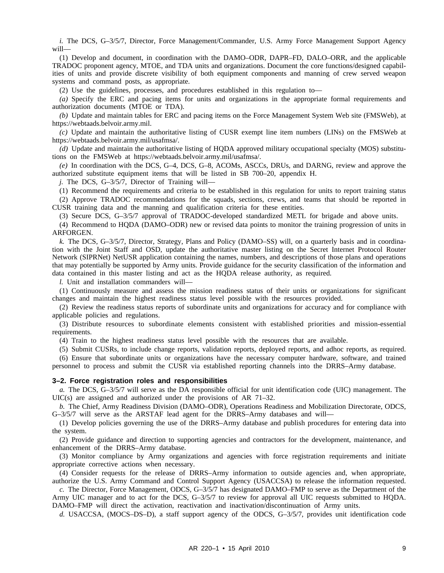*i.* The DCS, G–3/5/7, Director, Force Management/Commander, U.S. Army Force Management Support Agency will—

(1) Develop and document, in coordination with the DAMO–ODR, DAPR–FD, DALO–ORR, and the applicable TRADOC proponent agency, MTOE, and TDA units and organizations. Document the core functions/designed capabilities of units and provide discrete visibility of both equipment components and manning of crew served weapon systems and command posts, as appropriate.

(2) Use the guidelines, processes, and procedures established in this regulation to—

*(a)* Specify the ERC and pacing items for units and organizations in the appropriate formal requirements and authorization documents (MTOE or TDA).

*(b)* Update and maintain tables for ERC and pacing items on the Force Management System Web site (FMSWeb), at https://webtaads.belvoir.army.mil.

*(c)* Update and maintain the authoritative listing of CUSR exempt line item numbers (LINs) on the FMSWeb at https://webtaads.belvoir.army.mil/usafmsa/.

*(d)* Update and maintain the authoritative listing of HQDA approved military occupational specialty (MOS) substitutions on the FMSWeb at https://webtaads.belvoir.army.mil/usafmsa/.

*(e)* In coordination with the DCS, G–4, DCS, G–8, ACOMs, ASCCs, DRUs, and DARNG, review and approve the authorized substitute equipment items that will be listed in SB 700–20, appendix H.

*j.* The DCS, G–3/5/7, Director of Training will—

(1) Recommend the requirements and criteria to be established in this regulation for units to report training status

(2) Approve TRADOC recommendations for the squads, sections, crews, and teams that should be reported in CUSR training data and the manning and qualification criteria for these entities.

(3) Secure DCS, G–3/5/7 approval of TRADOC-developed standardized METL for brigade and above units.

(4) Recommend to HQDA (DAMO–ODR) new or revised data points to monitor the training progression of units in ARFORGEN.

*k.* The DCS, G–3/5/7, Director, Strategy, Plans and Policy (DAMO–SS) will, on a quarterly basis and in coordination with the Joint Staff and OSD, update the authoritative master listing on the Secret Internet Protocol Router Network (SIPRNet) NetUSR application containing the names, numbers, and descriptions of those plans and operations that may potentially be supported by Army units. Provide guidance for the security classification of the information and data contained in this master listing and act as the HQDA release authority, as required.

*l.* Unit and installation commanders will—

(1) Continuously measure and assess the mission readiness status of their units or organizations for significant changes and maintain the highest readiness status level possible with the resources provided.

(2) Review the readiness status reports of subordinate units and organizations for accuracy and for compliance with applicable policies and regulations.

(3) Distribute resources to subordinate elements consistent with established priorities and mission-essential requirements.

(4) Train to the highest readiness status level possible with the resources that are available.

(5) Submit CUSRs, to include change reports, validation reports, deployed reports, and adhoc reports, as required.

(6) Ensure that subordinate units or organizations have the necessary computer hardware, software, and trained personnel to process and submit the CUSR via established reporting channels into the DRRS–Army database.

#### **3–2. Force registration roles and responsibilities**

*a.* The DCS, G–3/5/7 will serve as the DA responsible official for unit identification code (UIC) management. The UIC(s) are assigned and authorized under the provisions of AR 71–32.

*b.* The Chief, Army Readiness Division (DAMO–ODR), Operations Readiness and Mobilization Directorate, ODCS, G–3/5/7 will serve as the ARSTAF lead agent for the DRRS–Army databases and will—

(1) Develop policies governing the use of the DRRS–Army database and publish procedures for entering data into the system.

(2) Provide guidance and direction to supporting agencies and contractors for the development, maintenance, and enhancement of the DRRS–Army database.

(3) Monitor compliance by Army organizations and agencies with force registration requirements and initiate appropriate corrective actions when necessary.

(4) Consider requests for the release of DRRS–Army information to outside agencies and, when appropriate, authorize the U.S. Army Command and Control Support Agency (USACCSA) to release the information requested.

*c.* The Director, Force Management, ODCS, G–3/5/7 has designated DAMO–FMP to serve as the Department of the Army UIC manager and to act for the DCS, G–3/5/7 to review for approval all UIC requests submitted to HQDA. DAMO–FMP will direct the activation, reactivation and inactivation/discontinuation of Army units.

*d.* USACCSA, (MOCS–DS–D), a staff support agency of the ODCS, G–3/5/7, provides unit identification code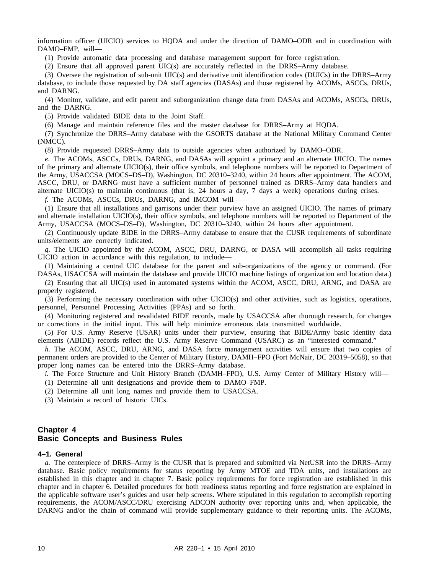information officer (UICIO) services to HQDA and under the direction of DAMO–ODR and in coordination with DAMO–FMP, will—

(1) Provide automatic data processing and database management support for force registration.

(2) Ensure that all approved parent UIC(s) are accurately reflected in the DRRS–Army database.

(3) Oversee the registration of sub-unit UIC(s) and derivative unit identification codes (DUICs) in the DRRS–Army database, to include those requested by DA staff agencies (DASAs) and those registered by ACOMs, ASCCs, DRUs, and DARNG.

(4) Monitor, validate, and edit parent and suborganization change data from DASAs and ACOMs, ASCCs, DRUs, and the DARNG.

(5) Provide validated BIDE data to the Joint Staff.

(6) Manage and maintain reference files and the master database for DRRS–Army at HQDA.

(7) Synchronize the DRRS–Army database with the GSORTS database at the National Military Command Center (NMCC).

(8) Provide requested DRRS–Army data to outside agencies when authorized by DAMO–ODR.

*e.* The ACOMs, ASCCs, DRUs, DARNG, and DASAs will appoint a primary and an alternate UICIO. The names of the primary and alternate UICIO(s), their office symbols, and telephone numbers will be reported to Department of the Army, USACCSA (MOCS–DS–D), Washington, DC 20310–3240, within 24 hours after appointment. The ACOM, ASCC, DRU, or DARNG must have a sufficient number of personnel trained as DRRS–Army data handlers and alternate UICIO(s) to maintain continuous (that is, 24 hours a day, 7 days a week) operations during crises.

*f.* The ACOMs, ASCCs, DRUs, DARNG, and IMCOM will—

(1) Ensure that all installations and garrisons under their purview have an assigned UICIO. The names of primary and alternate installation UICIO(s), their office symbols, and telephone numbers will be reported to Department of the Army, USACCSA (MOCS–DS–D), Washington, DC 20310–3240, within 24 hours after appointment.

(2) Continuously update BIDE in the DRRS–Army database to ensure that the CUSR requirements of subordinate units/elements are correctly indicated.

*g.* The UICIO appointed by the ACOM, ASCC, DRU, DARNG, or DASA will accomplish all tasks requiring UICIO action in accordance with this regulation, to include—

(1) Maintaining a central UIC database for the parent and sub-organizations of the agency or command. (For DASAs, USACCSA will maintain the database and provide UICIO machine listings of organization and location data.)

(2) Ensuring that all UIC(s) used in automated systems within the ACOM, ASCC, DRU, ARNG, and DASA are properly registered.

(3) Performing the necessary coordination with other UICIO(s) and other activities, such as logistics, operations, personnel, Personnel Processing Activities (PPAs) and so forth.

(4) Monitoring registered and revalidated BIDE records, made by USACCSA after thorough research, for changes or corrections in the initial input. This will help minimize erroneous data transmitted worldwide.

(5) For U.S. Army Reserve (USAR) units under their purview, ensuring that BIDE/Army basic identity data elements (ABIDE) records reflect the U.S. Army Reserve Command (USARC) as an "interested command."

*h.* The ACOM, ASCC, DRU, ARNG, and DASA force management activities will ensure that two copies of permanent orders are provided to the Center of Military History, DAMH–FPO (Fort McNair, DC 20319–5058), so that proper long names can be entered into the DRRS–Army database.

*i.* The Force Structure and Unit History Branch (DAMH–FPO), U.S. Army Center of Military History will—

- (1) Determine all unit designations and provide them to DAMO–FMP.
- (2) Determine all unit long names and provide them to USACCSA.
- (3) Maintain a record of historic UICs.

# **Chapter 4 Basic Concepts and Business Rules**

#### **4–1. General**

*a.* The centerpiece of DRRS–Army is the CUSR that is prepared and submitted via NetUSR into the DRRS–Army database. Basic policy requirements for status reporting by Army MTOE and TDA units, and installations are established in this chapter and in chapter 7. Basic policy requirements for force registration are established in this chapter and in chapter 6. Detailed procedures for both readiness status reporting and force registration are explained in the applicable software user's guides and user help screens. Where stipulated in this regulation to accomplish reporting requirements, the ACOM/ASCC/DRU exercising ADCON authority over reporting units and, when applicable, the DARNG and/or the chain of command will provide supplementary guidance to their reporting units. The ACOMs,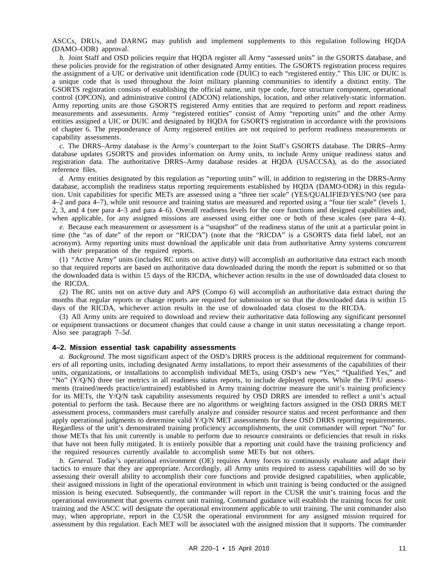ASCCs, DRUs, and DARNG may publish and implement supplements to this regulation following HQDA (DAMO–ODR) approval.

*b.* Joint Staff and OSD policies require that HQDA register all Army "assessed units" in the GSORTS database, and these policies provide for the registration of other designated Army entities. The GSORTS registration process requires the assignment of a UIC or derivative unit identification code (DUIC) to each "registered entity." This UIC or DUIC is a unique code that is used throughout the Joint military planning communities to identify a distinct entity. The GSORTS registration consists of establishing the official name, unit type code, force structure component, operational control (OPCON), and administrative control (ADCON) relationships, location, and other relatively-static information. Army reporting units are those GSORTS registered Army entities that are required to perform and report readiness measurements and assessments. Army "registered entities" consist of Army "reporting units" and the other Army entities assigned a UIC or DUIC and designated by HQDA for GSORTS registration in accordance with the provisions of chapter 6. The preponderance of Army registered entities are not required to perform readiness measurements or capability assessments.

*c.* The DRRS–Army database is the Army's counterpart to the Joint Staff's GSORTS database. The DRRS–Army database updates GSORTS and provides information on Army units, to include Army unique readiness status and registration data. The authoritative DRRS–Army database resides at HQDA (USACCSA), as do the associated reference files.

*d.* Army entities designated by this regulation as "reporting units" will, in addition to registering in the DRRS-Army database, accomplish the readiness status reporting requirements established by HQDA (DAMO-ODR) in this regulation. Unit capabilities for specific METs are assessed using a "three tier scale" (YES/QUALIFIED/YES/NO (see para 4–2 and para 4–7), while unit resource and training status are measured and reported using a "four tier scale" (levels 1, 2, 3, and 4 (see para 4–3 and para 4–6). Overall readiness levels for the core functions and designed capabilities and, when applicable, for any assigned missions are assessed using either one or both of these scales (see para 4–4).

*e.* Because each measurement or assessment is a "snapshot" of the readiness status of the unit at a particular point in time (the "as of date" of the report or "RICDA") (note that the "RICDA" is a GSORTS data field label, not an acronym). Army reporting units must download the applicable unit data from authoritative Army systems concurrent with their preparation of the required reports.

(1) "Active Army" units (includes RC units on active duty) will accomplish an authoritative data extract each month so that required reports are based on authoritative data downloaded during the month the report is submitted or so that the downloaded data is within 15 days of the RICDA, whichever action results in the use of downloaded data closest to the RICDA.

(2) The RC units not on active duty and APS (Compo 6) will accomplish an authoritative data extract during the months that regular reports or change reports are required for submission or so that the downloaded data is within 15 days of the RICDA, whichever action results in the use of downloaded data closest to the RICDA.

(3) All Army units are required to download and review their authoritative data following any significant personnel or equipment transactions or document changes that could cause a change in unit status necessitating a change report. Also see paragraph 7–5*d*.

#### **4–2. Mission essential task capability assessments**

*a. Background.* The most significant aspect of the OSD's DRRS process is the additional requirement for commanders of all reporting units, including designated Army installations, to report their assessments of the capabilities of their units, organizations, or installations to accomplish individual METs, using OSD's new "Yes," "Qualified Yes," and "No" (Y/Q/N) three tier metrics in all readiness status reports, to include deployed reports. While the T/P/U assessments (trained/needs practice/untrained) established in Army training doctrine measure the unit's training proficiency for its METs, the Y/Q/N task capability assessments required by OSD DRRS are intended to reflect a unit's actual potential to perform the task. Because there are no algorithms or weighting factors assigned in the OSD DRRS MET assessment process, commanders must carefully analyze and consider resource status and recent performance and then apply operational judgments to determine valid Y/Q/N MET assessments for these OSD DRRS reporting requirements. Regardless of the unit's demonstrated training proficiency accomplishments, the unit commander will report "No" for those METs that his unit currently is unable to perform due to resource constraints or deficiencies that result in risks that have not been fully mitigated. It is entirely possible that a reporting unit could have the training proficiency and the required resources currently available to accomplish some METs but not others.

*b. General.* Today's operational environment (OE) requires Army forces to continuously evaluate and adapt their tactics to ensure that they are appropriate. Accordingly, all Army units required to assess capabilities will do so by assessing their overall ability to accomplish their core functions and provide designed capabilities, when applicable, their assigned missions in light of the operational environment in which unit training is being conducted or the assigned mission is being executed. Subsequently, the commander will report in the CUSR the unit's training focus and the operational environment that governs current unit training. Command guidance will establish the training focus for unit training and the ASCC will designate the operational environment applicable to unit training. The unit commander also may, when appropriate, report in the CUSR the operational environment for any assigned mission required for assessment by this regulation. Each MET will be associated with the assigned mission that it supports. The commander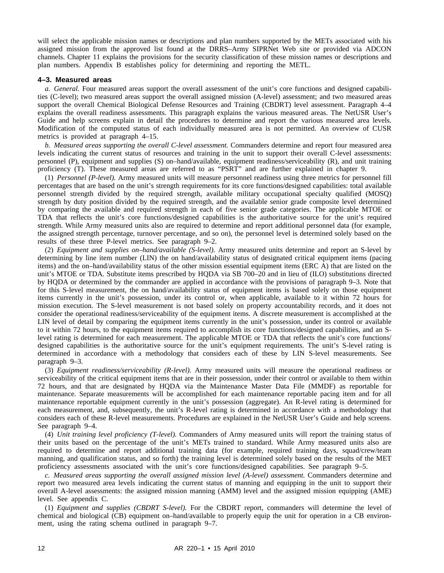will select the applicable mission names or descriptions and plan numbers supported by the METs associated with his assigned mission from the approved list found at the DRRS–Army SIPRNet Web site or provided via ADCON channels. Chapter 11 explains the provisions for the security classification of these mission names or descriptions and plan numbers. Appendix B establishes policy for determining and reporting the METL.

#### **4–3. Measured areas**

*a. General.* Four measured areas support the overall assessment of the unit's core functions and designed capabilities (C-level); two measured areas support the overall assigned mission (A-level) assessment; and two measured areas support the overall Chemical Biological Defense Resources and Training (CBDRT) level assessment. Paragraph 4–4 explains the overall readiness assessments. This paragraph explains the various measured areas. The NetUSR User's Guide and help screens explain in detail the procedures to determine and report the various measured area levels. Modification of the computed status of each individually measured area is not permitted. An overview of CUSR metrics is provided at paragraph 4–15.

*b. Measured areas supporting the overall C-level assessment.* Commanders determine and report four measured area levels indicating the current status of resources and training in the unit to support their overall C-level assessments: personnel (P), equipment and supplies (S) on–hand/available, equipment readiness/serviceability (R), and unit training proficiency (T). These measured areas are referred to as "PSRT" and are further explained in chapter 9.

(1) *Personnel (P-level).* Army measured units will measure personnel readiness using three metrics for personnel fill percentages that are based on the unit's strength requirements for its core functions/designed capabilities: total available personnel strength divided by the required strength, available military occupational specialty qualified (MOSQ) strength by duty position divided by the required strength, and the available senior grade composite level determined by comparing the available and required strength in each of five senior grade categories. The applicable MTOE or TDA that reflects the unit's core functions/designed capabilities is the authoritative source for the unit's required strength. While Army measured units also are required to determine and report additional personnel data (for example, the assigned strength percentage, turnover percentage, and so on), the personnel level is determined solely based on the results of these three P-level metrics. See paragraph 9–2.

(2) *Equipment and supplies on–hand/available (S-level).* Army measured units determine and report an S-level by determining by line item number (LIN) the on hand/availability status of designated critical equipment items (pacing items) and the on–hand/availability status of the other mission essential equipment items (ERC A) that are listed on the unit's MTOE or TDA. Substitute items prescribed by HQDA via SB 700–20 and in lieu of (ILO) substitutions directed by HQDA or determined by the commander are applied in accordance with the provisions of paragraph 9–3. Note that for this S-level measurement, the on hand/availability status of equipment items is based solely on those equipment items currently in the unit's possession, under its control or, when applicable, available to it within 72 hours for mission execution. The S-level measurement is not based solely on property accountability records, and it does not consider the operational readiness/serviceability of the equipment items. A discrete measurement is accomplished at the LIN level of detail by comparing the equipment items currently in the unit's possession, under its control or available to it within 72 hours, to the equipment items required to accomplish its core functions/designed capabilities, and an Slevel rating is determined for each measurement. The applicable MTOE or TDA that reflects the unit's core functions/ designed capabilities is the authoritative source for the unit's equipment requirements. The unit's S-level rating is determined in accordance with a methodology that considers each of these by LIN S-level measurements. See paragraph 9–3.

(3) *Equipment readiness/serviceability (R-level).* Army measured units will measure the operational readiness or serviceability of the critical equipment items that are in their possession, under their control or available to them within 72 hours, and that are designated by HQDA via the Maintenance Master Data File (MMDF) as reportable for maintenance. Separate measurements will be accomplished for each maintenance reportable pacing item and for all maintenance reportable equipment currently in the unit's possession (aggregate). An R-level rating is determined for each measurement, and, subsequently, the unit's R-level rating is determined in accordance with a methodology that considers each of these R-level measurements. Procedures are explained in the NetUSR User's Guide and help screens. See paragraph 9–4.

(4) *Unit training level proficiency (T-level).* Commanders of Army measured units will report the training status of their units based on the percentage of the unit's METs trained to standard. While Army measured units also are required to determine and report additional training data (for example, required training days, squad/crew/team manning, and qualification status, and so forth) the training level is determined solely based on the results of the MET proficiency assessments associated with the unit's core functions/designed capabilities. See paragraph 9–5.

*c. Measured areas supporting the overall assigned mission level (A-level) assessment.* Commanders determine and report two measured area levels indicating the current status of manning and equipping in the unit to support their overall A-level assessments: the assigned mission manning (AMM) level and the assigned mission equipping (AME) level. See appendix C.

(1) *Equipment and supplies (CBDRT S-level).* For the CBDRT report, commanders will determine the level of chemical and biological (CB) equipment on–hand/available to properly equip the unit for operation in a CB environment, using the rating schema outlined in paragraph 9–7.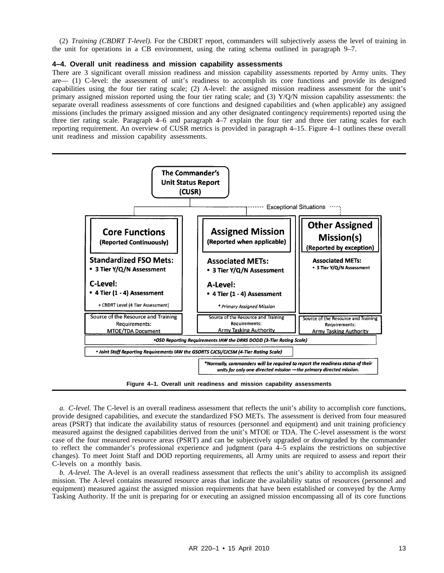(2) *Training (CBDRT T-level).* For the CBDRT report, commanders will subjectively assess the level of training in the unit for operations in a CB environment, using the rating schema outlined in paragraph 9–7.

#### **4–4. Overall unit readiness and mission capability assessments**

There are 3 significant overall mission readiness and mission capability assessments reported by Army units. They are— (1) C-level: the assessment of unit's readiness to accomplish its core functions and provide its designed capabilities using the four tier rating scale; (2) A-level: the assigned mission readiness assessment for the unit's primary assigned mission reported using the four tier rating scale; and (3) Y/Q/N mission capability assessments: the separate overall readiness assessments of core functions and designed capabilities and (when applicable) any assigned missions (includes the primary assigned mission and any other designated contingency requirements) reported using the three tier rating scale. Paragraph 4–6 and paragraph 4–7 explain the four tier and three tier rating scales for each reporting requirement. An overview of CUSR metrics is provided in paragraph 4–15. Figure 4–1 outlines these overall unit readiness and mission capability assessments.



**Figure 4–1. Overall unit readiness and mission capability assessments**

*a. C-level.* The C-level is an overall readiness assessment that reflects the unit's ability to accomplish core functions, provide designed capabilities, and execute the standardized FSO METs. The assessment is derived from four measured areas (PSRT) that indicate the availability status of resources (personnel and equipment) and unit training proficiency measured against the designed capabilities derived from the unit's MTOE or TDA. The C-level assessment is the worst case of the four measured resource areas (PSRT) and can be subjectively upgraded or downgraded by the commander to reflect the commander's professional experience and judgment (para 4–5 explains the restrictions on subjective changes). To meet Joint Staff and DOD reporting requirements, all Army units are required to assess and report their C-levels on a monthly basis.

*b. A-level.* The A-level is an overall readiness assessment that reflects the unit's ability to accomplish its assigned mission. The A-level contains measured resource areas that indicate the availability status of resources (personnel and equipment) measured against the assigned mission requirements that have been established or conveyed by the Army Tasking Authority. If the unit is preparing for or executing an assigned mission encompassing all of its core functions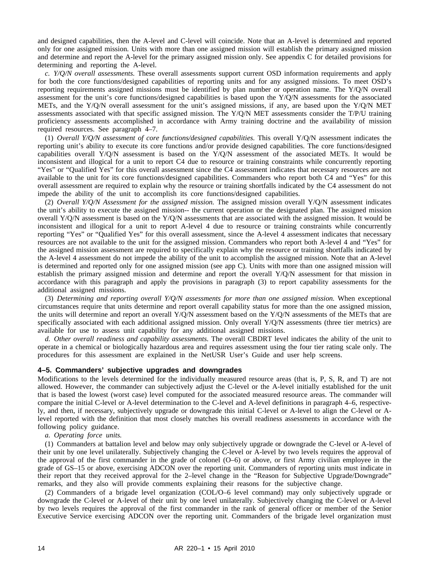and designed capabilities, then the A-level and C-level will coincide. Note that an A-level is determined and reported only for one assigned mission. Units with more than one assigned mission will establish the primary assigned mission and determine and report the A-level for the primary assigned mission only. See appendix C for detailed provisions for determining and reporting the A-level.

*c. Y/Q/N overall assessments.* These overall assessments support current OSD information requirements and apply for both the core functions/designed capabilities of reporting units and for any assigned missions. To meet OSD's reporting requirements assigned missions must be identified by plan number or operation name. The Y/Q/N overall assessment for the unit's core functions/designed capabilities is based upon the Y/Q/N assessments for the associated METs, and the Y/Q/N overall assessment for the unit's assigned missions, if any, are based upon the Y/Q/N MET assessments associated with that specific assigned mission. The Y/Q/N MET assessments consider the T/P/U training proficiency assessments accomplished in accordance with Army training doctrine and the availability of mission required resources. See paragraph 4–7.

(1) *Overall Y/Q/N assessment of core functions/designed capabilities.* This overall Y/Q/N assessment indicates the reporting unit's ability to execute its core functions and/or provide designed capabilities. The core functions/designed capabilities overall Y/Q/N assessment is based on the Y/Q/N assessment of the associated METs. It would be inconsistent and illogical for a unit to report C4 due to resource or training constraints while concurrently reporting "Yes" or "Qualified Yes" for this overall assessment since the C4 assessment indicates that necessary resources are not available to the unit for its core functions/designed capabilities. Commanders who report both C4 and "Yes" for this overall assessment are required to explain why the resource or training shortfalls indicated by the C4 assessment do not impede the ability of the unit to accomplish its core functions/designed capabilities.

(2) *Overall Y/Q/N Assessment for the assigned mission.* The assigned mission overall Y/Q/N assessment indicates the unit's ability to execute the assigned mission-- the current operation or the designated plan. The assigned mission overall Y/Q/N assessment is based on the Y/Q/N assessments that are associated with the assigned mission. It would be inconsistent and illogical for a unit to report A-level 4 due to resource or training constraints while concurrently reporting "Yes" or "Qualified Yes" for this overall assessment, since the A-level 4 assessment indicates that necessary resources are not available to the unit for the assigned mission. Commanders who report both A-level 4 and "Yes" for the assigned mission assessment are required to specifically explain why the resource or training shortfalls indicated by the A-level 4 assessment do not impede the ability of the unit to accomplish the assigned mission. Note that an A-level is determined and reported only for one assigned mission (see app C). Units with more than one assigned mission will establish the primary assigned mission and determine and report the overall Y/Q/N assessment for that mission in accordance with this paragraph and apply the provisions in paragraph (3) to report capability assessments for the additional assigned missions.

(3) *Determining and reporting overall Y/Q/N assessments for more than one assigned mission.* When exceptional circumstances require that units determine and report overall capability status for more than the one assigned mission, the units will determine and report an overall  $Y/Q/N$  assessment based on the  $Y/Q/N$  assessments of the METs that are specifically associated with each additional assigned mission. Only overall Y/Q/N assessments (three tier metrics) are available for use to assess unit capability for any additional assigned missions.

*d. Other overall readiness and capability assessments.* The overall CBDRT level indicates the ability of the unit to operate in a chemical or biologically hazardous area and requires assessment using the four tier rating scale only. The procedures for this assessment are explained in the NetUSR User's Guide and user help screens.

#### **4–5. Commanders' subjective upgrades and downgrades**

Modifications to the levels determined for the individually measured resource areas (that is, P, S, R, and T) are not allowed. However, the commander can subjectively adjust the C-level or the A-level initially established for the unit that is based the lowest (worst case) level computed for the associated measured resource areas. The commander will compare the initial C-level or A-level determination to the C-level and A-level definitions in paragraph 4–6, respectively, and then, if necessary, subjectively upgrade or downgrade this initial C-level or A-level to align the C-level or Alevel reported with the definition that most closely matches his overall readiness assessments in accordance with the following policy guidance.

*a. Operating force units.*

(1) Commanders at battalion level and below may only subjectively upgrade or downgrade the C-level or A-level of their unit by one level unilaterally. Subjectively changing the C-level or A-level by two levels requires the approval of the approval of the first commander in the grade of colonel (O–6) or above, or first Army civilian employee in the grade of GS–15 or above, exercising ADCON over the reporting unit. Commanders of reporting units must indicate in their report that they received approval for the 2–level change in the "Reason for Subjective Upgrade/Downgrade" remarks, and they also will provide comments explaining their reasons for the subjective change.

(2) Commanders of a brigade level organization (COL/O–6 level command) may only subjectively upgrade or downgrade the C-level or A-level of their unit by one level unilaterally. Subjectively changing the C-level or A-level by two levels requires the approval of the first commander in the rank of general officer or member of the Senior Executive Service exercising ADCON over the reporting unit. Commanders of the brigade level organization must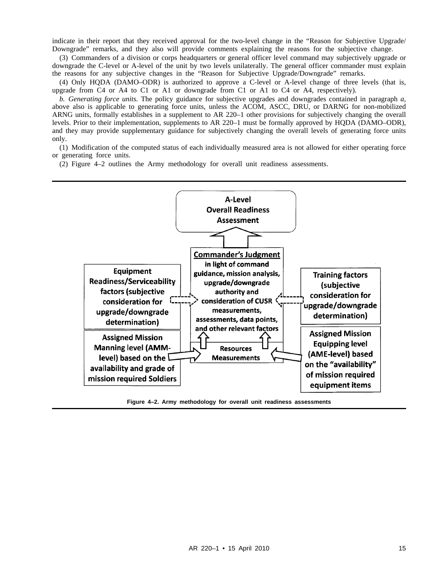indicate in their report that they received approval for the two-level change in the "Reason for Subjective Upgrade/ Downgrade" remarks, and they also will provide comments explaining the reasons for the subjective change.

(3) Commanders of a division or corps headquarters or general officer level command may subjectively upgrade or downgrade the C-level or A-level of the unit by two levels unilaterally. The general officer commander must explain the reasons for any subjective changes in the "Reason for Subjective Upgrade/Downgrade" remarks.

(4) Only HQDA (DAMO–ODR) is authorized to approve a C-level or A-level change of three levels (that is, upgrade from C4 or A4 to C1 or A1 or downgrade from C1 or A1 to C4 or A4, respectively).

*b. Generating force units.* The policy guidance for subjective upgrades and downgrades contained in paragraph *a*, above also is applicable to generating force units, unless the ACOM, ASCC, DRU, or DARNG for non-mobilized ARNG units, formally establishes in a supplement to AR 220–1 other provisions for subjectively changing the overall levels. Prior to their implementation, supplements to AR 220–1 must be formally approved by HQDA (DAMO–ODR), and they may provide supplementary guidance for subjectively changing the overall levels of generating force units only.

(1) Modification of the computed status of each individually measured area is not allowed for either operating force or generating force units.

(2) Figure 4–2 outlines the Army methodology for overall unit readiness assessments.



**Figure 4–2. Army methodology for overall unit readiness assessments**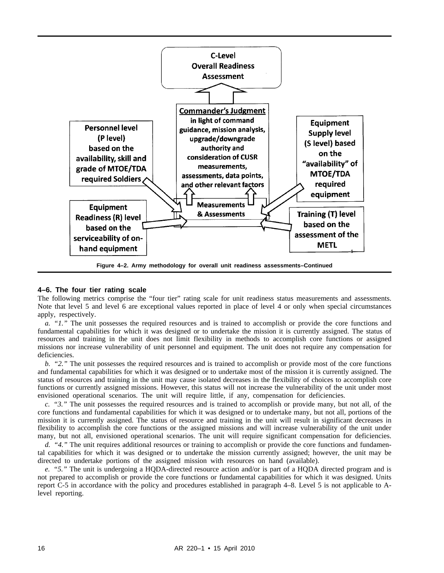

#### **4–6. The four tier rating scale**

The following metrics comprise the "four tier" rating scale for unit readiness status measurements and assessments. Note that level 5 and level 6 are exceptional values reported in place of level 4 or only when special circumstances apply, respectively.

*a. "1."* The unit possesses the required resources and is trained to accomplish or provide the core functions and fundamental capabilities for which it was designed or to undertake the mission it is currently assigned. The status of resources and training in the unit does not limit flexibility in methods to accomplish core functions or assigned missions nor increase vulnerability of unit personnel and equipment. The unit does not require any compensation for deficiencies.

*b. "2."* The unit possesses the required resources and is trained to accomplish or provide most of the core functions and fundamental capabilities for which it was designed or to undertake most of the mission it is currently assigned. The status of resources and training in the unit may cause isolated decreases in the flexibility of choices to accomplish core functions or currently assigned missions. However, this status will not increase the vulnerability of the unit under most envisioned operational scenarios. The unit will require little, if any, compensation for deficiencies.

*c. "3."* The unit possesses the required resources and is trained to accomplish or provide many, but not all, of the core functions and fundamental capabilities for which it was designed or to undertake many, but not all, portions of the mission it is currently assigned. The status of resource and training in the unit will result in significant decreases in flexibility to accomplish the core functions or the assigned missions and will increase vulnerability of the unit under many, but not all, envisioned operational scenarios. The unit will require significant compensation for deficiencies.

*d. "4."* The unit requires additional resources or training to accomplish or provide the core functions and fundamental capabilities for which it was designed or to undertake the mission currently assigned; however, the unit may be directed to undertake portions of the assigned mission with resources on hand (available).

*e. "5."* The unit is undergoing a HQDA-directed resource action and/or is part of a HQDA directed program and is not prepared to accomplish or provide the core functions or fundamental capabilities for which it was designed. Units report C-5 in accordance with the policy and procedures established in paragraph 4–8. Level 5 is not applicable to Alevel reporting.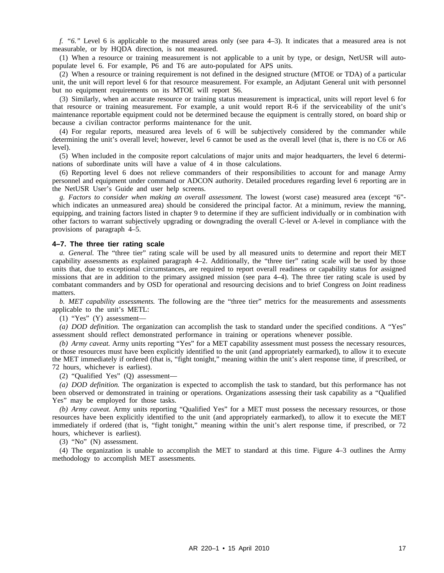*f. "6."* Level 6 is applicable to the measured areas only (see para 4–3). It indicates that a measured area is not measurable, or by HQDA direction, is not measured.

(1) When a resource or training measurement is not applicable to a unit by type, or design, NetUSR will autopopulate level 6. For example, P6 and T6 are auto-populated for APS units.

(2) When a resource or training requirement is not defined in the designed structure (MTOE or TDA) of a particular unit, the unit will report level 6 for that resource measurement. For example, an Adjutant General unit with personnel but no equipment requirements on its MTOE will report S6.

(3) Similarly, when an accurate resource or training status measurement is impractical, units will report level 6 for that resource or training measurement. For example, a unit would report R-6 if the serviceability of the unit's maintenance reportable equipment could not be determined because the equipment is centrally stored, on board ship or because a civilian contractor performs maintenance for the unit.

(4) For regular reports, measured area levels of 6 will be subjectively considered by the commander while determining the unit's overall level; however, level 6 cannot be used as the overall level (that is, there is no C6 or A6 level).

(5) When included in the composite report calculations of major units and major headquarters, the level 6 determinations of subordinate units will have a value of 4 in those calculations.

(6) Reporting level 6 does not relieve commanders of their responsibilities to account for and manage Army personnel and equipment under command or ADCON authority. Detailed procedures regarding level 6 reporting are in the NetUSR User's Guide and user help screens.

*g. Factors to consider when making an overall assessment.* The lowest (worst case) measured area (except "6" which indicates an unmeasured area) should be considered the principal factor. At a minimum, review the manning, equipping, and training factors listed in chapter 9 to determine if they are sufficient individually or in combination with other factors to warrant subjectively upgrading or downgrading the overall C-level or A-level in compliance with the provisions of paragraph 4–5.

#### **4–7. The three tier rating scale**

*a. General.* The "three tier" rating scale will be used by all measured units to determine and report their MET capability assessments as explained paragraph 4–2. Additionally, the "three tier" rating scale will be used by those units that, due to exceptional circumstances, are required to report overall readiness or capability status for assigned missions that are in addition to the primary assigned mission (see para 4–4). The three tier rating scale is used by combatant commanders and by OSD for operational and resourcing decisions and to brief Congress on Joint readiness matters.

*b. MET capability assessments.* The following are the "three tier" metrics for the measurements and assessments applicable to the unit's METL:

(1) "Yes" (Y) assessment—

*(a) DOD definition.* The organization can accomplish the task to standard under the specified conditions. A "Yes" assessment should reflect demonstrated performance in training or operations whenever possible.

*(b) Army caveat.* Army units reporting "Yes" for a MET capability assessment must possess the necessary resources, or those resources must have been explicitly identified to the unit (and appropriately earmarked), to allow it to execute the MET immediately if ordered (that is, "fight tonight," meaning within the unit's alert response time, if prescribed, or 72 hours, whichever is earliest).

(2) "Qualified Yes" (Q) assessment—

*(a) DOD definition.* The organization is expected to accomplish the task to standard, but this performance has not been observed or demonstrated in training or operations. Organizations assessing their task capability as a "Qualified Yes" may be employed for those tasks.

*(b) Army caveat.* Army units reporting "Qualified Yes" for a MET must possess the necessary resources, or those resources have been explicitly identified to the unit (and appropriately earmarked), to allow it to execute the MET immediately if ordered (that is, "fight tonight," meaning within the unit's alert response time, if prescribed, or 72 hours, whichever is earliest).

(3) "No" (N) assessment.

(4) The organization is unable to accomplish the MET to standard at this time. Figure 4–3 outlines the Army methodology to accomplish MET assessments.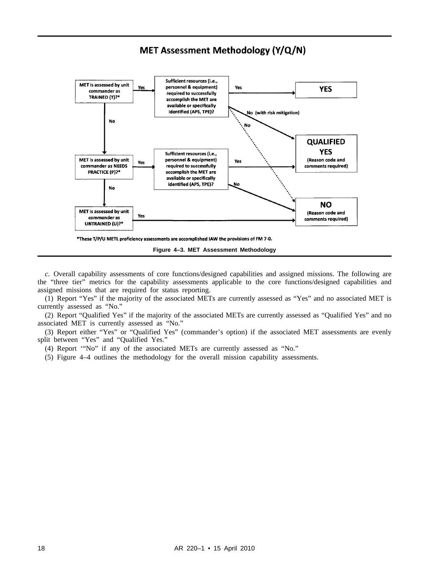# MET Assessment Methodology (Y/Q/N)



*c.* Overall capability assessments of core functions/designed capabilities and assigned missions. The following are the "three tier" metrics for the capability assessments applicable to the core functions/designed capabilities and assigned missions that are required for status reporting.

(1) Report "Yes" if the majority of the associated METs are currently assessed as "Yes" and no associated MET is currently assessed as "No."

(2) Report "Qualified Yes" if the majority of the associated METs are currently assessed as "Qualified Yes" and no associated MET is currently assessed as "No."

(3) Report either "Yes" or "Qualified Yes" (commander's option) if the associated MET assessments are evenly split between "Yes" and "Qualified Yes."

(4) Report '"No" if any of the associated METs are currently assessed as "No."

(5) Figure 4–4 outlines the methodology for the overall mission capability assessments.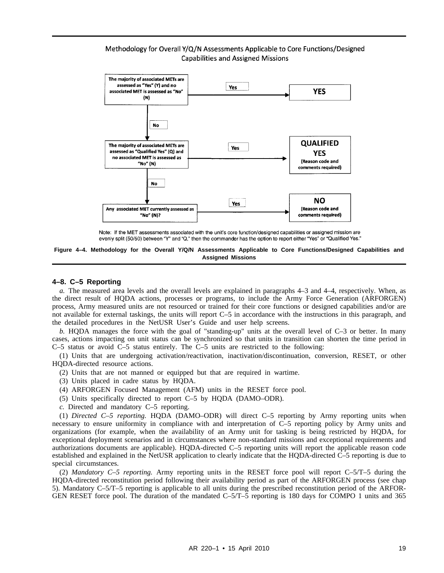# Methodology for Overall Y/Q/N Assessments Applicable to Core Functions/Designed **Capabilities and Assigned Missions**



Note: If the MET assessments associated with the unit's core function/designed capabilities or assigned mission are evenly split (50/50) between "Y" and "Q," then the commander has the option to report either "Yes" or "Qualified Yes."

**Figure 4–4. Methodology for the Overall Y/Q/N Assessments Applicable to Core Functions/Designed Capabilities and Assigned Missions**

#### **4–8. C–5 Reporting**

*a.* The measured area levels and the overall levels are explained in paragraphs 4–3 and 4–4, respectively. When, as the direct result of HQDA actions, processes or programs, to include the Army Force Generation (ARFORGEN) process, Army measured units are not resourced or trained for their core functions or designed capabilities and/or are not available for external taskings, the units will report C–5 in accordance with the instructions in this paragraph, and the detailed procedures in the NetUSR User's Guide and user help screens.

*b.* HQDA manages the force with the goal of "standing-up" units at the overall level of C–3 or better. In many cases, actions impacting on unit status can be synchronized so that units in transition can shorten the time period in C–5 status or avoid C–5 status entirely. The C–5 units are restricted to the following:

(1) Units that are undergoing activation/reactivation, inactivation/discontinuation, conversion, RESET, or other HQDA-directed resource actions.

- (2) Units that are not manned or equipped but that are required in wartime.
- (3) Units placed in cadre status by HQDA.
- (4) ARFORGEN Focused Management (AFM) units in the RESET force pool.
- (5) Units specifically directed to report C–5 by HQDA (DAMO–ODR).
- *c.* Directed and mandatory C–5 reporting.

(1) *Directed C–5 reporting.* HQDA (DAMO–ODR) will direct C–5 reporting by Army reporting units when necessary to ensure uniformity in compliance with and interpretation of C–5 reporting policy by Army units and organizations (for example, when the availability of an Army unit for tasking is being restricted by HQDA, for exceptional deployment scenarios and in circumstances where non-standard missions and exceptional requirements and authorizations documents are applicable). HQDA-directed C–5 reporting units will report the applicable reason code established and explained in the NetUSR application to clearly indicate that the HQDA-directed C–5 reporting is due to special circumstances.

(2) *Mandatory C–5 reporting.* Army reporting units in the RESET force pool will report C–5/T–5 during the HQDA-directed reconstitution period following their availability period as part of the ARFORGEN process (see chap 5). Mandatory C–5/T–5 reporting is applicable to all units during the prescribed reconstitution period of the ARFOR-GEN RESET force pool. The duration of the mandated C–5/T–5 reporting is 180 days for COMPO 1 units and 365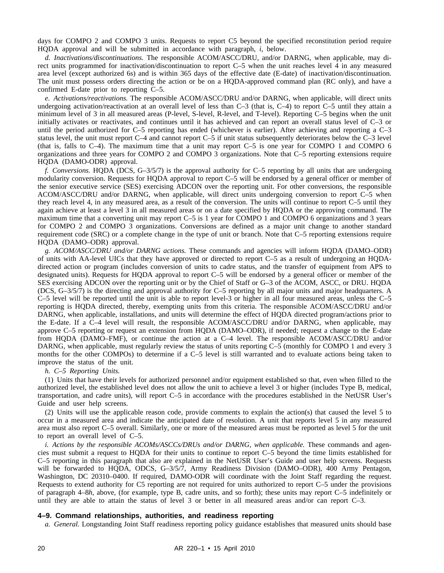days for COMPO 2 and COMPO 3 units. Requests to report C5 beyond the specified reconstitution period require HQDA approval and will be submitted in accordance with paragraph, *i*, below.

*d. Inactivations/discontinuations.* The responsible ACOM/ASCC/DRU, and/or DARNG, when applicable, may direct units programmed for inactivation/discontinuation to report C–5 when the unit reaches level 4 in any measured area level (except authorized 6s) and is within 365 days of the effective date (E-date) of inactivation/discontinuation. The unit must possess orders directing the action or be on a HQDA-approved command plan (RC only), and have a confirmed E-date prior to reporting C–5.

*e. Activations/reactivations.* The responsible ACOM/ASCC/DRU and/or DARNG, when applicable, will direct units undergoing activation/reactivation at an overall level of less than C–3 (that is, C–4) to report C–5 until they attain a minimum level of 3 in all measured areas (P-level, S-level, R-level, and T-level). Reporting C–5 begins when the unit initially activates or reactivates, and continues until it has achieved and can report an overall status level of C–3 or until the period authorized for C–5 reporting has ended (whichever is earlier). After achieving and reporting a C–3 status level, the unit must report C–4 and cannot report C–5 if unit status subsequently deteriorates below the C–3 level (that is, falls to C–4). The maximum time that a unit may report C–5 is one year for COMPO 1 and COMPO 6 organizations and three years for COMPO 2 and COMPO 3 organizations. Note that C–5 reporting extensions require HQDA (DAMO-ODR) approval.

*f. Conversions.* HQDA (DCS, G–3/5/7) is the approval authority for C–5 reporting by all units that are undergoing modularity conversion. Requests for HQDA approval to report C–5 will be endorsed by a general officer or member of the senior executive service (SES) exercising ADCON over the reporting unit. For other conversions, the responsible ACOM/ASCC/DRU and/or DARNG, when applicable, will direct units undergoing conversion to report C–5 when they reach level 4, in any measured area, as a result of the conversion. The units will continue to report C–5 until they again achieve at least a level 3 in all measured areas or on a date specified by HQDA or the approving command. The maximum time that a converting unit may report C–5 is 1 year for COMPO 1 and COMPO 6 organizations and 3 years for COMPO 2 and COMPO 3 organizations. Conversions are defined as a major unit change to another standard requirement code (SRC) or a complete change in the type of unit or branch. Note that C–5 reporting extensions require HQDA (DAMO–ODR) approval.

*g. ACOM/ASCC/DRU and/or DARNG actions.* These commands and agencies will inform HQDA (DAMO–ODR) of units with AA-level UICs that they have approved or directed to report C–5 as a result of undergoing an HQDAdirected action or program (includes conversion of units to cadre status, and the transfer of equipment from APS to designated units). Requests for HQDA approval to report C–5 will be endorsed by a general officer or member of the SES exercising ADCON over the reporting unit or by the Chief of Staff or G–3 of the ACOM, ASCC, or DRU. HQDA (DCS, G–3/5/7) is the directing and approval authority for C–5 reporting by all major units and major headquarters. A C–5 level will be reported until the unit is able to report level-3 or higher in all four measured areas, unless the C–5 reporting is HQDA directed, thereby, exempting units from this criteria. The responsible ACOM/ASCC/DRU and/or DARNG, when applicable, installations, and units will determine the effect of HQDA directed program/actions prior to the E-date. If a C–4 level will result, the responsible ACOM/ASCC/DRU and/or DARNG, when applicable, may approve C–5 reporting or request an extension from HQDA (DAMO–ODR), if needed; request a change to the E-date from HQDA (DAMO–FMF), or continue the action at a C–4 level. The responsible ACOM/ASCC/DRU and/or DARNG, when applicable, must regularly review the status of units reporting C–5 (monthly for COMPO 1 and every 3 months for the other COMPOs) to determine if a C–5 level is still warranted and to evaluate actions being taken to improve the status of the unit.

#### *h. C–5 Reporting Units.*

(1) Units that have their levels for authorized personnel and/or equipment established so that, even when filled to the authorized level, the established level does not allow the unit to achieve a level 3 or higher (includes Type B, medical, transportation, and cadre units), will report C–5 in accordance with the procedures established in the NetUSR User's Guide and user help screens.

(2) Units will use the applicable reason code, provide comments to explain the action(s) that caused the level 5 to occur in a measured area and indicate the anticipated date of resolution. A unit that reports level 5 in any measured area must also report C–5 overall. Similarly, one or more of the measured areas must be reported as level 5 for the unit to report an overall level of C–5.

*i. Actions by the responsible ACOMs/ASCCs/DRUs and/or DARNG, when applicable.* These commands and agencies must submit a request to HQDA for their units to continue to report C–5 beyond the time limits established for C–5 reporting in this paragraph that also are explained in the NetUSR User's Guide and user help screens. Requests will be forwarded to HQDA, ODCS, G-3/5/7, Army Readiness Division (DAMO-ODR), 400 Army Pentagon, Washington, DC 20310–0400. If required, DAMO-ODR will coordinate with the Joint Staff regarding the request. Requests to extend authority for C5 reporting are not required for units authorized to report C–5 under the provisions of paragraph 4–8*h*, above, (for example, type B, cadre units, and so forth); these units may report C–5 indefinitely or until they are able to attain the status of level 3 or better in all measured areas and/or can report C–3.

#### **4–9. Command relationships, authorities, and readiness reporting**

*a. General.* Longstanding Joint Staff readiness reporting policy guidance establishes that measured units should base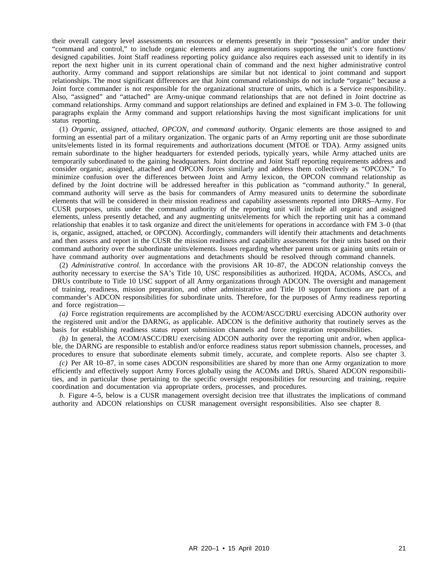their overall category level assessments on resources or elements presently in their "possession" and/or under their "command and control," to include organic elements and any augmentations supporting the unit's core functions/ designed capabilities. Joint Staff readiness reporting policy guidance also requires each assessed unit to identify in its report the next higher unit in its current operational chain of command and the next higher administrative control authority. Army command and support relationships are similar but not identical to joint command and support relationships. The most significant differences are that Joint command relationships do not include "organic" because a Joint force commander is not responsible for the organizational structure of units, which is a Service responsibility. Also, "assigned" and "attached" are Army-unique command relationships that are not defined in Joint doctrine as command relationships. Army command and support relationships are defined and explained in FM 3–0. The following paragraphs explain the Army command and support relationships having the most significant implications for unit status reporting.

(1) *Organic, assigned, attached, OPCON, and command authority.* Organic elements are those assigned to and forming an essential part of a military organization. The organic parts of an Army reporting unit are those subordinate units/elements listed in its formal requirements and authorizations document (MTOE or TDA). Army assigned units remain subordinate to the higher headquarters for extended periods, typically years, while Army attached units are temporarily subordinated to the gaining headquarters. Joint doctrine and Joint Staff reporting requirements address and consider organic, assigned, attached and OPCON forces similarly and address them collectively as "OPCON." To minimize confusion over the differences between Joint and Army lexicon, the OPCON command relationship as defined by the Joint doctrine will be addressed hereafter in this publication as "command authority." In general, command authority will serve as the basis for commanders of Army measured units to determine the subordinate elements that will be considered in their mission readiness and capability assessments reported into DRRS–Army. For CUSR purposes, units under the command authority of the reporting unit will include all organic and assigned elements, unless presently detached, and any augmenting units/elements for which the reporting unit has a command relationship that enables it to task organize and direct the unit/elements for operations in accordance with FM 3–0 (that is, organic, assigned, attached, or OPCON). Accordingly, commanders will identify their attachments and detachments and then assess and report in the CUSR the mission readiness and capability assessments for their units based on their command authority over the subordinate units/elements. Issues regarding whether parent units or gaining units retain or have command authority over augmentations and detachments should be resolved through command channels.

(2) *Administrative control.* In accordance with the provisions AR 10–87, the ADCON relationship conveys the authority necessary to exercise the SA's Title 10, USC responsibilities as authorized. HQDA, ACOMs, ASCCs, and DRUs contribute to Title 10 USC support of all Army organizations through ADCON. The oversight and management of training, readiness, mission preparation, and other administrative and Title 10 support functions are part of a commander's ADCON responsibilities for subordinate units. Therefore, for the purposes of Army readiness reporting and force registration—

*(a)* Force registration requirements are accomplished by the ACOM/ASCC/DRU exercising ADCON authority over the registered unit and/or the DARNG, as applicable. ADCON is the definitive authority that routinely serves as the basis for establishing readiness status report submission channels and force registration responsibilities.

*(b)* In general, the ACOM/ASCC/DRU exercising ADCON authority over the reporting unit and/or, when applicable, the DARNG are responsible to establish and/or enforce readiness status report submission channels, processes, and procedures to ensure that subordinate elements submit timely, accurate, and complete reports. Also see chapter 3.

*(c)* Per AR 10–87, in some cases ADCON responsibilities are shared by more than one Army organization to more efficiently and effectively support Army Forces globally using the ACOMs and DRUs. Shared ADCON responsibilities, and in particular those pertaining to the specific oversight responsibilities for resourcing and training, require coordination and documentation via appropriate orders, processes, and procedures.

*b.* Figure 4–5, below is a CUSR management oversight decision tree that illustrates the implications of command authority and ADCON relationships on CUSR management oversight responsibilities. Also see chapter 8.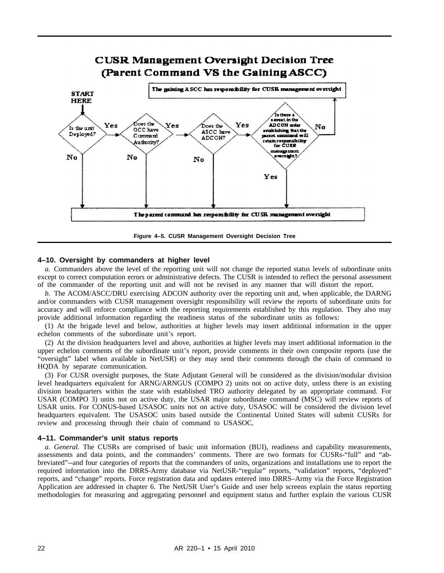

**Figure 4–5. CUSR Management Oversight Decision Tree**

#### **4–10. Oversight by commanders at higher level**

*a.* Commanders above the level of the reporting unit will not change the reported status levels of subordinate units except to correct computation errors or administrative defects. The CUSR is intended to reflect the personal assessment of the commander of the reporting unit and will not be revised in any manner that will distort the report.

*b.* The ACOM/ASCC/DRU exercising ADCON authority over the reporting unit and, when applicable, the DARNG and/or commanders with CUSR management oversight responsibility will review the reports of subordinate units for accuracy and will enforce compliance with the reporting requirements established by this regulation. They also may provide additional information regarding the readiness status of the subordinate units as follows:

(1) At the brigade level and below, authorities at higher levels may insert additional information in the upper echelon comments of the subordinate unit's report.

(2) At the division headquarters level and above, authorities at higher levels may insert additional information in the upper echelon comments of the subordinate unit's report, provide comments in their own composite reports (use the "oversight" label when available in NetUSR) or they may send their comments through the chain of command to HQDA by separate communication.

(3) For CUSR oversight purposes, the State Adjutant General will be considered as the division/modular division level headquarters equivalent for ARNG/ARNGUS (COMPO 2) units not on active duty, unless there is an existing division headquarters within the state with established TRO authority delegated by an appropriate command. For USAR (COMPO 3) units not on active duty, the USAR major subordinate command (MSC) will review reports of USAR units. For CONUS-based USASOC units not on active duty, USASOC will be considered the division level headquarters equivalent. The USASOC units based outside the Continental United States will submit CUSRs for review and processing through their chain of command to USASOC.

#### **4–11. Commander's unit status reports**

*a. General.* The CUSRs are comprised of basic unit information (BUI), readiness and capability measurements, assessments and data points, and the commanders' comments. There are two formats for CUSRs-"full" and "abbreviated"--and four categories of reports that the commanders of units, organizations and installations use to report the required information into the DRRS-Army database via NetUSR-"regular" reports, "validation" reports, "deployed" reports, and "change" reports. Force registration data and updates entered into DRRS–Army via the Force Registration Application are addressed in chapter 6. The NetUSR User's Guide and user help screens explain the status reporting methodologies for measuring and aggregating personnel and equipment status and further explain the various CUSR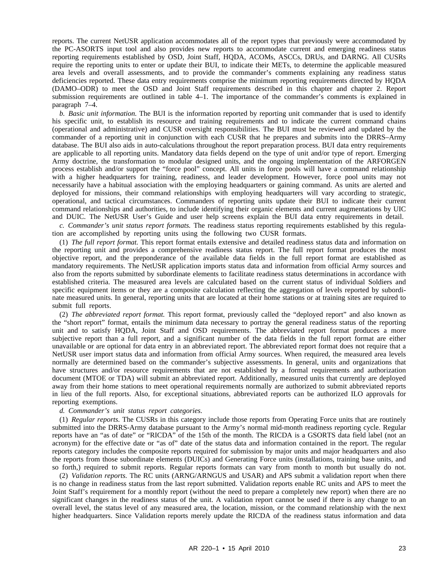reports. The current NetUSR application accommodates all of the report types that previously were accommodated by the PC-ASORTS input tool and also provides new reports to accommodate current and emerging readiness status reporting requirements established by OSD, Joint Staff, HQDA, ACOMs, ASCCs, DRUs, and DARNG. All CUSRs require the reporting units to enter or update their BUI, to indicate their METs, to determine the applicable measured area levels and overall assessments, and to provide the commander's comments explaining any readiness status deficiencies reported. These data entry requirements comprise the minimum reporting requirements directed by HQDA (DAMO–ODR) to meet the OSD and Joint Staff requirements described in this chapter and chapter 2. Report submission requirements are outlined in table 4–1. The importance of the commander's comments is explained in paragraph 7–4.

*b. Basic unit information.* The BUI is the information reported by reporting unit commander that is used to identify his specific unit, to establish its resource and training requirements and to indicate the current command chains (operational and administrative) and CUSR oversight responsibilities. The BUI must be reviewed and updated by the commander of a reporting unit in conjunction with each CUSR that he prepares and submits into the DRRS–Army database. The BUI also aids in auto-calculations throughout the report preparation process. BUI data entry requirements are applicable to all reporting units. Mandatory data fields depend on the type of unit and/or type of report. Emerging Army doctrine, the transformation to modular designed units, and the ongoing implementation of the ARFORGEN process establish and/or support the "force pool" concept. All units in force pools will have a command relationship with a higher headquarters for training, readiness, and leader development. However, force pool units may not necessarily have a habitual association with the employing headquarters or gaining command. As units are alerted and deployed for missions, their command relationships with employing headquarters will vary according to strategic, operational, and tactical circumstances. Commanders of reporting units update their BUI to indicate their current command relationships and authorities, to include identifying their organic elements and current augmentations by UIC and DUIC. The NetUSR User's Guide and user help screens explain the BUI data entry requirements in detail.

*c. Commander's unit status report formats.* The readiness status reporting requirements established by this regulation are accomplished by reporting units using the following two CUSR formats.

(1) *The full report format.* This report format entails extensive and detailed readiness status data and information on the reporting unit and provides a comprehensive readiness status report. The full report format produces the most objective report, and the preponderance of the available data fields in the full report format are established as mandatory requirements. The NetUSR application imports status data and information from official Army sources and also from the reports submitted by subordinate elements to facilitate readiness status determinations in accordance with established criteria. The measured area levels are calculated based on the current status of individual Soldiers and specific equipment items or they are a composite calculation reflecting the aggregation of levels reported by subordinate measured units. In general, reporting units that are located at their home stations or at training sites are required to submit full reports.

(2) *The abbreviated report format.* This report format, previously called the "deployed report" and also known as the "short report" format, entails the minimum data necessary to portray the general readiness status of the reporting unit and to satisfy HQDA, Joint Staff and OSD requirements. The abbreviated report format produces a more subjective report than a full report, and a significant number of the data fields in the full report format are either unavailable or are optional for data entry in an abbreviated report. The abbreviated report format does not require that a NetUSR user import status data and information from official Army sources. When required, the measured area levels normally are determined based on the commander's subjective assessments. In general, units and organizations that have structures and/or resource requirements that are not established by a formal requirements and authorization document (MTOE or TDA) will submit an abbreviated report. Additionally, measured units that currently are deployed away from their home stations to meet operational requirements normally are authorized to submit abbreviated reports in lieu of the full reports. Also, for exceptional situations, abbreviated reports can be authorized ILO approvals for reporting exemptions.

#### *d. Commander's unit status report categories.*

(1) *Regular reports.* The CUSRs in this category include those reports from Operating Force units that are routinely submitted into the DRRS-Army database pursuant to the Army's normal mid-month readiness reporting cycle. Regular reports have an "as of date" or "RICDA" of the 15th of the month. The RICDA is a GSORTS data field label (not an acronym) for the effective date or "as of" date of the status data and information contained in the report. The regular reports category includes the composite reports required for submission by major units and major headquarters and also the reports from those subordinate elements (DUICs) and Generating Force units (installations, training base units, and so forth,) required to submit reports. Regular reports formats can vary from month to month but usually do not.

(2) *Validation reports.* The RC units (ARNG/ARNGUS and USAR) and APS submit a validation report when there is no change in readiness status from the last report submitted. Validation reports enable RC units and APS to meet the Joint Staff's requirement for a monthly report (without the need to prepare a completely new report) when there are no significant changes in the readiness status of the unit. A validation report cannot be used if there is any change to an overall level, the status level of any measured area, the location, mission, or the command relationship with the next higher headquarters. Since Validation reports merely update the RICDA of the readiness status information and data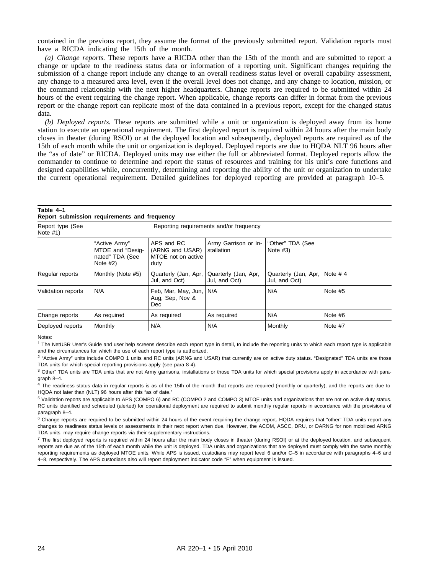contained in the previous report, they assume the format of the previously submitted report. Validation reports must have a RICDA indicating the 15th of the month.

*(a) Change reports.* These reports have a RICDA other than the 15th of the month and are submitted to report a change or update to the readiness status data or information of a reporting unit. Significant changes requiring the submission of a change report include any change to an overall readiness status level or overall capability assessment, any change to a measured area level, even if the overall level does not change, and any change to location, mission, or the command relationship with the next higher headquarters. Change reports are required to be submitted within 24 hours of the event requiring the change report. When applicable, change reports can differ in format from the previous report or the change report can replicate most of the data contained in a previous report, except for the changed status data.

*(b) Deployed reports.* These reports are submitted while a unit or organization is deployed away from its home station to execute an operational requirement. The first deployed report is required within 24 hours after the main body closes in theater (during RSOI) or at the deployed location and subsequently, deployed reports are required as of the 15th of each month while the unit or organization is deployed. Deployed reports are due to HQDA NLT 96 hours after the "as of date" or RICDA. Deployed units may use either the full or abbreviated format. Deployed reports allow the commander to continue to determine and report the status of resources and training for his unit's core functions and designed capabilities while, concurrently, determining and reporting the ability of the unit or organization to undertake the current operational requirement. Detailed guidelines for deployed reporting are provided at paragraph 10–5.

| Table 4-1<br>Report submission requirements and frequency |                                                                    |                                                             |                                       |                                       |            |
|-----------------------------------------------------------|--------------------------------------------------------------------|-------------------------------------------------------------|---------------------------------------|---------------------------------------|------------|
| Report type (See<br>Note $#1)$                            | Reporting requirements and/or frequency                            |                                                             |                                       |                                       |            |
|                                                           | "Active Army"<br>MTOE and "Desig-<br>nated" TDA (See<br>Note $#2)$ | APS and RC<br>(ARNG and USAR)<br>MTOE not on active<br>duty | Army Garrison or In-<br>stallation    | "Other" TDA (See<br>Note $#3)$        |            |
| Regular reports                                           | Monthly (Note #5)                                                  | Quarterly (Jan, Apr,<br>Jul, and Oct)                       | Quarterly (Jan, Apr,<br>Jul, and Oct) | Quarterly (Jan, Apr,<br>Jul, and Oct) | Note $# 4$ |
| Validation reports                                        | N/A                                                                | Feb, Mar, May, Jun,<br>Aug, Sep, Nov &<br><b>Dec</b>        | N/A                                   | N/A                                   | Note #5    |
| Change reports                                            | As required                                                        | As required                                                 | As required                           | N/A                                   | Note $#6$  |

Notes:

<sup>1</sup> The NetUSR User's Guide and user help screens describe each report type in detail, to include the reporting units to which each report type is applicable and the circumstances for which the use of each report type is authorized.

Deployed reports Monthly  $N/A$  N/A Monthly Note #7

<sup>2</sup> "Active Army" units include COMPO 1 units and RC units (ARNG and USAR) that currently are on active duty status. "Designated" TDA units are those TDA units for which special reporting provisions apply (see para 8-4).

<sup>3</sup> Other" TDA units are TDA units that are not Army garrisons, installations or those TDA units for which special provisions apply in accordance with paragraph 8–4.

<sup>4</sup> The readiness status data in regular reports is as of the 15th of the month that reports are required (monthly or quarterly), and the reports are due to HQDA not later than (NLT) 96 hours after this "as of date."

<sup>5</sup> Validation reports are applicable to APS (COMPO 6) and RC (COMPO 2 and COMPO 3) MTOE units and organizations that are not on active duty status. RC units identified and scheduled (alerted) for operational deployment are required to submit monthly regular reports in accordance with the provisions of paragraph 8–4.

 $6$  Change reports are required to be submitted within 24 hours of the event requiring the change report. HQDA requires that "other" TDA units report any changes to readiness status levels or assessments in their next report when due. However, the ACOM, ASCC, DRU, or DARNG for non mobilized ARNG TDA units, may require change reports via their supplementary instructions.

<sup>7</sup> The first deploved reports is required within 24 hours after the main body closes in theater (during RSOI) or at the deployed location, and subsequent reports are due as of the 15th of each month while the unit is deployed. TDA units and organizations that are deployed must comply with the same monthly reporting requirements as deployed MTOE units. While APS is issued, custodians may report level 6 and/or C–5 in accordance with paragraphs 4–6 and 4–8, respectively. The APS custodians also will report deployment indicator code "E" when equipment is issued.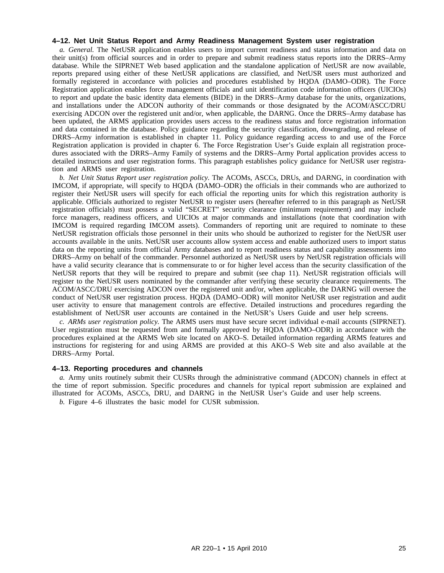#### **4–12. Net Unit Status Report and Army Readiness Management System user registration**

*a. General.* The NetUSR application enables users to import current readiness and status information and data on their unit(s) from official sources and in order to prepare and submit readiness status reports into the DRRS–Army database. While the SIPRNET Web based application and the standalone application of NetUSR are now available, reports prepared using either of these NetUSR applications are classified, and NetUSR users must authorized and formally registered in accordance with policies and procedures established by HQDA (DAMO–ODR). The Force Registration application enables force management officials and unit identification code information officers (UICIOs) to report and update the basic identity data elements (BIDE) in the DRRS–Army database for the units, organizations, and installations under the ADCON authority of their commands or those designated by the ACOM/ASCC/DRU exercising ADCON over the registered unit and/or, when applicable, the DARNG. Once the DRRS–Army database has been updated, the ARMS application provides users access to the readiness status and force registration information and data contained in the database. Policy guidance regarding the security classification, downgrading, and release of DRRS–Army information is established in chapter 11. Policy guidance regarding access to and use of the Force Registration application is provided in chapter 6. The Force Registration User's Guide explain all registration procedures associated with the DRRS–Army Family of systems and the DRRS–Army Portal application provides access to detailed instructions and user registration forms. This paragraph establishes policy guidance for NetUSR user registration and ARMS user registration.

*b. Net Unit Status Report user registration policy.* The ACOMs, ASCCs, DRUs, and DARNG, in coordination with IMCOM, if appropriate, will specify to HQDA (DAMO–ODR) the officials in their commands who are authorized to register their NetUSR users will specify for each official the reporting units for which this registration authority is applicable. Officials authorized to register NetUSR to register users (hereafter referred to in this paragraph as NetUSR registration officials) must possess a valid "SECRET" security clearance (minimum requirement) and may include force managers, readiness officers, and UICIOs at major commands and installations (note that coordination with IMCOM is required regarding IMCOM assets). Commanders of reporting unit are required to nominate to these NetUSR registration officials those personnel in their units who should be authorized to register for the NetUSR user accounts available in the units. NetUSR user accounts allow system access and enable authorized users to import status data on the reporting units from official Army databases and to report readiness status and capability assessments into DRRS–Army on behalf of the commander. Personnel authorized as NetUSR users by NetUSR registration officials will have a valid security clearance that is commensurate to or for higher level access than the security classification of the NetUSR reports that they will be required to prepare and submit (see chap 11). NetUSR registration officials will register to the NetUSR users nominated by the commander after verifying these security clearance requirements. The ACOM/ASCC/DRU exercising ADCON over the registered unit and/or, when applicable, the DARNG will oversee the conduct of NetUSR user registration process. HQDA (DAMO–ODR) will monitor NetUSR user registration and audit user activity to ensure that management controls are effective. Detailed instructions and procedures regarding the establishment of NetUSR user accounts are contained in the NetUSR's Users Guide and user help screens.

*c. ARMs user registration policy.* The ARMS users must have secure secret individual e-mail accounts (SIPRNET). User registration must be requested from and formally approved by HQDA (DAMO–ODR) in accordance with the procedures explained at the ARMS Web site located on AKO–S. Detailed information regarding ARMS features and instructions for registering for and using ARMS are provided at this AKO–S Web site and also available at the DRRS–Army Portal.

#### **4–13. Reporting procedures and channels**

*a.* Army units routinely submit their CUSRs through the administrative command (ADCON) channels in effect at the time of report submission. Specific procedures and channels for typical report submission are explained and illustrated for ACOMs, ASCCs, DRU, and DARNG in the NetUSR User's Guide and user help screens.

*b.* Figure 4–6 illustrates the basic model for CUSR submission.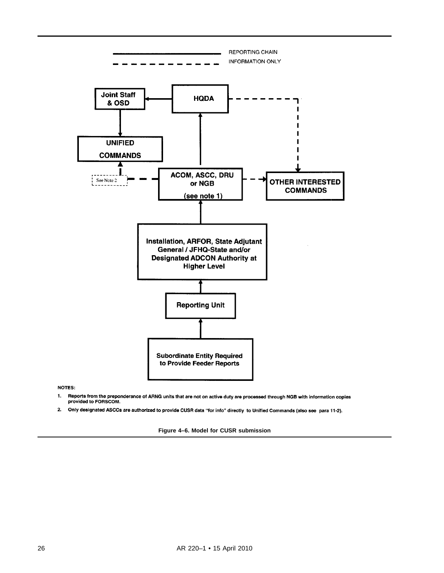

**NOTES:** 

- Reports from the preponderance of ARNG units that are not on active duty are processed through NGB with information copies<br>provided to FORSCOM.  $\mathbf{1}$ .
- $2<sup>1</sup>$ Only designated ASCCs are authorized to provide CUSR data "for info" directly to Unified Commands (also see para 11-2).

**Figure 4–6. Model for CUSR submission**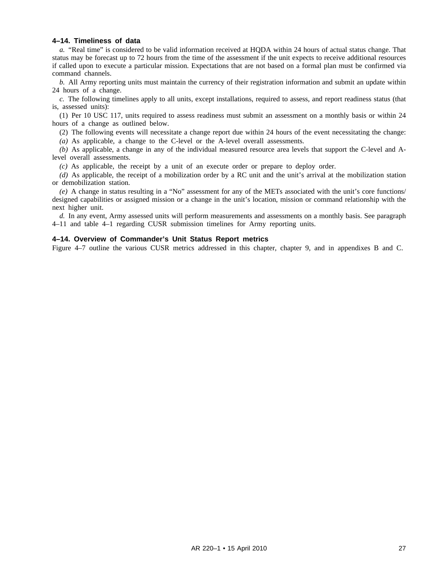#### **4–14. Timeliness of data**

*a.* "Real time" is considered to be valid information received at HQDA within 24 hours of actual status change. That status may be forecast up to 72 hours from the time of the assessment if the unit expects to receive additional resources if called upon to execute a particular mission. Expectations that are not based on a formal plan must be confirmed via command channels.

*b.* All Army reporting units must maintain the currency of their registration information and submit an update within 24 hours of a change.

*c.* The following timelines apply to all units, except installations, required to assess, and report readiness status (that is, assessed units):

(1) Per 10 USC 117, units required to assess readiness must submit an assessment on a monthly basis or within 24 hours of a change as outlined below.

(2) The following events will necessitate a change report due within 24 hours of the event necessitating the change:

*(a)* As applicable, a change to the C-level or the A-level overall assessments.

*(b)* As applicable, a change in any of the individual measured resource area levels that support the C-level and Alevel overall assessments.

*(c)* As applicable, the receipt by a unit of an execute order or prepare to deploy order.

*(d)* As applicable, the receipt of a mobilization order by a RC unit and the unit's arrival at the mobilization station or demobilization station.

*(e)* A change in status resulting in a "No" assessment for any of the METs associated with the unit's core functions/ designed capabilities or assigned mission or a change in the unit's location, mission or command relationship with the next higher unit.

*d.* In any event, Army assessed units will perform measurements and assessments on a monthly basis. See paragraph 4–11 and table 4–1 regarding CUSR submission timelines for Army reporting units.

#### **4–14. Overview of Commander's Unit Status Report metrics**

Figure 4–7 outline the various CUSR metrics addressed in this chapter, chapter 9, and in appendixes B and C.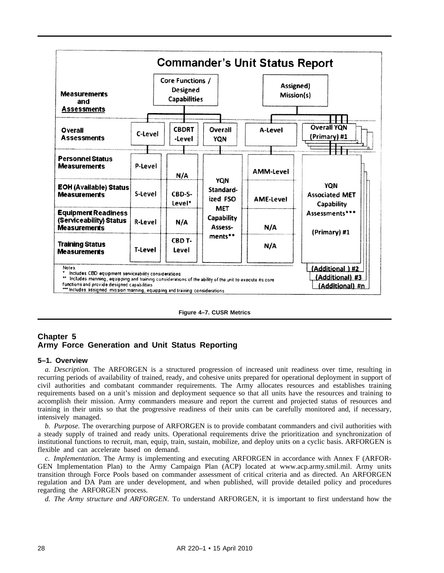

**Figure 4–7. CUSR Metrics**

# **Chapter 5 Army Force Generation and Unit Status Reporting**

#### **5–1. Overview**

*a. Description.* The ARFORGEN is a structured progression of increased unit readiness over time, resulting in recurring periods of availability of trained, ready, and cohesive units prepared for operational deployment in support of civil authorities and combatant commander requirements. The Army allocates resources and establishes training requirements based on a unit's mission and deployment sequence so that all units have the resources and training to accomplish their mission. Army commanders measure and report the current and projected status of resources and training in their units so that the progressive readiness of their units can be carefully monitored and, if necessary, intensively managed.

*b. Purpose.* The overarching purpose of ARFORGEN is to provide combatant commanders and civil authorities with a steady supply of trained and ready units. Operational requirements drive the prioritization and synchronization of institutional functions to recruit, man, equip, train, sustain, mobilize, and deploy units on a cyclic basis. ARFORGEN is flexible and can accelerate based on demand.

*c. Implementation.* The Army is implementing and executing ARFORGEN in accordance with Annex F (ARFOR-GEN Implementation Plan) to the Army Campaign Plan (ACP) located at www.acp.army.smil.mil. Army units transition through Force Pools based on commander assessment of critical criteria and as directed. An ARFORGEN regulation and DA Pam are under development, and when published, will provide detailed policy and procedures regarding the ARFORGEN process.

*d. The Army structure and ARFORGEN.* To understand ARFORGEN, it is important to first understand how the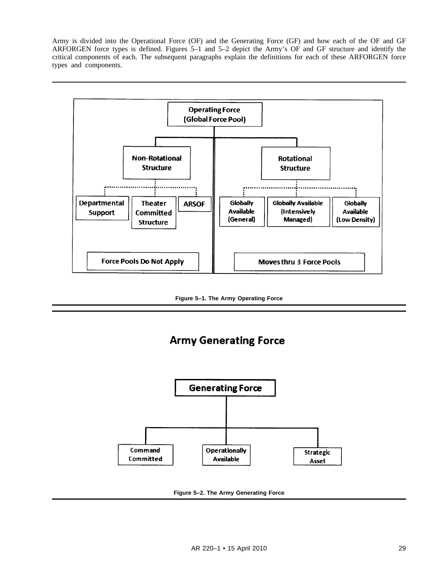Army is divided into the Operational Force (OF) and the Generating Force (GF) and how each of the OF and GF ARFORGEN force types is defined. Figures 5–1 and 5–2 depict the Army's OF and GF structure and identify the critical components of each. The subsequent paragraphs explain the definitions for each of these ARFORGEN force types and components.



**Figure 5–1. The Army Operating Force**

# **Army Generating Force**



**Figure 5–2. The Army Generating Force**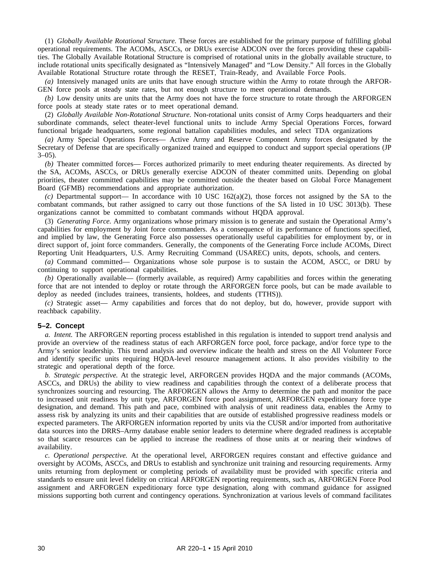(1) *Globally Available Rotational Structure.* These forces are established for the primary purpose of fulfilling global operational requirements. The ACOMs, ASCCs, or DRUs exercise ADCON over the forces providing these capabilities. The Globally Available Rotational Structure is comprised of rotational units in the globally available structure, to include rotational units specifically designated as "Intensively Managed" and "Low Density." All forces in the Globally Available Rotational Structure rotate through the RESET, Train-Ready, and Available Force Pools.

*(a)* Intensively managed units are units that have enough structure within the Army to rotate through the ARFOR-GEN force pools at steady state rates, but not enough structure to meet operational demands.

*(b)* Low density units are units that the Army does not have the force structure to rotate through the ARFORGEN force pools at steady state rates or to meet operational demand.

(2) *Globally Available Non-Rotational Structure.* Non-rotational units consist of Army Corps headquarters and their subordinate commands, select theater-level functional units to include Army Special Operations Forces, forward functional brigade headquarters, some regional battalion capabilities modules, and select TDA organizations

*(a)* Army Special Operations Forces— Active Army and Reserve Component Army forces designated by the Secretary of Defense that are specifically organized trained and equipped to conduct and support special operations (JP  $3-05$ ).

*(b)* Theater committed forces— Forces authorized primarily to meet enduring theater requirements. As directed by the SA, ACOMs, ASCCs, or DRUs generally exercise ADCON of theater committed units. Depending on global priorities, theater committed capabilities may be committed outside the theater based on Global Force Management Board (GFMB) recommendations and appropriate authorization.

*(c)* Departmental support— In accordance with 10 USC 162(a)(2), those forces not assigned by the SA to the combatant commands, but rather assigned to carry out those functions of the SA listed in 10 USC 3013(b). These organizations cannot be committed to combatant commands without HQDA approval.

(3) *Generating Force.* Army organizations whose primary mission is to generate and sustain the Operational Army's capabilities for employment by Joint force commanders. As a consequence of its performance of functions specified, and implied by law, the Generating Force also possesses operationally useful capabilities for employment by, or in direct support of, joint force commanders. Generally, the components of the Generating Force include ACOMs, Direct Reporting Unit Headquarters, U.S. Army Recruiting Command (USAREC) units, depots, schools, and centers.

*(a)* Command committed— Organizations whose sole purpose is to sustain the ACOM, ASCC, or DRU by continuing to support operational capabilities.

*(b)* Operationally available— (formerly available, as required) Army capabilities and forces within the generating force that are not intended to deploy or rotate through the ARFORGEN force pools, but can be made available to deploy as needed (includes trainees, transients, holdees, and students (TTHS)).

*(c)* Strategic asset— Army capabilities and forces that do not deploy, but do, however, provide support with reachback capability.

#### **5–2. Concept**

*a. Intent.* The ARFORGEN reporting process established in this regulation is intended to support trend analysis and provide an overview of the readiness status of each ARFORGEN force pool, force package, and/or force type to the Army's senior leadership. This trend analysis and overview indicate the health and stress on the All Volunteer Force and identify specific units requiring HQDA-level resource management actions. It also provides visibility to the strategic and operational depth of the force.

*b. Strategic perspective.* At the strategic level, ARFORGEN provides HQDA and the major commands (ACOMs, ASCCs, and DRUs) the ability to view readiness and capabilities through the context of a deliberate process that synchronizes sourcing and resourcing. The ARFORGEN allows the Army to determine the path and monitor the pace to increased unit readiness by unit type, ARFORGEN force pool assignment, ARFORGEN expeditionary force type designation, and demand. This path and pace, combined with analysis of unit readiness data, enables the Army to assess risk by analyzing its units and their capabilities that are outside of established progressive readiness models or expected parameters. The ARFORGEN information reported by units via the CUSR and/or imported from authoritative data sources into the DRRS–Army database enable senior leaders to determine where degraded readiness is acceptable so that scarce resources can be applied to increase the readiness of those units at or nearing their windows of availability.

*c. Operational perspective.* At the operational level, ARFORGEN requires constant and effective guidance and oversight by ACOMs, ASCCs, and DRUs to establish and synchronize unit training and resourcing requirements. Army units returning from deployment or completing periods of availability must be provided with specific criteria and standards to ensure unit level fidelity on critical ARFORGEN reporting requirements, such as, ARFORGEN Force Pool assignment and ARFORGEN expeditionary force type designation, along with command guidance for assigned missions supporting both current and contingency operations. Synchronization at various levels of command facilitates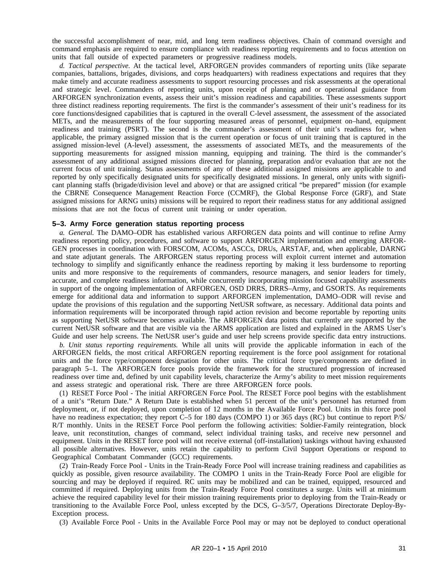the successful accomplishment of near, mid, and long term readiness objectives. Chain of command oversight and command emphasis are required to ensure compliance with readiness reporting requirements and to focus attention on units that fall outside of expected parameters or progressive readiness models.

*d. Tactical perspective.* At the tactical level, ARFORGEN provides commanders of reporting units (like separate companies, battalions, brigades, divisions, and corps headquarters) with readiness expectations and requires that they make timely and accurate readiness assessments to support resourcing processes and risk assessments at the operational and strategic level. Commanders of reporting units, upon receipt of planning and or operational guidance from ARFORGEN synchronization events, assess their unit's mission readiness and capabilities. These assessments support three distinct readiness reporting requirements. The first is the commander's assessment of their unit's readiness for its core functions/designed capabilities that is captured in the overall C-level assessment, the assessment of the associated METs, and the measurements of the four supporting measured areas of personnel, equipment on–hand, equipment readiness and training (PSRT). The second is the commander's assessment of their unit's readiness for, when applicable, the primary assigned mission that is the current operation or focus of unit training that is captured in the assigned mission-level (A-level) assessment, the assessments of associated METs, and the measurements of the supporting measurements for assigned mission manning, equipping and training. The third is the commander's assessment of any additional assigned missions directed for planning, preparation and/or evaluation that are not the current focus of unit training. Status assessments of any of these additional assigned missions are applicable to and reported by only specifically designated units for specifically designated missions. In general, only units with significant planning staffs (brigade/division level and above) or that are assigned critical "be prepared" mission (for example the CBRNE Consequence Management Reaction Force (CCMRF), the Global Response Force (GRF), and State assigned missions for ARNG units) missions will be required to report their readiness status for any additional assigned missions that are not the focus of current unit training or under operation.

# **5–3. Army Force generation status reporting process**

*a. General.* The DAMO–ODR has established various ARFORGEN data points and will continue to refine Army readiness reporting policy, procedures, and software to support ARFORGEN implementation and emerging ARFOR-GEN processes in coordination with FORSCOM, ACOMs, ASCCs, DRUs, ARSTAF, and, when applicable, DARNG and state adjutant generals. The ARFORGEN status reporting process will exploit current internet and automation technology to simplify and significantly enhance the readiness reporting by making it less burdensome to reporting units and more responsive to the requirements of commanders, resource managers, and senior leaders for timely, accurate, and complete readiness information, while concurrently incorporating mission focused capability assessments in support of the ongoing implementation of ARFORGEN, OSD DRRS, DRRS–Army, and GSORTS. As requirements emerge for additional data and information to support ARFORGEN implementation, DAMO–ODR will revise and update the provisions of this regulation and the supporting NetUSR software, as necessary. Additional data points and information requirements will be incorporated through rapid action revision and become reportable by reporting units as supporting NetUSR software becomes available. The ARFORGEN data points that currently are supported by the current NetUSR software and that are visible via the ARMS application are listed and explained in the ARMS User's Guide and user help screens. The NetUSR user's guide and user help screens provide specific data entry instructions.

*b. Unit status reporting requirements.* While all units will provide the applicable information in each of the ARFORGEN fields, the most critical ARFORGEN reporting requirement is the force pool assignment for rotational units and the force type/component designation for other units. The critical force type/components are defined in paragraph 5–1. The ARFORGEN force pools provide the framework for the structured progression of increased readiness over time and, defined by unit capability levels, characterize the Army's ability to meet mission requirements and assess strategic and operational risk. There are three ARFORGEN force pools.

(1) RESET Force Pool - The initial ARFORGEN Force Pool. The RESET Force pool begins with the establishment of a unit's "Return Date." A Return Date is established when 51 percent of the unit's personnel has returned from deployment, or, if not deployed, upon completion of 12 months in the Available Force Pool. Units in this force pool have no readiness expectation; they report C–5 for 180 days (COMPO 1) or 365 days (RC) but continue to report P/S/ R/T monthly. Units in the RESET Force Pool perform the following activities: Soldier-Family reintegration, block leave, unit reconstitution, changes of command, select individual training tasks, and receive new personnel and equipment. Units in the RESET force pool will not receive external (off-installation) taskings without having exhausted all possible alternatives. However, units retain the capability to perform Civil Support Operations or respond to Geographical Combatant Commander (GCC) requirements.

(2) Train-Ready Force Pool - Units in the Train-Ready Force Pool will increase training readiness and capabilities as quickly as possible, given resource availability. The COMPO 1 units in the Train-Ready Force Pool are eligible for sourcing and may be deployed if required. RC units may be mobilized and can be trained, equipped, resourced and committed if required. Deploying units from the Train-Ready Force Pool constitutes a surge. Units will at minimum achieve the required capability level for their mission training requirements prior to deploying from the Train-Ready or transitioning to the Available Force Pool, unless excepted by the DCS, G–3/5/7, Operations Directorate Deploy-By-Exception process.

(3) Available Force Pool - Units in the Available Force Pool may or may not be deployed to conduct operational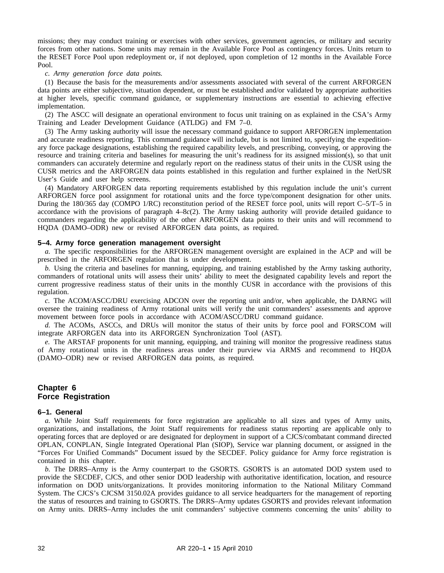missions; they may conduct training or exercises with other services, government agencies, or military and security forces from other nations. Some units may remain in the Available Force Pool as contingency forces. Units return to the RESET Force Pool upon redeployment or, if not deployed, upon completion of 12 months in the Available Force Pool.

#### *c. Army generation force data points.*

(1) Because the basis for the measurements and/or assessments associated with several of the current ARFORGEN data points are either subjective, situation dependent, or must be established and/or validated by appropriate authorities at higher levels, specific command guidance, or supplementary instructions are essential to achieving effective implementation.

(2) The ASCC will designate an operational environment to focus unit training on as explained in the CSA's Army Training and Leader Development Guidance (ATLDG) and FM 7–0.

(3) The Army tasking authority will issue the necessary command guidance to support ARFORGEN implementation and accurate readiness reporting. This command guidance will include, but is not limited to, specifying the expeditionary force package designations, establishing the required capability levels, and prescribing, conveying, or approving the resource and training criteria and baselines for measuring the unit's readiness for its assigned mission(s), so that unit commanders can accurately determine and regularly report on the readiness status of their units in the CUSR using the CUSR metrics and the ARFORGEN data points established in this regulation and further explained in the NetUSR User's Guide and user help screens.

(4) Mandatory ARFORGEN data reporting requirements established by this regulation include the unit's current ARFORGEN force pool assignment for rotational units and the force type/component designation for other units. During the 180/365 day (COMPO 1/RC) reconstitution period of the RESET force pool, units will report C–5/T–5 in accordance with the provisions of paragraph 4–8*c*(2). The Army tasking authority will provide detailed guidance to commanders regarding the applicability of the other ARFORGEN data points to their units and will recommend to HQDA (DAMO–ODR) new or revised ARFORGEN data points, as required.

# **5–4. Army force generation management oversight**

*a.* The specific responsibilities for the ARFORGEN management oversight are explained in the ACP and will be prescribed in the ARFORGEN regulation that is under development.

*b.* Using the criteria and baselines for manning, equipping, and training established by the Army tasking authority, commanders of rotational units will assess their units' ability to meet the designated capability levels and report the current progressive readiness status of their units in the monthly CUSR in accordance with the provisions of this regulation.

*c.* The ACOM/ASCC/DRU exercising ADCON over the reporting unit and/or, when applicable, the DARNG will oversee the training readiness of Army rotational units will verify the unit commanders' assessments and approve movement between force pools in accordance with ACOM/ASCC/DRU command guidance.

*d.* The ACOMs, ASCCs, and DRUs will monitor the status of their units by force pool and FORSCOM will integrate ARFORGEN data into its ARFORGEN Synchronization Tool (AST).

*e.* The ARSTAF proponents for unit manning, equipping, and training will monitor the progressive readiness status of Army rotational units in the readiness areas under their purview via ARMS and recommend to HQDA (DAMO–ODR) new or revised ARFORGEN data points, as required.

# **Chapter 6 Force Registration**

#### **6–1. General**

*a.* While Joint Staff requirements for force registration are applicable to all sizes and types of Army units, organizations, and installations, the Joint Staff requirements for readiness status reporting are applicable only to operating forces that are deployed or are designated for deployment in support of a CJCS/combatant command directed OPLAN, CONPLAN, Single Integrated Operational Plan (SIOP), Service war planning document, or assigned in the "Forces For Unified Commands" Document issued by the SECDEF. Policy guidance for Army force registration is contained in this chapter.

*b.* The DRRS–Army is the Army counterpart to the GSORTS. GSORTS is an automated DOD system used to provide the SECDEF, CJCS, and other senior DOD leadership with authoritative identification, location, and resource information on DOD units/organizations. It provides monitoring information to the National Military Command System. The CJCS's CJCSM 3150.02A provides guidance to all service headquarters for the management of reporting the status of resources and training to GSORTS. The DRRS–Army updates GSORTS and provides relevant information on Army units. DRRS–Army includes the unit commanders' subjective comments concerning the units' ability to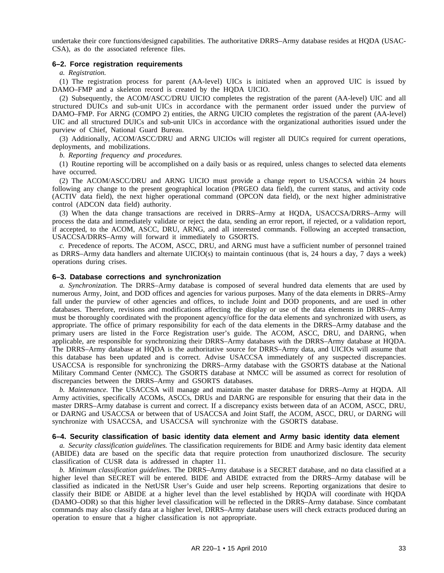undertake their core functions/designed capabilities. The authoritative DRRS–Army database resides at HQDA (USAC-CSA), as do the associated reference files.

# **6–2. Force registration requirements**

*a. Registration.*

(1) The registration process for parent  $(AA-level)$  UICs is initiated when an approved UIC is issued by DAMO–FMP and a skeleton record is created by the HQDA UICIO.

(2) Subsequently, the ACOM/ASCC/DRU UICIO completes the registration of the parent (AA-level) UIC and all structured DUICs and sub-unit UICs in accordance with the permanent order issued under the purview of DAMO–FMP. For ARNG (COMPO 2) entities, the ARNG UICIO completes the registration of the parent (AA-level) UIC and all structured DUICs and sub-unit UICs in accordance with the organizational authorities issued under the purview of Chief, National Guard Bureau.

(3) Additionally, ACOM/ASCC/DRU and ARNG UICIOs will register all DUICs required for current operations, deployments, and mobilizations.

*b. Reporting frequency and procedures.*

(1) Routine reporting will be accomplished on a daily basis or as required, unless changes to selected data elements have occurred.

(2) The ACOM/ASCC/DRU and ARNG UICIO must provide a change report to USACCSA within 24 hours following any change to the present geographical location (PRGEO data field), the current status, and activity code (ACTIV data field), the next higher operational command (OPCON data field), or the next higher administrative control (ADCON data field) authority.

(3) When the data change transactions are received in DRRS–Army at HQDA, USACCSA/DRRS–Army will process the data and immediately validate or reject the data, sending an error report, if rejected, or a validation report, if accepted, to the ACOM, ASCC, DRU, ARNG, and all interested commands. Following an accepted transaction, USACCSA/DRRS–Army will forward it immediately to GSORTS.

*c.* Precedence of reports. The ACOM, ASCC, DRU, and ARNG must have a sufficient number of personnel trained as DRRS–Army data handlers and alternate UICIO(s) to maintain continuous (that is, 24 hours a day, 7 days a week) operations during crises.

#### **6–3. Database corrections and synchronization**

*a. Synchronization.* The DRRS–Army database is composed of several hundred data elements that are used by numerous Army, Joint, and DOD offices and agencies for various purposes. Many of the data elements in DRRS–Army fall under the purview of other agencies and offices, to include Joint and DOD proponents, and are used in other databases. Therefore, revisions and modifications affecting the display or use of the data elements in DRRS–Army must be thoroughly coordinated with the proponent agency/office for the data elements and synchronized with users, as appropriate. The office of primary responsibility for each of the data elements in the DRRS–Army database and the primary users are listed in the Force Registration user's guide. The ACOM, ASCC, DRU, and DARNG, when applicable, are responsible for synchronizing their DRRS–Army databases with the DRRS–Army database at HQDA. The DRRS–Army database at HQDA is the authoritative source for DRRS–Army data, and UICIOs will assume that this database has been updated and is correct. Advise USACCSA immediately of any suspected discrepancies. USACCSA is responsible for synchronizing the DRRS–Army database with the GSORTS database at the National Military Command Center (NMCC). The GSORTS database at NMCC will be assumed as correct for resolution of discrepancies between the DRRS–Army and GSORTS databases.

*b. Maintenance.* The USACCSA will manage and maintain the master database for DRRS–Army at HQDA. All Army activities, specifically ACOMs, ASCCs, DRUs and DARNG are responsible for ensuring that their data in the master DRRS–Army database is current and correct. If a discrepancy exists between data of an ACOM, ASCC, DRU, or DARNG and USACCSA or between that of USACCSA and Joint Staff, the ACOM, ASCC, DRU, or DARNG will synchronize with USACCSA, and USACCSA will synchronize with the GSORTS database.

#### **6–4. Security classification of basic identity data element and Army basic identity data element**

*a. Security classification guidelines.* The classification requirements for BIDE and Army basic identity data element (ABIDE) data are based on the specific data that require protection from unauthorized disclosure. The security classification of CUSR data is addressed in chapter 11.

*b. Minimum classification guidelines.* The DRRS–Army database is a SECRET database, and no data classified at a higher level than SECRET will be entered. BIDE and ABIDE extracted from the DRRS–Army database will be classified as indicated in the NetUSR User's Guide and user help screens. Reporting organizations that desire to classify their BIDE or ABIDE at a higher level than the level established by HQDA will coordinate with HQDA (DAMO–ODR) so that this higher level classification will be reflected in the DRRS–Army database. Since combatant commands may also classify data at a higher level, DRRS–Army database users will check extracts produced during an operation to ensure that a higher classification is not appropriate.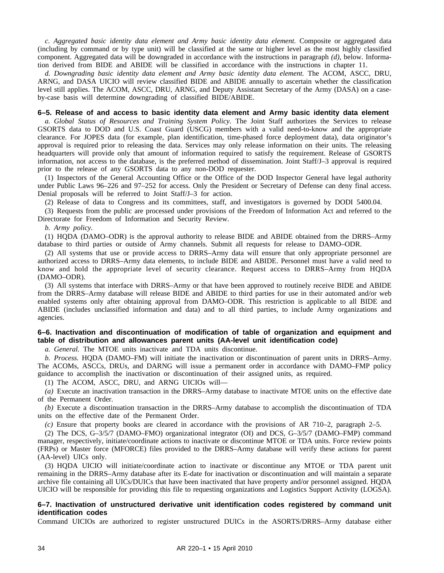*c. Aggregated basic identity data element and Army basic identity data element.* Composite or aggregated data (including by command or by type unit) will be classified at the same or higher level as the most highly classified component. Aggregated data will be downgraded in accordance with the instructions in paragraph *(d)*, below. Information derived from BIDE and ABIDE will be classified in accordance with the instructions in chapter 11.

*d. Downgrading basic identity data element and Army basic identity data element.* The ACOM, ASCC, DRU, ARNG, and DASA UICIO will review classified BIDE and ABIDE annually to ascertain whether the classification level still applies. The ACOM, ASCC, DRU, ARNG, and Deputy Assistant Secretary of the Army (DASA) on a caseby-case basis will determine downgrading of classified BIDE/ABIDE.

# **6–5. Release of and access to basic identity data element and Army basic identity data element**

*a. Global Status of Resources and Training System Policy.* The Joint Staff authorizes the Services to release GSORTS data to DOD and U.S. Coast Guard (USCG) members with a valid need-to-know and the appropriate clearance. For JOPES data (for example, plan identification, time-phased force deployment data), data originator's approval is required prior to releasing the data. Services may only release information on their units. The releasing headquarters will provide only that amount of information required to satisfy the requirement. Release of GSORTS information, not access to the database, is the preferred method of dissemination. Joint Staff/J–3 approval is required prior to the release of any GSORTS data to any non-DOD requester.

(1) Inspectors of the General Accounting Office or the Office of the DOD Inspector General have legal authority under Public Laws 96–226 and 97–252 for access. Only the President or Secretary of Defense can deny final access. Denial proposals will be referred to Joint Staff/J–3 for action.

(2) Release of data to Congress and its committees, staff, and investigators is governed by DODI 5400.04.

(3) Requests from the public are processed under provisions of the Freedom of Information Act and referred to the Directorate for Freedom of Information and Security Review.

*b. Army policy.*

(1) HQDA (DAMO–ODR) is the approval authority to release BIDE and ABIDE obtained from the DRRS–Army database to third parties or outside of Army channels. Submit all requests for release to DAMO–ODR.

(2) All systems that use or provide access to DRRS–Army data will ensure that only appropriate personnel are authorized access to DRRS–Army data elements, to include BIDE and ABIDE. Personnel must have a valid need to know and hold the appropriate level of security clearance. Request access to DRRS-Army from HQDA (DAMO–ODR).

(3) All systems that interface with DRRS–Army or that have been approved to routinely receive BIDE and ABIDE from the DRRS–Army database will release BIDE and ABIDE to third parties for use in their automated and/or web enabled systems only after obtaining approval from DAMO–ODR. This restriction is applicable to all BIDE and ABIDE (includes unclassified information and data) and to all third parties, to include Army organizations and agencies.

# **6–6. Inactivation and discontinuation of modification of table of organization and equipment and table of distribution and allowances parent units (AA-level unit identification code)**

*a. General.* The MTOE units inactivate and TDA units discontinue.

*b. Process.* HQDA (DAMO–FM) will initiate the inactivation or discontinuation of parent units in DRRS–Army. The ACOMs, ASCCs, DRUs, and DARNG will issue a permanent order in accordance with DAMO–FMP policy guidance to accomplish the inactivation or discontinuation of their assigned units, as required.

(1) The ACOM, ASCC, DRU, and ARNG UICIOs will—

*(a)* Execute an inactivation transaction in the DRRS–Army database to inactivate MTOE units on the effective date of the Permanent Order.

*(b)* Execute a discontinuation transaction in the DRRS–Army database to accomplish the discontinuation of TDA units on the effective date of the Permanent Order.

*(c)* Ensure that property books are cleared in accordance with the provisions of AR 710–2, paragraph 2–5.

(2) The DCS, G–3/5/7 (DAMO–FMO) organizational integrator (OI) and DCS, G–3/5/7 (DAMO–FMP) command manager, respectively, initiate/coordinate actions to inactivate or discontinue MTOE or TDA units. Force review points (FRPs) or Master force (MFORCE) files provided to the DRRS–Army database will verify these actions for parent (AA-level) UICs only.

(3) HQDA UICIO will initiate/coordinate action to inactivate or discontinue any MTOE or TDA parent unit remaining in the DRRS–Army database after its E-date for inactivation or discontinuation and will maintain a separate archive file containing all UICs/DUICs that have been inactivated that have property and/or personnel assigned. HQDA UICIO will be responsible for providing this file to requesting organizations and Logistics Support Activity (LOGSA).

### **6–7. Inactivation of unstructured derivative unit identification codes registered by command unit identification codes**

Command UICIOs are authorized to register unstructured DUICs in the ASORTS/DRRS–Army database either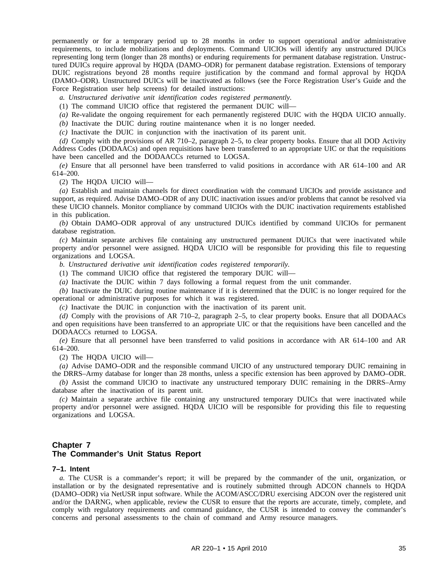permanently or for a temporary period up to 28 months in order to support operational and/or administrative requirements, to include mobilizations and deployments. Command UICIOs will identify any unstructured DUICs representing long term (longer than 28 months) or enduring requirements for permanent database registration. Unstructured DUICs require approval by HQDA (DAMO–ODR) for permanent database registration. Extensions of temporary DUIC registrations beyond 28 months require justification by the command and formal approval by HQDA (DAMO–ODR). Unstructured DUICs will be inactivated as follows (see the Force Registration User's Guide and the Force Registration user help screens) for detailed instructions:

*a. Unstructured derivative unit identification codes registered permanently.*

(1) The command UICIO office that registered the permanent DUIC will—

*(a)* Re-validate the ongoing requirement for each permanently registered DUIC with the HQDA UICIO annually.

*(b)* Inactivate the DUIC during routine maintenance when it is no longer needed.

*(c)* Inactivate the DUIC in conjunction with the inactivation of its parent unit.

*(d)* Comply with the provisions of AR 710–2, paragraph 2–5, to clear property books. Ensure that all DOD Activity Address Codes (DODAACs) and open requisitions have been transferred to an appropriate UIC or that the requisitions have been cancelled and the DODAACCs returned to LOGSA.

*(e)* Ensure that all personnel have been transferred to valid positions in accordance with AR 614–100 and AR 614–200.

(2) The HQDA UICIO will—

*(a)* Establish and maintain channels for direct coordination with the command UICIOs and provide assistance and support, as required. Advise DAMO–ODR of any DUIC inactivation issues and/or problems that cannot be resolved via these UICIO channels. Monitor compliance by command UICIOs with the DUIC inactivation requirements established in this publication.

*(b)* Obtain DAMO–ODR approval of any unstructured DUICs identified by command UICIOs for permanent database registration.

*(c)* Maintain separate archives file containing any unstructured permanent DUICs that were inactivated while property and/or personnel were assigned. HQDA UICIO will be responsible for providing this file to requesting organizations and LOGSA.

*b. Unstructured derivative unit identification codes registered temporarily.*

(1) The command UICIO office that registered the temporary DUIC will—

*(a)* Inactivate the DUIC within 7 days following a formal request from the unit commander.

*(b)* Inactivate the DUIC during routine maintenance if it is determined that the DUIC is no longer required for the operational or administrative purposes for which it was registered.

*(c)* Inactivate the DUIC in conjunction with the inactivation of its parent unit.

*(d)* Comply with the provisions of AR 710–2, paragraph 2–5, to clear property books. Ensure that all DODAACs and open requisitions have been transferred to an appropriate UIC or that the requisitions have been cancelled and the DODAACCs returned to LOGSA.

*(e)* Ensure that all personnel have been transferred to valid positions in accordance with AR 614–100 and AR 614–200.

(2) The HQDA UICIO will—

*(a)* Advise DAMO–ODR and the responsible command UICIO of any unstructured temporary DUIC remaining in the DRRS–Army database for longer than 28 months, unless a specific extension has been approved by DAMO–ODR.

*(b)* Assist the command UICIO to inactivate any unstructured temporary DUIC remaining in the DRRS–Army database after the inactivation of its parent unit.

*(c)* Maintain a separate archive file containing any unstructured temporary DUICs that were inactivated while property and/or personnel were assigned. HQDA UICIO will be responsible for providing this file to requesting organizations and LOGSA.

# **Chapter 7 The Commander's Unit Status Report**

#### **7–1. Intent**

*a.* The CUSR is a commander's report; it will be prepared by the commander of the unit, organization, or installation or by the designated representative and is routinely submitted through ADCON channels to HQDA (DAMO–ODR) via NetUSR input software. While the ACOM/ASCC/DRU exercising ADCON over the registered unit and/or the DARNG, when applicable, review the CUSR to ensure that the reports are accurate, timely, complete, and comply with regulatory requirements and command guidance, the CUSR is intended to convey the commander's concerns and personal assessments to the chain of command and Army resource managers.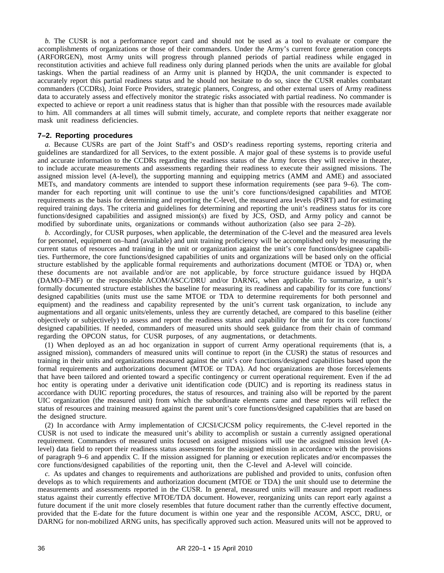*b.* The CUSR is not a performance report card and should not be used as a tool to evaluate or compare the accomplishments of organizations or those of their commanders. Under the Army's current force generation concepts (ARFORGEN), most Army units will progress through planned periods of partial readiness while engaged in reconstitution activities and achieve full readiness only during planned periods when the units are available for global taskings. When the partial readiness of an Army unit is planned by HQDA, the unit commander is expected to accurately report this partial readiness status and he should not hesitate to do so, since the CUSR enables combatant commanders (CCDRs), Joint Force Providers, strategic planners, Congress, and other external users of Army readiness data to accurately assess and effectively monitor the strategic risks associated with partial readiness. No commander is expected to achieve or report a unit readiness status that is higher than that possible with the resources made available to him. All commanders at all times will submit timely, accurate, and complete reports that neither exaggerate nor mask unit readiness deficiencies.

# **7–2. Reporting procedures**

*a.* Because CUSRs are part of the Joint Staff's and OSD's readiness reporting systems, reporting criteria and guidelines are standardized for all Services, to the extent possible. A major goal of these systems is to provide useful and accurate information to the CCDRs regarding the readiness status of the Army forces they will receive in theater, to include accurate measurements and assessments regarding their readiness to execute their assigned missions. The assigned mission level (A-level), the supporting manning and equipping metrics (AMM and AME) and associated METs, and mandatory comments are intended to support these information requirements (see para 9–6). The commander for each reporting unit will continue to use the unit's core functions/designed capabilities and MTOE requirements as the basis for determining and reporting the C-level, the measured area levels (PSRT) and for estimating required training days. The criteria and guidelines for determining and reporting the unit's readiness status for its core functions/designed capabilities and assigned mission(s) are fixed by JCS, OSD, and Army policy and cannot be modified by subordinate units, organizations or commands without authorization (also see para 2–2*b*).

*b.* Accordingly, for CUSR purposes, when applicable, the determination of the C-level and the measured area levels for personnel, equipment on–hand (available) and unit training proficiency will be accomplished only by measuring the current status of resources and training in the unit or organization against the unit's core functions/designee capabilities. Furthermore, the core functions/designed capabilities of units and organizations will be based only on the official structure established by the applicable formal requirements and authorizations document (MTOE or TDA) or, when these documents are not available and/or are not applicable, by force structure guidance issued by HQDA (DAMO–FMF) or the responsible ACOM/ASCC/DRU and/or DARNG, when applicable. To summarize, a unit's formally documented structure establishes the baseline for measuring its readiness and capability for its core functions/ designed capabilities (units must use the same MTOE or TDA to determine requirements for both personnel and equipment) and the readiness and capability represented by the unit's current task organization, to include any augmentations and all organic units/elements, unless they are currently detached, are compared to this baseline (either objectively or subjectively) to assess and report the readiness status and capability for the unit for its core functions/ designed capabilities. If needed, commanders of measured units should seek guidance from their chain of command regarding the OPCON status, for CUSR purposes, of any augmentations, or detachments.

(1) When deployed as an ad hoc organization in support of current Army operational requirements (that is, a assigned mission), commanders of measured units will continue to report (in the CUSR) the status of resources and training in their units and organizations measured against the unit's core functions/designed capabilities based upon the formal requirements and authorizations document (MTOE or TDA). Ad hoc organizations are those forces/elements that have been tailored and oriented toward a specific contingency or current operational requirement. Even if the ad hoc entity is operating under a derivative unit identification code (DUIC) and is reporting its readiness status in accordance with DUIC reporting procedures, the status of resources, and training also will be reported by the parent UIC organization (the measured unit) from which the subordinate elements came and these reports will reflect the status of resources and training measured against the parent unit's core functions/designed capabilities that are based on the designed structure.

(2) In accordance with Army implementation of CJCSI/CJCSM policy requirements, the C-level reported in the CUSR is not used to indicate the measured unit's ability to accomplish or sustain a currently assigned operational requirement. Commanders of measured units focused on assigned missions will use the assigned mission level (Alevel) data field to report their readiness status assessments for the assigned mission in accordance with the provisions of paragraph 9–6 and appendix C. If the mission assigned for planning or execution replicates and/or encompasses the core functions/designed capabilities of the reporting unit, then the C-level and A-level will coincide.

*c.* As updates and changes to requirements and authorizations are published and provided to units, confusion often develops as to which requirements and authorization document (MTOE or TDA) the unit should use to determine the measurements and assessments reported in the CUSR. In general, measured units will measure and report readiness status against their currently effective MTOE/TDA document. However, reorganizing units can report early against a future document if the unit more closely resembles that future document rather than the currently effective document, provided that the E-date for the future document is within one year and the responsible ACOM, ASCC, DRU, or DARNG for non-mobilized ARNG units, has specifically approved such action. Measured units will not be approved to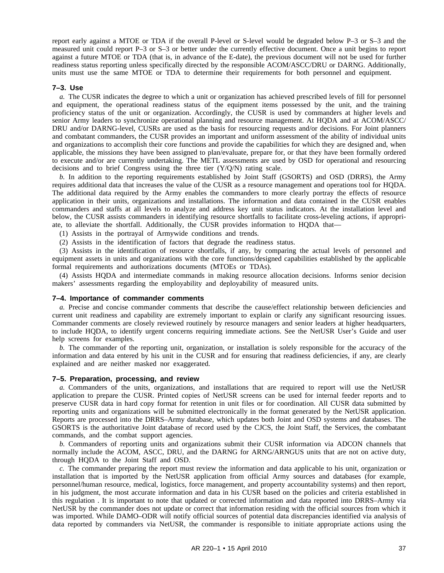report early against a MTOE or TDA if the overall P-level or S-level would be degraded below P–3 or S–3 and the measured unit could report P–3 or S–3 or better under the currently effective document. Once a unit begins to report against a future MTOE or TDA (that is, in advance of the E-date), the previous document will not be used for further readiness status reporting unless specifically directed by the responsible ACOM/ASCC/DRU or DARNG. Additionally, units must use the same MTOE or TDA to determine their requirements for both personnel and equipment.

#### **7–3. Use**

*a.* The CUSR indicates the degree to which a unit or organization has achieved prescribed levels of fill for personnel and equipment, the operational readiness status of the equipment items possessed by the unit, and the training proficiency status of the unit or organization. Accordingly, the CUSR is used by commanders at higher levels and senior Army leaders to synchronize operational planning and resource management. At HQDA and at ACOM/ASCC/ DRU and/or DARNG-level, CUSRs are used as the basis for resourcing requests and/or decisions. For Joint planners and combatant commanders, the CUSR provides an important and uniform assessment of the ability of individual units and organizations to accomplish their core functions and provide the capabilities for which they are designed and, when applicable, the missions they have been assigned to plan/evaluate, prepare for, or that they have been formally ordered to execute and/or are currently undertaking. The METL assessments are used by OSD for operational and resourcing decisions and to brief Congress using the three tier (Y/Q/N) rating scale.

*b.* In addition to the reporting requirements established by Joint Staff (GSORTS) and OSD (DRRS), the Army requires additional data that increases the value of the CUSR as a resource management and operations tool for HQDA. The additional data required by the Army enables the commanders to more clearly portray the effects of resource application in their units, organizations and installations. The information and data contained in the CUSR enables commanders and staffs at all levels to analyze and address key unit status indicators. At the installation level and below, the CUSR assists commanders in identifying resource shortfalls to facilitate cross-leveling actions, if appropriate, to alleviate the shortfall. Additionally, the CUSR provides information to HQDA that—

(1) Assists in the portrayal of Armywide conditions and trends.

(2) Assists in the identification of factors that degrade the readiness status.

(3) Assists in the identification of resource shortfalls, if any, by comparing the actual levels of personnel and equipment assets in units and organizations with the core functions/designed capabilities established by the applicable formal requirements and authorizations documents (MTOEs or TDAs).

(4) Assists HQDA and intermediate commands in making resource allocation decisions. Informs senior decision makers' assessments regarding the employability and deployability of measured units.

#### **7–4. Importance of commander comments**

*a.* Precise and concise commander comments that describe the cause/effect relationship between deficiencies and current unit readiness and capability are extremely important to explain or clarify any significant resourcing issues. Commander comments are closely reviewed routinely by resource managers and senior leaders at higher headquarters, to include HQDA, to identify urgent concerns requiring immediate actions. See the NetUSR User's Guide and user help screens for examples.

*b.* The commander of the reporting unit, organization, or installation is solely responsible for the accuracy of the information and data entered by his unit in the CUSR and for ensuring that readiness deficiencies, if any, are clearly explained and are neither masked nor exaggerated.

# **7–5. Preparation, processing, and review**

*a.* Commanders of the units, organizations, and installations that are required to report will use the NetUSR application to prepare the CUSR. Printed copies of NetUSR screens can be used for internal feeder reports and to preserve CUSR data in hard copy format for retention in unit files or for coordination. All CUSR data submitted by reporting units and organizations will be submitted electronically in the format generated by the NetUSR application. Reports are processed into the DRRS–Army database, which updates both Joint and OSD systems and databases. The GSORTS is the authoritative Joint database of record used by the CJCS, the Joint Staff, the Services, the combatant commands, and the combat support agencies.

*b.* Commanders of reporting units and organizations submit their CUSR information via ADCON channels that normally include the ACOM, ASCC, DRU, and the DARNG for ARNG/ARNGUS units that are not on active duty, through HQDA to the Joint Staff and OSD.

*c.* The commander preparing the report must review the information and data applicable to his unit, organization or installation that is imported by the NetUSR application from official Army sources and databases (for example, personnel/human resource, medical, logistics, force management, and property accountability systems) and then report, in his judgment, the most accurate information and data in his CUSR based on the policies and criteria established in this regulation . It is important to note that updated or corrected information and data reported into DRRS–Army via NetUSR by the commander does not update or correct that information residing with the official sources from which it was imported. While DAMO–ODR will notify official sources of potential data discrepancies identified via analysis of data reported by commanders via NetUSR, the commander is responsible to initiate appropriate actions using the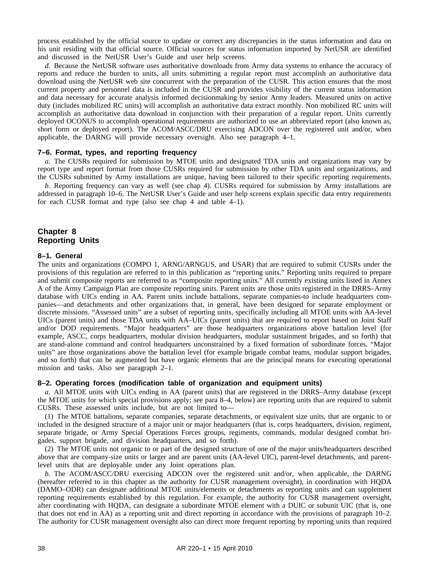process established by the official source to update or correct any discrepancies in the status information and data on his unit residing with that official source. Official sources for status information imported by NetUSR are identified and discussed in the NetUSR User's Guide and user help screens.

*d.* Because the NetUSR software uses authoritative downloads from Army data systems to enhance the accuracy of reports and reduce the burden to units, all units submitting a regular report must accomplish an authoritative data download using the NetUSR web site concurrent with the preparation of the CUSR. This action ensures that the most current property and personnel data is included in the CUSR and provides visibility of the current status information and data necessary for accurate analysis informed decisionmaking by senior Army leaders. Measured units on active duty (includes mobilized RC units) will accomplish an authoritative data extract monthly. Non mobilized RC units will accomplish an authoritative data download in conjunction with their preparation of a regular report. Units currently deployed OCONUS to accomplish operational requirements are authorized to use an abbreviated report (also known as, short form or deployed report). The ACOM/ASCC/DRU exercising ADCON over the registered unit and/or, when applicable, the DARNG will provide necessary oversight. Also see paragraph 4–1.

#### **7–6. Format, types, and reporting frequency**

*a.* The CUSRs required for submission by MTOE units and designated TDA units and organizations may vary by report type and report format from those CUSRs required for submission by other TDA units and organizations, and the CUSRs submitted by Army installations are unique, having been tailored to their specific reporting requirements.

*b.* Reporting frequency can vary as well (see chap 4). CUSRs required for submission by Army installations are addressed in paragraph 10–6. The NetUSR User's Guide and user help screens explain specific data entry requirements for each CUSR format and type (also see chap 4 and table 4–1).

# **Chapter 8 Reporting Units**

#### **8–1. General**

The units and organizations (COMPO 1, ARNG/ARNGUS, and USAR) that are required to submit CUSRs under the provisions of this regulation are referred to in this publication as "reporting units." Reporting units required to prepare and submit composite reports are referred to as "composite reporting units." All currently existing units listed in Annex A of the Army Campaign Plan are composite reporting units. Parent units are those units registered in the DRRS–Army database with UICs ending in AA. Parent units include battalions, separate companies-to include headquarters companies—and detachments and other organizations that, in general, have been designed for separate employment or discrete missions. "Assessed units" are a subset of reporting units, specifically including all MTOE units with AA-level UICs (parent units) and those TDA units with AA–UICs (parent units) that are required to report based on Joint Staff and/or DOD requirements. "Major headquarters" are those headquarters organizations above battalion level (for example, ASCC, corps headquarters, modular division headquarters, modular sustainment brigades, and so forth) that are stand-alone command and control headquarters unconstrained by a fixed formation of subordinate forces. "Major units" are those organizations above the battalion level (for example brigade combat teams, modular support brigades, and so forth) that can be augmented but have organic elements that are the principal means for executing operational mission and tasks. Also see paragraph 2–1.

# **8–2. Operating forces (modification table of organization and equipment units)**

*a.* All MTOE units with UICs ending in AA (parent units) that are registered in the DRRS–Army database (except the MTOE units for which special provisions apply; see para 8–4, below) are reporting units that are required to submit CUSRs. These assessed units include, but are not limited to—

(1) The MTOE battalions, separate companies, separate detachments, or equivalent size units, that are organic to or included in the designed structure of a major unit or major headquarters (that is, corps headquarters, division, regiment, separate brigade, or Army Special Operations Forces groups, regiments, commands, modular designed combat brigades, support brigade, and division headquarters, and so forth).

(2) The MTOE units not organic to or part of the designed structure of one of the major units/headquarters described above that are company-size units or larger and are parent units (AA-level UIC), parent-level detachments, and parentlevel units that are deployable under any Joint operations plan.

*b.* The ACOM/ASCC/DRU exercising ADCON over the registered unit and/or, when applicable, the DARNG (hereafter referred to in this chapter as the authority for CUSR management oversight), in coordination with HQDA (DAMO–ODR) can designate additional MTOE units/elements or detachments as reporting units and can supplement reporting requirements established by this regulation. For example, the authority for CUSR management oversight, after coordinating with HQDA, can designate a subordinate MTOE element with a DUIC or subunit UIC (that is, one that does not end in AA) as a reporting unit and direct reporting in accordance with the provisions of paragraph 10–2. The authority for CUSR management oversight also can direct more frequent reporting by reporting units than required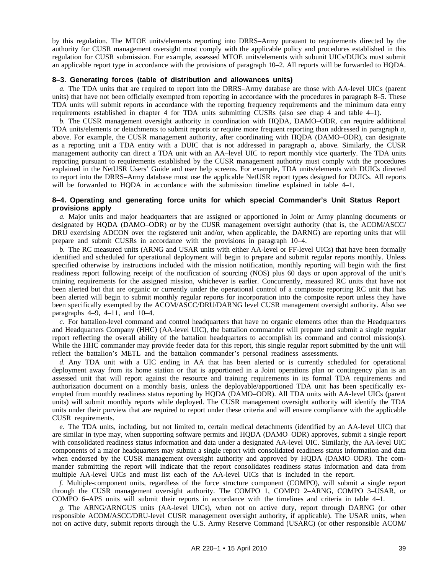by this regulation. The MTOE units/elements reporting into DRRS–Army pursuant to requirements directed by the authority for CUSR management oversight must comply with the applicable policy and procedures established in this regulation for CUSR submission. For example, assessed MTOE units/elements with subunit UICs/DUICs must submit an applicable report type in accordance with the provisions of paragraph 10–2. All reports will be forwarded to HQDA.

### **8–3. Generating forces (table of distribution and allowances units)**

*a.* The TDA units that are required to report into the DRRS–Army database are those with AA-level UICs (parent units) that have not been officially exempted from reporting in accordance with the procedures in paragraph 8–5. These TDA units will submit reports in accordance with the reporting frequency requirements and the minimum data entry requirements established in chapter 4 for TDA units submitting CUSRs (also see chap 4 and table 4–1).

*b.* The CUSR management oversight authority in coordination with HQDA, DAMO–ODR, can require additional TDA units/elements or detachments to submit reports or require more frequent reporting than addressed in paragraph *a*, above. For example, the CUSR management authority, after coordinating with HQDA (DAMO–ODR), can designate as a reporting unit a TDA entity with a DUIC that is not addressed in paragraph *a*, above. Similarly, the CUSR management authority can direct a TDA unit with an AA–level UIC to report monthly vice quarterly. The TDA units reporting pursuant to requirements established by the CUSR management authority must comply with the procedures explained in the NetUSR Users' Guide and user help screens. For example, TDA units/elements with DUICs directed to report into the DRRS–Army database must use the applicable NetUSR report types designed for DUICs. All reports will be forwarded to HODA in accordance with the submission timeline explained in table 4–1.

#### **8–4. Operating and generating force units for which special Commander's Unit Status Report provisions apply**

*a.* Major units and major headquarters that are assigned or apportioned in Joint or Army planning documents or designated by HQDA (DAMO–ODR) or by the CUSR management oversight authority (that is, the ACOM/ASCC/ DRU exercising ADCON over the registered unit and/or, when applicable, the DARNG) are reporting units that will prepare and submit CUSRs in accordance with the provisions in paragraph 10–4.

*b.* The RC measured units (ARNG and USAR units with either AA-level or FF-level UICs) that have been formally identified and scheduled for operational deployment will begin to prepare and submit regular reports monthly. Unless specified otherwise by instructions included with the mission notification, monthly reporting will begin with the first readiness report following receipt of the notification of sourcing (NOS) plus 60 days or upon approval of the unit's training requirements for the assigned mission, whichever is earlier. Concurrently, measured RC units that have not been alerted but that are organic or currently under the operational control of a composite reporting RC unit that has been alerted will begin to submit monthly regular reports for incorporation into the composite report unless they have been specifically exempted by the ACOM/ASCC/DRU/DARNG level CUSR management oversight authority. Also see paragraphs  $4-9$ ,  $4-11$ , and  $10-4$ .

*c.* For battalion-level command and control headquarters that have no organic elements other than the Headquarters and Headquarters Company (HHC) (AA-level UIC), the battalion commander will prepare and submit a single regular report reflecting the overall ability of the battalion headquarters to accomplish its command and control mission(s). While the HHC commander may provide feeder data for this report, this single regular report submitted by the unit will reflect the battalion's METL and the battalion commander's personal readiness assessments.

*d.* Any TDA unit with a UIC ending in AA that has been alerted or is currently scheduled for operational deployment away from its home station or that is apportioned in a Joint operations plan or contingency plan is an assessed unit that will report against the resource and training requirements in its formal TDA requirements and authorization document on a monthly basis, unless the deployable/apportioned TDA unit has been specifically exempted from monthly readiness status reporting by HQDA (DAMO–ODR). All TDA units with AA-level UICs (parent units) will submit monthly reports while deployed. The CUSR management oversight authority will identify the TDA units under their purview that are required to report under these criteria and will ensure compliance with the applicable CUSR requirements.

*e.* The TDA units, including, but not limited to, certain medical detachments (identified by an AA-level UIC) that are similar in type may, when supporting software permits and HQDA (DAMO–ODR) approves, submit a single report with consolidated readiness status information and data under a designated AA-level UIC. Similarly, the AA-level UIC components of a major headquarters may submit a single report with consolidated readiness status information and data when endorsed by the CUSR management oversight authority and approved by HQDA (DAMO–ODR). The commander submitting the report will indicate that the report consolidates readiness status information and data from multiple AA-level UICs and must list each of the AA-level UICs that is included in the report.

*f.* Multiple-component units, regardless of the force structure component (COMPO), will submit a single report through the CUSR management oversight authority. The COMPO 1, COMPO 2–ARNG, COMPO 3–USAR, or COMPO 6–APS units will submit their reports in accordance with the timelines and criteria in table 4–1.

*g.* The ARNG/ARNGUS units (AA-level UICs), when not on active duty, report through DARNG (or other responsible ACOM/ASCC/DRU-level CUSR management oversight authority, if applicable). The USAR units, when not on active duty, submit reports through the U.S. Army Reserve Command (USARC) (or other responsible ACOM/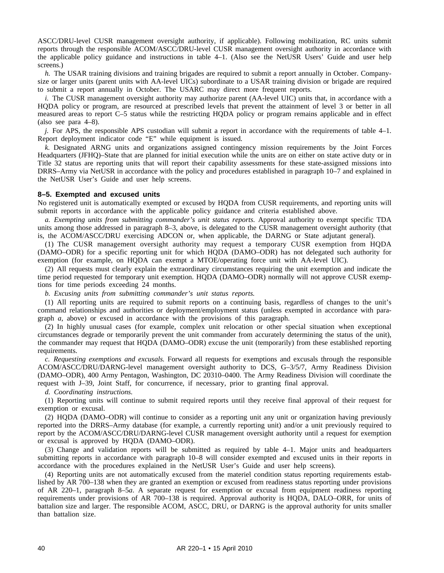ASCC/DRU-level CUSR management oversight authority, if applicable). Following mobilization, RC units submit reports through the responsible ACOM/ASCC/DRU-level CUSR management oversight authority in accordance with the applicable policy guidance and instructions in table 4–1. (Also see the NetUSR Users' Guide and user help screens.)

*h.* The USAR training divisions and training brigades are required to submit a report annually in October. Companysize or larger units (parent units with AA-level UICs) subordinate to a USAR training division or brigade are required to submit a report annually in October. The USARC may direct more frequent reports.

*i.* The CUSR management oversight authority may authorize parent (AA-level UIC) units that, in accordance with a HQDA policy or program, are resourced at prescribed levels that prevent the attainment of level 3 or better in all measured areas to report C–5 status while the restricting HQDA policy or program remains applicable and in effect (also see para 4–8).

*j.* For APS, the responsible APS custodian will submit a report in accordance with the requirements of table 4–1. Report deployment indicator code "E" while equipment is issued.

*k.* Designated ARNG units and organizations assigned contingency mission requirements by the Joint Forces Headquarters (JFHQ)–State that are planned for initial execution while the units are on either on state active duty or in Title 32 status are reporting units that will report their capability assessments for these state-assigned missions into DRRS–Army via NetUSR in accordance with the policy and procedures established in paragraph 10–7 and explained in the NetUSR User's Guide and user help screens.

# **8–5. Exempted and excused units**

No registered unit is automatically exempted or excused by HQDA from CUSR requirements, and reporting units will submit reports in accordance with the applicable policy guidance and criteria established above.

*a. Exempting units from submitting commander's unit status reports.* Approval authority to exempt specific TDA units among those addressed in paragraph 8–3, above, is delegated to the CUSR management oversight authority (that is, the ACOM/ASCC/DRU exercising ADCON or, when applicable, the DARNG or State adjutant general).

(1) The CUSR management oversight authority may request a temporary CUSR exemption from HODA (DAMO–ODR) for a specific reporting unit for which HQDA (DAMO–ODR) has not delegated such authority for exemption (for example, on HQDA can exempt a MTOE/operating force unit with AA-level UIC).

(2) All requests must clearly explain the extraordinary circumstances requiring the unit exemption and indicate the time period requested for temporary unit exemption. HQDA (DAMO–ODR) normally will not approve CUSR exemptions for time periods exceeding 24 months.

*b. Excusing units from submitting commander's unit status reports.*

(1) All reporting units are required to submit reports on a continuing basis, regardless of changes to the unit's command relationships and authorities or deployment/employment status (unless exempted in accordance with paragraph *a*, above) or excused in accordance with the provisions of this paragraph.

(2) In highly unusual cases (for example, complex unit relocation or other special situation when exceptional circumstances degrade or temporarily prevent the unit commander from accurately determining the status of the unit), the commander may request that HQDA (DAMO–ODR) excuse the unit (temporarily) from these established reporting requirements.

*c. Requesting exemptions and excusals.* Forward all requests for exemptions and excusals through the responsible ACOM/ASCC/DRU/DARNG-level management oversight authority to DCS, G-3/5/7, Army Readiness Division (DAMO–ODR), 400 Army Pentagon, Washington, DC 20310–0400. The Army Readiness Division will coordinate the request with J–39, Joint Staff, for concurrence, if necessary, prior to granting final approval.

*d. Coordinating instructions.*

(1) Reporting units will continue to submit required reports until they receive final approval of their request for exemption or excusal.

(2) HQDA (DAMO–ODR) will continue to consider as a reporting unit any unit or organization having previously reported into the DRRS–Army database (for example, a currently reporting unit) and/or a unit previously required to report by the ACOM/ASCC/DRU/DARNG-level CUSR management oversight authority until a request for exemption or excusal is approved by HQDA (DAMO–ODR).

(3) Change and validation reports will be submitted as required by table 4–1. Major units and headquarters submitting reports in accordance with paragraph 10–8 will consider exempted and excused units in their reports in accordance with the procedures explained in the NetUSR User's Guide and user help screens).

(4) Reporting units are not automatically excused from the materiel condition status reporting requirements established by AR 700–138 when they are granted an exemption or excused from readiness status reporting under provisions of AR 220–1, paragraph 8–5*a*. A separate request for exemption or excusal from equipment readiness reporting requirements under provisions of AR 700–138 is required. Approval authority is HQDA, DALO–ORR, for units of battalion size and larger. The responsible ACOM, ASCC, DRU, or DARNG is the approval authority for units smaller than battalion size.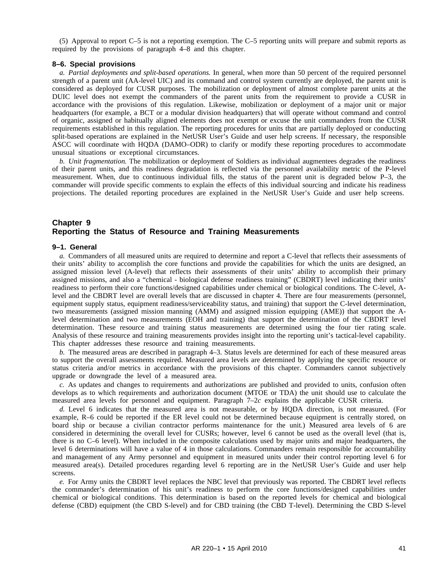(5) Approval to report C–5 is not a reporting exemption. The C–5 reporting units will prepare and submit reports as required by the provisions of paragraph 4–8 and this chapter.

#### **8–6. Special provisions**

*a. Partial deployments and split-based operations.* In general, when more than 50 percent of the required personnel strength of a parent unit (AA-level UIC) and its command and control system currently are deployed, the parent unit is considered as deployed for CUSR purposes. The mobilization or deployment of almost complete parent units at the DUIC level does not exempt the commanders of the parent units from the requirement to provide a CUSR in accordance with the provisions of this regulation. Likewise, mobilization or deployment of a major unit or major headquarters (for example, a BCT or a modular division headquarters) that will operate without command and control of organic, assigned or habitually aligned elements does not exempt or excuse the unit commanders from the CUSR requirements established in this regulation. The reporting procedures for units that are partially deployed or conducting split-based operations are explained in the NetUSR User's Guide and user help screens. If necessary, the responsible ASCC will coordinate with HQDA (DAMO–ODR) to clarify or modify these reporting procedures to accommodate unusual situations or exceptional circumstances.

*b. Unit fragmentation.* The mobilization or deployment of Soldiers as individual augmentees degrades the readiness of their parent units, and this readiness degradation is reflected via the personnel availability metric of the P-level measurement. When, due to continuous individual fills, the status of the parent unit is degraded below P–3, the commander will provide specific comments to explain the effects of this individual sourcing and indicate his readiness projections. The detailed reporting procedures are explained in the NetUSR User's Guide and user help screens.

# **Chapter 9 Reporting the Status of Resource and Training Measurements**

#### **9–1. General**

*a.* Commanders of all measured units are required to determine and report a C-level that reflects their assessments of their units' ability to accomplish the core functions and provide the capabilities for which the units are designed, an assigned mission level (A-level) that reflects their assessments of their units' ability to accomplish their primary assigned missions, and also a "chemical - biological defense readiness training" (CBDRT) level indicating their units' readiness to perform their core functions/designed capabilities under chemical or biological conditions. The C-level, Alevel and the CBDRT level are overall levels that are discussed in chapter 4. There are four measurements (personnel, equipment supply status, equipment readiness/serviceability status, and training) that support the C-level determination, two measurements (assigned mission manning (AMM) and assigned mission equipping (AME)) that support the Alevel determination and two measurements (EOH and training) that support the determination of the CBDRT level determination. These resource and training status measurements are determined using the four tier rating scale. Analysis of these resource and training measurements provides insight into the reporting unit's tactical-level capability. This chapter addresses these resource and training measurements.

*b.* The measured areas are described in paragraph 4–3. Status levels are determined for each of these measured areas to support the overall assessments required. Measured area levels are determined by applying the specific resource or status criteria and/or metrics in accordance with the provisions of this chapter. Commanders cannot subjectively upgrade or downgrade the level of a measured area.

*c.* As updates and changes to requirements and authorizations are published and provided to units, confusion often develops as to which requirements and authorization document (MTOE or TDA) the unit should use to calculate the measured area levels for personnel and equipment. Paragraph 7–2*c* explains the applicable CUSR criteria.

*d.* Level 6 indicates that the measured area is not measurable, or by HQDA direction, is not measured. (For example, R–6 could be reported if the ER level could not be determined because equipment is centrally stored, on board ship or because a civilian contractor performs maintenance for the unit.) Measured area levels of 6 are considered in determining the overall level for CUSRs; however, level 6 cannot be used as the overall level (that is, there is no C–6 level). When included in the composite calculations used by major units and major headquarters, the level 6 determinations will have a value of 4 in those calculations. Commanders remain responsible for accountability and management of any Army personnel and equipment in measured units under their control reporting level 6 for measured area(s). Detailed procedures regarding level 6 reporting are in the NetUSR User's Guide and user help screens.

*e.* For Army units the CBDRT level replaces the NBC level that previously was reported. The CBDRT level reflects the commander's determination of his unit's readiness to perform the core functions/designed capabilities under chemical or biological conditions. This determination is based on the reported levels for chemical and biological defense (CBD) equipment (the CBD S-level) and for CBD training (the CBD T-level). Determining the CBD S-level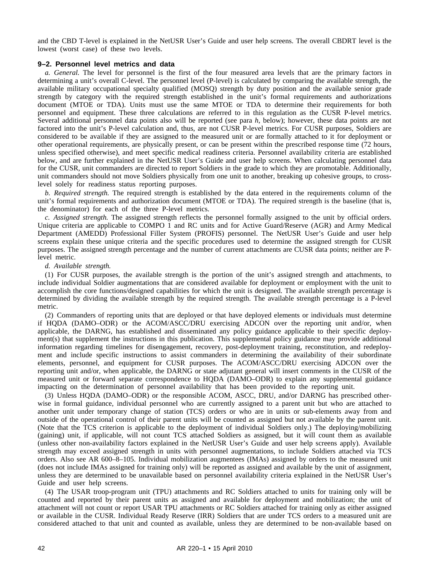and the CBD T-level is explained in the NetUSR User's Guide and user help screens. The overall CBDRT level is the lowest (worst case) of these two levels.

# **9–2. Personnel level metrics and data**

*a. General.* The level for personnel is the first of the four measured area levels that are the primary factors in determining a unit's overall C-level. The personnel level (P-level) is calculated by comparing the available strength, the available military occupational specialty qualified (MOSQ) strength by duty position and the available senior grade strength by category with the required strength established in the unit's formal requirements and authorizations document (MTOE or TDA). Units must use the same MTOE or TDA to determine their requirements for both personnel and equipment. These three calculations are referred to in this regulation as the CUSR P-level metrics. Several additional personnel data points also will be reported (see para *h*, below); however, these data points are not factored into the unit's P-level calculation and, thus, are not CUSR P-level metrics. For CUSR purposes, Soldiers are considered to be available if they are assigned to the measured unit or are formally attached to it for deployment or other operational requirements, are physically present, or can be present within the prescribed response time (72 hours, unless specified otherwise), and meet specific medical readiness criteria. Personnel availability criteria are established below, and are further explained in the NetUSR User's Guide and user help screens. When calculating personnel data for the CUSR, unit commanders are directed to report Soldiers in the grade to which they are promotable. Additionally, unit commanders should not move Soldiers physically from one unit to another, breaking up cohesive groups, to crosslevel solely for readiness status reporting purposes.

*b. Required strength.* The required strength is established by the data entered in the requirements column of the unit's formal requirements and authorization document (MTOE or TDA). The required strength is the baseline (that is, the denominator) for each of the three P-level metrics.

*c. Assigned strength.* The assigned strength reflects the personnel formally assigned to the unit by official orders. Unique criteria are applicable to COMPO 1 and RC units and for Active Guard/Reserve (AGR) and Army Medical Department (AMEDD) Professional Filler System (PROFIS) personnel. The NetUSR User's Guide and user help screens explain these unique criteria and the specific procedures used to determine the assigned strength for CUSR purposes. The assigned strength percentage and the number of current attachments are CUSR data points; neither are Plevel metric.

#### *d. Available strength.*

(1) For CUSR purposes, the available strength is the portion of the unit's assigned strength and attachments, to include individual Soldier augmentations that are considered available for deployment or employment with the unit to accomplish the core functions/designed capabilities for which the unit is designed. The available strength percentage is determined by dividing the available strength by the required strength. The available strength percentage is a P-level metric.

(2) Commanders of reporting units that are deployed or that have deployed elements or individuals must determine if HQDA (DAMO–ODR) or the ACOM/ASCC/DRU exercising ADCON over the reporting unit and/or, when applicable, the DARNG, has established and disseminated any policy guidance applicable to their specific deployment(s) that supplement the instructions in this publication. This supplemental policy guidance may provide additional information regarding timelines for disengagement, recovery, post-deployment training, reconstitution, and redeployment and include specific instructions to assist commanders in determining the availability of their subordinate elements, personnel, and equipment for CUSR purposes. The ACOM/ASCC/DRU exercising ADCON over the reporting unit and/or, when applicable, the DARNG or state adjutant general will insert comments in the CUSR of the measured unit or forward separate correspondence to HQDA (DAMO–ODR) to explain any supplemental guidance impacting on the determination of personnel availability that has been provided to the reporting unit.

(3) Unless HQDA (DAMO–ODR) or the responsible ACOM, ASCC, DRU, and/or DARNG has prescribed otherwise in formal guidance, individual personnel who are currently assigned to a parent unit but who are attached to another unit under temporary change of station (TCS) orders or who are in units or sub-elements away from and outside of the operational control of their parent units will be counted as assigned but not available by the parent unit. (Note that the TCS criterion is applicable to the deployment of individual Soldiers only.) The deploying/mobilizing (gaining) unit, if applicable, will not count TCS attached Soldiers as assigned, but it will count them as available (unless other non-availability factors explained in the NetUSR User's Guide and user help screens apply). Available strength may exceed assigned strength in units with personnel augmentations, to include Soldiers attached via TCS orders. Also see AR 600–8–105. Individual mobilization augmentees (IMAs) assigned by orders to the measured unit (does not include IMAs assigned for training only) will be reported as assigned and available by the unit of assignment, unless they are determined to be unavailable based on personnel availability criteria explained in the NetUSR User's Guide and user help screens.

(4) The USAR troop-program unit (TPU) attachments and RC Soldiers attached to units for training only will be counted and reported by their parent units as assigned and available for deployment and mobilization; the unit of attachment will not count or report USAR TPU attachments or RC Soldiers attached for training only as either assigned or available in the CUSR. Individual Ready Reserve (IRR) Soldiers that are under TCS orders to a measured unit are considered attached to that unit and counted as available, unless they are determined to be non-available based on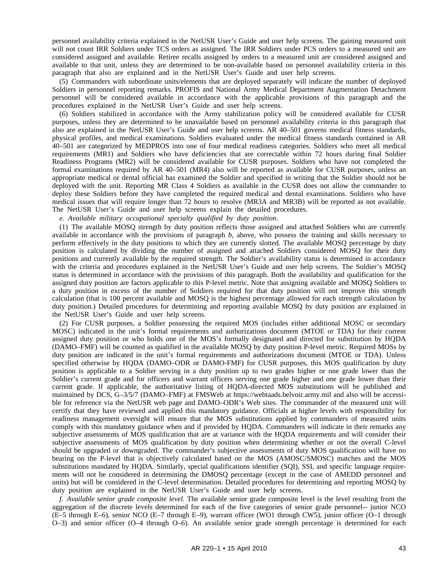personnel availability criteria explained in the NetUSR User's Guide and user help screens. The gaining measured unit will not count IRR Soldiers under TCS orders as assigned. The IRR Soldiers under PCS orders to a measured unit are considered assigned and available. Retiree recalls assigned by orders to a measured unit are considered assigned and available to that unit, unless they are determined to be non-available based on personnel availability criteria in this paragraph that also are explained and in the NetUSR User's Guide and user help screens.

(5) Commanders with subordinate units/elements that are deployed separately will indicate the number of deployed Soldiers in personnel reporting remarks. PROFIS and National Army Medical Department Augmentation Detachment personnel will be considered available in accordance with the applicable provisions of this paragraph and the procedures explained in the NetUSR User's Guide and user help screens.

(6) Soldiers stabilized in accordance with the Army stabilization policy will be considered available for CUSR purposes, unless they are determined to be unavailable based on personnel availability criteria in this paragraph that also are explained in the NetUSR User's Guide and user help screens. AR 40–501 governs medical fitness standards, physical profiles, and medical examinations. Soldiers evaluated under the medical fitness standards contained in AR 40–501 are categorized by MEDPROS into one of four medical readiness categories. Soldiers who meet all medical requirements (MR1) and Soldiers who have deficiencies that are correctable within 72 hours during final Soldier Readiness Programs (MR2) will be considered available for CUSR purposes. Soldiers who have not completed the formal examinations required by AR 40–501 (MR4) also will be reported as available for CUSR purposes, unless an appropriate medical or dental official has examined the Soldier and specified in writing that the Soldier should not be deployed with the unit. Reporting MR Class 4 Soldiers as available in the CUSR does not allow the commander to deploy these Soldiers before they have completed the required medical and dental examinations. Soldiers who have medical issues that will require longer than 72 hours to resolve (MR3A and MR3B) will be reported as not available. The NetUSR User's Guide and user help screens explain the detailed procedures.

*e. Available military occupational specialty qualified by duty position.*

(1) The available MOSQ strength by duty position reflects those assigned and attached Soldiers who are currently available in accordance with the provisions of paragraph *b*, above, who possess the training and skills necessary to perform effectively in the duty positions to which they are currently slotted. The available MOSQ percentage by duty position is calculated by dividing the number of assigned and attached Soldiers considered MOSQ for their duty positions and currently available by the required strength. The Soldier's availability status is determined in accordance with the criteria and procedures explained in the NetUSR User's Guide and user help screens. The Soldier's MOSQ status is determined in accordance with the provisions of this paragraph. Both the availability and qualification for the assigned duty position are factors applicable to this P-level metric. Note that assigning available and MOSQ Soldiers to a duty position in excess of the number of Soldiers required for that duty position will not improve this strength calculation (that is 100 percent available and MOSQ is the highest percentage allowed for each strength calculation by duty position.) Detailed procedures for determining and reporting available MOSQ by duty position are explained in the NetUSR User's Guide and user help screens.

(2) For CUSR purposes, a Soldier possessing the required MOS (includes either additional MOSC or secondary MOSC) indicated in the unit's formal requirements and authorizations document (MTOE or TDA) for their current assigned duty position or who holds one of the MOS's formally designated and directed for substitution by HQDA (DAMO–FMF) will be counted as qualified in the available MOSQ by duty position P-level metric. Required MOSs by duty position are indicated in the unit's formal requirements and authorizations document (MTOE or TDA). Unless specified otherwise by HQDA (DAMO–ODR or DAMO-FMF) for CUSR purposes, this MOS qualification by duty position is applicable to a Soldier serving in a duty position up to two grades higher or one grade lower than the Soldier's current grade and for officers and warrant officers serving one grade higher and one grade lower than their current grade. If applicable, the authoritative listing of HQDA-directed MOS substitutions will be published and maintained by DCS, G–3/5/7 (DAMO–FMF) at FMSWeb at https://webtaads.belvoir.army.mil and also will be accessible for reference via the NetUSR web page and DAMO–ODR's Web sites. The commander of the measured unit will certify that they have reviewed and applied this mandatory guidance. Officials at higher levels with responsibility for readiness management oversight will ensure that the MOS substitutions applied by commanders of measured units comply with this mandatory guidance when and if provided by HQDA. Commanders will indicate in their remarks any subjective assessments of MOS qualification that are at variance with the HQDA requirements and will consider their subjective assessments of MOS qualification by duty position when determining whether or not the overall C-level should be upgraded or downgraded. The commander's subjective assessments of duty MOS qualification will have no bearing on the P-level that is objectively calculated based on the MOS (AMOSC/SMOSC) matches and the MOS substitutions mandated by HQDA. Similarly, special qualifications identifier (SQI), SSI, and specific language requirements will not be considered in determining the DMOSQ percentage (except in the case of AMEDD personnel and units) but will be considered in the C-level determination. Detailed procedures for determining and reporting MOSQ by duty position are explained in the NetUSR User's Guide and user help screens.

*f. Available senior grade composite level.* The available senior grade composite level is the level resulting from the aggregation of the discrete levels determined for each of the five categories of senior grade personnel-- junior NCO (E–5 through E–6), senior NCO (E–7 through E–9), warrant officer (WO1 through CW5), junior officer (O–1 through O–3) and senior officer (O–4 through O–6). An available senior grade strength percentage is determined for each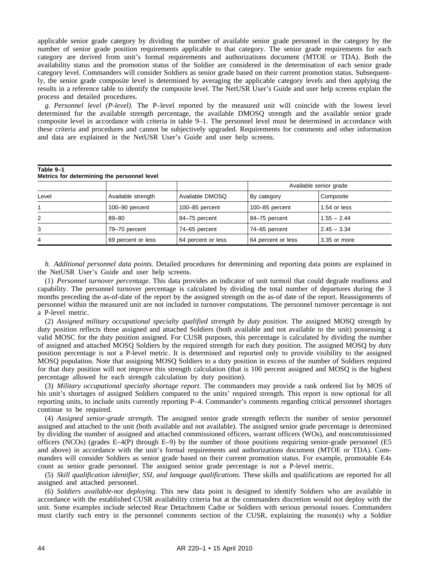applicable senior grade category by dividing the number of available senior grade personnel in the category by the number of senior grade position requirements applicable to that category. The senior grade requirements for each category are derived from unit's formal requirements and authorizations document (MTOE or TDA). Both the availability status and the promotion status of the Soldier are considered in the determination of each senior grade category level. Commanders will consider Soldiers as senior grade based on their current promotion status. Subsequently, the senior grade composite level is determined by averaging the applicable category levels and then applying the results in a reference table to identify the composite level. The NetUSR User's Guide and user help screens explain the process and detailed procedures.

*g. Personnel level (P-level).* The P–level reported by the measured unit will coincide with the lowest level determined for the available strength percentage, the available DMOSQ strength and the available senior grade composite level in accordance with criteria in table 9–1. The personnel level must be determined in accordance with these criteria and procedures and cannot be subjectively upgraded. Requirements for comments and other information and data are explained in the NetUSR User's Guide and user help screens.

| Table 9-1<br>Metrics for determining the personnel level |                    |                    |                        |               |  |
|----------------------------------------------------------|--------------------|--------------------|------------------------|---------------|--|
|                                                          |                    |                    | Available senior grade |               |  |
| Level                                                    | Available strength | Available DMOSQ    | By category            | Composite     |  |
|                                                          | 100-90 percent     | 100-85 percent     | 100-85 percent         | 1.54 or less  |  |
| 2                                                        | 89-80              | 84-75 percent      | 84-75 percent          | $1.55 - 2.44$ |  |
| 3                                                        | 79-70 percent      | 74-65 percent      | 74–65 percent          | $2.45 - 3.34$ |  |
| 4                                                        | 69 percent or less | 64 percent or less | 64 percent or less     | 3.35 or more  |  |

*h. Additional personnel data points.* Detailed procedures for determining and reporting data points are explained in the NetUSR User's Guide and user help screens.

(1) *Personnel turnover percentage.* This data provides an indicator of unit turmoil that could degrade readiness and capability. The personnel turnover percentage is calculated by dividing the total number of departures during the 3 months preceding the as-of-date of the report by the assigned strength on the as-of date of the report. Reassignments of personnel within the measured unit are not included in turnover computations. The personnel turnover percentage is not a P-level metric.

(2) *Assigned military occupational specialty qualified strength by duty position.* The assigned MOSQ strength by duty position reflects those assigned and attached Soldiers (both available and not available to the unit) possessing a valid MOSC for the duty position assigned. For CUSR purposes, this percentage is calculated by dividing the number of assigned and attached MOSQ Soldiers by the required strength for each duty position. The assigned MOSQ by duty position percentage is not a P-level metric. It is determined and reported only to provide visibility to the assigned MOSQ population. Note that assigning MOSQ Soldiers to a duty position in excess of the number of Soldiers required for that duty position will not improve this strength calculation (that is 100 percent assigned and MOSQ is the highest percentage allowed for each strength calculation by duty position).

(3) *Military occupational specialty shortage report.* The commanders may provide a rank ordered list by MOS of his unit's shortages of assigned Soldiers compared to the units' required strength. This report is now optional for all reporting units, to include units currently reporting P–4. Commander's comments regarding critical personnel shortages continue to be required.

(4) *Assigned senior-grade strength.* The assigned senior grade strength reflects the number of senior personnel assigned and attached to the unit (both available and not available). The assigned senior grade percentage is determined by dividing the number of assigned and attached commissioned officers, warrant officers (WOs), and noncommissioned officers (NCOs) (grades  $E-4(P)$  through  $E-9$ ) by the number of those positions requiring senior-grade personnel (E5 and above) in accordance with the unit's formal requirements and authorizations document (MTOE or TDA). Commanders will consider Soldiers as senior grade based on their current promotion status. For example, promotable E4s count as senior grade personnel. The assigned senior grade percentage is not a P-level metric.

(5) *Skill qualification identifier, SSI, and language qualifications.* These skills and qualifications are reported for all assigned and attached personnel.

(6) *Soldiers available-not deploying.* This new data point is designed to identify Soldiers who are available in accordance with the established CUSR availability criteria but at the commanders discretion would not deploy with the unit. Some examples include selected Rear Detachment Cadre or Soldiers with serious personal issues. Commanders must clarify each entry in the personnel comments section of the CUSR, explaining the reason(s) why a Soldier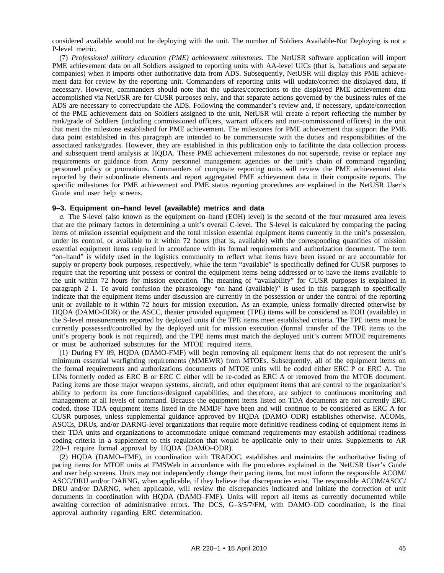considered available would not be deploying with the unit. The number of Soldiers Available-Not Deploying is not a P-level metric.

(7) *Professional military education (PME) achievement milestones.* The NetUSR software application will import PME achievement data on all Soldiers assigned to reporting units with AA-level UICs (that is, battalions and separate companies) when it imports other authoritative data from ADS. Subsequently, NetUSR will display this PME achievement data for review by the reporting unit. Commanders of reporting units will update/correct the displayed data, if necessary. However, commanders should note that the updates/corrections to the displayed PME achievement data accomplished via NetUSR are for CUSR purposes only, and that separate actions governed by the business rules of the ADS are necessary to correct/update the ADS. Following the commander's review and, if necessary, update/correction of the PME achievement data on Soldiers assigned to the unit, NetUSR will create a report reflecting the number by rank/grade of Soldiers (including commissioned officers, warrant officers and non-commissioned officers) in the unit that meet the milestone established for PME achievement. The milestones for PME achievement that support the PME data point established in this paragraph are intended to be commensurate with the duties and responsibilities of the associated ranks/grades. However, they are established in this publication only to facilitate the data collection process and subsequent trend analysis at HQDA. These PME achievement milestones do not supersede, revise or replace any requirements or guidance from Army personnel management agencies or the unit's chain of command regarding personnel policy or promotions. Commanders of composite reporting units will review the PME achievement data reported by their subordinate elements and report aggregated PME achievement data in their composite reports. The specific milestones for PME achievement and PME status reporting procedures are explained in the NetUSR User's Guide and user help screens.

#### **9–3. Equipment on–hand level (available) metrics and data**

*a.* The S-level (also known as the equipment on–hand (EOH) level) is the second of the four measured area levels that are the primary factors in determining a unit's overall C-level. The S-level is calculated by comparing the pacing items of mission essential equipment and the total mission essential equipment items currently in the unit's possession, under its control, or available to it within 72 hours (that is, available) with the corresponding quantities of mission essential equipment items required in accordance with its formal requirements and authorization document. The term "on–hand" is widely used in the logistics community to reflect what items have been issued or are accountable for supply or property book purposes, respectively, while the term "available" is specifically defined for CUSR purposes to require that the reporting unit possess or control the equipment items being addressed or to have the items available to the unit within 72 hours for mission execution. The meaning of "availability" for CUSR purposes is explained in paragraph 2–1. To avoid confusion the phraseology "on–hand (available)" is used in this paragraph to specifically indicate that the equipment items under discussion are currently in the possession or under the control of the reporting unit or available to it within 72 hours for mission execution. As an example, unless formally directed otherwise by HQDA (DAMO-ODR) or the ASCC, theater provided equipment (TPE) items will be considered as EOH (available) in the S-level measurements reported by deployed units if the TPE items meet established criteria. The TPE items must be currently possessed/controlled by the deployed unit for mission execution (formal transfer of the TPE items to the unit's property book is not required), and the TPE items must match the deployed unit's current MTOE requirements or must be authorized substitutes for the MTOE required items.

(1) During FY 09, HQDA (DAMO-FMF) will begin removing all equipment items that do not represent the unit's minimum essential warfighting requirements (MMEWR) from MTOEs. Subsequently, all of the equipment items on the formal requirements and authorizations documents of MTOE units will be coded either ERC P or ERC A. The LINs formerly coded as ERC B or ERC C either will be re-coded as ERC A or removed from the MTOE document. Pacing items are those major weapon systems, aircraft, and other equipment items that are central to the organization's ability to perform its core functions/designed capabilities, and therefore, are subject to continuous monitoring and management at all levels of command. Because the equipment items listed on TDA documents are not currently ERC coded, those TDA equipment items listed in the MMDF have been and will continue to be considered as ERC A for CUSR purposes, unless supplemental guidance approved by HQDA (DAMO–ODR) establishes otherwise. ACOMs, ASCCs, DRUs, and/or DARNG-level organizations that require more definitive readiness coding of equipment items in their TDA units and organizations to accommodate unique command requirements may establish additional readiness coding criteria in a supplement to this regulation that would be applicable only to their units. Supplements to AR 220–1 require formal approval by HQDA (DAMO–ODR).

(2) HQDA (DAMO–FMF), in coordination with TRADOC, establishes and maintains the authoritative listing of pacing items for MTOE units at FMSWeb in accordance with the procedures explained in the NetUSR User's Guide and user help screens. Units may not independently change their pacing items, but must inform the responsible ACOM/ ASCC/DRU and/or DARNG, when applicable, if they believe that discrepancies exist. The responsible ACOM/ASCC/ DRU and/or DARNG, when applicable, will review the discrepancies indicated and initiate the correction of unit documents in coordination with HQDA (DAMO–FMF). Units will report all items as currently documented while awaiting correction of administrative errors. The DCS, G–3/5/7/FM, with DAMO–OD coordination, is the final approval authority regarding ERC determination.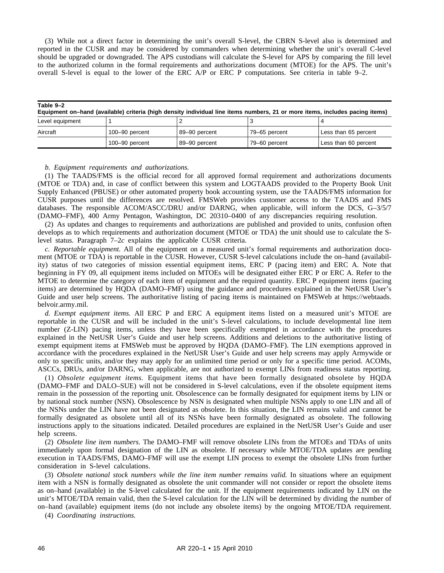(3) While not a direct factor in determining the unit's overall S-level, the CBRN S-level also is determined and reported in the CUSR and may be considered by commanders when determining whether the unit's overall C-level should be upgraded or downgraded. The APS custodians will calculate the S-level for APS by comparing the fill level to the authorized column in the formal requirements and authorizations document (MTOE) for the APS. The unit's overall S-level is equal to the lower of the ERC A/P or ERC P computations. See criteria in table 9–2.

| Table 9-2<br>Equipment on-hand (available) criteria (high density individual line items numbers, 21 or more items, includes pacing items) |                |               |               |                      |  |
|-------------------------------------------------------------------------------------------------------------------------------------------|----------------|---------------|---------------|----------------------|--|
| Level equipment                                                                                                                           |                |               |               |                      |  |
| Aircraft                                                                                                                                  | 100-90 percent | 89-90 percent | 79–65 percent | Less than 65 percent |  |
|                                                                                                                                           | 100-90 percent | 89-90 percent | 79-60 percent | Less than 60 percent |  |

#### *b. Equipment requirements and authorizations.*

(1) The TAADS/FMS is the official record for all approved formal requirement and authorizations documents (MTOE or TDA) and, in case of conflict between this system and LOGTAADS provided to the Property Book Unit Supply Enhanced (PBUSE) or other automated property book accounting system, use the TAADS/FMS information for CUSR purposes until the differences are resolved. FMSWeb provides customer access to the TAADS and FMS databases. The responsible ACOM/ASCC/DRU and/or DARNG, when applicable, will inform the DCS, G–3/5/7 (DAMO–FMF), 400 Army Pentagon, Washington, DC 20310–0400 of any discrepancies requiring resolution.

(2) As updates and changes to requirements and authorizations are published and provided to units, confusion often develops as to which requirements and authorization document (MTOE or TDA) the unit should use to calculate the Slevel status. Paragraph 7–2*c* explains the applicable CUSR criteria.

*c. Reportable equipment.* All of the equipment on a measured unit's formal requirements and authorization document (MTOE or TDA) is reportable in the CUSR. However, CUSR S-level calculations include the on–hand (availability) status of two categories of mission essential equipment items, ERC P (pacing item) and ERC A. Note that beginning in FY 09, all equipment items included on MTOEs will be designated either ERC P or ERC A. Refer to the MTOE to determine the category of each item of equipment and the required quantity. ERC P equipment items (pacing items) are determined by HQDA (DAMO–FMF) using the guidance and procedures explained in the NetUSR User's Guide and user help screens. The authoritative listing of pacing items is maintained on FMSWeb at https://webtaads. belvoir.army.mil.

*d. Exempt equipment items.* All ERC P and ERC A equipment items listed on a measured unit's MTOE are reportable in the CUSR and will be included in the unit's S-level calculations, to include developmental line item number (Z-LIN) pacing items, unless they have been specifically exempted in accordance with the procedures explained in the NetUSR User's Guide and user help screens. Additions and deletions to the authoritative listing of exempt equipment items at FMSWeb must be approved by HQDA (DAMO–FMF). The LIN exemptions approved in accordance with the procedures explained in the NetUSR User's Guide and user help screens may apply Armywide or only to specific units, and/or they may apply for an unlimited time period or only for a specific time period. ACOMs, ASCCs, DRUs, and/or DARNG, when applicable, are not authorized to exempt LINs from readiness status reporting.

(1) *Obsolete equipment items*. Equipment items that have been formally designated obsolete by HQDA (DAMO–FMF and DALO–SUE) will not be considered in S-level calculations, even if the obsolete equipment items remain in the possession of the reporting unit. Obsolescence can be formally designated for equipment items by LIN or by national stock number (NSN). Obsolescence by NSN is designated when multiple NSNs apply to one LIN and all of the NSNs under the LIN have not been designated as obsolete. In this situation, the LIN remains valid and cannot be formally designated as obsolete until all of its NSNs have been formally designated as obsolete. The following instructions apply to the situations indicated. Detailed procedures are explained in the NetUSR User's Guide and user help screens.

(2) *Obsolete line item numbers.* The DAMO–FMF will remove obsolete LINs from the MTOEs and TDAs of units immediately upon formal designation of the LIN as obsolete. If necessary while MTOE/TDA updates are pending execution in TAADS/FMS, DAMO–FMF will use the exempt LIN process to exempt the obsolete LINs from further consideration in S-level calculations.

(3) *Obsolete national stock numbers while the line item number remains valid.* In situations where an equipment item with a NSN is formally designated as obsolete the unit commander will not consider or report the obsolete items as on–hand (available) in the S-level calculated for the unit. If the equipment requirements indicated by LIN on the unit's MTOE/TDA remain valid, then the S-level calculation for the LIN will be determined by dividing the number of on–hand (available) equipment items (do not include any obsolete items) by the ongoing MTOE/TDA requirement.

(4) *Coordinating instructions.*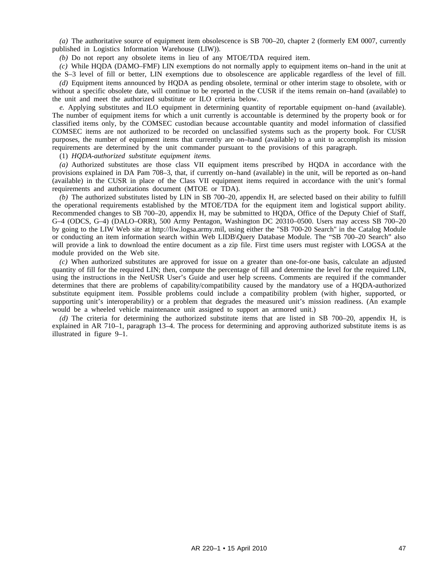*(a)* The authoritative source of equipment item obsolescence is SB 700–20, chapter 2 (formerly EM 0007, currently published in Logistics Information Warehouse (LIW)).

*(b)* Do not report any obsolete items in lieu of any MTOE/TDA required item.

*(c)* While HQDA (DAMO–FMF) LIN exemptions do not normally apply to equipment items on–hand in the unit at the S–3 level of fill or better, LIN exemptions due to obsolescence are applicable regardless of the level of fill.

*(d)* Equipment items announced by HQDA as pending obsolete, terminal or other interim stage to obsolete, with or without a specific obsolete date, will continue to be reported in the CUSR if the items remain on–hand (available) to the unit and meet the authorized substitute or ILO criteria below.

*e.* Applying substitutes and ILO equipment in determining quantity of reportable equipment on–hand (available). The number of equipment items for which a unit currently is accountable is determined by the property book or for classified items only, by the COMSEC custodian because accountable quantity and model information of classified COMSEC items are not authorized to be recorded on unclassified systems such as the property book. For CUSR purposes, the number of equipment items that currently are on–hand (available) to a unit to accomplish its mission requirements are determined by the unit commander pursuant to the provisions of this paragraph.

(1) *HQDA-authorized substitute equipment items.*

*(a)* Authorized substitutes are those class VII equipment items prescribed by HQDA in accordance with the provisions explained in DA Pam 708–3, that, if currently on–hand (available) in the unit, will be reported as on–hand (available) in the CUSR in place of the Class VII equipment items required in accordance with the unit's formal requirements and authorizations document (MTOE or TDA).

*(b)* The authorized substitutes listed by LIN in SB 700–20, appendix H, are selected based on their ability to fulfill the operational requirements established by the MTOE/TDA for the equipment item and logistical support ability. Recommended changes to SB 700–20, appendix H, may be submitted to HQDA, Office of the Deputy Chief of Staff, G–4 (ODCS, G–4) (DALO–ORR), 500 Army Pentagon, Washington DC 20310–0500. Users may access SB 700–20 by going to the LIW Web site at http://liw.logsa.army.mil, using either the "SB 700-20 Search" in the Catalog Module or conducting an item information search within Web LIDB\Query Database Module. The "SB 700–20 Search" also will provide a link to download the entire document as a zip file. First time users must register with LOGSA at the module provided on the Web site.

*(c)* When authorized substitutes are approved for issue on a greater than one-for-one basis, calculate an adjusted quantity of fill for the required LIN; then, compute the percentage of fill and determine the level for the required LIN, using the instructions in the NetUSR User's Guide and user help screens. Comments are required if the commander determines that there are problems of capability/compatibility caused by the mandatory use of a HQDA-authorized substitute equipment item. Possible problems could include a compatibility problem (with higher, supported, or supporting unit's interoperability) or a problem that degrades the measured unit's mission readiness. (An example would be a wheeled vehicle maintenance unit assigned to support an armored unit.)

*(d)* The criteria for determining the authorized substitute items that are listed in SB 700–20, appendix H, is explained in AR 710–1, paragraph 13–4. The process for determining and approving authorized substitute items is as illustrated in figure 9–1.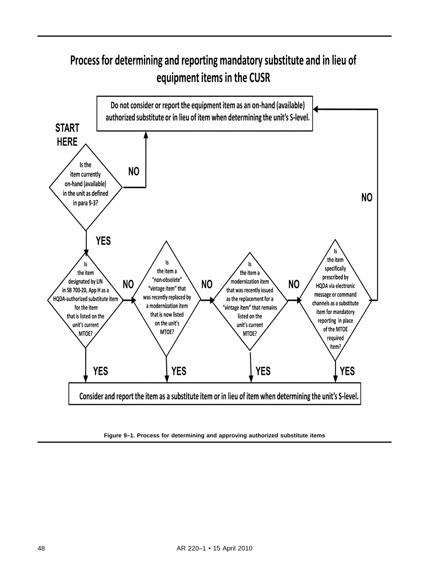# Process for determining and reporting mandatory substitute and in lieu of equipment items in the CUSR



**Figure 9–1. Process for determining and approving authorized substitute items**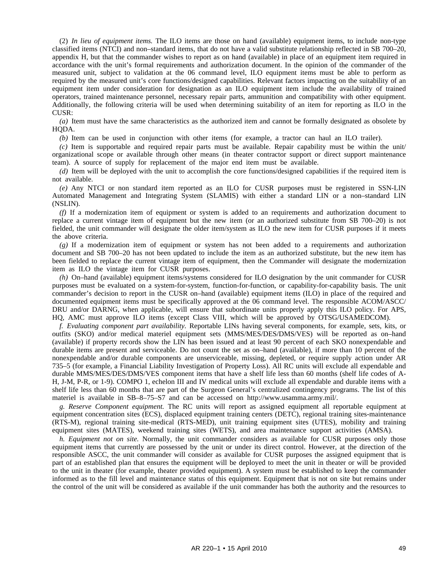(2) *In lieu of equipment items.* The ILO items are those on hand (available) equipment items, to include non-type classified items (NTCI) and non–standard items, that do not have a valid substitute relationship reflected in SB 700–20, appendix H, but that the commander wishes to report as on hand (available) in place of an equipment item required in accordance with the unit's formal requirements and authorization document. In the opinion of the commander of the measured unit, subject to validation at the 06 command level, ILO equipment items must be able to perform as required by the measured unit's core functions/designed capabilities. Relevant factors impacting on the suitability of an equipment item under consideration for designation as an ILO equipment item include the availability of trained operators, trained maintenance personnel, necessary repair parts, ammunition and compatibility with other equipment. Additionally, the following criteria will be used when determining suitability of an item for reporting as ILO in the CUSR:

*(a)* Item must have the same characteristics as the authorized item and cannot be formally designated as obsolete by HQDA.

*(b)* Item can be used in conjunction with other items (for example, a tractor can haul an ILO trailer).

*(c)* Item is supportable and required repair parts must be available. Repair capability must be within the unit/ organizational scope or available through other means (in theater contractor support or direct support maintenance team). A source of supply for replacement of the major end item must be available.

*(d)* Item will be deployed with the unit to accomplish the core functions/designed capabilities if the required item is not available.

*(e)* Any NTCI or non standard item reported as an ILO for CUSR purposes must be registered in SSN-LIN Automated Management and Integrating System (SLAMIS) with either a standard LIN or a non–standard LIN (NSLIN).

*(f)* If a modernization item of equipment or system is added to an requirements and authorization document to replace a current vintage item of equipment but the new item (or an authorized substitute from SB 700–20) is not fielded, the unit commander will designate the older item/system as ILO the new item for CUSR purposes if it meets the above criteria.

*(g)* If a modernization item of equipment or system has not been added to a requirements and authorization document and SB 700–20 has not been updated to include the item as an authorized substitute, but the new item has been fielded to replace the current vintage item of equipment, then the Commander will designate the modernization item as ILO the vintage item for CUSR purposes.

*(h)* On–hand (available) equipment items/systems considered for ILO designation by the unit commander for CUSR purposes must be evaluated on a system-for-system, function-for-function, or capability-for-capability basis. The unit commander's decision to report in the CUSR on–hand (available) equipment items (ILO) in place of the required and documented equipment items must be specifically approved at the 06 command level. The responsible ACOM/ASCC/ DRU and/or DARNG, when applicable, will ensure that subordinate units properly apply this ILO policy. For APS, HQ, AMC must approve ILO items (except Class VIII, which will be approved by OTSG/USAMEDCOM).

*f. Evaluating component part availability.* Reportable LINs having several components, for example, sets, kits, or outfits (SKO) and/or medical materiel equipment sets (MMS/MES/DES/DMS/VES) will be reported as on–hand (available) if property records show the LIN has been issued and at least 90 percent of each SKO nonexpendable and durable items are present and serviceable. Do not count the set as on–hand (available), if more than 10 percent of the nonexpendable and/or durable components are unserviceable, missing, depleted, or require supply action under AR 735–5 (for example, a Financial Liability Investigation of Property Loss). All RC units will exclude all expendable and durable MMS/MES/DES/DMS/VES component items that have a shelf life less than 60 months (shelf life codes of A-H, J-M, P-R, or 1-9). COMPO 1, echelon III and IV medical units will exclude all expendable and durable items with a shelf life less than 60 months that are part of the Surgeon General's centralized contingency programs. The list of this materiel is available in SB–8–75–S7 and can be accessed on http://www.usamma.army.mil/.

*g. Reserve Component equipment.* The RC units will report as assigned equipment all reportable equipment at equipment concentration sites (ECS), displaced equipment training centers (DETC), regional training sites-maintenance (RTS-M), regional training site-medical (RTS-MED), unit training equipment sites (UTES), mobility and training equipment sites (MATES), weekend training sites (WETS), and area maintenance support activities (AMSA).

*h. Equipment not on site.* Normally, the unit commander considers as available for CUSR purposes only those equipment items that currently are possessed by the unit or under its direct control. However, at the direction of the responsible ASCC, the unit commander will consider as available for CUSR purposes the assigned equipment that is part of an established plan that ensures the equipment will be deployed to meet the unit in theater or will be provided to the unit in theater (for example, theater provided equipment). A system must be established to keep the commander informed as to the fill level and maintenance status of this equipment. Equipment that is not on site but remains under the control of the unit will be considered as available if the unit commander has both the authority and the resources to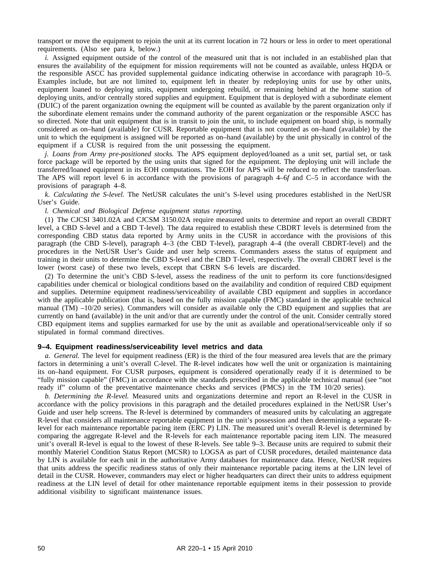transport or move the equipment to rejoin the unit at its current location in 72 hours or less in order to meet operational requirements. (Also see para *k*, below.)

*i.* Assigned equipment outside of the control of the measured unit that is not included in an established plan that ensures the availability of the equipment for mission requirements will not be counted as available, unless HQDA or the responsible ASCC has provided supplemental guidance indicating otherwise in accordance with paragraph 10–5. Examples include, but are not limited to, equipment left in theater by redeploying units for use by other units, equipment loaned to deploying units, equipment undergoing rebuild, or remaining behind at the home station of deploying units, and/or centrally stored supplies and equipment. Equipment that is deployed with a subordinate element (DUIC) of the parent organization owning the equipment will be counted as available by the parent organization only if the subordinate element remains under the command authority of the parent organization or the responsible ASCC has so directed. Note that unit equipment that is in transit to join the unit, to include equipment on board ship, is normally considered as on–hand (available) for CUSR. Reportable equipment that is not counted as on–hand (available) by the unit to which the equipment is assigned will be reported as on–hand (available) by the unit physically in control of the equipment if a CUSR is required from the unit possessing the equipment.

*j. Loans from Army pre-positioned stocks.* The APS equipment deployed/loaned as a unit set, partial set, or task force package will be reported by the using units that signed for the equipment. The deploying unit will include the transferred/loaned equipment in its EOH computations. The EOH for APS will be reduced to reflect the transfer/loan. The APS will report level 6 in accordance with the provisions of paragraph 4–6*f* and C–5 in accordance with the provisions of paragraph 4–8.

*k. Calculating the S-level.* The NetUSR calculates the unit's S-level using procedures established in the NetUSR User's Guide.

#### *l. Chemical and Biological Defense equipment status reporting.*

(1) The CJCSI 3401.02A and CJCSM 3150.02A require measured units to determine and report an overall CBDRT level, a CBD S-level and a CBD T-level). The data required to establish these CBDRT levels is determined from the corresponding CBD status data reported by Army units in the CUSR in accordance with the provisions of this paragraph (the CBD S-level), paragraph 4–3 (the CBD T-level), paragraph 4–4 (the overall CBDRT-level) and the procedures in the NetUSR User's Guide and user help screens. Commanders assess the status of equipment and training in their units to determine the CBD S-level and the CBD T-level, respectively. The overall CBDRT level is the lower (worst case) of these two levels, except that CBRN S-6 levels are discarded.

(2) To determine the unit's CBD S-level, assess the readiness of the unit to perform its core functions/designed capabilities under chemical or biological conditions based on the availability and condition of required CBD equipment and supplies. Determine equipment readiness/serviceability of available CBD equipment and supplies in accordance with the applicable publication (that is, based on the fully mission capable (FMC) standard in the applicable technical manual (TM) –10/20 series). Commanders will consider as available only the CBD equipment and supplies that are currently on hand (available) in the unit and/or that are currently under the control of the unit. Consider centrally stored CBD equipment items and supplies earmarked for use by the unit as available and operational/serviceable only if so stipulated in formal command directives.

#### **9–4. Equipment readiness/serviceability level metrics and data**

*a. General.* The level for equipment readiness (ER) is the third of the four measured area levels that are the primary factors in determining a unit's overall C-level. The R-level indicates how well the unit or organization is maintaining its on–hand equipment. For CUSR purposes, equipment is considered operationally ready if it is determined to be "fully mission capable" (FMC) in accordance with the standards prescribed in the applicable technical manual (see "not ready if" column of the preventative maintenance checks and services (PMCS) in the TM 10/20 series).

*b. Determining the R-level.* Measured units and organizations determine and report an R-level in the CUSR in accordance with the policy provisions in this paragraph and the detailed procedures explained in the NetUSR User's Guide and user help screens. The R-level is determined by commanders of measured units by calculating an aggregate R-level that considers all maintenance reportable equipment in the unit's possession and then determining a separate Rlevel for each maintenance reportable pacing item (ERC P) LIN. The measured unit's overall R-level is determined by comparing the aggregate R-level and the R-levels for each maintenance reportable pacing item LIN. The measured unit's overall R-level is equal to the lowest of these R-levels. See table 9–3. Because units are required to submit their monthly Materiel Condition Status Report (MCSR) to LOGSA as part of CUSR procedures, detailed maintenance data by LIN is available for each unit in the authoritative Army databases for maintenance data. Hence, NetUSR requires that units address the specific readiness status of only their maintenance reportable pacing items at the LIN level of detail in the CUSR. However, commanders may elect or higher headquarters can direct their units to address equipment readiness at the LIN level of detail for other maintenance reportable equipment items in their possession to provide additional visibility to significant maintenance issues.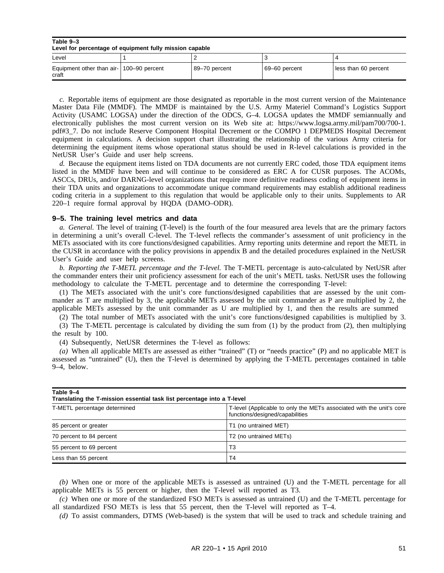#### **Table 9–3 Level for percentage of equipment fully mission capable**

| Level                                             |               |               |                      |
|---------------------------------------------------|---------------|---------------|----------------------|
| Equipment other than air- 100-90 percent<br>craft | 89–70 percent | 69-60 percent | less than 60 percent |

*c.* Reportable items of equipment are those designated as reportable in the most current version of the Maintenance Master Data File (MMDF). The MMDF is maintained by the U.S. Army Materiel Command's Logistics Support Activity (USAMC LOGSA) under the direction of the ODCS, G–4. LOGSA updates the MMDF semiannually and electronically publishes the most current version on its Web site at: https://www.logsa.army.mil/pam700/700-1. pdf#3\_7. Do not include Reserve Component Hospital Decrement or the COMPO 1 DEPMEDS Hospital Decrement equipment in calculations. A decision support chart illustrating the relationship of the various Army criteria for determining the equipment items whose operational status should be used in R-level calculations is provided in the NetUSR User's Guide and user help screens.

*d.* Because the equipment items listed on TDA documents are not currently ERC coded, those TDA equipment items listed in the MMDF have been and will continue to be considered as ERC A for CUSR purposes. The ACOMs, ASCCs, DRUs, and/or DARNG-level organizations that require more definitive readiness coding of equipment items in their TDA units and organizations to accommodate unique command requirements may establish additional readiness coding criteria in a supplement to this regulation that would be applicable only to their units. Supplements to AR 220–1 require formal approval by HQDA (DAMO–ODR).

#### **9–5. The training level metrics and data**

*a. General.* The level of training (T-level) is the fourth of the four measured area levels that are the primary factors in determining a unit's overall C-level. The T-level reflects the commander's assessment of unit proficiency in the METs associated with its core functions/designed capabilities. Army reporting units determine and report the METL in the CUSR in accordance with the policy provisions in appendix B and the detailed procedures explained in the NetUSR User's Guide and user help screens.

*b. Reporting the T-METL percentage and the T-level.* The T-METL percentage is auto-calculated by NetUSR after the commander enters their unit proficiency assessment for each of the unit's METL tasks. NetUSR uses the following methodology to calculate the T-METL percentage and to determine the corresponding T-level:

(1) The METs associated with the unit's core functions/designed capabilities that are assessed by the unit commander as T are multiplied by 3, the applicable METs assessed by the unit commander as P are multiplied by 2, the applicable METs assessed by the unit commander as U are multiplied by 1, and then the results are summed

(2) The total number of METs associated with the unit's core functions/designed capabilities is multiplied by 3. (3) The T-METL percentage is calculated by dividing the sum from (1) by the product from (2), then multiplying the result by 100.

(4) Subsequently, NetUSR determines the T-level as follows:

*(a)* When all applicable METs are assessed as either "trained" (T) or "needs practice" (P) and no applicable MET is assessed as "untrained" (U), then the T-level is determined by applying the T-METL percentages contained in table 9–4, below.

| Table 9-4<br>Translating the T-mission essential task list percentage into a T-level |                                                                                                         |  |  |  |
|--------------------------------------------------------------------------------------|---------------------------------------------------------------------------------------------------------|--|--|--|
| T-METL percentage determined                                                         | T-level (Applicable to only the METs associated with the unit's core<br>functions/designed/capabilities |  |  |  |
| 85 percent or greater                                                                | T1 (no untrained MET)                                                                                   |  |  |  |
| 70 percent to 84 percent                                                             | T <sub>2</sub> (no untrained MET <sub>s</sub> )                                                         |  |  |  |
| 55 percent to 69 percent                                                             | T3                                                                                                      |  |  |  |
| Less than 55 percent                                                                 | T4                                                                                                      |  |  |  |

*(b)* When one or more of the applicable METs is assessed as untrained (U) and the T-METL percentage for all applicable METs is 55 percent or higher, then the T-level will reported as T3.

*(c)* When one or more of the standardized FSO METs is assessed as untrained (U) and the T-METL percentage for all standardized FSO METs is less that 55 percent, then the T-level will reported as T–4.

*(d)* To assist commanders, DTMS (Web-based) is the system that will be used to track and schedule training and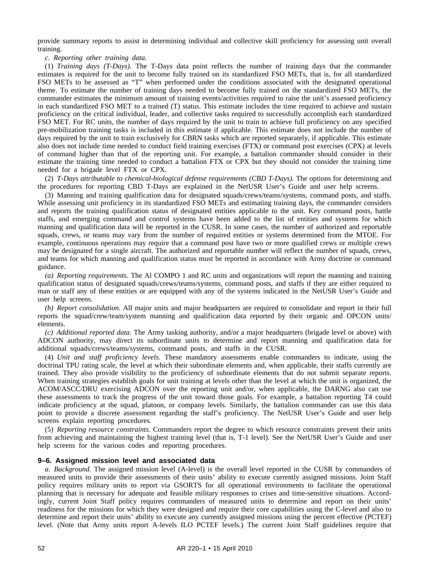provide summary reports to assist in determining individual and collective skill proficiency for assessing unit overall training.

*c. Reporting other training data.*

(1) *Training days (T-Days).* The T-Days data point reflects the number of training days that the commander estimates is required for the unit to become fully trained on its standardized FSO METs, that is, for all standardized FSO METs to be assessed as "T" when performed under the conditions associated with the designated operational theme. To estimate the number of training days needed to become fully trained on the standardized FSO METs, the commander estimates the minimum amount of training events/activities required to raise the unit's assessed proficiency in each standardized FSO MET to a trained (T) status. This estimate includes the time required to achieve and sustain proficiency on the critical individual, leader, and collective tasks required to successfully accomplish each standardized FSO MET. For RC units, the number of days required by the unit to train to achieve full proficiency on any specified pre-mobilization training tasks is included in this estimate if applicable. This estimate does not include the number of days required by the unit to train exclusively for CBRN tasks which are reported separately, if applicable. This estimate also does not include time needed to conduct field training exercises (FTX) or command post exercises (CPX) at levels of command higher than that of the reporting unit. For example, a battalion commander should consider in their estimate the training time needed to conduct a battalion FTX or CPX but they should not consider the training time needed for a brigade level FTX or CPX.

(2) *T-Days attributable to chemical-biological defense requirements (CBD T-Days).* The options for determining and the procedures for reporting CBD T-Days are explained in the NetUSR User's Guide and user help screens.

(3) Manning and training qualification data for designated squads/crews/teams/systems, command posts, and staffs. While assessing unit proficiency in its standardized FSO METs and estimating training days, the commander considers and reports the training qualification status of designated entities applicable to the unit. Key command posts, battle staffs, and emerging command and control systems have been added to the list of entities and systems for which manning and qualification data will be reported in the CUSR. In some cases, the number of authorized and reportable squads, crews, or teams may vary from the number of required entities or systems determined from the MTOE. For example, continuous operations may require that a command post have two or more qualified crews or multiple crews may be designated for a single aircraft. The authorized and reportable number will reflect the number of squads, crews, and teams for which manning and qualification status must be reported in accordance with Army doctrine or command guidance.

*(a) Reporting requirements.* The Al COMPO 1 and RC units and organizations will report the manning and training qualification status of designated squads/crews/teams/systems, command posts, and staffs if they are either required to man or staff any of these entities or are equipped with any of the systems indicated in the NetUSR User's Guide and user help screens.

*(b) Report consolidation.* All major units and major headquarters are required to consolidate and report in their full reports the squad/crew/team/system manning and qualification data reported by their organic and OPCON units/ elements.

*(c) Additional reported data.* The Army tasking authority, and/or a major headquarters (brigade level or above) with ADCON authority, may direct its subordinate units to determine and report manning and qualification data for additional squads/crews/teams/systems, command posts, and staffs in the CUSR.

(4) *Unit and staff proficiency levels.* These mandatory assessments enable commanders to indicate, using the doctrinal TPU rating scale, the level at which their subordinate elements and, when applicable, their staffs currently are trained. They also provide visibility to the proficiency of subordinate elements that do not submit separate reports. When training strategies establish goals for unit training at levels other than the level at which the unit is organized, the ACOM/ASCC/DRU exercising ADCON over the reporting unit and/or, when applicable, the DARNG also can use these assessments to track the progress of the unit toward those goals. For example, a battalion reporting T4 could indicate proficiency at the squad, platoon, or company levels. Similarly, the battalion commander can use this data point to provide a discrete assessment regarding the staff's proficiency. The NetUSR User's Guide and user help screens explain reporting procedures.

(5) *Reporting resource constraints.* Commanders report the degree to which resource constraints prevent their units from achieving and maintaining the highest training level (that is, T-1 level). See the NetUSR User's Guide and user help screens for the various codes and reporting procedures.

#### **9–6. Assigned mission level and associated data**

*a. Background.* The assigned mission level (A-level) is the overall level reported in the CUSR by commanders of measured units to provide their assessments of their units' ability to execute currently assigned missions. Joint Staff policy requires military units to report via GSORTS for all operational environments to facilitate the operational planning that is necessary for adequate and feasible military responses to crises and time-sensitive situations. Accordingly, current Joint Staff policy requires commanders of measured units to determine and report on their units' readiness for the missions for which they were designed and require their core capabilities using the C-level and also to determine and report their units' ability to execute any currently assigned missions using the percent effective (PCTEF) level. (Note that Army units report A-levels ILO PCTEF levels.) The current Joint Staff guidelines require that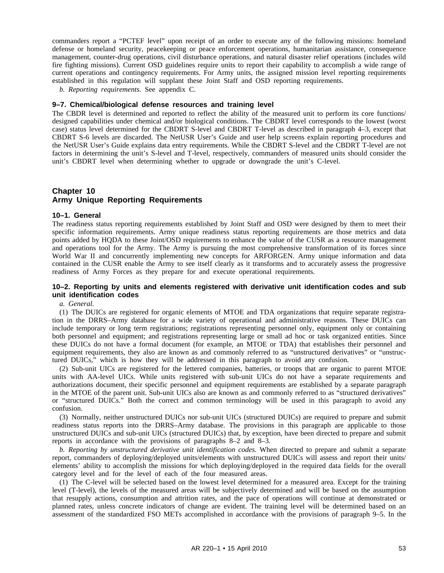commanders report a "PCTEF level" upon receipt of an order to execute any of the following missions: homeland defense or homeland security, peacekeeping or peace enforcement operations, humanitarian assistance, consequence management, counter-drug operations, civil disturbance operations, and natural disaster relief operations (includes wild fire fighting missions). Current OSD guidelines require units to report their capability to accomplish a wide range of current operations and contingency requirements. For Army units, the assigned mission level reporting requirements established in this regulation will supplant these Joint Staff and OSD reporting requirements.

*b. Reporting requirements.* See appendix C.

#### **9–7. Chemical/biological defense resources and training level**

The CBDR level is determined and reported to reflect the ability of the measured unit to perform its core functions/ designed capabilities under chemical and/or biological conditions. The CBDRT level corresponds to the lowest (worst case) status level determined for the CBDRT S-level and CBDRT T-level as described in paragraph 4–3, except that CBDRT S-6 levels are discarded. The NetUSR User's Guide and user help screens explain reporting procedures and the NetUSR User's Guide explains data entry requirements. While the CBDRT S-level and the CBDRT T-level are not factors in determining the unit's S-level and T-level, respectively, commanders of measured units should consider the unit's CBDRT level when determining whether to upgrade or downgrade the unit's C-level.

# **Chapter 10 Army Unique Reporting Requirements**

#### **10–1. General**

The readiness status reporting requirements established by Joint Staff and OSD were designed by them to meet their specific information requirements. Army unique readiness status reporting requirements are those metrics and data points added by HQDA to these Joint/OSD requirements to enhance the value of the CUSR as a resource management and operations tool for the Army. The Army is pursuing the most comprehensive transformation of its forces since World War II and concurrently implementing new concepts for ARFORGEN. Army unique information and data contained in the CUSR enable the Army to see itself clearly as it transforms and to accurately assess the progressive readiness of Army Forces as they prepare for and execute operational requirements.

# **10–2. Reporting by units and elements registered with derivative unit identification codes and sub unit identification codes**

*a. General.*

(1) The DUICs are registered for organic elements of MTOE and TDA organizations that require separate registration in the DRRS–Army database for a wide variety of operational and administrative reasons. These DUICs can include temporary or long term registrations; registrations representing personnel only, equipment only or containing both personnel and equipment; and registrations representing large or small ad hoc or task organized entities. Since these DUICs do not have a formal document (for example, an MTOE or TDA) that establishes their personnel and equipment requirements, they also are known as and commonly referred to as "unstructured derivatives" or "unstructured DUICs," which is how they will be addressed in this paragraph to avoid any confusion.

(2) Sub-unit UICs are registered for the lettered companies, batteries, or troops that are organic to parent MTOE units with AA-level UICs. While units registered with sub-unit UICs do not have a separate requirements and authorizations document, their specific personnel and equipment requirements are established by a separate paragraph in the MTOE of the parent unit. Sub-unit UICs also are known as and commonly referred to as "structured derivatives" or "structured DUICs." Both the correct and common terminology will be used in this paragraph to avoid any confusion.

(3) Normally, neither unstructured DUICs nor sub-unit UICs (structured DUICs) are required to prepare and submit readiness status reports into the DRRS–Army database. The provisions in this paragraph are applicable to those unstructured DUICs and sub-unit UICs (structured DUICs) that, by exception, have been directed to prepare and submit reports in accordance with the provisions of paragraphs 8–2 and 8–3.

*b. Reporting by unstructured derivative unit identification codes.* When directed to prepare and submit a separate report, commanders of deploying/deployed units/elements with unstructured DUICs will assess and report their units/ elements' ability to accomplish the missions for which deploying/deployed in the required data fields for the overall category level and for the level of each of the four measured areas.

(1) The C-level will be selected based on the lowest level determined for a measured area. Except for the training level (T-level), the levels of the measured areas will be subjectively determined and will be based on the assumption that resupply actions, consumption and attrition rates, and the pace of operations will continue at demonstrated or planned rates, unless concrete indicators of change are evident. The training level will be determined based on an assessment of the standardized FSO METs accomplished in accordance with the provisions of paragraph 9–5. In the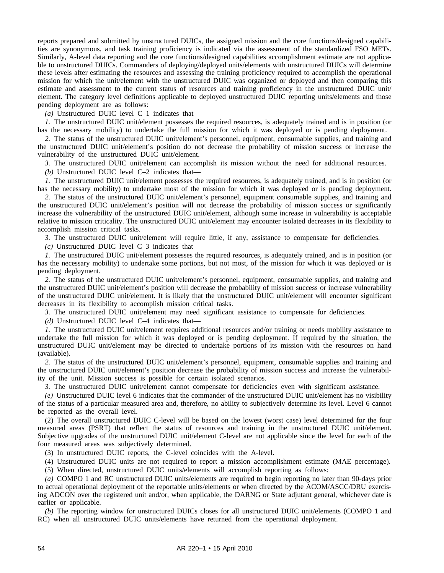reports prepared and submitted by unstructured DUICs, the assigned mission and the core functions/designed capabilities are synonymous, and task training proficiency is indicated via the assessment of the standardized FSO METs. Similarly, A-level data reporting and the core functions/designed capabilities accomplishment estimate are not applicable to unstructured DUICs. Commanders of deploying/deployed units/elements with unstructured DUICs will determine these levels after estimating the resources and assessing the training proficiency required to accomplish the operational mission for which the unit/element with the unstructured DUIC was organized or deployed and then comparing this estimate and assessment to the current status of resources and training proficiency in the unstructured DUIC unit/ element. The category level definitions applicable to deployed unstructured DUIC reporting units/elements and those pending deployment are as follows:

*(a)* Unstructured DUIC level C–1 indicates that—

*1.* The unstructured DUIC unit/element possesses the required resources, is adequately trained and is in position (or has the necessary mobility) to undertake the full mission for which it was deployed or is pending deployment.

*2.* The status of the unstructured DUIC unit/element's personnel, equipment, consumable supplies, and training and the unstructured DUIC unit/element's position do not decrease the probability of mission success or increase the vulnerability of the unstructured DUIC unit/element.

*3.* The unstructured DUIC unit/element can accomplish its mission without the need for additional resources.

*(b)* Unstructured DUIC level C–2 indicates that–

*1.* The unstructured DUIC unit/element possesses the required resources, is adequately trained, and is in position (or has the necessary mobility) to undertake most of the mission for which it was deployed or is pending deployment.

*2.* The status of the unstructured DUIC unit/element's personnel, equipment consumable supplies, and training and the unstructured DUIC unit/element's position will not decrease the probability of mission success or significantly increase the vulnerability of the unstructured DUIC unit/element, although some increase in vulnerability is acceptable relative to mission criticality. The unstructured DUIC unit/element may encounter isolated decreases in its flexibility to accomplish mission critical tasks.

*3.* The unstructured DUIC unit/element will require little, if any, assistance to compensate for deficiencies.

*(c)* Unstructured DUIC level C–3 indicates that—

*1.* The unstructured DUIC unit/element possesses the required resources, is adequately trained, and is in position (or has the necessary mobility) to undertake some portions, but not most, of the mission for which it was deployed or is pending deployment.

*2.* The status of the unstructured DUIC unit/element's personnel, equipment, consumable supplies, and training and the unstructured DUIC unit/element's position will decrease the probability of mission success or increase vulnerability of the unstructured DUIC unit/element. It is likely that the unstructured DUIC unit/element will encounter significant decreases in its flexibility to accomplish mission critical tasks.

*3.* The unstructured DUIC unit/element may need significant assistance to compensate for deficiencies.

*(d)* Unstructured DUIC level C–4 indicates that—

*1.* The unstructured DUIC unit/element requires additional resources and/or training or needs mobility assistance to undertake the full mission for which it was deployed or is pending deployment. If required by the situation, the unstructured DUIC unit/element may be directed to undertake portions of its mission with the resources on hand (available).

*2.* The status of the unstructured DUIC unit/element's personnel, equipment, consumable supplies and training and the unstructured DUIC unit/element's position decrease the probability of mission success and increase the vulnerability of the unit. Mission success is possible for certain isolated scenarios.

*3.* The unstructured DUIC unit/element cannot compensate for deficiencies even with significant assistance.

*(e)* Unstructured DUIC level 6 indicates that the commander of the unstructured DUIC unit/element has no visibility of the status of a particular measured area and, therefore, no ability to subjectively determine its level. Level 6 cannot be reported as the overall level.

(2) The overall unstructured DUIC C-level will be based on the lowest (worst case) level determined for the four measured areas (PSRT) that reflect the status of resources and training in the unstructured DUIC unit/element. Subjective upgrades of the unstructured DUIC unit/element C-level are not applicable since the level for each of the four measured areas was subjectively determined.

(3) In unstructured DUIC reports, the C-level coincides with the A-level.

(4) Unstructured DUIC units are not required to report a mission accomplishment estimate (MAE percentage).

(5) When directed, unstructured DUIC units/elements will accomplish reporting as follows:

*(a)* COMPO 1 and RC unstructured DUIC units/elements are required to begin reporting no later than 90-days prior to actual operational deployment of the reportable units/elements or when directed by the ACOM/ASCC/DRU exercising ADCON over the registered unit and/or, when applicable, the DARNG or State adjutant general, whichever date is earlier or applicable.

*(b)* The reporting window for unstructured DUICs closes for all unstructured DUIC unit/elements (COMPO 1 and RC) when all unstructured DUIC units/elements have returned from the operational deployment.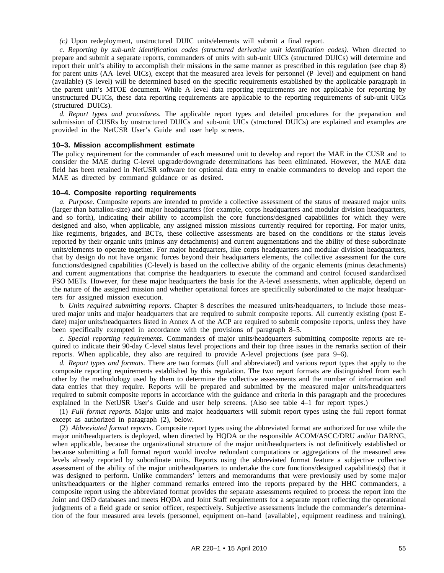*(c)* Upon redeployment, unstructured DUIC units/elements will submit a final report.

*c. Reporting by sub-unit identification codes (structured derivative unit identification codes).* When directed to prepare and submit a separate reports, commanders of units with sub-unit UICs (structured DUICs) will determine and report their unit's ability to accomplish their missions in the same manner as prescribed in this regulation (see chap 8) for parent units (AA–level UICs), except that the measured area levels for personnel (P–level) and equipment on hand (available) (S–level) will be determined based on the specific requirements established by the applicable paragraph in the parent unit's MTOE document. While A–level data reporting requirements are not applicable for reporting by unstructured DUICs, these data reporting requirements are applicable to the reporting requirements of sub-unit UICs (structured DUICs).

*d. Report types and procedures.* The applicable report types and detailed procedures for the preparation and submission of CUSRs by unstructured DUICs and sub-unit UICs (structured DUICs) are explained and examples are provided in the NetUSR User's Guide and user help screens.

#### **10–3. Mission accomplishment estimate**

The policy requirement for the commander of each measured unit to develop and report the MAE in the CUSR and to consider the MAE during C-level upgrade/downgrade determinations has been eliminated. However, the MAE data field has been retained in NetUSR software for optional data entry to enable commanders to develop and report the MAE as directed by command guidance or as desired.

#### **10–4. Composite reporting requirements**

*a. Purpose.* Composite reports are intended to provide a collective assessment of the status of measured major units (larger than battalion-size) and major headquarters (for example, corps headquarters and modular division headquarters, and so forth), indicating their ability to accomplish the core functions/designed capabilities for which they were designed and also, when applicable, any assigned mission missions currently required for reporting. For major units, like regiments, brigades, and BCTs, these collective assessments are based on the conditions or the status levels reported by their organic units (minus any detachments) and current augmentations and the ability of these subordinate units/elements to operate together. For major headquarters, like corps headquarters and modular division headquarters, that by design do not have organic forces beyond their headquarters elements, the collective assessment for the core functions/designed capabilities (C-level) is based on the collective ability of the organic elements (minus detachments) and current augmentations that comprise the headquarters to execute the command and control focused standardized FSO METs. However, for these major headquarters the basis for the A-level assessments, when applicable, depend on the nature of the assigned mission and whether operational forces are specifically subordinated to the major headquarters for assigned mission execution.

*b. Units required submitting reports.* Chapter 8 describes the measured units/headquarters, to include those measured major units and major headquarters that are required to submit composite reports. All currently existing (post Edate) major units/headquarters listed in Annex A of the ACP are required to submit composite reports, unless they have been specifically exempted in accordance with the provisions of paragraph 8–5.

*c. Special reporting requirements.* Commanders of major units/headquarters submitting composite reports are required to indicate their 90-day C-level status level projections and their top three issues in the remarks section of their reports. When applicable, they also are required to provide A-level projections (see para 9–6).

*d. Report types and formats.* There are two formats (full and abbreviated) and various report types that apply to the composite reporting requirements established by this regulation. The two report formats are distinguished from each other by the methodology used by them to determine the collective assessments and the number of information and data entries that they require. Reports will be prepared and submitted by the measured major units/headquarters required to submit composite reports in accordance with the guidance and criteria in this paragraph and the procedures explained in the NetUSR User's Guide and user help screens. (Also see table 4–1 for report types.)

(1) *Full format reports.* Major units and major headquarters will submit report types using the full report format except as authorized in paragraph (2), below.

(2) *Abbreviated format reports.* Composite report types using the abbreviated format are authorized for use while the major unit/headquarters is deployed, when directed by HQDA or the responsible ACOM/ASCC/DRU and/or DARNG, when applicable, because the organizational structure of the major unit/headquarters is not definitively established or because submitting a full format report would involve redundant computations or aggregations of the measured area levels already reported by subordinate units. Reports using the abbreviated format feature a subjective collective assessment of the ability of the major unit/headquarters to undertake the core functions/designed capabilities(s) that it was designed to perform. Unlike commanders' letters and memorandums that were previously used by some major units/headquarters or the higher command remarks entered into the reports prepared by the HHC commanders, a composite report using the abbreviated format provides the separate assessments required to process the report into the Joint and OSD databases and meets HQDA and Joint Staff requirements for a separate report reflecting the operational judgments of a field grade or senior officer, respectively. Subjective assessments include the commander's determination of the four measured area levels (personnel, equipment on–hand {available}, equipment readiness and training),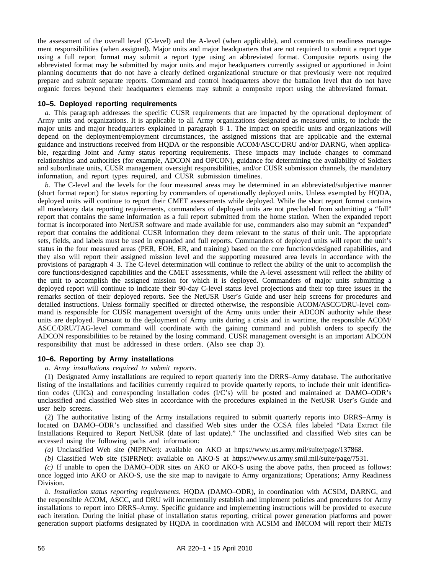the assessment of the overall level (C-level) and the A-level (when applicable), and comments on readiness management responsibilities (when assigned). Major units and major headquarters that are not required to submit a report type using a full report format may submit a report type using an abbreviated format. Composite reports using the abbreviated format may be submitted by major units and major headquarters currently assigned or apportioned in Joint planning documents that do not have a clearly defined organizational structure or that previously were not required prepare and submit separate reports. Command and control headquarters above the battalion level that do not have organic forces beyond their headquarters elements may submit a composite report using the abbreviated format.

#### **10–5. Deployed reporting requirements**

*a.* This paragraph addresses the specific CUSR requirements that are impacted by the operational deployment of Army units and organizations. It is applicable to all Army organizations designated as measured units, to include the major units and major headquarters explained in paragraph 8–1. The impact on specific units and organizations will depend on the deployment/employment circumstances, the assigned missions that are applicable and the external guidance and instructions received from HQDA or the responsible ACOM/ASCC/DRU and/or DARNG, when applicable, regarding Joint and Army status reporting requirements. These impacts may include changes to command relationships and authorities (for example, ADCON and OPCON), guidance for determining the availability of Soldiers and subordinate units, CUSR management oversight responsibilities, and/or CUSR submission channels, the mandatory information, and report types required, and CUSR submission timelines.

*b.* The C-level and the levels for the four measured areas may be determined in an abbreviated/subjective manner (short format report) for status reporting by commanders of operationally deployed units. Unless exempted by HQDA, deployed units will continue to report their CMET assessments while deployed. While the short report format contains all mandatory data reporting requirements, commanders of deployed units are not precluded from submitting a "full" report that contains the same information as a full report submitted from the home station. When the expanded report format is incorporated into NetUSR software and made available for use, commanders also may submit an "expanded" report that contains the additional CUSR information they deem relevant to the status of their unit. The appropriate sets, fields, and labels must be used in expanded and full reports. Commanders of deployed units will report the unit's status in the four measured areas (PER, EOH, ER, and training) based on the core functions/designed capabilities, and they also will report their assigned mission level and the supporting measured area levels in accordance with the provisions of paragraph 4–3. The C-level determination will continue to reflect the ability of the unit to accomplish the core functions/designed capabilities and the CMET assessments, while the A-level assessment will reflect the ability of the unit to accomplish the assigned mission for which it is deployed. Commanders of major units submitting a deployed report will continue to indicate their 90-day C-level status level projections and their top three issues in the remarks section of their deployed reports. See the NetUSR User's Guide and user help screens for procedures and detailed instructions. Unless formally specified or directed otherwise, the responsible ACOM/ASCC/DRU-level command is responsible for CUSR management oversight of the Army units under their ADCON authority while these units are deployed. Pursuant to the deployment of Army units during a crisis and in wartime, the responsible ACOM/ ASCC/DRU/TAG-level command will coordinate with the gaining command and publish orders to specify the ADCON responsibilities to be retained by the losing command. CUSR management oversight is an important ADCON responsibility that must be addressed in these orders. (Also see chap 3).

#### **10–6. Reporting by Army installations**

#### *a. Army installations required to submit reports.*

(1) Designated Army installations are required to report quarterly into the DRRS–Army database. The authoritative listing of the installations and facilities currently required to provide quarterly reports, to include their unit identification codes (UICs) and corresponding installation codes (I/C's) will be posted and maintained at DAMO–ODR's unclassified and classified Web sites in accordance with the procedures explained in the NetUSR User's Guide and user help screens.

(2) The authoritative listing of the Army installations required to submit quarterly reports into DRRS–Army is located on DAMO–ODR's unclassified and classified Web sites under the CCSA files labeled "Data Extract file Installations Required to Report NetUSR (date of last update)." The unclassified and classified Web sites can be accessed using the following paths and information:

*(a)* Unclassified Web site (NIPRNet): available on AKO at https://www.us.army.mil/suite/page/137868.

*(b)* Classified Web site (SIPRNet): available on AKO-S at https://www.us.army.smil.mil/suite/page/7531.

*(c)* If unable to open the DAMO–ODR sites on AKO or AKO-S using the above paths, then proceed as follows: once logged into AKO or AKO-S, use the site map to navigate to Army organizations; Operations; Army Readiness Division.

*b. Installation status reporting requirements.* HQDA (DAMO–ODR), in coordination with ACSIM, DARNG, and the responsible ACOM, ASCC, and DRU will incrementally establish and implement policies and procedures for Army installations to report into DRRS–Army. Specific guidance and implementing instructions will be provided to execute each iteration. During the initial phase of installation status reporting, critical power generation platforms and power generation support platforms designated by HQDA in coordination with ACSIM and IMCOM will report their METs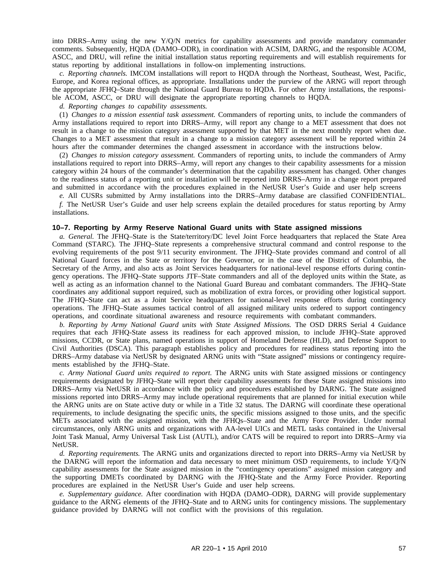into DRRS–Army using the new Y/Q/N metrics for capability assessments and provide mandatory commander comments. Subsequently, HQDA (DAMO–ODR), in coordination with ACSIM, DARNG, and the responsible ACOM, ASCC, and DRU, will refine the initial installation status reporting requirements and will establish requirements for status reporting by additional installations in follow-on implementing instructions.

*c. Reporting channels.* IMCOM installations will report to HQDA through the Northeast, Southeast, West, Pacific, Europe, and Korea regional offices, as appropriate. Installations under the purview of the ARNG will report through the appropriate JFHQ–State through the National Guard Bureau to HQDA. For other Army installations, the responsible ACOM, ASCC, or DRU will designate the appropriate reporting channels to HQDA.

*d. Reporting changes to capability assessments.*

(1) *Changes to a mission essential task assessment.* Commanders of reporting units, to include the commanders of Army installations required to report into DRRS–Army, will report any change to a MET assessment that does not result in a change to the mission category assessment supported by that MET in the next monthly report when due. Changes to a MET assessment that result in a change to a mission category assessment will be reported within 24 hours after the commander determines the changed assessment in accordance with the instructions below.

(2) *Changes to mission category assessment.* Commanders of reporting units, to include the commanders of Army installations required to report into DRRS–Army, will report any changes to their capability assessments for a mission category within 24 hours of the commander's determination that the capability assessment has changed. Other changes to the readiness status of a reporting unit or installation will be reported into DRRS–Army in a change report prepared and submitted in accordance with the procedures explained in the NetUSR User's Guide and user help screens

*e.* All CUSRs submitted by Army installations into the DRRS–Army database are classified CONFIDENTIAL.

*f.* The NetUSR User's Guide and user help screens explain the detailed procedures for status reporting by Army installations.

#### **10–7. Reporting by Army Reserve National Guard units with State assigned missions**

*a. General.* The JFHQ–State is the State/territory/DC level Joint Force headquarters that replaced the State Area Command (STARC). The JFHQ–State represents a comprehensive structural command and control response to the evolving requirements of the post 9/11 security environment. The JFHQ–State provides command and control of all National Guard forces in the State or territory for the Governor, or in the case of the District of Columbia, the Secretary of the Army, and also acts as Joint Services headquarters for national-level response efforts during contingency operations. The JFHQ–State supports JTF–State commanders and all of the deployed units within the State, as well as acting as an information channel to the National Guard Bureau and combatant commanders. The JFHQ–State coordinates any additional support required, such as mobilization of extra forces, or providing other logistical support. The JFHQ–State can act as a Joint Service headquarters for national-level response efforts during contingency operations. The JFHQ–State assumes tactical control of all assigned military units ordered to support contingency operations, and coordinate situational awareness and resource requirements with combatant commanders.

*b. Reporting by Army National Guard units with State Assigned Missions.* The OSD DRRS Serial 4 Guidance requires that each JFHQ-State assess its readiness for each approved mission, to include JFHQ–State approved missions, CCDR, or State plans, named operations in support of Homeland Defense (HLD), and Defense Support to Civil Authorities (DSCA). This paragraph establishes policy and procedures for readiness status reporting into the DRRS–Army database via NetUSR by designated ARNG units with "State assigned" missions or contingency requirements established by the JFHQ–State.

*c. Army National Guard units required to report.* The ARNG units with State assigned missions or contingency requirements designated by JFHQ–State will report their capability assessments for these State assigned missions into DRRS–Army via NetUSR in accordance with the policy and procedures established by DARNG. The State assigned missions reported into DRRS–Army may include operational requirements that are planned for initial execution while the ARNG units are on State active duty or while in a Title 32 status. The DARNG will coordinate these operational requirements, to include designating the specific units, the specific missions assigned to those units, and the specific METs associated with the assigned mission, with the JFHQs–State and the Army Force Provider. Under normal circumstances, only ARNG units and organizations with AA-level UICs and METL tasks contained in the Universal Joint Task Manual, Army Universal Task List (AUTL), and/or CATS will be required to report into DRRS–Army via NetUSR.

*d. Reporting requirements.* The ARNG units and organizations directed to report into DRRS–Army via NetUSR by the DARNG will report the information and data necessary to meet minimum OSD requirements, to include Y/Q/N capability assessments for the State assigned mission in the "contingency operations" assigned mission category and the supporting DMETs coordinated by DARNG with the JFHQ-State and the Army Force Provider. Reporting procedures are explained in the NetUSR User's Guide and user help screens.

*e. Supplementary guidance.* After coordination with HQDA (DAMO–ODR), DARNG will provide supplementary guidance to the ARNG elements of the JFHQ–State and to ARNG units for contingency missions. The supplementary guidance provided by DARNG will not conflict with the provisions of this regulation.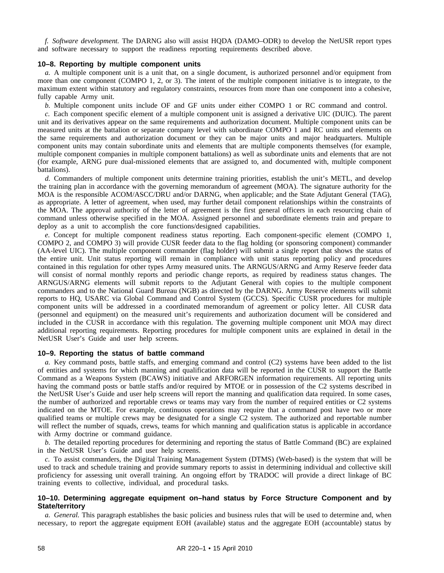*f. Software development.* The DARNG also will assist HQDA (DAMO–ODR) to develop the NetUSR report types and software necessary to support the readiness reporting requirements described above.

#### **10–8. Reporting by multiple component units**

*a.* A multiple component unit is a unit that, on a single document, is authorized personnel and/or equipment from more than one component (COMPO 1, 2, or 3). The intent of the multiple component initiative is to integrate, to the maximum extent within statutory and regulatory constraints, resources from more than one component into a cohesive, fully capable Army unit.

*b.* Multiple component units include OF and GF units under either COMPO 1 or RC command and control.

*c.* Each component specific element of a multiple component unit is assigned a derivative UIC (DUIC). The parent unit and its derivatives appear on the same requirements and authorization document. Multiple component units can be measured units at the battalion or separate company level with subordinate COMPO 1 and RC units and elements on the same requirements and authorization document or they can be major units and major headquarters. Multiple component units may contain subordinate units and elements that are multiple components themselves (for example, multiple component companies in multiple component battalions) as well as subordinate units and elements that are not (for example, ARNG pure dual-missioned elements that are assigned to, and documented with, multiple component battalions).

*d.* Commanders of multiple component units determine training priorities, establish the unit's METL, and develop the training plan in accordance with the governing memorandum of agreement (MOA). The signature authority for the MOA is the responsible ACOM/ASCC/DRU and/or DARNG, when applicable; and the State Adjutant General (TAG), as appropriate. A letter of agreement, when used, may further detail component relationships within the constraints of the MOA. The approval authority of the letter of agreement is the first general officers in each resourcing chain of command unless otherwise specified in the MOA. Assigned personnel and subordinate elements train and prepare to deploy as a unit to accomplish the core functions/designed capabilities.

*e*. Concept for multiple component readiness status reporting. Each component-specific element (COMPO 1, COMPO 2, and COMPO 3) will provide CUSR feeder data to the flag holding (or sponsoring component) commander (AA-level UIC). The multiple component commander (flag holder) will submit a single report that shows the status of the entire unit. Unit status reporting will remain in compliance with unit status reporting policy and procedures contained in this regulation for other types Army measured units. The ARNGUS/ARNG and Army Reserve feeder data will consist of normal monthly reports and periodic change reports, as required by readiness status changes. The ARNGUS/ARNG elements will submit reports to the Adjutant General with copies to the multiple component commanders and to the National Guard Bureau (NGB) as directed by the DARNG. Army Reserve elements will submit reports to HQ, USARC via Global Command and Control System (GCCS). Specific CUSR procedures for multiple component units will be addressed in a coordinated memorandum of agreement or policy letter. All CUSR data (personnel and equipment) on the measured unit's requirements and authorization document will be considered and included in the CUSR in accordance with this regulation. The governing multiple component unit MOA may direct additional reporting requirements. Reporting procedures for multiple component units are explained in detail in the NetUSR User's Guide and user help screens.

#### **10–9. Reporting the status of battle command**

*a.* Key command posts, battle staffs, and emerging command and control (C2) systems have been added to the list of entities and systems for which manning and qualification data will be reported in the CUSR to support the Battle Command as a Weapons System (BCAWS) initiative and ARFORGEN information requirements. All reporting units having the command posts or battle staffs and/or required by MTOE or in possession of the C2 systems described in the NetUSR User's Guide and user help screens will report the manning and qualification data required. In some cases, the number of authorized and reportable crews or teams may vary from the number of required entities or C2 systems indicated on the MTOE. For example, continuous operations may require that a command post have two or more qualified teams or multiple crews may be designated for a single C2 system. The authorized and reportable number will reflect the number of squads, crews, teams for which manning and qualification status is applicable in accordance with Army doctrine or command guidance.

*b.* The detailed reporting procedures for determining and reporting the status of Battle Command (BC) are explained in the NetUSR User's Guide and user help screens.

*c.* To assist commanders, the Digital Training Management System (DTMS) (Web-based) is the system that will be used to track and schedule training and provide summary reports to assist in determining individual and collective skill proficiency for assessing unit overall training. An ongoing effort by TRADOC will provide a direct linkage of BC training events to collective, individual, and procedural tasks.

# **10–10. Determining aggregate equipment on–hand status by Force Structure Component and by State/territory**

*a. General.* This paragraph establishes the basic policies and business rules that will be used to determine and, when necessary, to report the aggregate equipment EOH (available) status and the aggregate EOH (accountable) status by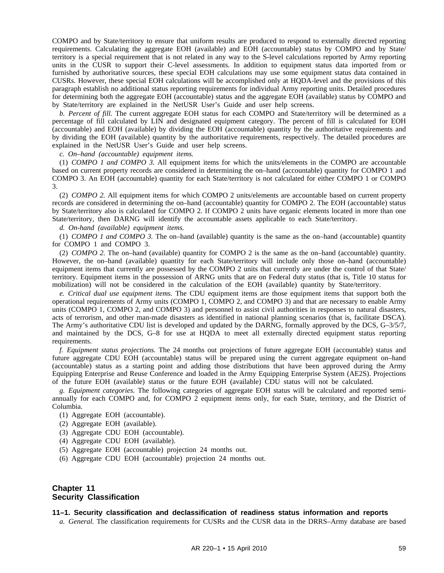COMPO and by State/territory to ensure that uniform results are produced to respond to externally directed reporting requirements. Calculating the aggregate EOH (available) and EOH (accountable) status by COMPO and by State/ territory is a special requirement that is not related in any way to the S-level calculations reported by Army reporting units in the CUSR to support their C-level assessments. In addition to equipment status data imported from or furnished by authoritative sources, these special EOH calculations may use some equipment status data contained in CUSRs. However, these special EOH calculations will be accomplished only at HQDA-level and the provisions of this paragraph establish no additional status reporting requirements for individual Army reporting units. Detailed procedures for determining both the aggregate EOH (accountable) status and the aggregate EOH (available) status by COMPO and by State/territory are explained in the NetUSR User's Guide and user help screens.

*b. Percent of fill.* The current aggregate EOH status for each COMPO and State/territory will be determined as a percentage of fill calculated by LIN and designated equipment category. The percent of fill is calculated for EOH (accountable) and EOH (available) by dividing the EOH (accountable) quantity by the authoritative requirements and by dividing the EOH (available) quantity by the authoritative requirements, respectively. The detailed procedures are explained in the NetUSR User's Guide and user help screens.

*c. On–hand (accountable) equipment items.*

(1) *COMPO 1 and COMPO 3.* All equipment items for which the units/elements in the COMPO are accountable based on current property records are considered in determining the on–hand (accountable) quantity for COMPO 1 and COMPO 3. An EOH (accountable) quantity for each State/territory is not calculated for either COMPO 1 or COMPO 3.

(2) *COMPO 2.* All equipment items for which COMPO 2 units/elements are accountable based on current property records are considered in determining the on–hand (accountable) quantity for COMPO 2. The EOH (accountable) status by State/territory also is calculated for COMPO 2. If COMPO 2 units have organic elements located in more than one State/territory, then DARNG will identify the accountable assets applicable to each State/territory.

*d. On-hand (available) equipment items.*

(1) *COMPO 1 and COMPO 3.* The on–hand (available) quantity is the same as the on–hand (accountable) quantity for COMPO 1 and COMPO 3.

(2) *COMPO 2.* The on–hand (available) quantity for COMPO 2 is the same as the on–hand (accountable) quantity. However, the on–hand (available) quantity for each State/territory will include only those on–hand (accountable) equipment items that currently are possessed by the COMPO 2 units that currently are under the control of that State/ territory. Equipment items in the possession of ARNG units that are on Federal duty status (that is, Title 10 status for mobilization) will not be considered in the calculation of the EOH (available) quantity by State/territory.

*e. Critical dual use equipment items.* The CDU equipment items are those equipment items that support both the operational requirements of Army units (COMPO 1, COMPO 2, and COMPO 3) and that are necessary to enable Army units (COMPO 1, COMPO 2, and COMPO 3) and personnel to assist civil authorities in responses to natural disasters, acts of terrorism, and other man-made disasters as identified in national planning scenarios (that is, facilitate DSCA). The Army's authoritative CDU list is developed and updated by the DARNG, formally approved by the DCS, G–3/5/7, and maintained by the DCS, G–8 for use at HQDA to meet all externally directed equipment status reporting requirements.

*f. Equipment status projections.* The 24 months out projections of future aggregate EOH (accountable) status and future aggregate CDU EOH (accountable) status will be prepared using the current aggregate equipment on–hand (accountable) status as a starting point and adding those distributions that have been approved during the Army Equipping Enterprise and Reuse Conference and loaded in the Army Equipping Enterprise System (AE2S). Projections of the future EOH (available) status or the future EOH (available) CDU status will not be calculated.

*g. Equipment categories.* The following categories of aggregate EOH status will be calculated and reported semiannually for each COMPO and, for COMPO 2 equipment items only, for each State, territory, and the District of Columbia.

- (1) Aggregate EOH (accountable).
- (2) Aggregate EOH (available).
- (3) Aggregate CDU EOH (accountable).
- (4) Aggregate CDU EOH (available).
- (5) Aggregate EOH (accountable) projection 24 months out.
- (6) Aggregate CDU EOH (accountable) projection 24 months out.

# **Chapter 11 Security Classification**

#### **11–1. Security classification and declassification of readiness status information and reports**

*a. General.* The classification requirements for CUSRs and the CUSR data in the DRRS–Army database are based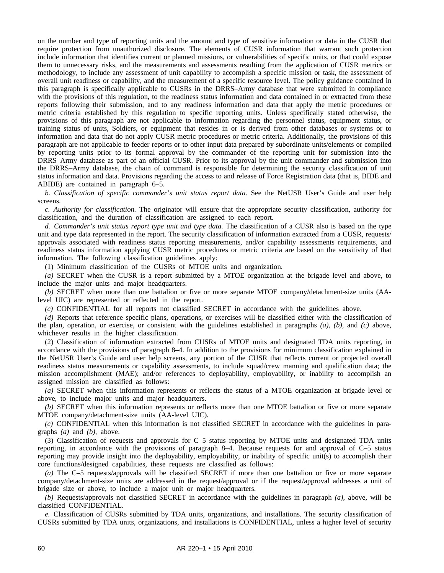on the number and type of reporting units and the amount and type of sensitive information or data in the CUSR that require protection from unauthorized disclosure. The elements of CUSR information that warrant such protection include information that identifies current or planned missions, or vulnerabilities of specific units, or that could expose them to unnecessary risks, and the measurements and assessments resulting from the application of CUSR metrics or methodology, to include any assessment of unit capability to accomplish a specific mission or task, the assessment of overall unit readiness or capability, and the measurement of a specific resource level. The policy guidance contained in this paragraph is specifically applicable to CUSRs in the DRRS–Army database that were submitted in compliance with the provisions of this regulation, to the readiness status information and data contained in or extracted from these reports following their submission, and to any readiness information and data that apply the metric procedures or metric criteria established by this regulation to specific reporting units. Unless specifically stated otherwise, the provisions of this paragraph are not applicable to information regarding the personnel status, equipment status, or training status of units, Soldiers, or equipment that resides in or is derived from other databases or systems or to information and data that do not apply CUSR metric procedures or metric criteria. Additionally, the provisions of this paragraph are not applicable to feeder reports or to other input data prepared by subordinate units/elements or compiled by reporting units prior to its formal approval by the commander of the reporting unit for submission into the DRRS–Army database as part of an official CUSR. Prior to its approval by the unit commander and submission into the DRRS–Army database, the chain of command is responsible for determining the security classification of unit status information and data. Provisions regarding the access to and release of Force Registration data (that is, BIDE and ABIDE) are contained in paragraph 6–5.

*b. Classification of specific commander's unit status report data.* See the NetUSR User's Guide and user help screens.

*c. Authority for classification.* The originator will ensure that the appropriate security classification, authority for classification, and the duration of classification are assigned to each report.

*d. Commander's unit status report type unit and type data.* The classification of a CUSR also is based on the type unit and type data represented in the report. The security classification of information extracted from a CUSR, requests/ approvals associated with readiness status reporting measurements, and/or capability assessments requirements, and readiness status information applying CUSR metric procedures or metric criteria are based on the sensitivity of that information. The following classification guidelines apply:

(1) Minimum classification of the CUSRs of MTOE units and organization.

*(a)* SECRET when the CUSR is a report submitted by a MTOE organization at the brigade level and above, to include the major units and major headquarters.

*(b)* SECRET when more than one battalion or five or more separate MTOE company/detachment-size units (AAlevel UIC) are represented or reflected in the report.

*(c)* CONFIDENTIAL for all reports not classified SECRET in accordance with the guidelines above.

*(d)* Reports that reference specific plans, operations, or exercises will be classified either with the classification of the plan, operation, or exercise, or consistent with the guidelines established in paragraphs *(a)*, *(b)*, and *(c)* above, whichever results in the higher classification.

(2) Classification of information extracted from CUSRs of MTOE units and designated TDA units reporting, in accordance with the provisions of paragraph 8–4. In addition to the provisions for minimum classification explained in the NetUSR User's Guide and user help screens, any portion of the CUSR that reflects current or projected overall readiness status measurements or capability assessments, to include squad/crew manning and qualification data; the mission accomplishment (MAE); and/or references to deployability, employability, or inability to accomplish an assigned mission are classified as follows:

*(a)* SECRET when this information represents or reflects the status of a MTOE organization at brigade level or above, to include major units and major headquarters.

*(b)* SECRET when this information represents or reflects more than one MTOE battalion or five or more separate MTOE company/detachment-size units (AA-level UIC).

*(c)* CONFIDENTIAL when this information is not classified SECRET in accordance with the guidelines in paragraphs *(a)* and *(b)*, above.

(3) Classification of requests and approvals for C–5 status reporting by MTOE units and designated TDA units reporting, in accordance with the provisions of paragraph 8–4. Because requests for and approval of C–5 status reporting may provide insight into the deployability, employability, or inability of specific unit(s) to accomplish their core functions/designed capabilities, these requests are classified as follows:

*(a)* The C–5 requests/approvals will be classified SECRET if more than one battalion or five or more separate company/detachment-size units are addressed in the request/approval or if the request/approval addresses a unit of brigade size or above, to include a major unit or major headquarters.

*(b)* Requests/approvals not classified SECRET in accordance with the guidelines in paragraph *(a)*, above, will be classified CONFIDENTIAL.

*e.* Classification of CUSRs submitted by TDA units, organizations, and installations. The security classification of CUSRs submitted by TDA units, organizations, and installations is CONFIDENTIAL, unless a higher level of security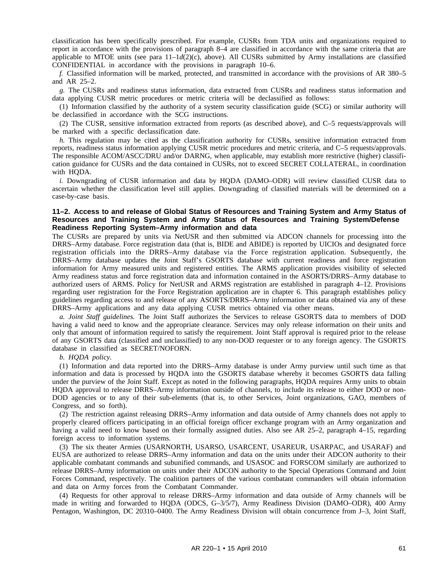classification has been specifically prescribed. For example, CUSRs from TDA units and organizations required to report in accordance with the provisions of paragraph 8–4 are classified in accordance with the same criteria that are applicable to MTOE units (see para  $11-d(2)(c)$ , above). All CUSRs submitted by Army installations are classified CONFIDENTIAL in accordance with the provisions in paragraph 10–6.

*f.* Classified information will be marked, protected, and transmitted in accordance with the provisions of AR 380–5 and AR 25–2.

*g.* The CUSRs and readiness status information, data extracted from CUSRs and readiness status information and data applying CUSR metric procedures or metric criteria will be declassified as follows:

(1) Information classified by the authority of a system security classification guide (SCG) or similar authority will be declassified in accordance with the SCG instructions.

(2) The CUSR, sensitive information extracted from reports (as described above), and C–5 requests/approvals will be marked with a specific declassification date.

*h.* This regulation may be cited as the classification authority for CUSRs, sensitive information extracted from reports, readiness status information applying CUSR metric procedures and metric criteria, and C–5 requests/approvals. The responsible ACOM/ASCC/DRU and/or DARNG, when applicable, may establish more restrictive (higher) classification guidance for CUSRs and the data contained in CUSRs, not to exceed SECRET COLLATERAL, in coordination with HQDA.

*i.* Downgrading of CUSR information and data by HQDA (DAMO–ODR) will review classified CUSR data to ascertain whether the classification level still applies. Downgrading of classified materials will be determined on a case-by-case basis.

# **11–2. Access to and release of Global Status of Resources and Training System and Army Status of Resources and Training System and Army Status of Resources and Training System/Defense Readiness Reporting System–Army information and data**

The CUSRs are prepared by units via NetUSR and then submitted via ADCON channels for processing into the DRRS–Army database. Force registration data (that is, BIDE and ABIDE) is reported by UICIOs and designated force registration officials into the DRRS-Army database via the Force registration application. Subsequently, the DRRS–Army database updates the Joint Staff's GSORTS database with current readiness and force registration information for Army measured units and registered entities. The ARMS application provides visibility of selected Army readiness status and force registration data and information contained in the ASORTS/DRRS–Army database to authorized users of ARMS. Policy for NetUSR and ARMS registration are established in paragraph 4–12. Provisions regarding user registration for the Force Registration application are in chapter 6. This paragraph establishes policy guidelines regarding access to and release of any ASORTS/DRRS–Army information or data obtained via any of these DRRS–Army applications and any data applying CUSR metrics obtained via other means.

*a. Joint Staff guidelines.* The Joint Staff authorizes the Services to release GSORTS data to members of DOD having a valid need to know and the appropriate clearance. Services may only release information on their units and only that amount of information required to satisfy the requirement. Joint Staff approval is required prior to the release of any GSORTS data (classified and unclassified) to any non-DOD requester or to any foreign agency. The GSORTS database in classified as SECRET/NOFORN.

#### *b. HQDA policy.*

(1) Information and data reported into the DRRS–Army database is under Army purview until such time as that information and data is processed by HQDA into the GSORTS database whereby it becomes GSORTS data falling under the purview of the Joint Staff. Except as noted in the following paragraphs, HQDA requires Army units to obtain HQDA approval to release DRRS–Army information outside of channels, to include its release to either DOD or non-DOD agencies or to any of their sub-elements (that is, to other Services, Joint organizations, GAO, members of Congress, and so forth).

(2) The restriction against releasing DRRS–Army information and data outside of Army channels does not apply to properly cleared officers participating in an official foreign officer exchange program with an Army organization and having a valid need to know based on their formally assigned duties. Also see AR 25–2, paragraph 4–15, regarding foreign access to information systems.

(3) The six theater Armies (USARNORTH, USARSO, USARCENT, USAREUR, USARPAC, and USARAF) and EUSA are authorized to release DRRS–Army information and data on the units under their ADCON authority to their applicable combatant commands and subunified commands, and USASOC and FORSCOM similarly are authorized to release DRRS–Army information on units under their ADCON authority to the Special Operations Command and Joint Forces Command, respectively. The coalition partners of the various combatant commanders will obtain information and data on Army forces from the Combatant Commander.

(4) Requests for other approval to release DRRS–Army information and data outside of Army channels will be made in writing and forwarded to HQDA (ODCS, G–3/5/7), Army Readiness Division (DAMO–ODR), 400 Army Pentagon, Washington, DC 20310–0400. The Army Readiness Division will obtain concurrence from J–3, Joint Staff,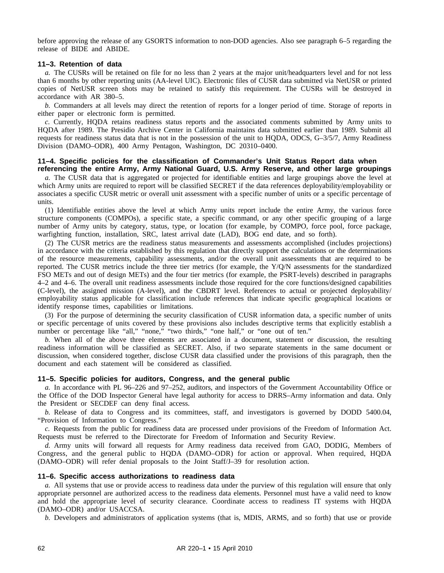before approving the release of any GSORTS information to non-DOD agencies. Also see paragraph 6–5 regarding the release of BIDE and ABIDE.

# **11–3. Retention of data**

*a.* The CUSRs will be retained on file for no less than 2 years at the major unit/headquarters level and for not less than 6 months by other reporting units (AA-level UIC). Electronic files of CUSR data submitted via NetUSR or printed copies of NetUSR screen shots may be retained to satisfy this requirement. The CUSRs will be destroyed in accordance with AR 380–5.

*b.* Commanders at all levels may direct the retention of reports for a longer period of time. Storage of reports in either paper or electronic form is permitted.

*c.* Currently, HQDA retains readiness status reports and the associated comments submitted by Army units to HQDA after 1989. The Presidio Archive Center in California maintains data submitted earlier than 1989. Submit all requests for readiness status data that is not in the possession of the unit to HQDA, ODCS, G–3/5/7, Army Readiness Division (DAMO–ODR), 400 Army Pentagon, Washington, DC 20310–0400.

#### **11–4. Specific policies for the classification of Commander's Unit Status Report data when referencing the entire Army, Army National Guard, U.S. Army Reserve, and other large groupings**

*a.* The CUSR data that is aggregated or projected for identifiable entities and large groupings above the level at which Army units are required to report will be classified SECRET if the data references deployability/employability or associates a specific CUSR metric or overall unit assessment with a specific number of units or a specific percentage of units.

(1) Identifiable entities above the level at which Army units report include the entire Army, the various force structure components (COMPOs), a specific state, a specific command, or any other specific grouping of a large number of Army units by category, status, type, or location (for example, by COMPO, force pool, force package, warfighting function, installation, SRC, latest arrival date (LAD), BOG end date, and so forth).

(2) The CUSR metrics are the readiness status measurements and assessments accomplished (includes projections) in accordance with the criteria established by this regulation that directly support the calculations or the determinations of the resource measurements, capability assessments, and/or the overall unit assessments that are required to be reported. The CUSR metrics include the three tier metrics (for example, the Y/Q/N assessments for the standardized FSO METs and out of design METs) and the four tier metrics (for example, the PSRT-levels) described in paragraphs 4–2 and 4–6. The overall unit readiness assessments include those required for the core functions/designed capabilities (C-level), the assigned mission (A-level), and the CBDRT level. References to actual or projected deployability/ employability status applicable for classification include references that indicate specific geographical locations or identify response times, capabilities or limitations.

(3) For the purpose of determining the security classification of CUSR information data, a specific number of units or specific percentage of units covered by these provisions also includes descriptive terms that explicitly establish a number or percentage like "all," "none," "two thirds," "one half," or "one out of ten."

*b.* When all of the above three elements are associated in a document, statement or discussion, the resulting readiness information will be classified as SECRET. Also, if two separate statements in the same document or discussion, when considered together, disclose CUSR data classified under the provisions of this paragraph, then the document and each statement will be considered as classified.

#### **11–5. Specific policies for auditors, Congress, and the general public**

*a.* In accordance with PL 96–226 and 97–252, auditors, and inspectors of the Government Accountability Office or the Office of the DOD Inspector General have legal authority for access to DRRS–Army information and data. Only the President or SECDEF can deny final access.

*b.* Release of data to Congress and its committees, staff, and investigators is governed by DODD 5400.04, "Provision of Information to Congress."

*c.* Requests from the public for readiness data are processed under provisions of the Freedom of Information Act. Requests must be referred to the Directorate for Freedom of Information and Security Review.

*d.* Army units will forward all requests for Army readiness data received from GAO, DODIG, Members of Congress, and the general public to HQDA (DAMO-ODR) for action or approval. When required, HQDA (DAMO–ODR) will refer denial proposals to the Joint Staff/J–39 for resolution action.

#### **11–6. Specific access authorizations to readiness data**

*a.* All systems that use or provide access to readiness data under the purview of this regulation will ensure that only appropriate personnel are authorized access to the readiness data elements. Personnel must have a valid need to know and hold the appropriate level of security clearance. Coordinate access to readiness IT systems with HQDA (DAMO–ODR) and/or USACCSA.

*b.* Developers and administrators of application systems (that is, MDIS, ARMS, and so forth) that use or provide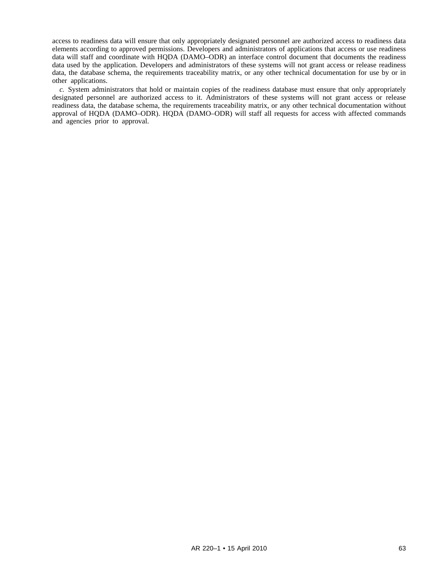access to readiness data will ensure that only appropriately designated personnel are authorized access to readiness data elements according to approved permissions. Developers and administrators of applications that access or use readiness data will staff and coordinate with HQDA (DAMO–ODR) an interface control document that documents the readiness data used by the application. Developers and administrators of these systems will not grant access or release readiness data, the database schema, the requirements traceability matrix, or any other technical documentation for use by or in other applications.

*c.* System administrators that hold or maintain copies of the readiness database must ensure that only appropriately designated personnel are authorized access to it. Administrators of these systems will not grant access or release readiness data, the database schema, the requirements traceability matrix, or any other technical documentation without approval of HQDA (DAMO–ODR). HQDA (DAMO–ODR) will staff all requests for access with affected commands and agencies prior to approval.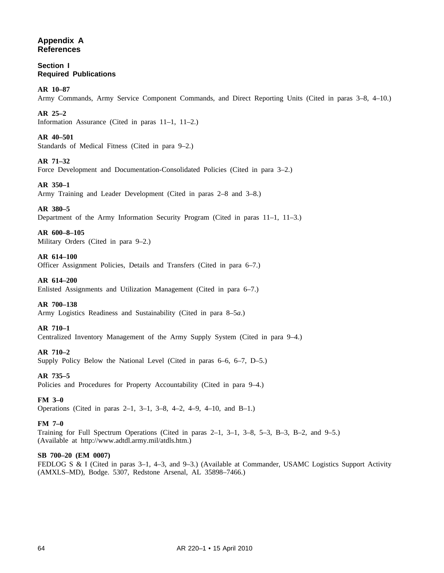# **Appendix A References**

**Section I Required Publications**

**AR 10–87**

Army Commands, Army Service Component Commands, and Direct Reporting Units (Cited in paras 3–8, 4–10.)

# **AR 25–2**

Information Assurance (Cited in paras 11–1, 11–2.)

# **AR 40–501**

Standards of Medical Fitness (Cited in para 9–2.)

# **AR 71–32**

Force Development and Documentation-Consolidated Policies (Cited in para 3–2.)

# **AR 350–1**

Army Training and Leader Development (Cited in paras 2–8 and 3–8.)

# **AR 380–5**

Department of the Army Information Security Program (Cited in paras 11–1, 11–3.)

# **AR 600–8–105**

Military Orders (Cited in para 9–2.)

# **AR 614–100**

Officer Assignment Policies, Details and Transfers (Cited in para 6–7.)

# **AR 614–200**

Enlisted Assignments and Utilization Management (Cited in para 6–7.)

# **AR 700–138**

Army Logistics Readiness and Sustainability (Cited in para 8–5*a*.)

# **AR 710–1**

Centralized Inventory Management of the Army Supply System (Cited in para 9–4.)

# **AR 710–2**

Supply Policy Below the National Level (Cited in paras 6–6, 6–7, D–5.)

# **AR 735–5**

Policies and Procedures for Property Accountability (Cited in para 9–4.)

# **FM 3–0**

Operations (Cited in paras 2–1, 3–1, 3–8, 4–2, 4–9, 4–10, and B–1.)

# **FM 7–0**

Training for Full Spectrum Operations (Cited in paras 2–1, 3–1, 3–8, 5–3, B–3, B–2, and 9–5.) (Available at http://www.adtdl.army.mil/atdls.htm.)

# **SB 700–20 (EM 0007)**

FEDLOG S & I (Cited in paras 3–1, 4–3, and 9–3.) (Available at Commander, USAMC Logistics Support Activity (AMXLS–MD), Bodge. 5307, Redstone Arsenal, AL 35898–7466.)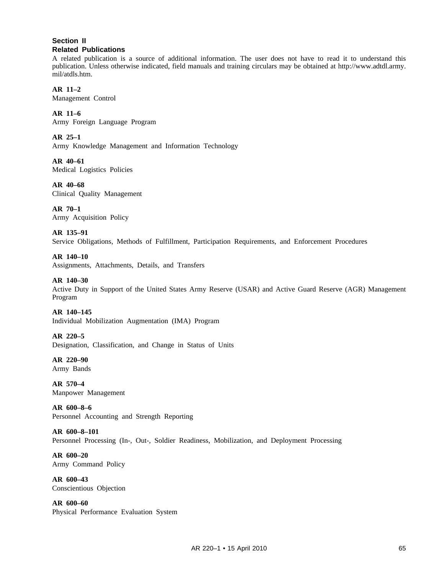# **Section II Related Publications**

A related publication is a source of additional information. The user does not have to read it to understand this publication. Unless otherwise indicated, field manuals and training circulars may be obtained at http://www.adtdl.army. mil/atdls.htm.

# **AR 11–2**

Management Control

# **AR 11–6**

Army Foreign Language Program

# **AR 25–1**

Army Knowledge Management and Information Technology

**AR 40–61** Medical Logistics Policies

**AR 40–68** Clinical Quality Management

**AR 70–1** Army Acquisition Policy

# **AR 135–91**

Service Obligations, Methods of Fulfillment, Participation Requirements, and Enforcement Procedures

**AR 140–10** Assignments, Attachments, Details, and Transfers

# **AR 140–30**

Active Duty in Support of the United States Army Reserve (USAR) and Active Guard Reserve (AGR) Management Program

## **AR 140–145**

Individual Mobilization Augmentation (IMA) Program

## **AR 220–5**

Designation, Classification, and Change in Status of Units

**AR 220–90** Army Bands

**AR 570–4** Manpower Management

**AR 600–8–6** Personnel Accounting and Strength Reporting

**AR 600–8–101** Personnel Processing (In-, Out-, Soldier Readiness, Mobilization, and Deployment Processing

**AR 600–20** Army Command Policy

**AR 600–43** Conscientious Objection

**AR 600–60** Physical Performance Evaluation System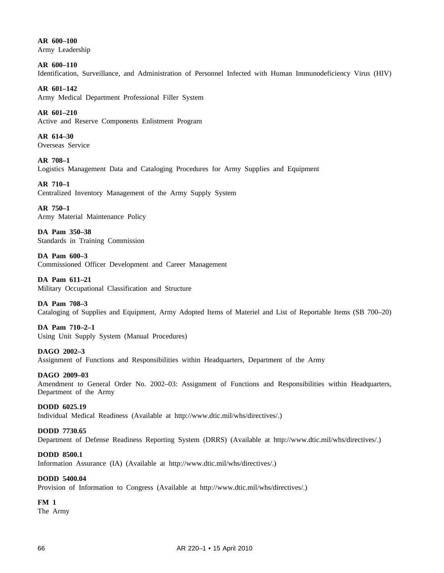**AR 600–100** Army Leadership

**AR 600–110** Identification, Surveillance, and Administration of Personnel Infected with Human Immunodeficiency Virus (HIV)

**AR 601–142** Army Medical Department Professional Filler System

**AR 601–210** Active and Reserve Components Enlistment Program

**AR 614–30** Overseas Service

**AR 708–1** Logistics Management Data and Cataloging Procedures for Army Supplies and Equipment

**AR 710–1** Centralized Inventory Management of the Army Supply System

**AR 750–1** Army Material Maintenance Policy

**DA Pam 350–38** Standards in Training Commission

**DA Pam 600–3** Commissioned Officer Development and Career Management

**DA Pam 611–21** Military Occupational Classification and Structure

# **DA Pam 708–3**

Cataloging of Supplies and Equipment, Army Adopted Items of Materiel and List of Reportable Items (SB 700–20)

# **DA Pam 710–2–1**

Using Unit Supply System (Manual Procedures)

**DAGO 2002–3**

Assignment of Functions and Responsibilities within Headquarters, Department of the Army

**DAGO 2009–03**

Amendment to General Order No. 2002–03: Assignment of Functions and Responsibilities within Headquarters, Department of the Army

**DODD 6025.19** Individual Medical Readiness (Available at http://www.dtic.mil/whs/directives/.)

# **DODD 7730.65**

Department of Defense Readiness Reporting System (DRRS) (Available at http://www.dtic.mil/whs/directives/.)

# **DODD 8500.1**

Information Assurance (IA) (Available at http://www.dtic.mil/whs/directives/.)

# **DODD 5400.04**

Provision of Information to Congress (Available at http://www.dtic.mil/whs/directives/.)

**FM 1**

The Army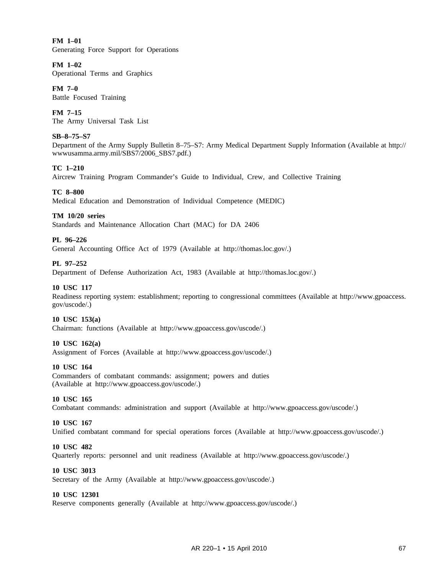**FM 1–01** Generating Force Support for Operations

# **FM 1–02**

Operational Terms and Graphics

**FM 7–0** Battle Focused Training

**FM 7–15** The Army Universal Task List

# **SB–8–75–S7**

Department of the Army Supply Bulletin 8–75–S7: Army Medical Department Supply Information (Available at http:// wwwusamma.army.mil/SBS7/2006\_SBS7.pdf.)

# **TC 1–210**

Aircrew Training Program Commander's Guide to Individual, Crew, and Collective Training

## **TC 8–800**

Medical Education and Demonstration of Individual Competence (MEDIC)

## **TM 10/20 series**

Standards and Maintenance Allocation Chart (MAC) for DA 2406

## **PL 96–226**

General Accounting Office Act of 1979 (Available at http://thomas.loc.gov/.)

## **PL 97–252**

Department of Defense Authorization Act, 1983 (Available at http://thomas.loc.gov/.)

# **10 USC 117**

Readiness reporting system: establishment; reporting to congressional committees (Available at http://www.gpoaccess. gov/uscode/.)

## **10 USC 153(a)**

Chairman: functions (Available at http://www.gpoaccess.gov/uscode/.)

## **10 USC 162(a)**

Assignment of Forces (Available at http://www.gpoaccess.gov/uscode/.)

## **10 USC 164**

Commanders of combatant commands: assignment; powers and duties (Available at http://www.gpoaccess.gov/uscode/.)

## **10 USC 165**

Combatant commands: administration and support (Available at http://www.gpoaccess.gov/uscode/.)

## **10 USC 167**

Unified combatant command for special operations forces (Available at http://www.gpoaccess.gov/uscode/.)

## **10 USC 482**

Quarterly reports: personnel and unit readiness (Available at http://www.gpoaccess.gov/uscode/.)

## **10 USC 3013**

Secretary of the Army (Available at http://www.gpoaccess.gov/uscode/.)

## **10 USC 12301**

Reserve components generally (Available at http://www.gpoaccess.gov/uscode/.)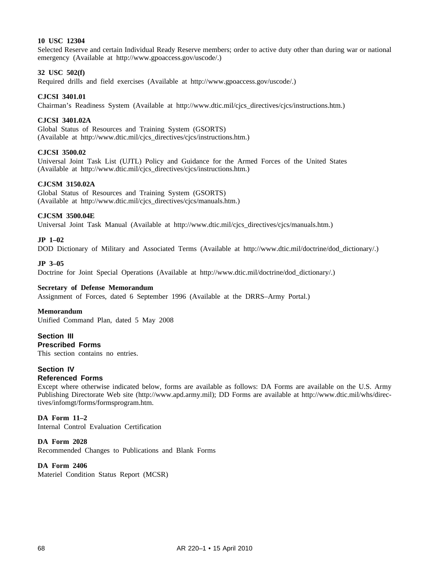# **10 USC 12304**

Selected Reserve and certain Individual Ready Reserve members; order to active duty other than during war or national emergency (Available at http://www.gpoaccess.gov/uscode/.)

## **32 USC 502(f)**

Required drills and field exercises (Available at http://www.gpoaccess.gov/uscode/.)

## **CJCSI 3401.01**

Chairman's Readiness System (Available at http://www.dtic.mil/cjcs\_directives/cjcs/instructions.htm.)

## **CJCSI 3401.02A**

Global Status of Resources and Training System (GSORTS) (Available at http://www.dtic.mil/cjcs\_directives/cjcs/instructions.htm.)

### **CJCSI 3500.02**

Universal Joint Task List (UJTL) Policy and Guidance for the Armed Forces of the United States (Available at http://www.dtic.mil/cjcs\_directives/cjcs/instructions.htm.)

### **CJCSM 3150.02A**

Global Status of Resources and Training System (GSORTS) (Available at http://www.dtic.mil/cjcs\_directives/cjcs/manuals.htm.)

### **CJCSM 3500.04E**

Universal Joint Task Manual (Available at http://www.dtic.mil/cjcs\_directives/cjcs/manuals.htm.)

### **JP 1–02**

DOD Dictionary of Military and Associated Terms (Available at http://www.dtic.mil/doctrine/dod\_dictionary/.)

#### **JP 3–05**

Doctrine for Joint Special Operations (Available at http://www.dtic.mil/doctrine/dod\_dictionary/.)

## **Secretary of Defense Memorandum**

Assignment of Forces, dated 6 September 1996 (Available at the DRRS–Army Portal.)

#### **Memorandum**

Unified Command Plan, dated 5 May 2008

# **Section III Prescribed Forms**

This section contains no entries.

# **Section IV**

# **Referenced Forms**

Except where otherwise indicated below, forms are available as follows: DA Forms are available on the U.S. Army Publishing Directorate Web site (http://www.apd.army.mil); DD Forms are available at http://www.dtic.mil/whs/directives/infomgt/forms/formsprogram.htm.

## **DA Form 11–2**

Internal Control Evaluation Certification

# **DA Form 2028**

Recommended Changes to Publications and Blank Forms

# **DA Form 2406**

Materiel Condition Status Report (MCSR)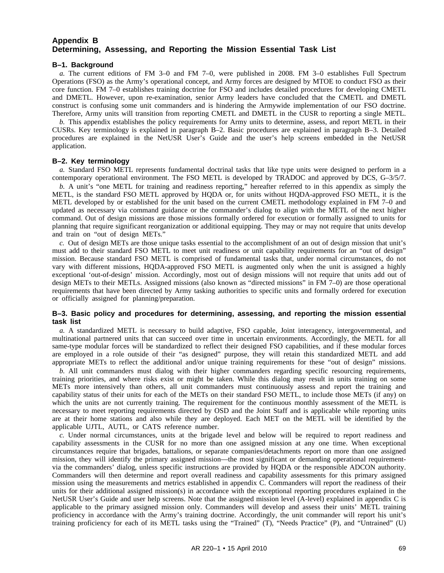# **Appendix B Determining, Assessing, and Reporting the Mission Essential Task List**

# **B–1. Background**

*a.* The current editions of FM 3–0 and FM 7–0, were published in 2008. FM 3–0 establishes Full Spectrum Operations (FSO) as the Army's operational concept, and Army forces are designed by MTOE to conduct FSO as their core function. FM 7–0 establishes training doctrine for FSO and includes detailed procedures for developing CMETL and DMETL. However, upon re-examination, senior Army leaders have concluded that the CMETL and DMETL construct is confusing some unit commanders and is hindering the Armywide implementation of our FSO doctrine. Therefore, Army units will transition from reporting CMETL and DMETL in the CUSR to reporting a single METL.

*b.* This appendix establishes the policy requirements for Army units to determine, assess, and report METL in their CUSRs. Key terminology is explained in paragraph B–2. Basic procedures are explained in paragraph B–3. Detailed procedures are explained in the NetUSR User's Guide and the user's help screens embedded in the NetUSR application.

# **B–2. Key terminology**

*a.* Standard FSO METL represents fundamental doctrinal tasks that like type units were designed to perform in a contemporary operational environment. The FSO METL is developed by TRADOC and approved by DCS, G–3/5/7.

*b.* A unit's "one METL for training and readiness reporting," hereafter referred to in this appendix as simply the METL, is the standard FSO METL approved by HQDA or, for units without HQDA-approved FSO METL, it is the METL developed by or established for the unit based on the current CMETL methodology explained in FM 7–0 and updated as necessary via command guidance or the commander's dialog to align with the METL of the next higher command. Out of design missions are those missions formally ordered for execution or formally assigned to units for planning that require significant reorganization or additional equipping. They may or may not require that units develop and train on "out of design METs."

*c.* Out of design METs are those unique tasks essential to the accomplishment of an out of design mission that unit's must add to their standard FSO METL to meet unit readiness or unit capability requirements for an "out of design" mission. Because standard FSO METL is comprised of fundamental tasks that, under normal circumstances, do not vary with different missions, HQDA-approved FSO METL is augmented only when the unit is assigned a highly exceptional 'out-of-design' mission. Accordingly, most out of design missions will not require that units add out of design METs to their METLs. Assigned missions (also known as "directed missions" in FM 7–0) are those operational requirements that have been directed by Army tasking authorities to specific units and formally ordered for execution or officially assigned for planning/preparation.

## **B–3. Basic policy and procedures for determining, assessing, and reporting the mission essential task list**

*a.* A standardized METL is necessary to build adaptive, FSO capable, Joint interagency, intergovernmental, and multinational partnered units that can succeed over time in uncertain environments. Accordingly, the METL for all same-type modular forces will be standardized to reflect their designed FSO capabilities, and if these modular forces are employed in a role outside of their "as designed" purpose, they will retain this standardized METL and add appropriate METs to reflect the additional and/or unique training requirements for these "out of design" missions.

*b.* All unit commanders must dialog with their higher commanders regarding specific resourcing requirements, training priorities, and where risks exist or might be taken. While this dialog may result in units training on some METs more intensively than others, all unit commanders must continuously assess and report the training and capability status of their units for each of the METs on their standard FSO METL, to include those METs (if any) on which the units are not currently training. The requirement for the continuous monthly assessment of the METL is necessary to meet reporting requirements directed by OSD and the Joint Staff and is applicable while reporting units are at their home stations and also while they are deployed. Each MET on the METL will be identified by the applicable UJTL, AUTL, or CATS reference number.

*c.* Under normal circumstances, units at the brigade level and below will be required to report readiness and capability assessments in the CUSR for no more than one assigned mission at any one time. When exceptional circumstances require that brigades, battalions, or separate companies/detachments report on more than one assigned mission, they will identify the primary assigned mission—the most significant or demanding operational requirementvia the commanders' dialog, unless specific instructions are provided by HQDA or the responsible ADCON authority. Commanders will then determine and report overall readiness and capability assessments for this primary assigned mission using the measurements and metrics established in appendix C. Commanders will report the readiness of their units for their additional assigned mission(s) in accordance with the exceptional reporting procedures explained in the NetUSR User's Guide and user help screens. Note that the assigned mission level (A-level) explained in appendix C is applicable to the primary assigned mission only. Commanders will develop and assess their units' METL training proficiency in accordance with the Army's training doctrine. Accordingly, the unit commander will report his unit's training proficiency for each of its METL tasks using the "Trained" (T), "Needs Practice" (P), and "Untrained" (U)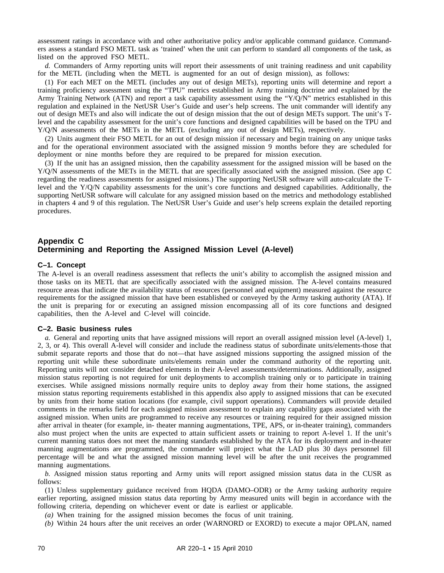assessment ratings in accordance with and other authoritative policy and/or applicable command guidance. Commanders assess a standard FSO METL task as 'trained' when the unit can perform to standard all components of the task, as listed on the approved FSO METL.

*d.* Commanders of Army reporting units will report their assessments of unit training readiness and unit capability for the METL (including when the METL is augmented for an out of design mission), as follows:

(1) For each MET on the METL (includes any out of design METs), reporting units will determine and report a training proficiency assessment using the "TPU" metrics established in Army training doctrine and explained by the Army Training Network (ATN) and report a task capability assessment using the "Y/Q/N" metrics established in this regulation and explained in the NetUSR User's Guide and user's help screens. The unit commander will identify any out of design METs and also will indicate the out of design mission that the out of design METs support. The unit's Tlevel and the capability assessment for the unit's core functions and designed capabilities will be based on the TPU and Y/Q/N assessments of the METs in the METL (excluding any out of design METs), respectively.

(2) Units augment their FSO METL for an out of design mission if necessary and begin training on any unique tasks and for the operational environment associated with the assigned mission 9 months before they are scheduled for deployment or nine months before they are required to be prepared for mission execution.

(3) If the unit has an assigned mission, then the capability assessment for the assigned mission will be based on the Y/Q/N assessments of the METs in the METL that are specifically associated with the assigned mission. (See app C regarding the readiness assessments for assigned missions.) The supporting NetUSR software will auto-calculate the Tlevel and the Y/Q/N capability assessments for the unit's core functions and designed capabilities. Additionally, the supporting NetUSR software will calculate for any assigned mission based on the metrics and methodology established in chapters 4 and 9 of this regulation. The NetUSR User's Guide and user's help screens explain the detailed reporting procedures.

# **Appendix C Determining and Reporting the Assigned Mission Level (A-level)**

## **C–1. Concept**

The A-level is an overall readiness assessment that reflects the unit's ability to accomplish the assigned mission and those tasks on its METL that are specifically associated with the assigned mission. The A-level contains measured resource areas that indicate the availability status of resources (personnel and equipment) measured against the resource requirements for the assigned mission that have been established or conveyed by the Army tasking authority (ATA). If the unit is preparing for or executing an assigned mission encompassing all of its core functions and designed capabilities, then the A-level and C-level will coincide.

#### **C–2. Basic business rules**

*a.* General and reporting units that have assigned missions will report an overall assigned mission level (A-level) 1, 2, 3, or 4). This overall A-level will consider and include the readiness status of subordinate units/elements-those that submit separate reports and those that do not—that have assigned missions supporting the assigned mission of the reporting unit while these subordinate units/elements remain under the command authority of the reporting unit. Reporting units will not consider detached elements in their A-level assessments/determinations. Additionally, assigned mission status reporting is not required for unit deployments to accomplish training only or to participate in training exercises. While assigned missions normally require units to deploy away from their home stations, the assigned mission status reporting requirements established in this appendix also apply to assigned missions that can be executed by units from their home station locations (for example, civil support operations). Commanders will provide detailed comments in the remarks field for each assigned mission assessment to explain any capability gaps associated with the assigned mission. When units are programmed to receive any resources or training required for their assigned mission after arrival in theater (for example, in- theater manning augmentations, TPE, APS, or in-theater training), commanders also must project when the units are expected to attain sufficient assets or training to report A-level 1. If the unit's current manning status does not meet the manning standards established by the ATA for its deployment and in-theater manning augmentations are programmed, the commander will project what the LAD plus 30 days personnel fill percentage will be and what the assigned mission manning level will be after the unit receives the programmed manning augmentations.

*b.* Assigned mission status reporting and Army units will report assigned mission status data in the CUSR as follows:

(1) Unless supplementary guidance received from HQDA (DAMO–ODR) or the Army tasking authority require earlier reporting, assigned mission status data reporting by Army measured units will begin in accordance with the following criteria, depending on whichever event or date is earliest or applicable.

- *(a)* When training for the assigned mission becomes the focus of unit training.
- *(b)* Within 24 hours after the unit receives an order (WARNORD or EXORD) to execute a major OPLAN, named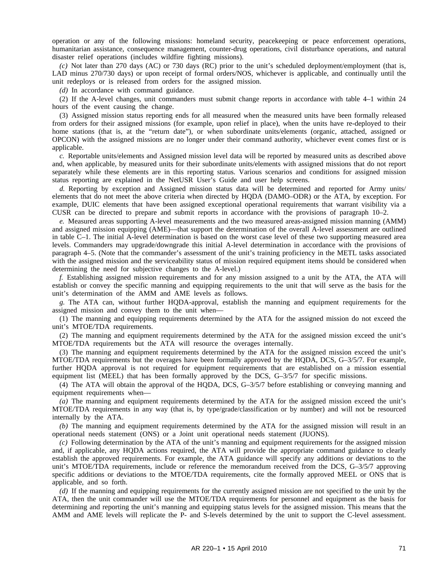operation or any of the following missions: homeland security, peacekeeping or peace enforcement operations, humanitarian assistance, consequence management, counter-drug operations, civil disturbance operations, and natural disaster relief operations (includes wildfire fighting missions).

*(c)* Not later than 270 days (AC) or 730 days (RC) prior to the unit's scheduled deployment/employment (that is, LAD minus 270/730 days) or upon receipt of formal orders/NOS, whichever is applicable, and continually until the unit redeploys or is released from orders for the assigned mission.

*(d)* In accordance with command guidance.

(2) If the A-level changes, unit commanders must submit change reports in accordance with table 4–1 within 24 hours of the event causing the change.

(3) Assigned mission status reporting ends for all measured when the measured units have been formally released from orders for their assigned missions (for example, upon relief in place), when the units have re-deployed to their home stations (that is, at the "return date"), or when subordinate units/elements (organic, attached, assigned or OPCON) with the assigned missions are no longer under their command authority, whichever event comes first or is applicable.

*c.* Reportable units/elements and Assigned mission level data will be reported by measured units as described above and, when applicable, by measured units for their subordinate units/elements with assigned missions that do not report separately while these elements are in this reporting status. Various scenarios and conditions for assigned mission status reporting are explained in the NetUSR User's Guide and user help screens.

*d.* Reporting by exception and Assigned mission status data will be determined and reported for Army units/ elements that do not meet the above criteria when directed by HQDA (DAMO–ODR) or the ATA, by exception. For example, DUIC elements that have been assigned exceptional operational requirements that warrant visibility via a CUSR can be directed to prepare and submit reports in accordance with the provisions of paragraph 10–2.

*e.* Measured areas supporting A-level measurements and the two measured areas-assigned mission manning (AMM) and assigned mission equipping (AME)—that support the determination of the overall A-level assessment are outlined in table C–1. The initial A-level determination is based on the worst case level of these two supporting measured area levels. Commanders may upgrade/downgrade this initial A-level determination in accordance with the provisions of paragraph 4–5. (Note that the commander's assessment of the unit's training proficiency in the METL tasks associated with the assigned mission and the serviceability status of mission required equipment items should be considered when determining the need for subjective changes to the A-level.)

*f.* Establishing assigned mission requirements and for any mission assigned to a unit by the ATA, the ATA will establish or convey the specific manning and equipping requirements to the unit that will serve as the basis for the unit's determination of the AMM and AME levels as follows.

*g.* The ATA can, without further HQDA-approval, establish the manning and equipment requirements for the assigned mission and convey them to the unit when—

(1) The manning and equipping requirements determined by the ATA for the assigned mission do not exceed the unit's MTOE/TDA requirements.

(2) The manning and equipment requirements determined by the ATA for the assigned mission exceed the unit's MTOE/TDA requirements but the ATA will resource the overages internally.

(3) The manning and equipment requirements determined by the ATA for the assigned mission exceed the unit's MTOE/TDA requirements but the overages have been formally approved by the HQDA, DCS, G–3/5/7. For example, further HQDA approval is not required for equipment requirements that are established on a mission essential equipment list (MEEL) that has been formally approved by the DCS, G–3/5/7 for specific missions.

(4) The ATA will obtain the approval of the HQDA, DCS, G–3/5/7 before establishing or conveying manning and equipment requirements when—

*(a)* The manning and equipment requirements determined by the ATA for the assigned mission exceed the unit's MTOE/TDA requirements in any way (that is, by type/grade/classification or by number) and will not be resourced internally by the ATA.

*(b)* The manning and equipment requirements determined by the ATA for the assigned mission will result in an operational needs statement (ONS) or a Joint unit operational needs statement (JUONS).

*(c)* Following determination by the ATA of the unit's manning and equipment requirements for the assigned mission and, if applicable, any HQDA actions required, the ATA will provide the appropriate command guidance to clearly establish the approved requirements. For example, the ATA guidance will specify any additions or deviations to the unit's MTOE/TDA requirements, include or reference the memorandum received from the DCS, G-3/5/7 approving specific additions or deviations to the MTOE/TDA requirements, cite the formally approved MEEL or ONS that is applicable, and so forth.

*(d)* If the manning and equipping requirements for the currently assigned mission are not specified to the unit by the ATA, then the unit commander will use the MTOE/TDA requirements for personnel and equipment as the basis for determining and reporting the unit's manning and equipping status levels for the assigned mission. This means that the AMM and AME levels will replicate the P- and S-levels determined by the unit to support the C-level assessment.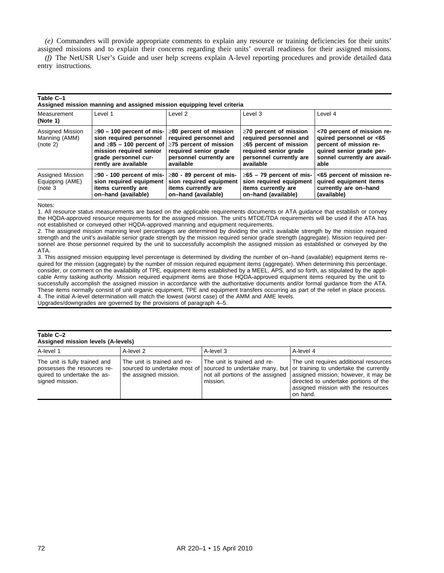*(e)* Commanders will provide appropriate comments to explain any resource or training deficiencies for their units' assigned missions and to explain their concerns regarding their units' overall readiness for their assigned missions.

*(f)* The NetUSR User's Guide and user help screens explain A-level reporting procedures and provide detailed data entry instructions.

| Table C-T<br>Assigned mission manning and assigned mission equipping level criteria |                                                                                                                                                                                                      |                                                                                                                         |                                                                                                                                                         |                                                                                                                                                    |  |
|-------------------------------------------------------------------------------------|------------------------------------------------------------------------------------------------------------------------------------------------------------------------------------------------------|-------------------------------------------------------------------------------------------------------------------------|---------------------------------------------------------------------------------------------------------------------------------------------------------|----------------------------------------------------------------------------------------------------------------------------------------------------|--|
| Measurement<br>(Note 1)                                                             | Level 1                                                                                                                                                                                              | Level 2                                                                                                                 | Level 3                                                                                                                                                 | Level 4                                                                                                                                            |  |
| Assigned Mission<br>Manning (AMM)<br>(note 2)                                       | $\geq$ 90 – 100 percent of mis-<br>sion required personnel<br>and $\geq$ 85 – 100 percent of $\geq$ 75 percent of mission<br>mission required senior<br>grade personnel cur-<br>rently are available | $\geq$ 80 percent of mission<br>required personnel and<br>required senior grade<br>personnel currently are<br>available | $\geq$ 70 percent of mission<br>required personnel and<br>$\geq$ 65 percent of mission<br>required senior grade<br>personnel currently are<br>available | <70 percent of mission re-<br>quired personnel or <65<br>percent of mission re-<br>quired senior grade per-<br>sonnel currently are avail-<br>able |  |
| Assigned Mission<br>Equipping (AME)<br>(note <sub>3</sub>                           | $\geq$ 90 - 100 percent of mis-<br>sion required equipment<br>items currently are<br>on-hand (available)                                                                                             | $\geq$ 80 - 89 percent of mis-<br>sion required equipment<br>items currently are<br>on-hand (available)                 | $\geq$ 65 – 79 percent of mis-<br>sion required equipment<br>items currently are<br>on-hand (available)                                                 | <65 percent of mission re-<br>quired equipment items<br>currently are on-hand<br>(available)                                                       |  |

Notes:

**Table C–1**

1. All resource status measurements are based on the applicable requirements documents or ATA guidance that establish or convey the HQDA-approved resource requirements for the assigned mission. The unit's MTOE/TDA requirements will be used if the ATA has not established or conveyed other HQDA-approved manning and equipment requirements.

2. The assigned mission manning level percentages are determined by dividing the unit's available strength by the mission required strength and the unit's available senior grade strength by the mission required senior grade strength (aggregate). Mission required personnel are those personnel required by the unit to successfully accomplish the assigned mission as established or conveyed by the ATA.

3. This assigned mission equipping level percentage is determined by dividing the number of on–hand (available) equipment items required for the mission (aggregate) by the number of mission required equipment items (aggregate). When determining this percentage, consider, or comment on the availability of TPE, equipment items established by a MEEL, APS, and so forth, as stipulated by the applicable Army tasking authority. Mission required equipment items are those HQDA-approved equipment items required by the unit to successfully accomplish the assigned mission in accordance with the authoritative documents and/or formal guidance from the ATA. These items normally consist of unit organic equipment, TPE and equipment transfers occurring as part of the relief in place process. 4. The initial A-level determination will match the lowest (worst case) of the AMM and AME levels.

# Upgrades/downgrades are governed by the provisions of paragraph 4–5.

#### **Table C–2 Assigned mission levels (A-levels)**

| <b>ASSIGNED INSSIGN IEVERS (A-IEVERS)</b>                                                                      |                                                      |                                         |                                                                                                                                                                                                                                                                                                                   |  |  |
|----------------------------------------------------------------------------------------------------------------|------------------------------------------------------|-----------------------------------------|-------------------------------------------------------------------------------------------------------------------------------------------------------------------------------------------------------------------------------------------------------------------------------------------------------------------|--|--|
| A-level 1                                                                                                      | A-level 2                                            | A-level 3                               | A-level 4                                                                                                                                                                                                                                                                                                         |  |  |
| The unit is fully trained and<br>possesses the resources re-<br>quired to undertake the as-<br>signed mission. | The unit is trained and re-<br>the assigned mission. | The unit is trained and re-<br>mission. | The unit requires additional resources<br>sourced to undertake most of sourced to undertake many, but or training to undertake the currently<br>not all portions of the assigned assigned mission; however, it may be<br>directed to undertake portions of the<br>assigned mission with the resources<br>on hand. |  |  |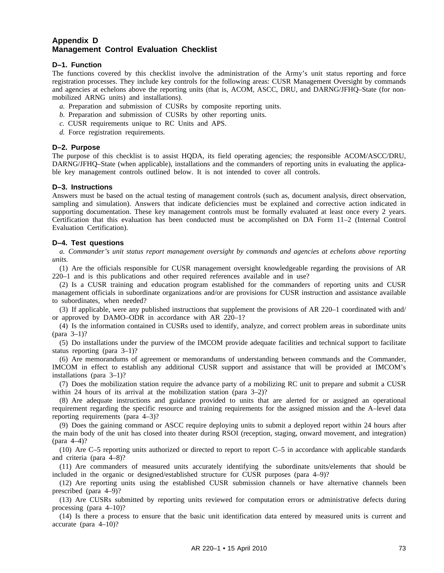# **Appendix D Management Control Evaluation Checklist**

# **D–1. Function**

The functions covered by this checklist involve the administration of the Army's unit status reporting and force registration processes. They include key controls for the following areas: CUSR Management Oversight by commands and agencies at echelons above the reporting units (that is, ACOM, ASCC, DRU, and DARNG/JFHQ–State (for nonmobilized ARNG units) and installations).

- *a.* Preparation and submission of CUSRs by composite reporting units.
- *b.* Preparation and submission of CUSRs by other reporting units.
- *c.* CUSR requirements unique to RC Units and APS.
- *d.* Force registration requirements.

# **D–2. Purpose**

The purpose of this checklist is to assist HQDA, its field operating agencies; the responsible ACOM/ASCC/DRU, DARNG/JFHQ–State (when applicable), installations and the commanders of reporting units in evaluating the applicable key management controls outlined below. It is not intended to cover all controls.

# **D–3. Instructions**

Answers must be based on the actual testing of management controls (such as, document analysis, direct observation, sampling and simulation). Answers that indicate deficiencies must be explained and corrective action indicated in supporting documentation. These key management controls must be formally evaluated at least once every 2 years. Certification that this evaluation has been conducted must be accomplished on DA Form 11–2 (Internal Control Evaluation Certification).

# **D–4. Test questions**

*a. Commander's unit status report management oversight by commands and agencies at echelons above reporting units.*

(1) Are the officials responsible for CUSR management oversight knowledgeable regarding the provisions of AR 220–1 and is this publications and other required references available and in use?

(2) Is a CUSR training and education program established for the commanders of reporting units and CUSR management officials in subordinate organizations and/or are provisions for CUSR instruction and assistance available to subordinates, when needed?

(3) If applicable, were any published instructions that supplement the provisions of AR 220–1 coordinated with and/ or approved by DAMO–ODR in accordance with AR 220–1?

(4) Is the information contained in CUSRs used to identify, analyze, and correct problem areas in subordinate units (para 3–1)?

(5) Do installations under the purview of the IMCOM provide adequate facilities and technical support to facilitate status reporting (para 3–1)?

(6) Are memorandums of agreement or memorandums of understanding between commands and the Commander, IMCOM in effect to establish any additional CUSR support and assistance that will be provided at IMCOM's installations (para 3–1)?

(7) Does the mobilization station require the advance party of a mobilizing RC unit to prepare and submit a CUSR within 24 hours of its arrival at the mobilization station (para 3–2)?

(8) Are adequate instructions and guidance provided to units that are alerted for or assigned an operational requirement regarding the specific resource and training requirements for the assigned mission and the A–level data reporting requirements (para 4–3)?

(9) Does the gaining command or ASCC require deploying units to submit a deployed report within 24 hours after the main body of the unit has closed into theater during RSOI (reception, staging, onward movement, and integration) (para 4–4)?

(10) Are C–5 reporting units authorized or directed to report to report C–5 in accordance with applicable standards and criteria (para 4–8)?

(11) Are commanders of measured units accurately identifying the subordinate units/elements that should be included in the organic or designed/established structure for CUSR purposes (para 4–9)?

(12) Are reporting units using the established CUSR submission channels or have alternative channels been prescribed (para 4–9)?

(13) Are CUSRs submitted by reporting units reviewed for computation errors or administrative defects during processing (para 4–10)?

(14) Is there a process to ensure that the basic unit identification data entered by measured units is current and accurate (para 4–10)?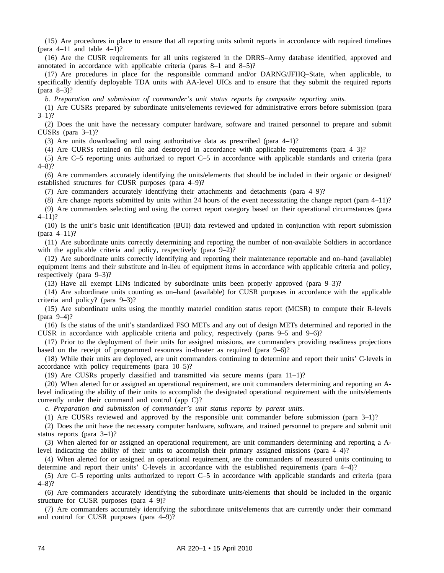(15) Are procedures in place to ensure that all reporting units submit reports in accordance with required timelines (para  $4-11$  and table  $4-1$ )?

(16) Are the CUSR requirements for all units registered in the DRRS–Army database identified, approved and annotated in accordance with applicable criteria (paras 8–1 and 8–5)?

(17) Are procedures in place for the responsible command and/or DARNG/JFHQ–State, when applicable, to specifically identify deployable TDA units with AA-level UICs and to ensure that they submit the required reports (para 8–3)?

*b. Preparation and submission of commander's unit status reports by composite reporting units.*

(1) Are CUSRs prepared by subordinate units/elements reviewed for administrative errors before submission (para  $3-1$ ?

(2) Does the unit have the necessary computer hardware, software and trained personnel to prepare and submit CUSRs (para 3–1)?

(3) Are units downloading and using authoritative data as prescribed (para 4–1)?

(4) Are CURSs retained on file and destroyed in accordance with applicable requirements (para 4–3)?

(5) Are C–5 reporting units authorized to report C–5 in accordance with applicable standards and criteria (para 4–8)?

(6) Are commanders accurately identifying the units/elements that should be included in their organic or designed/ established structures for CUSR purposes (para 4–9)?

(7) Are commanders accurately identifying their attachments and detachments (para 4–9)?

(8) Are change reports submitted by units within 24 hours of the event necessitating the change report (para 4–11)? (9) Are commanders selecting and using the correct report category based on their operational circumstances (para 4–11)?

(10) Is the unit's basic unit identification (BUI) data reviewed and updated in conjunction with report submission (para 4–11)?

(11) Are subordinate units correctly determining and reporting the number of non-available Soldiers in accordance with the applicable criteria and policy, respectively (para  $9-2$ )?

(12) Are subordinate units correctly identifying and reporting their maintenance reportable and on–hand (available) equipment items and their substitute and in-lieu of equipment items in accordance with applicable criteria and policy, respectively (para 9–3)?

(13) Have all exempt LINs indicated by subordinate units been properly approved (para 9–3)?

(14) Are subordinate units counting as on–hand (available) for CUSR purposes in accordance with the applicable criteria and policy? (para 9–3)?

(15) Are subordinate units using the monthly materiel condition status report (MCSR) to compute their R-levels (para 9–4)?

(16) Is the status of the unit's standardized FSO METs and any out of design METs determined and reported in the CUSR in accordance with applicable criteria and policy, respectively (paras 9–5 and 9–6)?

(17) Prior to the deployment of their units for assigned missions, are commanders providing readiness projections based on the receipt of programmed resources in-theater as required (para 9–6)?

(18) While their units are deployed, are unit commanders continuing to determine and report their units' C-levels in accordance with policy requirements (para 10–5)?

(19) Are CUSRs properly classified and transmitted via secure means (para  $11-1$ )?

(20) When alerted for or assigned an operational requirement, are unit commanders determining and reporting an Alevel indicating the ability of their units to accomplish the designated operational requirement with the units/elements currently under their command and control (app C)?

*c. Preparation and submission of commander's unit status reports by parent units.*

(1) Are CUSRs reviewed and approved by the responsible unit commander before submission (para 3–1)?

(2) Does the unit have the necessary computer hardware, software, and trained personnel to prepare and submit unit status reports (para 3–1)?

(3) When alerted for or assigned an operational requirement, are unit commanders determining and reporting a Alevel indicating the ability of their units to accomplish their primary assigned missions (para 4–4)?

(4) When alerted for or assigned an operational requirement, are the commanders of measured units continuing to determine and report their units' C-levels in accordance with the established requirements (para 4–4)?

(5) Are C–5 reporting units authorized to report C–5 in accordance with applicable standards and criteria (para 4–8)?

(6) Are commanders accurately identifying the subordinate units/elements that should be included in the organic structure for CUSR purposes (para 4–9)?

(7) Are commanders accurately identifying the subordinate units/elements that are currently under their command and control for CUSR purposes (para 4–9)?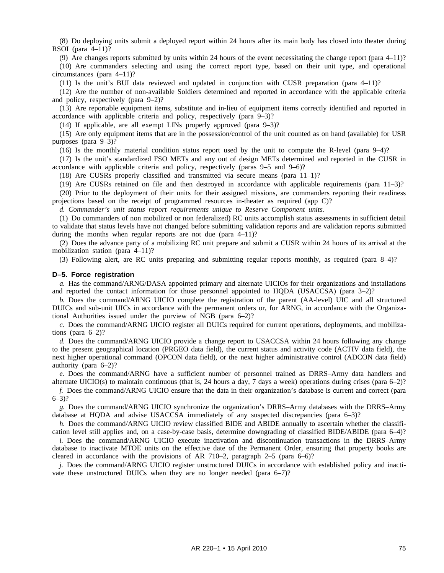(8) Do deploying units submit a deployed report within 24 hours after its main body has closed into theater during RSOI (para 4–11)?

(9) Are changes reports submitted by units within 24 hours of the event necessitating the change report (para 4–11)? (10) Are commanders selecting and using the correct report type, based on their unit type, and operational circumstances (para 4–11)?

(11) Is the unit's BUI data reviewed and updated in conjunction with CUSR preparation (para 4–11)?

(12) Are the number of non-available Soldiers determined and reported in accordance with the applicable criteria and policy, respectively (para 9–2)?

(13) Are reportable equipment items, substitute and in-lieu of equipment items correctly identified and reported in accordance with applicable criteria and policy, respectively (para 9–3)?

(14) If applicable, are all exempt LINs properly approved (para 9–3)?

(15) Are only equipment items that are in the possession/control of the unit counted as on hand (available) for USR purposes (para 9–3)?

(16) Is the monthly material condition status report used by the unit to compute the R-level (para 9–4)?

(17) Is the unit's standardized FSO METs and any out of design METs determined and reported in the CUSR in accordance with applicable criteria and policy, respectively (paras 9–5 and 9–6)?

(18) Are CUSRs properly classified and transmitted via secure means (para 11–1)?

(19) Are CUSRs retained on file and then destroyed in accordance with applicable requirements (para 11–3)?

(20) Prior to the deployment of their units for their assigned missions, are commanders reporting their readiness projections based on the receipt of programmed resources in-theater as required (app C)?

*d. Commander's unit status report requirements unique to Reserve Component units.*

(1) Do commanders of non mobilized or non federalized) RC units accomplish status assessments in sufficient detail to validate that status levels have not changed before submitting validation reports and are validation reports submitted during the months when regular reports are not due (para 4–11)?

(2) Does the advance party of a mobilizing RC unit prepare and submit a CUSR within 24 hours of its arrival at the mobilization station (para 4–11)?

(3) Following alert, are RC units preparing and submitting regular reports monthly, as required (para 8–4)?

#### **D–5. Force registration**

*a.* Has the command/ARNG/DASA appointed primary and alternate UICIOs for their organizations and installations and reported the contact information for those personnel appointed to HQDA (USACCSA) (para 3–2)?

*b.* Does the command/ARNG UICIO complete the registration of the parent (AA-level) UIC and all structured DUICs and sub-unit UICs in accordance with the permanent orders or, for ARNG, in accordance with the Organizational Authorities issued under the purview of NGB (para 6–2)?

*c.* Does the command/ARNG UICIO register all DUICs required for current operations, deployments, and mobilizations (para  $6-2$ )?

*d.* Does the command/ARNG UICIO provide a change report to USACCSA within 24 hours following any change to the present geographical location (PRGEO data field), the current status and activity code (ACTIV data field), the next higher operational command (OPCON data field), or the next higher administrative control (ADCON data field) authority (para 6–2)?

*e.* Does the command/ARNG have a sufficient number of personnel trained as DRRS–Army data handlers and alternate UICIO(s) to maintain continuous (that is, 24 hours a day, 7 days a week) operations during crises (para  $6-2$ )?

*f.* Does the command/ARNG UICIO ensure that the data in their organization's database is current and correct (para  $6 - 3$ ?

*g.* Does the command/ARNG UICIO synchronize the organization's DRRS–Army databases with the DRRS–Army database at HQDA and advise USACCSA immediately of any suspected discrepancies (para 6–3)?

*h.* Does the command/ARNG UICIO review classified BIDE and ABIDE annually to ascertain whether the classification level still applies and, on a case-by-case basis, determine downgrading of classified BIDE/ABIDE (para 6–4)?

*i.* Does the command/ARNG UICIO execute inactivation and discontinuation transactions in the DRRS–Army database to inactivate MTOE units on the effective date of the Permanent Order, ensuring that property books are cleared in accordance with the provisions of AR 710–2, paragraph  $2-5$  (para 6–6)?

*j.* Does the command/ARNG UICIO register unstructured DUICs in accordance with established policy and inactivate these unstructured DUICs when they are no longer needed (para 6–7)?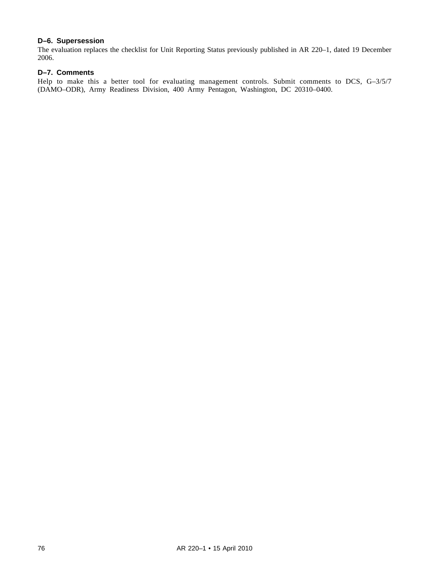# **D–6. Supersession**

The evaluation replaces the checklist for Unit Reporting Status previously published in AR 220–1, dated 19 December 2006.

# **D–7. Comments**

Help to make this a better tool for evaluating management controls. Submit comments to DCS, G-3/5/7 (DAMO–ODR), Army Readiness Division, 400 Army Pentagon, Washington, DC 20310–0400.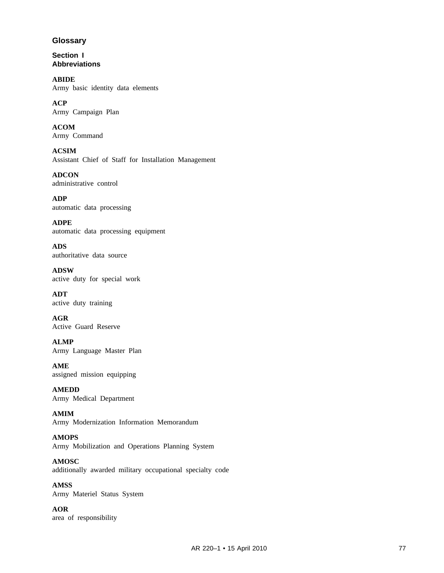# **Glossary**

**Section I Abbreviations**

**ABIDE** Army basic identity data elements

**ACP** Army Campaign Plan

**ACOM** Army Command

**ACSIM** Assistant Chief of Staff for Installation Management

**ADCON** administrative control

**ADP** automatic data processing

**ADPE** automatic data processing equipment

**ADS** authoritative data source

**ADSW** active duty for special work

**ADT** active duty training

**AGR** Active Guard Reserve

**ALMP** Army Language Master Plan

**AME** assigned mission equipping

**AMEDD** Army Medical Department

**AMIM** Army Modernization Information Memorandum

# **AMOPS**

Army Mobilization and Operations Planning System

**AMOSC**

additionally awarded military occupational specialty code

**AMSS** Army Materiel Status System

**AOR** area of responsibility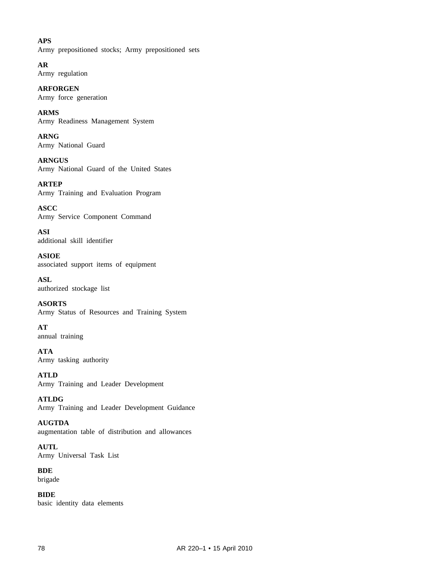# **APS**

Army prepositioned stocks; Army prepositioned sets

**AR** Army regulation

**ARFORGEN** Army force generation

**ARMS** Army Readiness Management System

**ARNG** Army National Guard

**ARNGUS** Army National Guard of the United States

**ARTEP** Army Training and Evaluation Program

**ASCC** Army Service Component Command

**ASI** additional skill identifier

**ASIOE** associated support items of equipment

**ASL** authorized stockage list

**ASORTS** Army Status of Resources and Training System

**AT** annual training

**ATA** Army tasking authority

**ATLD** Army Training and Leader Development

**ATLDG** Army Training and Leader Development Guidance

**AUGTDA** augmentation table of distribution and allowances

**AUTL** Army Universal Task List

**BDE** brigade

**BIDE** basic identity data elements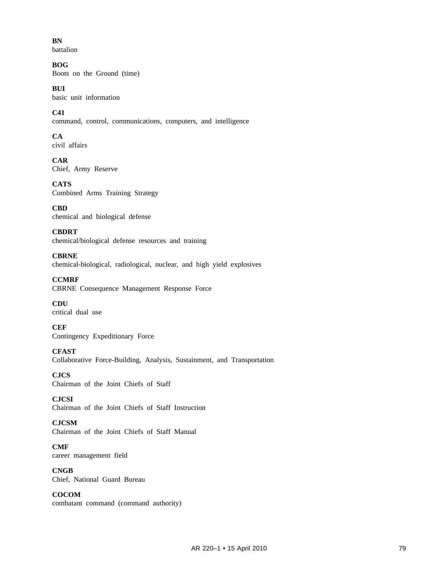**BN**

battalion

**BOG** Boots on the Ground (time)

**BUI** basic unit information

**C41** command, control, communications, computers, and intelligence

**CA** civil affairs

**CAR** Chief, Army Reserve

**CATS** Combined Arms Training Strategy

**CBD** chemical and biological defense

**CBDRT** chemical/biological defense resources and training

**CBRNE** chemical-biological, radiological, nuclear, and high yield explosives

**CCMRF** CBRNE Consequence Management Response Force

**CDU** critical dual use

**CEF** Contingency Expeditionary Force

**CFAST** Collaborative Force-Building, Analysis, Sustainment, and Transportation

**CJCS** Chairman of the Joint Chiefs of Staff

**CJCSI** Chairman of the Joint Chiefs of Staff Instruction

**CJCSM** Chairman of the Joint Chiefs of Staff Manual

**CMF** career management field

**CNGB** Chief, National Guard Bureau

**COCOM** combatant command (command authority)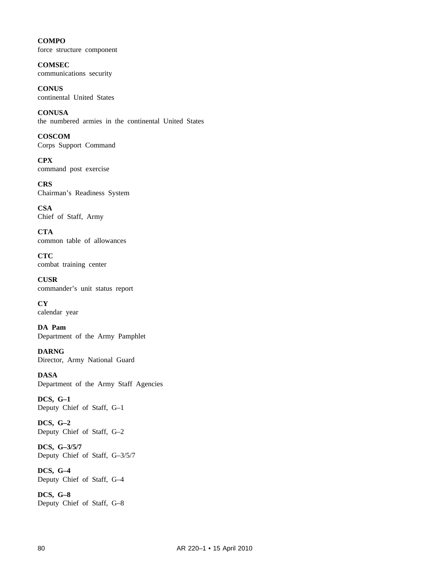**COMPO** force structure component

**COMSEC** communications security

**CONUS** continental United States

**CONUSA** the numbered armies in the continental United States

**COSCOM** Corps Support Command

**CPX** command post exercise

**CRS** Chairman's Readiness System

**CSA** Chief of Staff, Army

**CTA** common table of allowances

**CTC** combat training center

**CUSR** commander's unit status report

**CY** calendar year

**DA Pam** Department of the Army Pamphlet

**DARNG** Director, Army National Guard

**DASA** Department of the Army Staff Agencies

**DCS, G–1** Deputy Chief of Staff, G–1

**DCS, G–2** Deputy Chief of Staff, G–2

**DCS, G–3/5/7** Deputy Chief of Staff, G–3/5/7

**DCS, G–4** Deputy Chief of Staff, G–4

**DCS, G–8** Deputy Chief of Staff, G–8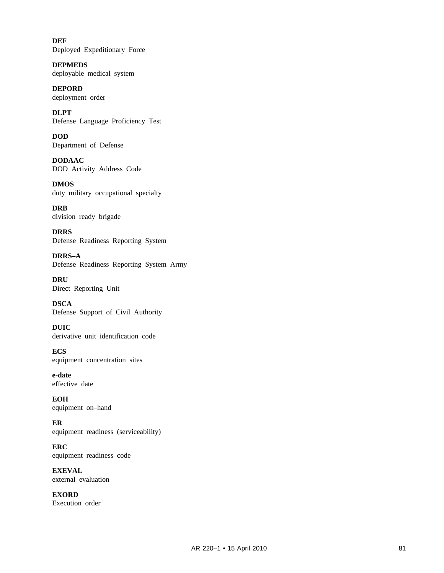**DEF** Deployed Expeditionary Force

**DEPMEDS** deployable medical system

**DEPORD** deployment order

**DLPT** Defense Language Proficiency Test

**DOD** Department of Defense

**DODAAC** DOD Activity Address Code

**DMOS** duty military occupational specialty

**DRB** division ready brigade

**DRRS** Defense Readiness Reporting System

**DRRS–A** Defense Readiness Reporting System–Army

**DRU** Direct Reporting Unit

**DSCA** Defense Support of Civil Authority

**DUIC** derivative unit identification code

**ECS** equipment concentration sites

**e-date** effective date

**EOH** equipment on–hand

**ER** equipment readiness (serviceability)

**ERC** equipment readiness code

**EXEVAL** external evaluation

**EXORD** Execution order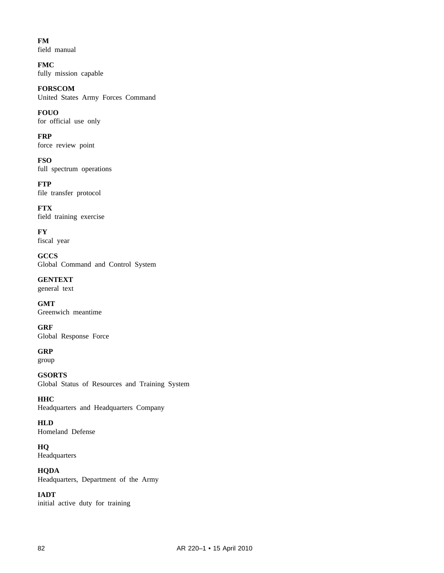**FM** field manual

**FMC** fully mission capable

**FORSCOM** United States Army Forces Command

**FOUO** for official use only

**FRP** force review point

**FSO** full spectrum operations

**FTP** file transfer protocol

**FTX** field training exercise

**FY** fiscal year

**GCCS** Global Command and Control System

**GENTEXT** general text

**GMT** Greenwich meantime

**GRF** Global Response Force

**GRP** group

**GSORTS** Global Status of Resources and Training System

**HHC** Headquarters and Headquarters Company

**HLD** Homeland Defense

**HQ** Headquarters

**HQDA** Headquarters, Department of the Army

**IADT** initial active duty for training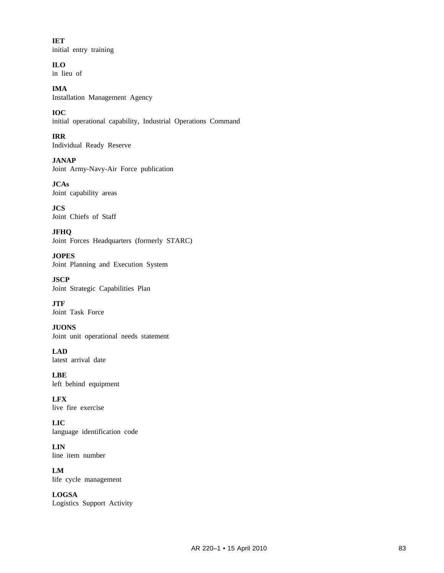**IET** initial entry training

**ILO** in lieu of

**IMA** Installation Management Agency

**IOC** initial operational capability, Industrial Operations Command

**IRR** Individual Ready Reserve

**JANAP** Joint Army-Navy-Air Force publication

**JCAs** Joint capability areas

**JCS** Joint Chiefs of Staff

**JFHQ** Joint Forces Headquarters (formerly STARC)

**JOPES** Joint Planning and Execution System

**JSCP** Joint Strategic Capabilities Plan

**JTF** Joint Task Force

**JUONS** Joint unit operational needs statement

**LAD** latest arrival date

**LBE** left behind equipment

**LFX** live fire exercise

**LIC** language identification code

**LIN** line item number

**LM** life cycle management

**LOGSA** Logistics Support Activity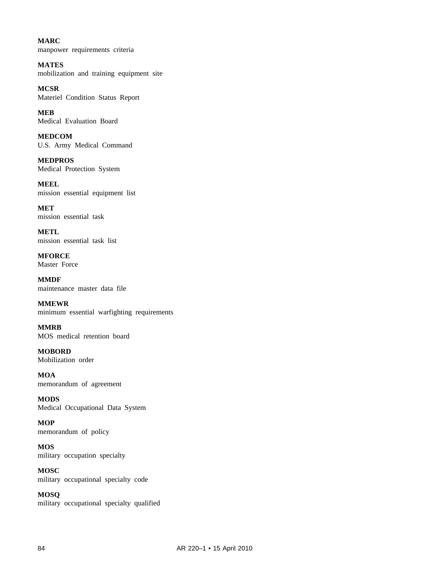**MARC** manpower requirements criteria

**MATES** mobilization and training equipment site

**MCSR** Materiel Condition Status Report

**MEB** Medical Evaluation Board

**MEDCOM** U.S. Army Medical Command

**MEDPROS** Medical Protection System

**MEEL** mission essential equipment list

**MET** mission essential task

**METL** mission essential task list

**MFORCE** Master Force

**MMDF** maintenance master data file

**MMEWR** minimum essential warfighting requirements

**MMRB** MOS medical retention board

**MOBORD** Mobilization order

**MOA** memorandum of agreement

**MODS** Medical Occupational Data System

**MOP** memorandum of policy

**MOS** military occupation specialty

**MOSC** military occupational specialty code

**MOSQ** military occupational specialty qualified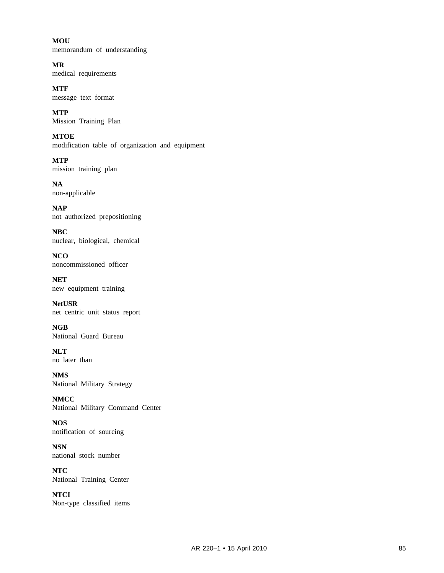**MOU** memorandum of understanding

**MR** medical requirements

**MTF** message text format

**MTP** Mission Training Plan

**MTOE** modification table of organization and equipment

**MTP** mission training plan

**NA** non-applicable

**NAP** not authorized prepositioning

**NBC** nuclear, biological, chemical

**NCO** noncommissioned officer

**NET** new equipment training

**NetUSR** net centric unit status report

**NGB** National Guard Bureau

**NLT** no later than

**NMS** National Military Strategy

**NMCC** National Military Command Center

**NOS** notification of sourcing

**NSN** national stock number

**NTC** National Training Center

**NTCI** Non-type classified items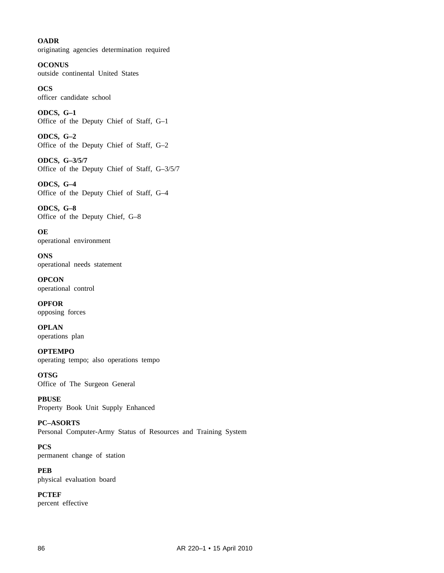# **OADR** originating agencies determination required

**OCONUS** outside continental United States

**OCS** officer candidate school

**ODCS, G–1** Office of the Deputy Chief of Staff, G–1

**ODCS, G–2** Office of the Deputy Chief of Staff, G–2

**ODCS, G–3/5/7** Office of the Deputy Chief of Staff, G–3/5/7

**ODCS, G–4** Office of the Deputy Chief of Staff, G–4

**ODCS, G–8** Office of the Deputy Chief, G–8

**OE** operational environment

**ONS** operational needs statement

**OPCON** operational control

**OPFOR** opposing forces

**OPLAN** operations plan

**OPTEMPO** operating tempo; also operations tempo

**OTSG** Office of The Surgeon General

**PBUSE** Property Book Unit Supply Enhanced

**PC–ASORTS** Personal Computer-Army Status of Resources and Training System

**PCS** permanent change of station

**PEB** physical evaluation board

**PCTEF** percent effective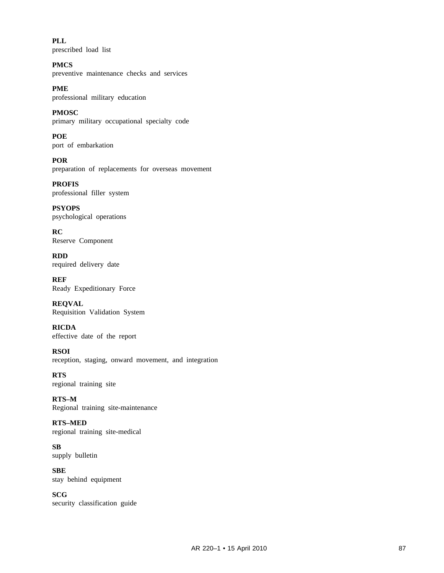**PLL** prescribed load list

**PMCS** preventive maintenance checks and services

**PME** professional military education

**PMOSC** primary military occupational specialty code

**POE** port of embarkation

**POR** preparation of replacements for overseas movement

**PROFIS** professional filler system

**PSYOPS** psychological operations

**RC** Reserve Component

**RDD** required delivery date

**REF** Ready Expeditionary Force

**REQVAL** Requisition Validation System

**RICDA** effective date of the report

**RSOI** reception, staging, onward movement, and integration

**RTS** regional training site

**RTS–M** Regional training site-maintenance

**RTS–MED** regional training site-medical

**SB** supply bulletin

**SBE** stay behind equipment

**SCG** security classification guide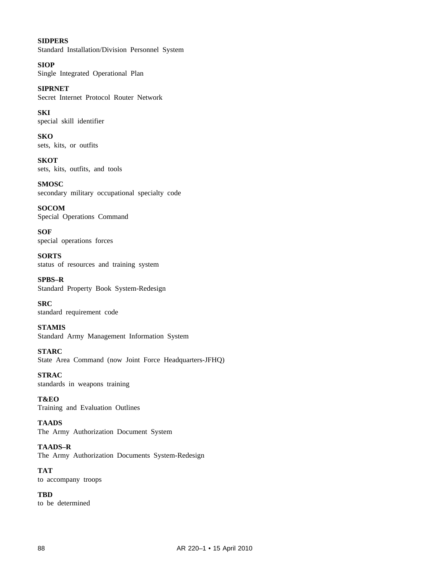**SIDPERS** Standard Installation/Division Personnel System

**SIOP** Single Integrated Operational Plan

**SIPRNET** Secret Internet Protocol Router Network

**SKI** special skill identifier

**SKO** sets, kits, or outfits

**SKOT** sets, kits, outfits, and tools

**SMOSC** secondary military occupational specialty code

**SOCOM** Special Operations Command

**SOF** special operations forces

**SORTS** status of resources and training system

**SPBS–R** Standard Property Book System-Redesign

**SRC** standard requirement code

**STAMIS** Standard Army Management Information System

**STARC** State Area Command (now Joint Force Headquarters-JFHQ)

**STRAC** standards in weapons training

**T&EO** Training and Evaluation Outlines

**TAADS** The Army Authorization Document System

**TAADS–R** The Army Authorization Documents System-Redesign

**TAT** to accompany troops

**TBD** to be determined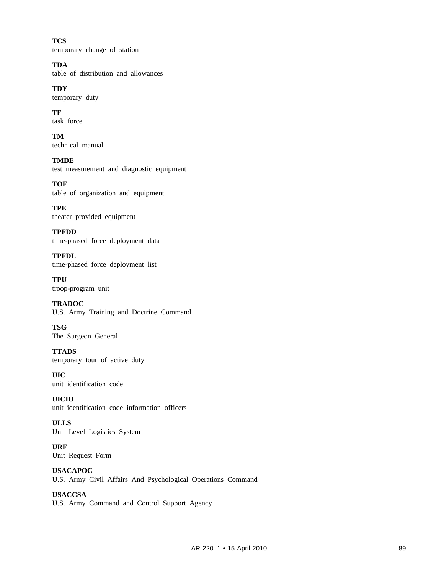**TCS** temporary change of station

**TDA** table of distribution and allowances

**TDY** temporary duty

**TF** task force

**TM** technical manual

**TMDE** test measurement and diagnostic equipment

**TOE** table of organization and equipment

**TPE** theater provided equipment

**TPFDD** time-phased force deployment data

**TPFDL** time-phased force deployment list

**TPU** troop-program unit

**TRADOC** U.S. Army Training and Doctrine Command

**TSG** The Surgeon General

**TTADS** temporary tour of active duty

**UIC** unit identification code

**UICIO** unit identification code information officers

**ULLS** Unit Level Logistics System

**URF** Unit Request Form

**USACAPOC** U.S. Army Civil Affairs And Psychological Operations Command

**USACCSA** U.S. Army Command and Control Support Agency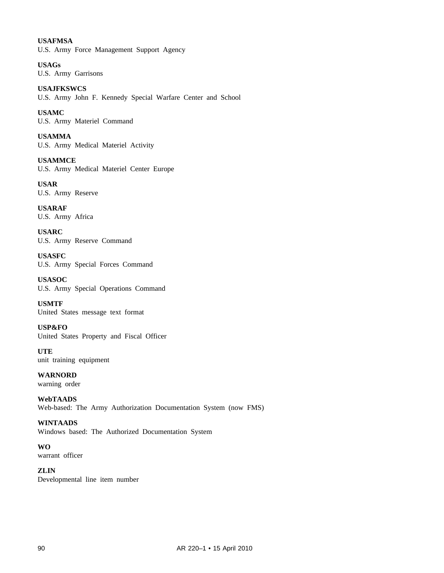# **USAFMSA**

U.S. Army Force Management Support Agency

**USAGs** U.S. Army Garrisons

**USAJFKSWCS** U.S. Army John F. Kennedy Special Warfare Center and School

**USAMC** U.S. Army Materiel Command

**USAMMA** U.S. Army Medical Materiel Activity

**USAMMCE** U.S. Army Medical Materiel Center Europe

**USAR** U.S. Army Reserve

**USARAF** U.S. Army Africa

**USARC** U.S. Army Reserve Command

**USASFC** U.S. Army Special Forces Command

**USASOC** U.S. Army Special Operations Command

**USMTF** United States message text format

**USP&FO** United States Property and Fiscal Officer

**UTE** unit training equipment

**WARNORD** warning order

**WebTAADS** Web-based: The Army Authorization Documentation System (now FMS)

# **WINTAADS**

Windows based: The Authorized Documentation System

**WO**

warrant officer

**ZLIN** Developmental line item number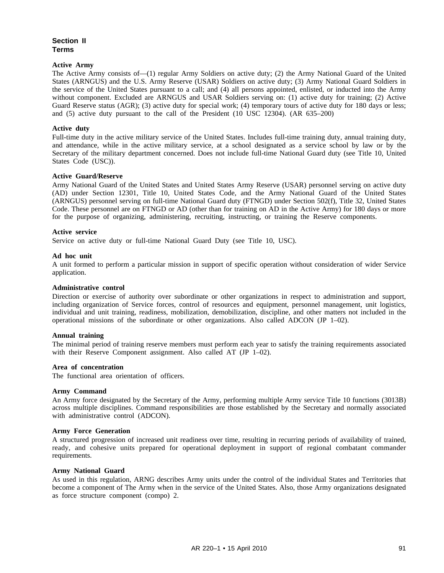# **Section II Terms**

## **Active Army**

The Active Army consists of—(1) regular Army Soldiers on active duty; (2) the Army National Guard of the United States (ARNGUS) and the U.S. Army Reserve (USAR) Soldiers on active duty; (3) Army National Guard Soldiers in the service of the United States pursuant to a call; and (4) all persons appointed, enlisted, or inducted into the Army without component. Excluded are ARNGUS and USAR Soldiers serving on: (1) active duty for training; (2) Active Guard Reserve status (AGR); (3) active duty for special work; (4) temporary tours of active duty for 180 days or less; and (5) active duty pursuant to the call of the President (10 USC 12304). (AR 635–200)

## **Active duty**

Full-time duty in the active military service of the United States. Includes full-time training duty, annual training duty, and attendance, while in the active military service, at a school designated as a service school by law or by the Secretary of the military department concerned. Does not include full-time National Guard duty (see Title 10, United States Code (USC)).

# **Active Guard/Reserve**

Army National Guard of the United States and United States Army Reserve (USAR) personnel serving on active duty (AD) under Section 12301, Title 10, United States Code, and the Army National Guard of the United States (ARNGUS) personnel serving on full-time National Guard duty (FTNGD) under Section 502(f), Title 32, United States Code. These personnel are on FTNGD or AD (other than for training on AD in the Active Army) for 180 days or more for the purpose of organizing, administering, recruiting, instructing, or training the Reserve components.

# **Active service**

Service on active duty or full-time National Guard Duty (see Title 10, USC).

## **Ad hoc unit**

A unit formed to perform a particular mission in support of specific operation without consideration of wider Service application.

## **Administrative control**

Direction or exercise of authority over subordinate or other organizations in respect to administration and support, including organization of Service forces, control of resources and equipment, personnel management, unit logistics, individual and unit training, readiness, mobilization, demobilization, discipline, and other matters not included in the operational missions of the subordinate or other organizations. Also called ADCON (JP 1–02).

## **Annual training**

The minimal period of training reserve members must perform each year to satisfy the training requirements associated with their Reserve Component assignment. Also called AT (JP 1–02).

## **Area of concentration**

The functional area orientation of officers.

## **Army Command**

An Army force designated by the Secretary of the Army, performing multiple Army service Title 10 functions (3013B) across multiple disciplines. Command responsibilities are those established by the Secretary and normally associated with administrative control (ADCON).

## **Army Force Generation**

A structured progression of increased unit readiness over time, resulting in recurring periods of availability of trained, ready, and cohesive units prepared for operational deployment in support of regional combatant commander requirements.

## **Army National Guard**

As used in this regulation, ARNG describes Army units under the control of the individual States and Territories that become a component of The Army when in the service of the United States. Also, those Army organizations designated as force structure component (compo) 2.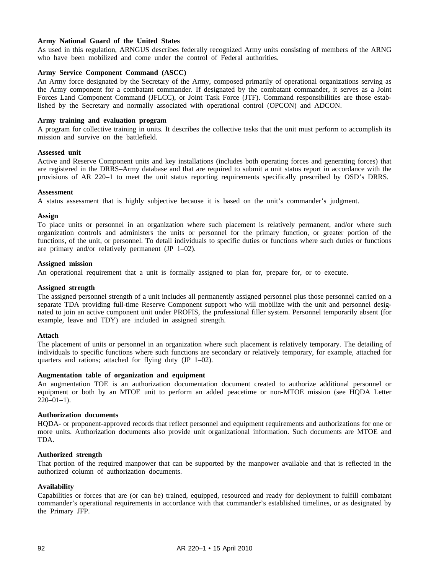# **Army National Guard of the United States**

As used in this regulation, ARNGUS describes federally recognized Army units consisting of members of the ARNG who have been mobilized and come under the control of Federal authorities.

# **Army Service Component Command (ASCC)**

An Army force designated by the Secretary of the Army, composed primarily of operational organizations serving as the Army component for a combatant commander. If designated by the combatant commander, it serves as a Joint Forces Land Component Command (JFLCC), or Joint Task Force (JTF). Command responsibilities are those established by the Secretary and normally associated with operational control (OPCON) and ADCON.

# **Army training and evaluation program**

A program for collective training in units. It describes the collective tasks that the unit must perform to accomplish its mission and survive on the battlefield.

### **Assessed unit**

Active and Reserve Component units and key installations (includes both operating forces and generating forces) that are registered in the DRRS–Army database and that are required to submit a unit status report in accordance with the provisions of AR 220–1 to meet the unit status reporting requirements specifically prescribed by OSD's DRRS.

### **Assessment**

A status assessment that is highly subjective because it is based on the unit's commander's judgment.

### **Assign**

To place units or personnel in an organization where such placement is relatively permanent, and/or where such organization controls and administers the units or personnel for the primary function, or greater portion of the functions, of the unit, or personnel. To detail individuals to specific duties or functions where such duties or functions are primary and/or relatively permanent (JP 1–02).

### **Assigned mission**

An operational requirement that a unit is formally assigned to plan for, prepare for, or to execute.

### **Assigned strength**

The assigned personnel strength of a unit includes all permanently assigned personnel plus those personnel carried on a separate TDA providing full-time Reserve Component support who will mobilize with the unit and personnel designated to join an active component unit under PROFIS, the professional filler system. Personnel temporarily absent (for example, leave and TDY) are included in assigned strength.

## **Attach**

The placement of units or personnel in an organization where such placement is relatively temporary. The detailing of individuals to specific functions where such functions are secondary or relatively temporary, for example, attached for quarters and rations; attached for flying duty (JP 1–02).

## **Augmentation table of organization and equipment**

An augmentation TOE is an authorization documentation document created to authorize additional personnel or equipment or both by an MTOE unit to perform an added peacetime or non-MTOE mission (see HQDA Letter  $220-01-1$ ).

## **Authorization documents**

HQDA- or proponent-approved records that reflect personnel and equipment requirements and authorizations for one or more units. Authorization documents also provide unit organizational information. Such documents are MTOE and TDA.

## **Authorized strength**

That portion of the required manpower that can be supported by the manpower available and that is reflected in the authorized column of authorization documents.

#### **Availability**

Capabilities or forces that are (or can be) trained, equipped, resourced and ready for deployment to fulfill combatant commander's operational requirements in accordance with that commander's established timelines, or as designated by the Primary JFP.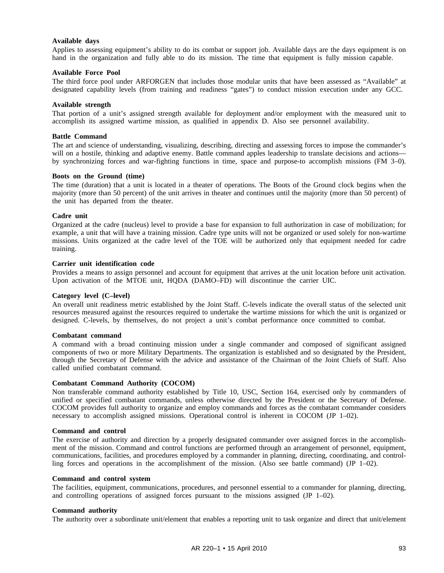### **Available days**

Applies to assessing equipment's ability to do its combat or support job. Available days are the days equipment is on hand in the organization and fully able to do its mission. The time that equipment is fully mission capable.

## **Available Force Pool**

The third force pool under ARFORGEN that includes those modular units that have been assessed as "Available" at designated capability levels (from training and readiness "gates") to conduct mission execution under any GCC.

### **Available strength**

That portion of a unit's assigned strength available for deployment and/or employment with the measured unit to accomplish its assigned wartime mission, as qualified in appendix D. Also see personnel availability.

### **Battle Command**

The art and science of understanding, visualizing, describing, directing and assessing forces to impose the commander's will on a hostile, thinking and adaptive enemy. Battle command apples leadership to translate decisions and actions by synchronizing forces and war-fighting functions in time, space and purpose-to accomplish missions (FM 3–0).

### **Boots on the Ground (time)**

The time (duration) that a unit is located in a theater of operations. The Boots of the Ground clock begins when the majority (more than 50 percent) of the unit arrives in theater and continues until the majority (more than 50 percent) of the unit has departed from the theater.

### **Cadre unit**

Organized at the cadre (nucleus) level to provide a base for expansion to full authorization in case of mobilization; for example, a unit that will have a training mission. Cadre type units will not be organized or used solely for non-wartime missions. Units organized at the cadre level of the TOE will be authorized only that equipment needed for cadre training.

### **Carrier unit identification code**

Provides a means to assign personnel and account for equipment that arrives at the unit location before unit activation. Upon activation of the MTOE unit, HQDA (DAMO–FD) will discontinue the carrier UIC.

## **Category level (C–level)**

An overall unit readiness metric established by the Joint Staff. C-levels indicate the overall status of the selected unit resources measured against the resources required to undertake the wartime missions for which the unit is organized or designed. C-levels, by themselves, do not project a unit's combat performance once committed to combat.

#### **Combatant command**

A command with a broad continuing mission under a single commander and composed of significant assigned components of two or more Military Departments. The organization is established and so designated by the President, through the Secretary of Defense with the advice and assistance of the Chairman of the Joint Chiefs of Staff. Also called unified combatant command.

## **Combatant Command Authority (COCOM)**

Non transferable command authority established by Title 10, USC, Section 164, exercised only by commanders of unified or specified combatant commands, unless otherwise directed by the President or the Secretary of Defense. COCOM provides full authority to organize and employ commands and forces as the combatant commander considers necessary to accomplish assigned missions. Operational control is inherent in COCOM (JP 1–02).

### **Command and control**

The exercise of authority and direction by a properly designated commander over assigned forces in the accomplishment of the mission. Command and control functions are performed through an arrangement of personnel, equipment, communications, facilities, and procedures employed by a commander in planning, directing, coordinating, and controlling forces and operations in the accomplishment of the mission. (Also see battle command) (JP 1–02).

#### **Command and control system**

The facilities, equipment, communications, procedures, and personnel essential to a commander for planning, directing, and controlling operations of assigned forces pursuant to the missions assigned (JP 1–02).

#### **Command authority**

The authority over a subordinate unit/element that enables a reporting unit to task organize and direct that unit/element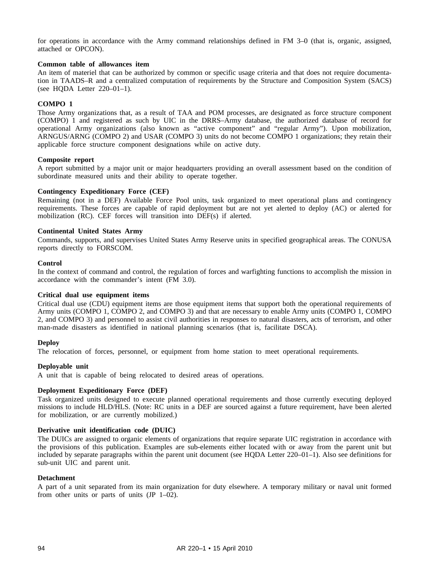for operations in accordance with the Army command relationships defined in FM 3–0 (that is, organic, assigned, attached or OPCON).

### **Common table of allowances item**

An item of materiel that can be authorized by common or specific usage criteria and that does not require documentation in TAADS–R and a centralized computation of requirements by the Structure and Composition System (SACS) (see HQDA Letter 220–01–1).

## **COMPO 1**

Those Army organizations that, as a result of TAA and POM processes, are designated as force structure component (COMPO) 1 and registered as such by UIC in the DRRS–Army database, the authorized database of record for operational Army organizations (also known as "active component" and "regular Army"). Upon mobilization, ARNGUS/ARNG (COMPO 2) and USAR (COMPO 3) units do not become COMPO 1 organizations; they retain their applicable force structure component designations while on active duty.

### **Composite report**

A report submitted by a major unit or major headquarters providing an overall assessment based on the condition of subordinate measured units and their ability to operate together.

## **Contingency Expeditionary Force (CEF)**

Remaining (not in a DEF) Available Force Pool units, task organized to meet operational plans and contingency requirements. These forces are capable of rapid deployment but are not yet alerted to deploy (AC) or alerted for mobilization (RC). CEF forces will transition into DEF(s) if alerted.

### **Continental United States Army**

Commands, supports, and supervises United States Army Reserve units in specified geographical areas. The CONUSA reports directly to FORSCOM.

#### **Control**

In the context of command and control, the regulation of forces and warfighting functions to accomplish the mission in accordance with the commander's intent (FM 3.0).

#### **Critical dual use equipment items**

Critical dual use (CDU) equipment items are those equipment items that support both the operational requirements of Army units (COMPO 1, COMPO 2, and COMPO 3) and that are necessary to enable Army units (COMPO 1, COMPO 2, and COMPO 3) and personnel to assist civil authorities in responses to natural disasters, acts of terrorism, and other man-made disasters as identified in national planning scenarios (that is, facilitate DSCA).

### **Deploy**

The relocation of forces, personnel, or equipment from home station to meet operational requirements.

#### **Deployable unit**

A unit that is capable of being relocated to desired areas of operations.

# **Deployment Expeditionary Force (DEF)**

Task organized units designed to execute planned operational requirements and those currently executing deployed missions to include HLD/HLS. (Note: RC units in a DEF are sourced against a future requirement, have been alerted for mobilization, or are currently mobilized.)

#### **Derivative unit identification code (DUIC)**

The DUICs are assigned to organic elements of organizations that require separate UIC registration in accordance with the provisions of this publication. Examples are sub-elements either located with or away from the parent unit but included by separate paragraphs within the parent unit document (see HQDA Letter 220–01–1). Also see definitions for sub-unit UIC and parent unit.

## **Detachment**

A part of a unit separated from its main organization for duty elsewhere. A temporary military or naval unit formed from other units or parts of units (JP 1–02).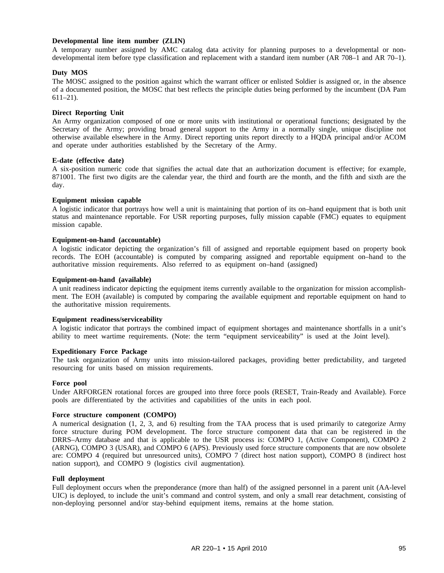## **Developmental line item number (ZLIN)**

A temporary number assigned by AMC catalog data activity for planning purposes to a developmental or nondevelopmental item before type classification and replacement with a standard item number (AR 708–1 and AR 70–1).

### **Duty MOS**

The MOSC assigned to the position against which the warrant officer or enlisted Soldier is assigned or, in the absence of a documented position, the MOSC that best reflects the principle duties being performed by the incumbent (DA Pam 611–21).

### **Direct Reporting Unit**

An Army organization composed of one or more units with institutional or operational functions; designated by the Secretary of the Army; providing broad general support to the Army in a normally single, unique discipline not otherwise available elsewhere in the Army. Direct reporting units report directly to a HQDA principal and/or ACOM and operate under authorities established by the Secretary of the Army.

#### **E-date (effective date)**

A six-position numeric code that signifies the actual date that an authorization document is effective; for example, 871001. The first two digits are the calendar year, the third and fourth are the month, and the fifth and sixth are the day.

### **Equipment mission capable**

A logistic indicator that portrays how well a unit is maintaining that portion of its on–hand equipment that is both unit status and maintenance reportable. For USR reporting purposes, fully mission capable (FMC) equates to equipment mission capable.

### **Equipment-on-hand (accountable)**

A logistic indicator depicting the organization's fill of assigned and reportable equipment based on property book records. The EOH (accountable) is computed by comparing assigned and reportable equipment on–hand to the authoritative mission requirements. Also referred to as equipment on–hand (assigned)

### **Equipment-on-hand (available)**

A unit readiness indicator depicting the equipment items currently available to the organization for mission accomplishment. The EOH (available) is computed by comparing the available equipment and reportable equipment on hand to the authoritative mission requirements.

#### **Equipment readiness/serviceability**

A logistic indicator that portrays the combined impact of equipment shortages and maintenance shortfalls in a unit's ability to meet wartime requirements. (Note: the term "equipment serviceability" is used at the Joint level).

### **Expeditionary Force Package**

The task organization of Army units into mission-tailored packages, providing better predictability, and targeted resourcing for units based on mission requirements.

#### **Force pool**

Under ARFORGEN rotational forces are grouped into three force pools (RESET, Train-Ready and Available). Force pools are differentiated by the activities and capabilities of the units in each pool.

#### **Force structure component (COMPO)**

A numerical designation (1, 2, 3, and 6) resulting from the TAA process that is used primarily to categorize Army force structure during POM development. The force structure component data that can be registered in the DRRS–Army database and that is applicable to the USR process is: COMPO 1, (Active Component), COMPO 2 (ARNG), COMPO 3 (USAR), and COMPO 6 (APS). Previously used force structure components that are now obsolete are: COMPO 4 (required but unresourced units), COMPO 7 (direct host nation support), COMPO 8 (indirect host nation support), and COMPO 9 (logistics civil augmentation).

#### **Full deployment**

Full deployment occurs when the preponderance (more than half) of the assigned personnel in a parent unit (AA-level UIC) is deployed, to include the unit's command and control system, and only a small rear detachment, consisting of non-deploying personnel and/or stay-behind equipment items, remains at the home station.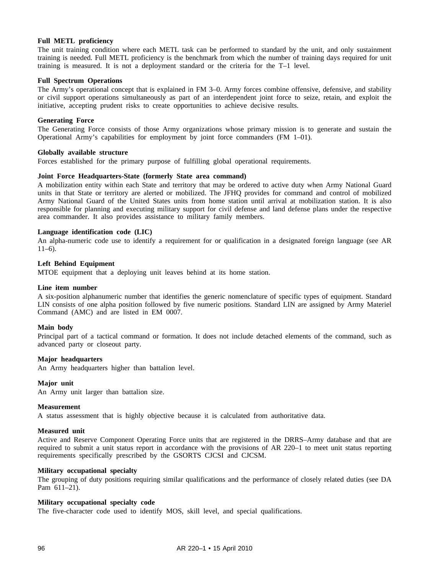## **Full METL proficiency**

The unit training condition where each METL task can be performed to standard by the unit, and only sustainment training is needed. Full METL proficiency is the benchmark from which the number of training days required for unit training is measured. It is not a deployment standard or the criteria for the T–1 level.

### **Full Spectrum Operations**

The Army's operational concept that is explained in FM 3–0. Army forces combine offensive, defensive, and stability or civil support operations simultaneously as part of an interdependent joint force to seize, retain, and exploit the initiative, accepting prudent risks to create opportunities to achieve decisive results.

### **Generating Force**

The Generating Force consists of those Army organizations whose primary mission is to generate and sustain the Operational Army's capabilities for employment by joint force commanders (FM 1–01).

### **Globally available structure**

Forces established for the primary purpose of fulfilling global operational requirements.

### **Joint Force Headquarters-State (formerly State area command)**

A mobilization entity within each State and territory that may be ordered to active duty when Army National Guard units in that State or territory are alerted or mobilized. The JFHQ provides for command and control of mobilized Army National Guard of the United States units from home station until arrival at mobilization station. It is also responsible for planning and executing military support for civil defense and land defense plans under the respective area commander. It also provides assistance to military family members.

### **Language identification code (LIC)**

An alpha-numeric code use to identify a requirement for or qualification in a designated foreign language (see AR  $11–6$ ).

## **Left Behind Equipment**

MTOE equipment that a deploying unit leaves behind at its home station.

#### **Line item number**

A six-position alphanumeric number that identifies the generic nomenclature of specific types of equipment. Standard LIN consists of one alpha position followed by five numeric positions. Standard LIN are assigned by Army Materiel Command (AMC) and are listed in EM 0007.

#### **Main body**

Principal part of a tactical command or formation. It does not include detached elements of the command, such as advanced party or closeout party.

### **Major headquarters**

An Army headquarters higher than battalion level.

#### **Major unit**

An Army unit larger than battalion size.

#### **Measurement**

A status assessment that is highly objective because it is calculated from authoritative data.

#### **Measured unit**

Active and Reserve Component Operating Force units that are registered in the DRRS–Army database and that are required to submit a unit status report in accordance with the provisions of AR 220–1 to meet unit status reporting requirements specifically prescribed by the GSORTS CJCSI and CJCSM.

#### **Military occupational specialty**

The grouping of duty positions requiring similar qualifications and the performance of closely related duties (see DA Pam 611–21).

### **Military occupational specialty code**

The five-character code used to identify MOS, skill level, and special qualifications.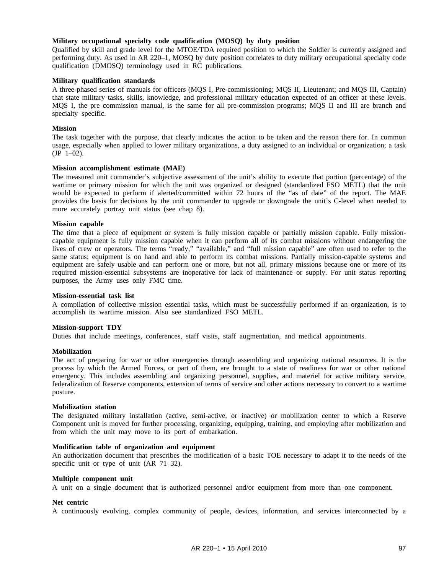## **Military occupational specialty code qualification (MOSQ) by duty position**

Qualified by skill and grade level for the MTOE/TDA required position to which the Soldier is currently assigned and performing duty. As used in AR 220–1, MOSQ by duty position correlates to duty military occupational specialty code qualification (DMOSQ) terminology used in RC publications.

### **Military qualification standards**

A three-phased series of manuals for officers (MQS I, Pre-commissioning; MQS II, Lieutenant; and MQS III, Captain) that state military tasks, skills, knowledge, and professional military education expected of an officer at these levels. MQS I, the pre commission manual, is the same for all pre-commission programs; MQS II and III are branch and specialty specific.

### **Mission**

The task together with the purpose, that clearly indicates the action to be taken and the reason there for. In common usage, especially when applied to lower military organizations, a duty assigned to an individual or organization; a task  $(JP \ 1-02)$ .

### **Mission accomplishment estimate (MAE)**

The measured unit commander's subjective assessment of the unit's ability to execute that portion (percentage) of the wartime or primary mission for which the unit was organized or designed (standardized FSO METL) that the unit would be expected to perform if alerted/committed within 72 hours of the "as of date" of the report. The MAE provides the basis for decisions by the unit commander to upgrade or downgrade the unit's C-level when needed to more accurately portray unit status (see chap 8).

## **Mission capable**

The time that a piece of equipment or system is fully mission capable or partially mission capable. Fully missioncapable equipment is fully mission capable when it can perform all of its combat missions without endangering the lives of crew or operators. The terms "ready," "available," and "full mission capable" are often used to refer to the same status; equipment is on hand and able to perform its combat missions. Partially mission-capable systems and equipment are safely usable and can perform one or more, but not all, primary missions because one or more of its required mission-essential subsystems are inoperative for lack of maintenance or supply. For unit status reporting purposes, the Army uses only FMC time.

#### **Mission-essential task list**

A compilation of collective mission essential tasks, which must be successfully performed if an organization, is to accomplish its wartime mission. Also see standardized FSO METL.

## **Mission-support TDY**

Duties that include meetings, conferences, staff visits, staff augmentation, and medical appointments.

#### **Mobilization**

The act of preparing for war or other emergencies through assembling and organizing national resources. It is the process by which the Armed Forces, or part of them, are brought to a state of readiness for war or other national emergency. This includes assembling and organizing personnel, supplies, and materiel for active military service, federalization of Reserve components, extension of terms of service and other actions necessary to convert to a wartime posture.

### **Mobilization station**

The designated military installation (active, semi-active, or inactive) or mobilization center to which a Reserve Component unit is moved for further processing, organizing, equipping, training, and employing after mobilization and from which the unit may move to its port of embarkation.

#### **Modification table of organization and equipment**

An authorization document that prescribes the modification of a basic TOE necessary to adapt it to the needs of the specific unit or type of unit (AR 71–32).

### **Multiple component unit**

A unit on a single document that is authorized personnel and/or equipment from more than one component.

#### **Net centric**

A continuously evolving, complex community of people, devices, information, and services interconnected by a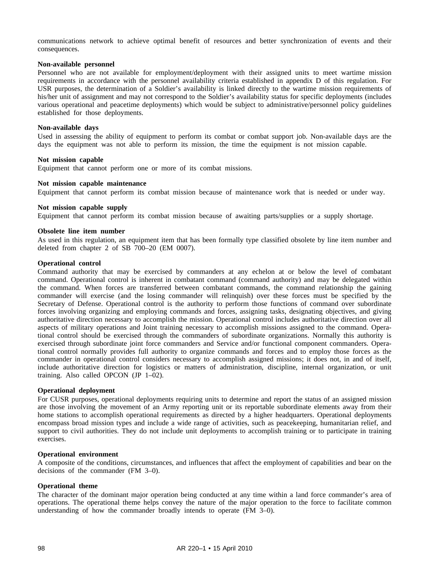communications network to achieve optimal benefit of resources and better synchronization of events and their consequences.

#### **Non-available personnel**

Personnel who are not available for employment/deployment with their assigned units to meet wartime mission requirements in accordance with the personnel availability criteria established in appendix D of this regulation. For USR purposes, the determination of a Soldier's availability is linked directly to the wartime mission requirements of his/her unit of assignment and may not correspond to the Soldier's availability status for specific deployments (includes various operational and peacetime deployments) which would be subject to administrative/personnel policy guidelines established for those deployments.

#### **Non-available days**

Used in assessing the ability of equipment to perform its combat or combat support job. Non-available days are the days the equipment was not able to perform its mission, the time the equipment is not mission capable.

### **Not mission capable**

Equipment that cannot perform one or more of its combat missions.

### **Not mission capable maintenance**

Equipment that cannot perform its combat mission because of maintenance work that is needed or under way.

### **Not mission capable supply**

Equipment that cannot perform its combat mission because of awaiting parts/supplies or a supply shortage.

### **Obsolete line item number**

As used in this regulation, an equipment item that has been formally type classified obsolete by line item number and deleted from chapter 2 of SB 700–20 (EM 0007).

# **Operational control**

Command authority that may be exercised by commanders at any echelon at or below the level of combatant command. Operational control is inherent in combatant command (command authority) and may be delegated within the command. When forces are transferred between combatant commands, the command relationship the gaining commander will exercise (and the losing commander will relinquish) over these forces must be specified by the Secretary of Defense. Operational control is the authority to perform those functions of command over subordinate forces involving organizing and employing commands and forces, assigning tasks, designating objectives, and giving authoritative direction necessary to accomplish the mission. Operational control includes authoritative direction over all aspects of military operations and Joint training necessary to accomplish missions assigned to the command. Operational control should be exercised through the commanders of subordinate organizations. Normally this authority is exercised through subordinate joint force commanders and Service and/or functional component commanders. Operational control normally provides full authority to organize commands and forces and to employ those forces as the commander in operational control considers necessary to accomplish assigned missions; it does not, in and of itself, include authoritative direction for logistics or matters of administration, discipline, internal organization, or unit training. Also called OPCON (JP 1–02).

#### **Operational deployment**

For CUSR purposes, operational deployments requiring units to determine and report the status of an assigned mission are those involving the movement of an Army reporting unit or its reportable subordinate elements away from their home stations to accomplish operational requirements as directed by a higher headquarters. Operational deployments encompass broad mission types and include a wide range of activities, such as peacekeeping, humanitarian relief, and support to civil authorities. They do not include unit deployments to accomplish training or to participate in training exercises.

### **Operational environment**

A composite of the conditions, circumstances, and influences that affect the employment of capabilities and bear on the decisions of the commander (FM 3–0).

#### **Operational theme**

The character of the dominant major operation being conducted at any time within a land force commander's area of operations. The operational theme helps convey the nature of the major operation to the force to facilitate common understanding of how the commander broadly intends to operate (FM 3–0).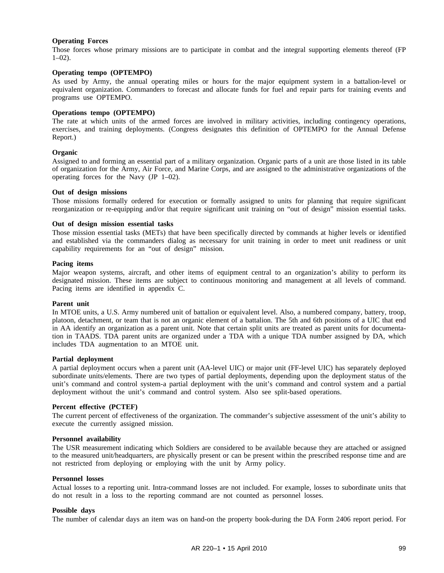# **Operating Forces**

Those forces whose primary missions are to participate in combat and the integral supporting elements thereof (FP  $1-02$ ).

### **Operating tempo (OPTEMPO)**

As used by Army, the annual operating miles or hours for the major equipment system in a battalion-level or equivalent organization. Commanders to forecast and allocate funds for fuel and repair parts for training events and programs use OPTEMPO.

## **Operations tempo (OPTEMPO)**

The rate at which units of the armed forces are involved in military activities, including contingency operations, exercises, and training deployments. (Congress designates this definition of OPTEMPO for the Annual Defense Report.)

## **Organic**

Assigned to and forming an essential part of a military organization. Organic parts of a unit are those listed in its table of organization for the Army, Air Force, and Marine Corps, and are assigned to the administrative organizations of the operating forces for the Navy (JP 1–02).

### **Out of design missions**

Those missions formally ordered for execution or formally assigned to units for planning that require significant reorganization or re-equipping and/or that require significant unit training on "out of design" mission essential tasks.

### **Out of design mission essential tasks**

Those mission essential tasks (METs) that have been specifically directed by commands at higher levels or identified and established via the commanders dialog as necessary for unit training in order to meet unit readiness or unit capability requirements for an "out of design" mission.

### **Pacing items**

Major weapon systems, aircraft, and other items of equipment central to an organization's ability to perform its designated mission. These items are subject to continuous monitoring and management at all levels of command. Pacing items are identified in appendix C.

## **Parent unit**

In MTOE units, a U.S. Army numbered unit of battalion or equivalent level. Also, a numbered company, battery, troop, platoon, detachment, or team that is not an organic element of a battalion. The 5th and 6th positions of a UIC that end in AA identify an organization as a parent unit. Note that certain split units are treated as parent units for documentation in TAADS. TDA parent units are organized under a TDA with a unique TDA number assigned by DA, which includes TDA augmentation to an MTOE unit.

### **Partial deployment**

A partial deployment occurs when a parent unit (AA-level UIC) or major unit (FF-level UIC) has separately deployed subordinate units/elements. There are two types of partial deployments, depending upon the deployment status of the unit's command and control system-a partial deployment with the unit's command and control system and a partial deployment without the unit's command and control system. Also see split-based operations.

## **Percent effective (PCTEF)**

The current percent of effectiveness of the organization. The commander's subjective assessment of the unit's ability to execute the currently assigned mission.

#### **Personnel availability**

The USR measurement indicating which Soldiers are considered to be available because they are attached or assigned to the measured unit/headquarters, are physically present or can be present within the prescribed response time and are not restricted from deploying or employing with the unit by Army policy.

### **Personnel losses**

Actual losses to a reporting unit. Intra-command losses are not included. For example, losses to subordinate units that do not result in a loss to the reporting command are not counted as personnel losses.

#### **Possible days**

The number of calendar days an item was on hand-on the property book-during the DA Form 2406 report period. For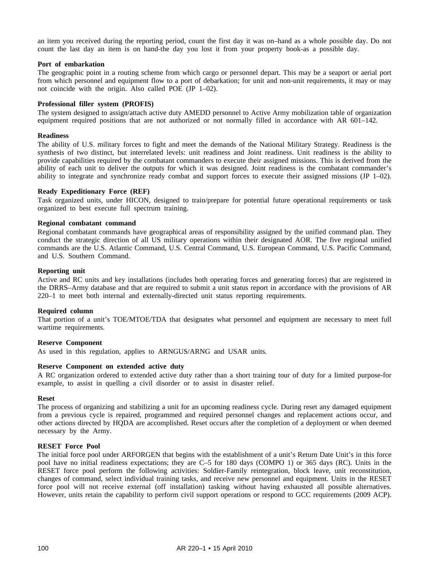an item you received during the reporting period, count the first day it was on–hand as a whole possible day. Do not count the last day an item is on hand-the day you lost it from your property book-as a possible day.

#### **Port of embarkation**

The geographic point in a routing scheme from which cargo or personnel depart. This may be a seaport or aerial port from which personnel and equipment flow to a port of debarkation; for unit and non-unit requirements, it may or may not coincide with the origin. Also called POE (JP 1–02).

# **Professional filler system (PROFIS)**

The system designed to assign/attach active duty AMEDD personnel to Active Army mobilization table of organization equipment required positions that are not authorized or not normally filled in accordance with AR 601–142.

#### **Readiness**

The ability of U.S. military forces to fight and meet the demands of the National Military Strategy. Readiness is the synthesis of two distinct, but interrelated levels: unit readiness and Joint readiness. Unit readiness is the ability to provide capabilities required by the combatant commanders to execute their assigned missions. This is derived from the ability of each unit to deliver the outputs for which it was designed. Joint readiness is the combatant commander's ability to integrate and synchronize ready combat and support forces to execute their assigned missions (JP 1–02).

#### **Ready Expeditionary Force (REF)**

Task organized units, under HICON, designed to train/prepare for potential future operational requirements or task organized to best execute full spectrum training.

#### **Regional combatant command**

Regional combatant commands have geographical areas of responsibility assigned by the unified command plan. They conduct the strategic direction of all US military operations within their designated AOR. The five regional unified commands are the U.S. Atlantic Command, U.S. Central Command, U.S. European Command, U.S. Pacific Command, and U.S. Southern Command.

#### **Reporting unit**

Active and RC units and key installations (includes both operating forces and generating forces) that are registered in the DRRS–Army database and that are required to submit a unit status report in accordance with the provisions of AR 220–1 to meet both internal and externally-directed unit status reporting requirements.

## **Required column**

That portion of a unit's TOE/MTOE/TDA that designates what personnel and equipment are necessary to meet full wartime requirements.

## **Reserve Component**

As used in this regulation, applies to ARNGUS/ARNG and USAR units.

#### **Reserve Component on extended active duty**

A RC organization ordered to extended active duty rather than a short training tour of duty for a limited purpose-for example, to assist in quelling a civil disorder or to assist in disaster relief.

#### **Reset**

The process of organizing and stabilizing a unit for an upcoming readiness cycle. During reset any damaged equipment from a previous cycle is repaired, programmed and required personnel changes and replacement actions occur, and other actions directed by HQDA are accomplished. Reset occurs after the completion of a deployment or when deemed necessary by the Army.

#### **RESET Force Pool**

The initial force pool under ARFORGEN that begins with the establishment of a unit's Return Date Unit's in this force pool have no initial readiness expectations; they are C–5 for 180 days (COMPO 1) or 365 days (RC). Units in the RESET force pool perform the following activities: Soldier-Family reintegration, block leave, unit reconstitution, changes of command, select individual training tasks, and receive new personnel and equipment. Units in the RESET force pool will not receive external (off installation) tasking without having exhausted all possible alternatives. However, units retain the capability to perform civil support operations or respond to GCC requirements (2009 ACP).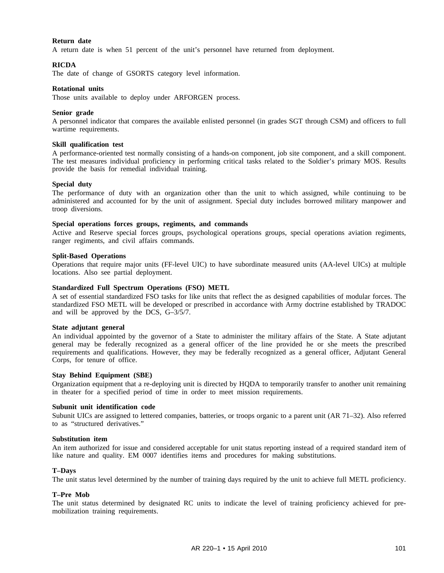## **Return date**

A return date is when 51 percent of the unit's personnel have returned from deployment.

## **RICDA**

The date of change of GSORTS category level information.

#### **Rotational units**

Those units available to deploy under ARFORGEN process.

#### **Senior grade**

A personnel indicator that compares the available enlisted personnel (in grades SGT through CSM) and officers to full wartime requirements.

#### **Skill qualification test**

A performance-oriented test normally consisting of a hands-on component, job site component, and a skill component. The test measures individual proficiency in performing critical tasks related to the Soldier's primary MOS. Results provide the basis for remedial individual training.

#### **Special duty**

The performance of duty with an organization other than the unit to which assigned, while continuing to be administered and accounted for by the unit of assignment. Special duty includes borrowed military manpower and troop diversions.

#### **Special operations forces groups, regiments, and commands**

Active and Reserve special forces groups, psychological operations groups, special operations aviation regiments, ranger regiments, and civil affairs commands.

#### **Split-Based Operations**

Operations that require major units (FF-level UIC) to have subordinate measured units (AA-level UICs) at multiple locations. Also see partial deployment.

#### **Standardized Full Spectrum Operations (FSO) METL**

A set of essential standardized FSO tasks for like units that reflect the as designed capabilities of modular forces. The standardized FSO METL will be developed or prescribed in accordance with Army doctrine established by TRADOC and will be approved by the DCS, G–3/5/7.

#### **State adjutant general**

An individual appointed by the governor of a State to administer the military affairs of the State. A State adjutant general may be federally recognized as a general officer of the line provided he or she meets the prescribed requirements and qualifications. However, they may be federally recognized as a general officer, Adjutant General Corps, for tenure of office.

## **Stay Behind Equipment (SBE)**

Organization equipment that a re-deploying unit is directed by HQDA to temporarily transfer to another unit remaining in theater for a specified period of time in order to meet mission requirements.

#### **Subunit unit identification code**

Subunit UICs are assigned to lettered companies, batteries, or troops organic to a parent unit (AR 71–32). Also referred to as "structured derivatives."

#### **Substitution item**

An item authorized for issue and considered acceptable for unit status reporting instead of a required standard item of like nature and quality. EM 0007 identifies items and procedures for making substitutions.

## **T–Days**

The unit status level determined by the number of training days required by the unit to achieve full METL proficiency.

# **T–Pre Mob**

The unit status determined by designated RC units to indicate the level of training proficiency achieved for premobilization training requirements.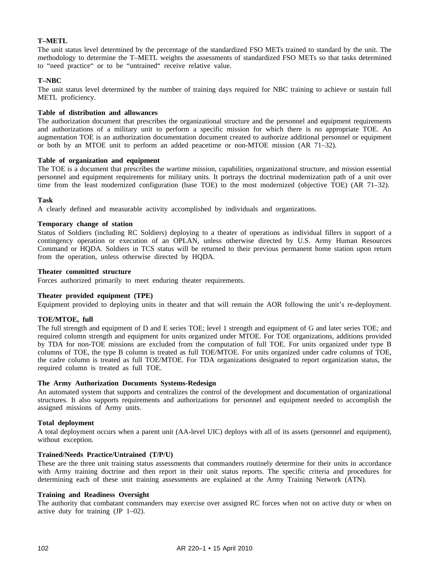# **T–METL**

The unit status level determined by the percentage of the standardized FSO METs trained to standard by the unit. The methodology to determine the T–METL weights the assessments of standardized FSO METs so that tasks determined to "need practice" or to be "untrained" receive relative value.

## **T–NBC**

The unit status level determined by the number of training days required for NBC training to achieve or sustain full METL proficiency.

## **Table of distribution and allowances**

The authorization document that prescribes the organizational structure and the personnel and equipment requirements and authorizations of a military unit to perform a specific mission for which there is no appropriate TOE. An augmentation TOE is an authorization documentation document created to authorize additional personnel or equipment or both by an MTOE unit to perform an added peacetime or non-MTOE mission (AR 71–32).

## **Table of organization and equipment**

The TOE is a document that prescribes the wartime mission, capabilities, organizational structure, and mission essential personnel and equipment requirements for military units. It portrays the doctrinal modernization path of a unit over time from the least modernized configuration (base TOE) to the most modernized (objective TOE) (AR 71–32).

## **Task**

A clearly defined and measurable activity accomplished by individuals and organizations.

## **Temporary change of station**

Status of Soldiers (including RC Soldiers) deploying to a theater of operations as individual fillers in support of a contingency operation or execution of an OPLAN, unless otherwise directed by U.S. Army Human Resources Command or HQDA. Soldiers in TCS status will be returned to their previous permanent home station upon return from the operation, unless otherwise directed by HQDA.

## **Theater committed structure**

Forces authorized primarily to meet enduring theater requirements.

## **Theater provided equipment (TPE)**

Equipment provided to deploying units in theater and that will remain the AOR following the unit's re-deployment.

## **TOE/MTOE, full**

The full strength and equipment of D and E series TOE; level 1 strength and equipment of G and later series TOE; and required column strength and equipment for units organized under MTOE. For TOE organizations, additions provided by TDA for non-TOE missions are excluded from the computation of full TOE. For units organized under type B columns of TOE, the type B column is treated as full TOE/MTOE. For units organized under cadre columns of TOE, the cadre column is treated as full TOE/MTOE. For TDA organizations designated to report organization status, the required column is treated as full TOE.

## **The Army Authorization Documents Systems-Redesign**

An automated system that supports and centralizes the control of the development and documentation of organizational structures. It also supports requirements and authorizations for personnel and equipment needed to accomplish the assigned missions of Army units.

## **Total deployment**

A total deployment occurs when a parent unit (AA-level UIC) deploys with all of its assets (personnel and equipment), without exception.

## **Trained/Needs Practice/Untrained (T/P/U)**

These are the three unit training status assessments that commanders routinely determine for their units in accordance with Army training doctrine and then report in their unit status reports. The specific criteria and procedures for determining each of these unit training assessments are explained at the Army Training Network (ATN).

## **Training and Readiness Oversight**

The authority that combatant commanders may exercise over assigned RC forces when not on active duty or when on active duty for training (JP 1–02).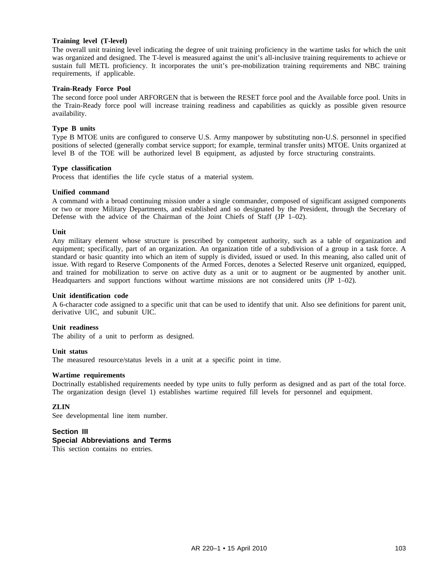## **Training level (T-level)**

The overall unit training level indicating the degree of unit training proficiency in the wartime tasks for which the unit was organized and designed. The T-level is measured against the unit's all-inclusive training requirements to achieve or sustain full METL proficiency. It incorporates the unit's pre-mobilization training requirements and NBC training requirements, if applicable.

## **Train-Ready Force Pool**

The second force pool under ARFORGEN that is between the RESET force pool and the Available force pool. Units in the Train-Ready force pool will increase training readiness and capabilities as quickly as possible given resource availability.

## **Type B units**

Type B MTOE units are configured to conserve U.S. Army manpower by substituting non-U.S. personnel in specified positions of selected (generally combat service support; for example, terminal transfer units) MTOE. Units organized at level B of the TOE will be authorized level B equipment, as adjusted by force structuring constraints.

## **Type classification**

Process that identifies the life cycle status of a material system.

## **Unified command**

A command with a broad continuing mission under a single commander, composed of significant assigned components or two or more Military Departments, and established and so designated by the President, through the Secretary of Defense with the advice of the Chairman of the Joint Chiefs of Staff (JP 1–02).

## **Unit**

Any military element whose structure is prescribed by competent authority, such as a table of organization and equipment; specifically, part of an organization. An organization title of a subdivision of a group in a task force. A standard or basic quantity into which an item of supply is divided, issued or used. In this meaning, also called unit of issue. With regard to Reserve Components of the Armed Forces, denotes a Selected Reserve unit organized, equipped, and trained for mobilization to serve on active duty as a unit or to augment or be augmented by another unit. Headquarters and support functions without wartime missions are not considered units (JP 1–02).

## **Unit identification code**

A 6-character code assigned to a specific unit that can be used to identify that unit. Also see definitions for parent unit, derivative UIC, and subunit UIC.

## **Unit readiness**

The ability of a unit to perform as designed.

## **Unit status**

The measured resource/status levels in a unit at a specific point in time.

## **Wartime requirements**

Doctrinally established requirements needed by type units to fully perform as designed and as part of the total force. The organization design (level 1) establishes wartime required fill levels for personnel and equipment.

## **ZLIN**

See developmental line item number.

# **Section III**

# **Special Abbreviations and Terms**

This section contains no entries.